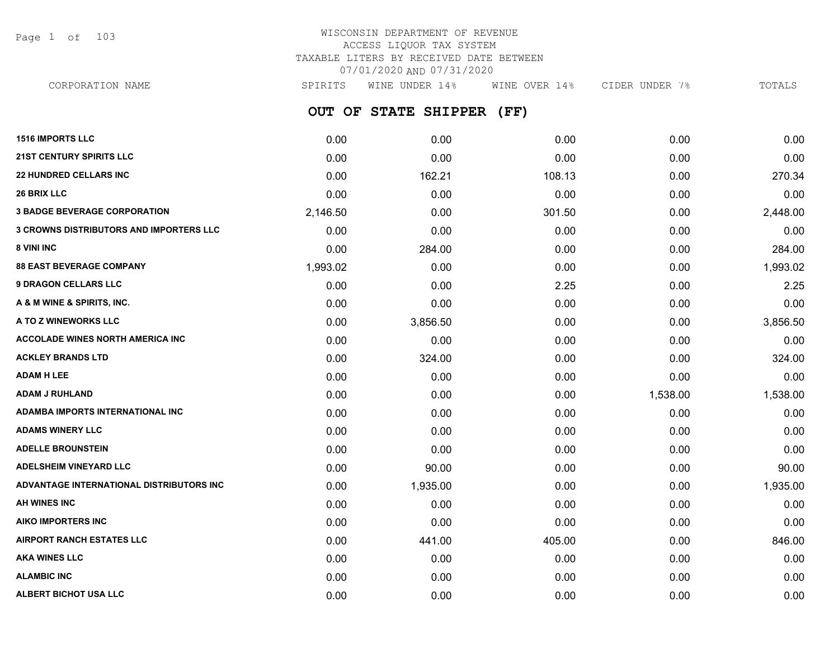Page 1 of 103

# WISCONSIN DEPARTMENT OF REVENUE ACCESS LIQUOR TAX SYSTEM TAXABLE LITERS BY RECEIVED DATE BETWEEN 07/01/2020 AND 07/31/2020

**OUT OF STATE SHIPPER (FF)** CORPORATION NAME SPIRITS WINE UNDER 14% WINE OVER 14% CIDER UNDER 7% TOTALS

| <b>1516 IMPORTS LLC</b>                        | 0.00     | 0.00     | 0.00   | 0.00     | 0.00     |
|------------------------------------------------|----------|----------|--------|----------|----------|
| <b>21ST CENTURY SPIRITS LLC</b>                | 0.00     | 0.00     | 0.00   | 0.00     | 0.00     |
| <b>22 HUNDRED CELLARS INC</b>                  | 0.00     | 162.21   | 108.13 | 0.00     | 270.34   |
| <b>26 BRIX LLC</b>                             | 0.00     | 0.00     | 0.00   | 0.00     | 0.00     |
| <b>3 BADGE BEVERAGE CORPORATION</b>            | 2,146.50 | 0.00     | 301.50 | 0.00     | 2,448.00 |
| <b>3 CROWNS DISTRIBUTORS AND IMPORTERS LLC</b> | 0.00     | 0.00     | 0.00   | 0.00     | 0.00     |
| 8 VINI INC                                     | 0.00     | 284.00   | 0.00   | 0.00     | 284.00   |
| <b>88 EAST BEVERAGE COMPANY</b>                | 1,993.02 | 0.00     | 0.00   | 0.00     | 1,993.02 |
| <b>9 DRAGON CELLARS LLC</b>                    | 0.00     | 0.00     | 2.25   | 0.00     | 2.25     |
| A & M WINE & SPIRITS, INC.                     | 0.00     | 0.00     | 0.00   | 0.00     | 0.00     |
| A TO Z WINEWORKS LLC                           | 0.00     | 3,856.50 | 0.00   | 0.00     | 3,856.50 |
| <b>ACCOLADE WINES NORTH AMERICA INC</b>        | 0.00     | 0.00     | 0.00   | 0.00     | 0.00     |
| <b>ACKLEY BRANDS LTD</b>                       | 0.00     | 324.00   | 0.00   | 0.00     | 324.00   |
| <b>ADAM H LEE</b>                              | 0.00     | 0.00     | 0.00   | 0.00     | 0.00     |
| <b>ADAM J RUHLAND</b>                          | 0.00     | 0.00     | 0.00   | 1,538.00 | 1,538.00 |
| ADAMBA IMPORTS INTERNATIONAL INC               | 0.00     | 0.00     | 0.00   | 0.00     | 0.00     |
| <b>ADAMS WINERY LLC</b>                        | 0.00     | 0.00     | 0.00   | 0.00     | 0.00     |
| <b>ADELLE BROUNSTEIN</b>                       | 0.00     | 0.00     | 0.00   | 0.00     | 0.00     |
| <b>ADELSHEIM VINEYARD LLC</b>                  | 0.00     | 90.00    | 0.00   | 0.00     | 90.00    |
| ADVANTAGE INTERNATIONAL DISTRIBUTORS INC       | 0.00     | 1,935.00 | 0.00   | 0.00     | 1,935.00 |
| <b>AH WINES INC</b>                            | 0.00     | 0.00     | 0.00   | 0.00     | 0.00     |
| <b>AIKO IMPORTERS INC</b>                      | 0.00     | 0.00     | 0.00   | 0.00     | 0.00     |
| <b>AIRPORT RANCH ESTATES LLC</b>               | 0.00     | 441.00   | 405.00 | 0.00     | 846.00   |
| <b>AKA WINES LLC</b>                           | 0.00     | 0.00     | 0.00   | 0.00     | 0.00     |
| <b>ALAMBIC INC</b>                             | 0.00     | 0.00     | 0.00   | 0.00     | 0.00     |
| ALBERT BICHOT USA LLC                          | 0.00     | 0.00     | 0.00   | 0.00     | 0.00     |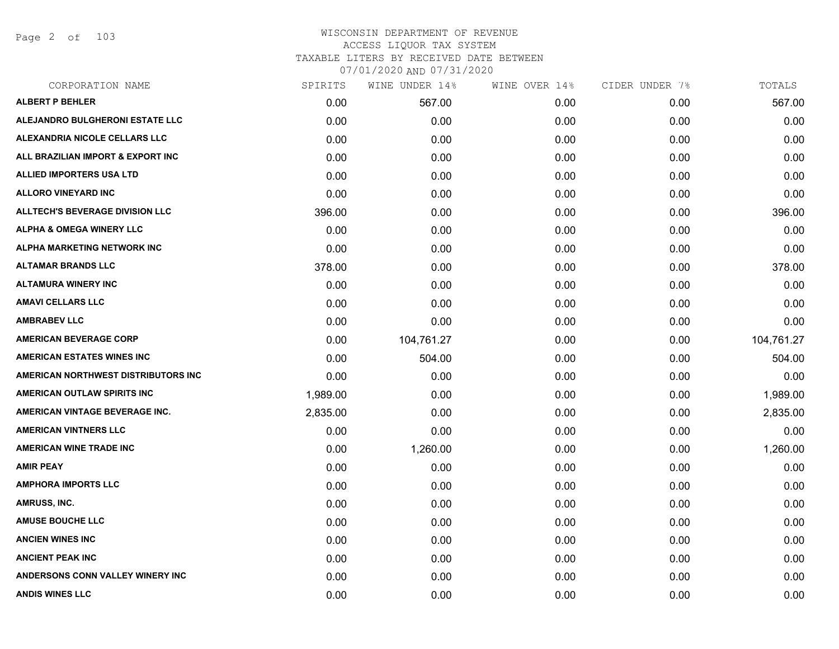Page 2 of 103

| CORPORATION NAME                       | SPIRITS  | WINE UNDER 14% | WINE OVER 14% | CIDER UNDER 7% | TOTALS     |
|----------------------------------------|----------|----------------|---------------|----------------|------------|
| <b>ALBERT P BEHLER</b>                 | 0.00     | 567.00         | 0.00          | 0.00           | 567.00     |
| ALEJANDRO BULGHERONI ESTATE LLC        | 0.00     | 0.00           | 0.00          | 0.00           | 0.00       |
| ALEXANDRIA NICOLE CELLARS LLC          | 0.00     | 0.00           | 0.00          | 0.00           | 0.00       |
| ALL BRAZILIAN IMPORT & EXPORT INC      | 0.00     | 0.00           | 0.00          | 0.00           | 0.00       |
| <b>ALLIED IMPORTERS USA LTD</b>        | 0.00     | 0.00           | 0.00          | 0.00           | 0.00       |
| <b>ALLORO VINEYARD INC</b>             | 0.00     | 0.00           | 0.00          | 0.00           | 0.00       |
| <b>ALLTECH'S BEVERAGE DIVISION LLC</b> | 396.00   | 0.00           | 0.00          | 0.00           | 396.00     |
| <b>ALPHA &amp; OMEGA WINERY LLC</b>    | 0.00     | 0.00           | 0.00          | 0.00           | 0.00       |
| ALPHA MARKETING NETWORK INC            | 0.00     | 0.00           | 0.00          | 0.00           | 0.00       |
| <b>ALTAMAR BRANDS LLC</b>              | 378.00   | 0.00           | 0.00          | 0.00           | 378.00     |
| <b>ALTAMURA WINERY INC</b>             | 0.00     | 0.00           | 0.00          | 0.00           | 0.00       |
| <b>AMAVI CELLARS LLC</b>               | 0.00     | 0.00           | 0.00          | 0.00           | 0.00       |
| <b>AMBRABEV LLC</b>                    | 0.00     | 0.00           | 0.00          | 0.00           | 0.00       |
| <b>AMERICAN BEVERAGE CORP</b>          | 0.00     | 104,761.27     | 0.00          | 0.00           | 104,761.27 |
| <b>AMERICAN ESTATES WINES INC</b>      | 0.00     | 504.00         | 0.00          | 0.00           | 504.00     |
| AMERICAN NORTHWEST DISTRIBUTORS INC    | 0.00     | 0.00           | 0.00          | 0.00           | 0.00       |
| AMERICAN OUTLAW SPIRITS INC            | 1,989.00 | 0.00           | 0.00          | 0.00           | 1,989.00   |
| AMERICAN VINTAGE BEVERAGE INC.         | 2,835.00 | 0.00           | 0.00          | 0.00           | 2,835.00   |
| <b>AMERICAN VINTNERS LLC</b>           | 0.00     | 0.00           | 0.00          | 0.00           | 0.00       |
| <b>AMERICAN WINE TRADE INC</b>         | 0.00     | 1,260.00       | 0.00          | 0.00           | 1,260.00   |
| <b>AMIR PEAY</b>                       | 0.00     | 0.00           | 0.00          | 0.00           | 0.00       |
| <b>AMPHORA IMPORTS LLC</b>             | 0.00     | 0.00           | 0.00          | 0.00           | 0.00       |
| AMRUSS, INC.                           | 0.00     | 0.00           | 0.00          | 0.00           | 0.00       |
| <b>AMUSE BOUCHE LLC</b>                | 0.00     | 0.00           | 0.00          | 0.00           | 0.00       |
| <b>ANCIEN WINES INC</b>                | 0.00     | 0.00           | 0.00          | 0.00           | 0.00       |
| <b>ANCIENT PEAK INC</b>                | 0.00     | 0.00           | 0.00          | 0.00           | 0.00       |
| ANDERSONS CONN VALLEY WINERY INC       | 0.00     | 0.00           | 0.00          | 0.00           | 0.00       |
| <b>ANDIS WINES LLC</b>                 | 0.00     | 0.00           | 0.00          | 0.00           | 0.00       |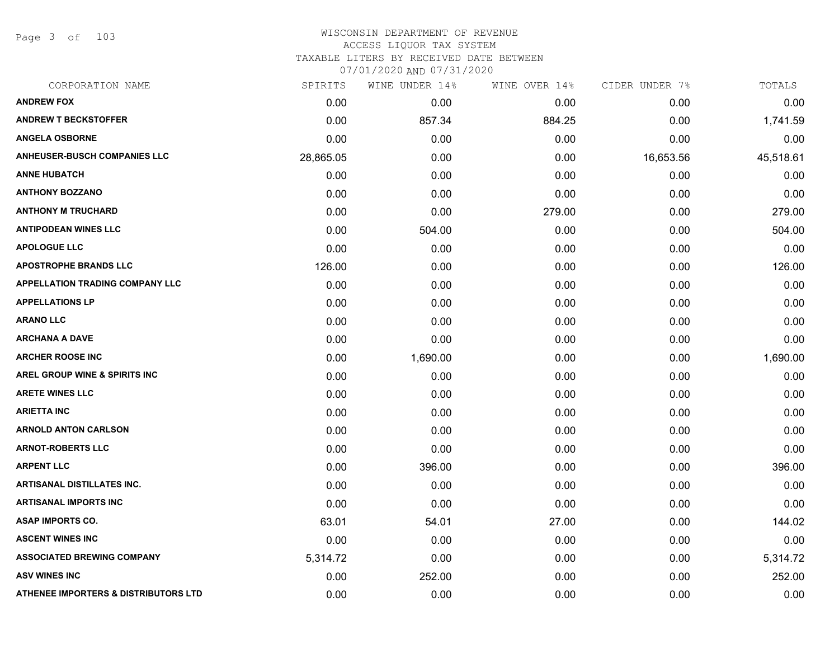Page 3 of 103

| CORPORATION NAME                                | SPIRITS   | WINE UNDER 14% | WINE OVER 14% | CIDER UNDER 7% | TOTALS    |
|-------------------------------------------------|-----------|----------------|---------------|----------------|-----------|
| <b>ANDREW FOX</b>                               | 0.00      | 0.00           | 0.00          | 0.00           | 0.00      |
| <b>ANDREW T BECKSTOFFER</b>                     | 0.00      | 857.34         | 884.25        | 0.00           | 1,741.59  |
| <b>ANGELA OSBORNE</b>                           | 0.00      | 0.00           | 0.00          | 0.00           | 0.00      |
| <b>ANHEUSER-BUSCH COMPANIES LLC</b>             | 28,865.05 | 0.00           | 0.00          | 16,653.56      | 45,518.61 |
| <b>ANNE HUBATCH</b>                             | 0.00      | 0.00           | 0.00          | 0.00           | 0.00      |
| <b>ANTHONY BOZZANO</b>                          | 0.00      | 0.00           | 0.00          | 0.00           | 0.00      |
| <b>ANTHONY M TRUCHARD</b>                       | 0.00      | 0.00           | 279.00        | 0.00           | 279.00    |
| <b>ANTIPODEAN WINES LLC</b>                     | 0.00      | 504.00         | 0.00          | 0.00           | 504.00    |
| <b>APOLOGUE LLC</b>                             | 0.00      | 0.00           | 0.00          | 0.00           | 0.00      |
| <b>APOSTROPHE BRANDS LLC</b>                    | 126.00    | 0.00           | 0.00          | 0.00           | 126.00    |
| <b>APPELLATION TRADING COMPANY LLC</b>          | 0.00      | 0.00           | 0.00          | 0.00           | 0.00      |
| <b>APPELLATIONS LP</b>                          | 0.00      | 0.00           | 0.00          | 0.00           | 0.00      |
| <b>ARANO LLC</b>                                | 0.00      | 0.00           | 0.00          | 0.00           | 0.00      |
| <b>ARCHANA A DAVE</b>                           | 0.00      | 0.00           | 0.00          | 0.00           | 0.00      |
| <b>ARCHER ROOSE INC</b>                         | 0.00      | 1,690.00       | 0.00          | 0.00           | 1,690.00  |
| AREL GROUP WINE & SPIRITS INC                   | 0.00      | 0.00           | 0.00          | 0.00           | 0.00      |
| <b>ARETE WINES LLC</b>                          | 0.00      | 0.00           | 0.00          | 0.00           | 0.00      |
| <b>ARIETTA INC</b>                              | 0.00      | 0.00           | 0.00          | 0.00           | 0.00      |
| <b>ARNOLD ANTON CARLSON</b>                     | 0.00      | 0.00           | 0.00          | 0.00           | 0.00      |
| <b>ARNOT-ROBERTS LLC</b>                        | 0.00      | 0.00           | 0.00          | 0.00           | 0.00      |
| <b>ARPENT LLC</b>                               | 0.00      | 396.00         | 0.00          | 0.00           | 396.00    |
| <b>ARTISANAL DISTILLATES INC.</b>               | 0.00      | 0.00           | 0.00          | 0.00           | 0.00      |
| <b>ARTISANAL IMPORTS INC</b>                    | 0.00      | 0.00           | 0.00          | 0.00           | 0.00      |
| <b>ASAP IMPORTS CO.</b>                         | 63.01     | 54.01          | 27.00         | 0.00           | 144.02    |
| <b>ASCENT WINES INC</b>                         | 0.00      | 0.00           | 0.00          | 0.00           | 0.00      |
| <b>ASSOCIATED BREWING COMPANY</b>               | 5,314.72  | 0.00           | 0.00          | 0.00           | 5,314.72  |
| <b>ASV WINES INC</b>                            | 0.00      | 252.00         | 0.00          | 0.00           | 252.00    |
| <b>ATHENEE IMPORTERS &amp; DISTRIBUTORS LTD</b> | 0.00      | 0.00           | 0.00          | 0.00           | 0.00      |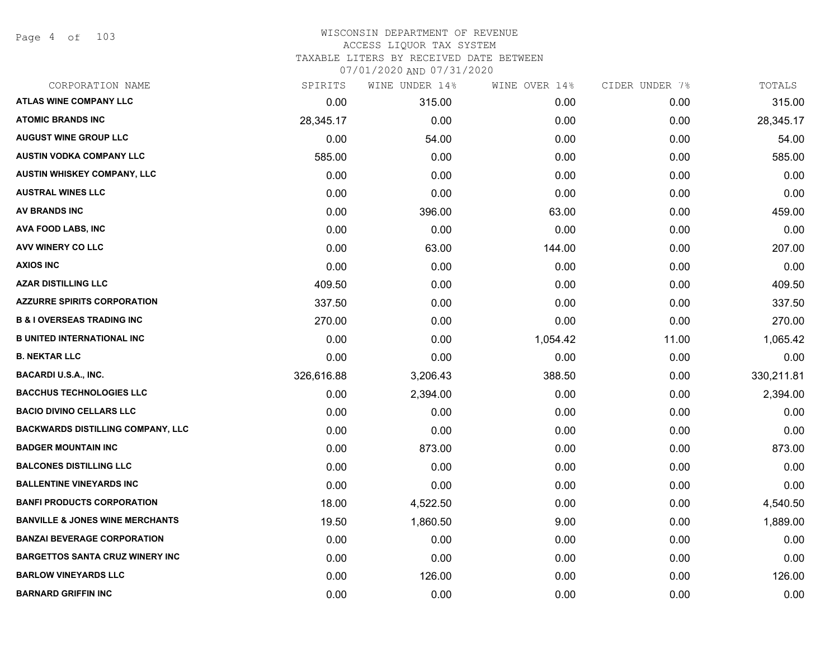Page 4 of 103

| CORPORATION NAME                           | SPIRITS    | WINE UNDER 14% | WINE OVER 14% | CIDER UNDER 7% | TOTALS     |
|--------------------------------------------|------------|----------------|---------------|----------------|------------|
| <b>ATLAS WINE COMPANY LLC</b>              | 0.00       | 315.00         | 0.00          | 0.00           | 315.00     |
| <b>ATOMIC BRANDS INC</b>                   | 28,345.17  | 0.00           | 0.00          | 0.00           | 28,345.17  |
| <b>AUGUST WINE GROUP LLC</b>               | 0.00       | 54.00          | 0.00          | 0.00           | 54.00      |
| <b>AUSTIN VODKA COMPANY LLC</b>            | 585.00     | 0.00           | 0.00          | 0.00           | 585.00     |
| <b>AUSTIN WHISKEY COMPANY, LLC</b>         | 0.00       | 0.00           | 0.00          | 0.00           | 0.00       |
| <b>AUSTRAL WINES LLC</b>                   | 0.00       | 0.00           | 0.00          | 0.00           | 0.00       |
| <b>AV BRANDS INC</b>                       | 0.00       | 396.00         | 63.00         | 0.00           | 459.00     |
| AVA FOOD LABS, INC                         | 0.00       | 0.00           | 0.00          | 0.00           | 0.00       |
| <b>AVV WINERY CO LLC</b>                   | 0.00       | 63.00          | 144.00        | 0.00           | 207.00     |
| <b>AXIOS INC</b>                           | 0.00       | 0.00           | 0.00          | 0.00           | 0.00       |
| <b>AZAR DISTILLING LLC</b>                 | 409.50     | 0.00           | 0.00          | 0.00           | 409.50     |
| <b>AZZURRE SPIRITS CORPORATION</b>         | 337.50     | 0.00           | 0.00          | 0.00           | 337.50     |
| <b>B &amp; I OVERSEAS TRADING INC</b>      | 270.00     | 0.00           | 0.00          | 0.00           | 270.00     |
| <b>B UNITED INTERNATIONAL INC</b>          | 0.00       | 0.00           | 1,054.42      | 11.00          | 1,065.42   |
| <b>B. NEKTAR LLC</b>                       | 0.00       | 0.00           | 0.00          | 0.00           | 0.00       |
| <b>BACARDI U.S.A., INC.</b>                | 326,616.88 | 3,206.43       | 388.50        | 0.00           | 330,211.81 |
| <b>BACCHUS TECHNOLOGIES LLC</b>            | 0.00       | 2,394.00       | 0.00          | 0.00           | 2,394.00   |
| <b>BACIO DIVINO CELLARS LLC</b>            | 0.00       | 0.00           | 0.00          | 0.00           | 0.00       |
| <b>BACKWARDS DISTILLING COMPANY, LLC</b>   | 0.00       | 0.00           | 0.00          | 0.00           | 0.00       |
| <b>BADGER MOUNTAIN INC</b>                 | 0.00       | 873.00         | 0.00          | 0.00           | 873.00     |
| <b>BALCONES DISTILLING LLC</b>             | 0.00       | 0.00           | 0.00          | 0.00           | 0.00       |
| <b>BALLENTINE VINEYARDS INC</b>            | 0.00       | 0.00           | 0.00          | 0.00           | 0.00       |
| <b>BANFI PRODUCTS CORPORATION</b>          | 18.00      | 4,522.50       | 0.00          | 0.00           | 4,540.50   |
| <b>BANVILLE &amp; JONES WINE MERCHANTS</b> | 19.50      | 1,860.50       | 9.00          | 0.00           | 1,889.00   |
| <b>BANZAI BEVERAGE CORPORATION</b>         | 0.00       | 0.00           | 0.00          | 0.00           | 0.00       |
| <b>BARGETTOS SANTA CRUZ WINERY INC</b>     | 0.00       | 0.00           | 0.00          | 0.00           | 0.00       |
| <b>BARLOW VINEYARDS LLC</b>                | 0.00       | 126.00         | 0.00          | 0.00           | 126.00     |
| <b>BARNARD GRIFFIN INC</b>                 | 0.00       | 0.00           | 0.00          | 0.00           | 0.00       |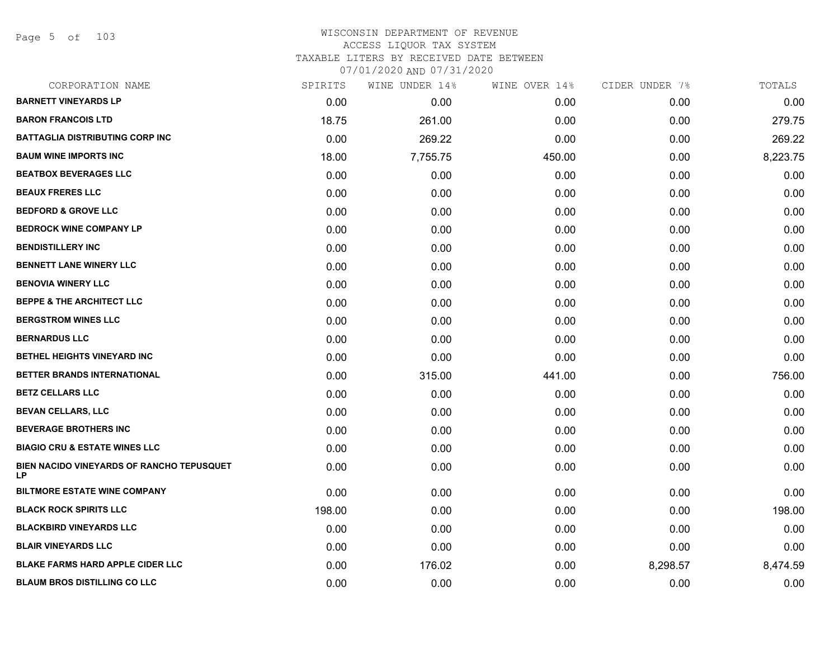Page 5 of 103

| CORPORATION NAME                                | SPIRITS | WINE UNDER 14% | WINE OVER 14% | CIDER UNDER 7% | TOTALS   |
|-------------------------------------------------|---------|----------------|---------------|----------------|----------|
| <b>BARNETT VINEYARDS LP</b>                     | 0.00    | 0.00           | 0.00          | 0.00           | 0.00     |
| <b>BARON FRANCOIS LTD</b>                       | 18.75   | 261.00         | 0.00          | 0.00           | 279.75   |
| <b>BATTAGLIA DISTRIBUTING CORP INC.</b>         | 0.00    | 269.22         | 0.00          | 0.00           | 269.22   |
| <b>BAUM WINE IMPORTS INC</b>                    | 18.00   | 7,755.75       | 450.00        | 0.00           | 8,223.75 |
| <b>BEATBOX BEVERAGES LLC</b>                    | 0.00    | 0.00           | 0.00          | 0.00           | 0.00     |
| <b>BEAUX FRERES LLC</b>                         | 0.00    | 0.00           | 0.00          | 0.00           | 0.00     |
| <b>BEDFORD &amp; GROVE LLC</b>                  | 0.00    | 0.00           | 0.00          | 0.00           | 0.00     |
| <b>BEDROCK WINE COMPANY LP</b>                  | 0.00    | 0.00           | 0.00          | 0.00           | 0.00     |
| <b>BENDISTILLERY INC</b>                        | 0.00    | 0.00           | 0.00          | 0.00           | 0.00     |
| <b>BENNETT LANE WINERY LLC</b>                  | 0.00    | 0.00           | 0.00          | 0.00           | 0.00     |
| <b>BENOVIA WINERY LLC</b>                       | 0.00    | 0.00           | 0.00          | 0.00           | 0.00     |
| <b>BEPPE &amp; THE ARCHITECT LLC</b>            | 0.00    | 0.00           | 0.00          | 0.00           | 0.00     |
| <b>BERGSTROM WINES LLC</b>                      | 0.00    | 0.00           | 0.00          | 0.00           | 0.00     |
| <b>BERNARDUS LLC</b>                            | 0.00    | 0.00           | 0.00          | 0.00           | 0.00     |
| BETHEL HEIGHTS VINEYARD INC                     | 0.00    | 0.00           | 0.00          | 0.00           | 0.00     |
| BETTER BRANDS INTERNATIONAL                     | 0.00    | 315.00         | 441.00        | 0.00           | 756.00   |
| <b>BETZ CELLARS LLC</b>                         | 0.00    | 0.00           | 0.00          | 0.00           | 0.00     |
| <b>BEVAN CELLARS, LLC</b>                       | 0.00    | 0.00           | 0.00          | 0.00           | 0.00     |
| <b>BEVERAGE BROTHERS INC</b>                    | 0.00    | 0.00           | 0.00          | 0.00           | 0.00     |
| <b>BIAGIO CRU &amp; ESTATE WINES LLC</b>        | 0.00    | 0.00           | 0.00          | 0.00           | 0.00     |
| BIEN NACIDO VINEYARDS OF RANCHO TEPUSQUET<br>LP | 0.00    | 0.00           | 0.00          | 0.00           | 0.00     |
| <b>BILTMORE ESTATE WINE COMPANY</b>             | 0.00    | 0.00           | 0.00          | 0.00           | 0.00     |
| <b>BLACK ROCK SPIRITS LLC</b>                   | 198.00  | 0.00           | 0.00          | 0.00           | 198.00   |
| <b>BLACKBIRD VINEYARDS LLC</b>                  | 0.00    | 0.00           | 0.00          | 0.00           | 0.00     |
| <b>BLAIR VINEYARDS LLC</b>                      | 0.00    | 0.00           | 0.00          | 0.00           | 0.00     |
| <b>BLAKE FARMS HARD APPLE CIDER LLC</b>         | 0.00    | 176.02         | 0.00          | 8,298.57       | 8,474.59 |
| <b>BLAUM BROS DISTILLING CO LLC</b>             | 0.00    | 0.00           | 0.00          | 0.00           | 0.00     |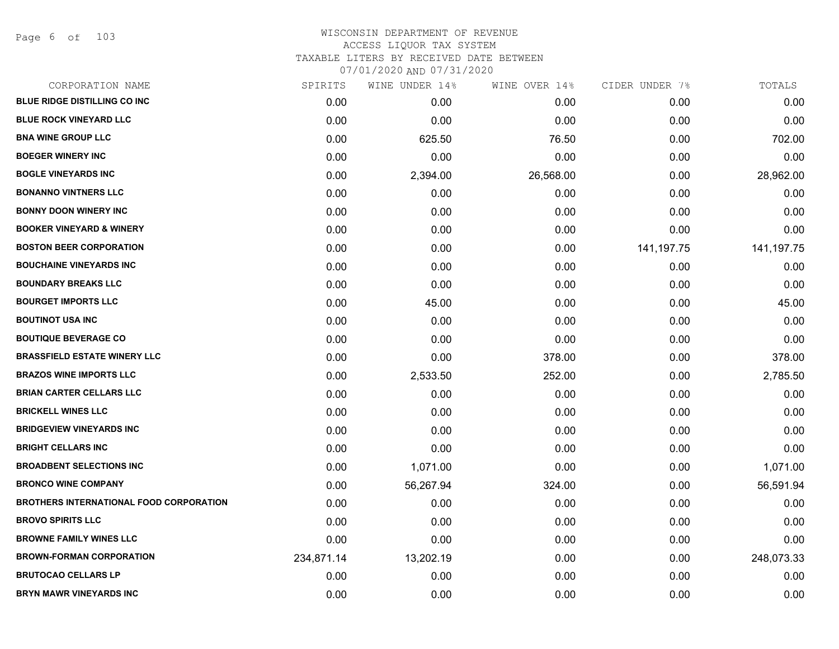Page 6 of 103

| SPIRITS    | WINE UNDER 14% | WINE OVER 14% | CIDER UNDER 7% | TOTALS       |
|------------|----------------|---------------|----------------|--------------|
| 0.00       | 0.00           | 0.00          | 0.00           | 0.00         |
| 0.00       | 0.00           | 0.00          | 0.00           | 0.00         |
| 0.00       | 625.50         | 76.50         | 0.00           | 702.00       |
| 0.00       | 0.00           | 0.00          | 0.00           | 0.00         |
| 0.00       | 2,394.00       | 26,568.00     | 0.00           | 28,962.00    |
| 0.00       | 0.00           | 0.00          | 0.00           | 0.00         |
| 0.00       | 0.00           | 0.00          | 0.00           | 0.00         |
| 0.00       | 0.00           | 0.00          | 0.00           | 0.00         |
| 0.00       | 0.00           | 0.00          | 141,197.75     | 141, 197. 75 |
| 0.00       | 0.00           | 0.00          | 0.00           | 0.00         |
| 0.00       | 0.00           | 0.00          | 0.00           | 0.00         |
| 0.00       | 45.00          | 0.00          | 0.00           | 45.00        |
| 0.00       | 0.00           | 0.00          | 0.00           | 0.00         |
| 0.00       | 0.00           | 0.00          | 0.00           | 0.00         |
| 0.00       | 0.00           | 378.00        | 0.00           | 378.00       |
| 0.00       | 2,533.50       | 252.00        | 0.00           | 2,785.50     |
| 0.00       | 0.00           | 0.00          | 0.00           | 0.00         |
| 0.00       | 0.00           | 0.00          | 0.00           | 0.00         |
| 0.00       | 0.00           | 0.00          | 0.00           | 0.00         |
| 0.00       | 0.00           | 0.00          | 0.00           | 0.00         |
| 0.00       | 1,071.00       | 0.00          | 0.00           | 1,071.00     |
| 0.00       | 56,267.94      | 324.00        | 0.00           | 56,591.94    |
| 0.00       | 0.00           | 0.00          | 0.00           | 0.00         |
| 0.00       | 0.00           | 0.00          | 0.00           | 0.00         |
| 0.00       | 0.00           | 0.00          | 0.00           | 0.00         |
| 234,871.14 | 13,202.19      | 0.00          | 0.00           | 248,073.33   |
| 0.00       | 0.00           | 0.00          | 0.00           | 0.00         |
| 0.00       | 0.00           | 0.00          | 0.00           | 0.00         |
|            |                |               |                |              |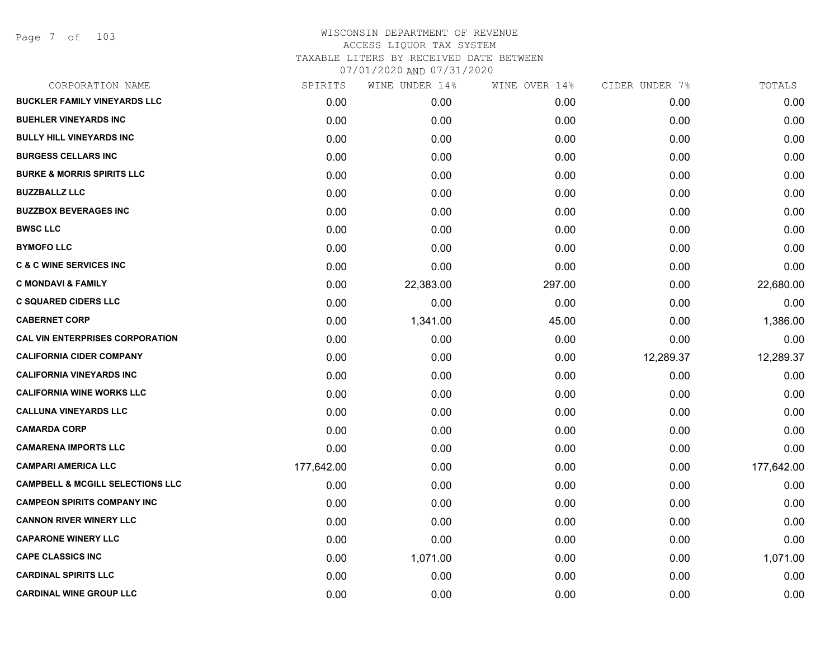Page 7 of 103

| CORPORATION NAME                            | SPIRITS    | WINE UNDER 14% | WINE OVER 14% | CIDER UNDER 7% | TOTALS     |
|---------------------------------------------|------------|----------------|---------------|----------------|------------|
| <b>BUCKLER FAMILY VINEYARDS LLC</b>         | 0.00       | 0.00           | 0.00          | 0.00           | 0.00       |
| <b>BUEHLER VINEYARDS INC</b>                | 0.00       | 0.00           | 0.00          | 0.00           | 0.00       |
| <b>BULLY HILL VINEYARDS INC</b>             | 0.00       | 0.00           | 0.00          | 0.00           | 0.00       |
| <b>BURGESS CELLARS INC</b>                  | 0.00       | 0.00           | 0.00          | 0.00           | 0.00       |
| <b>BURKE &amp; MORRIS SPIRITS LLC</b>       | 0.00       | 0.00           | 0.00          | 0.00           | 0.00       |
| <b>BUZZBALLZ LLC</b>                        | 0.00       | 0.00           | 0.00          | 0.00           | 0.00       |
| <b>BUZZBOX BEVERAGES INC</b>                | 0.00       | 0.00           | 0.00          | 0.00           | 0.00       |
| <b>BWSC LLC</b>                             | 0.00       | 0.00           | 0.00          | 0.00           | 0.00       |
| <b>BYMOFO LLC</b>                           | 0.00       | 0.00           | 0.00          | 0.00           | 0.00       |
| <b>C &amp; C WINE SERVICES INC</b>          | 0.00       | 0.00           | 0.00          | 0.00           | 0.00       |
| <b>C MONDAVI &amp; FAMILY</b>               | 0.00       | 22,383.00      | 297.00        | 0.00           | 22,680.00  |
| <b>C SQUARED CIDERS LLC</b>                 | 0.00       | 0.00           | 0.00          | 0.00           | 0.00       |
| <b>CABERNET CORP</b>                        | 0.00       | 1,341.00       | 45.00         | 0.00           | 1,386.00   |
| <b>CAL VIN ENTERPRISES CORPORATION</b>      | 0.00       | 0.00           | 0.00          | 0.00           | 0.00       |
| <b>CALIFORNIA CIDER COMPANY</b>             | 0.00       | 0.00           | 0.00          | 12,289.37      | 12,289.37  |
| <b>CALIFORNIA VINEYARDS INC</b>             | 0.00       | 0.00           | 0.00          | 0.00           | 0.00       |
| <b>CALIFORNIA WINE WORKS LLC</b>            | 0.00       | 0.00           | 0.00          | 0.00           | 0.00       |
| <b>CALLUNA VINEYARDS LLC</b>                | 0.00       | 0.00           | 0.00          | 0.00           | 0.00       |
| <b>CAMARDA CORP</b>                         | 0.00       | 0.00           | 0.00          | 0.00           | 0.00       |
| <b>CAMARENA IMPORTS LLC</b>                 | 0.00       | 0.00           | 0.00          | 0.00           | 0.00       |
| <b>CAMPARI AMERICA LLC</b>                  | 177,642.00 | 0.00           | 0.00          | 0.00           | 177,642.00 |
| <b>CAMPBELL &amp; MCGILL SELECTIONS LLC</b> | 0.00       | 0.00           | 0.00          | 0.00           | 0.00       |
| <b>CAMPEON SPIRITS COMPANY INC</b>          | 0.00       | 0.00           | 0.00          | 0.00           | 0.00       |
| <b>CANNON RIVER WINERY LLC</b>              | 0.00       | 0.00           | 0.00          | 0.00           | 0.00       |
| <b>CAPARONE WINERY LLC</b>                  | 0.00       | 0.00           | 0.00          | 0.00           | 0.00       |
| <b>CAPE CLASSICS INC</b>                    | 0.00       | 1,071.00       | 0.00          | 0.00           | 1,071.00   |
| <b>CARDINAL SPIRITS LLC</b>                 | 0.00       | 0.00           | 0.00          | 0.00           | 0.00       |
| <b>CARDINAL WINE GROUP LLC</b>              | 0.00       | 0.00           | 0.00          | 0.00           | 0.00       |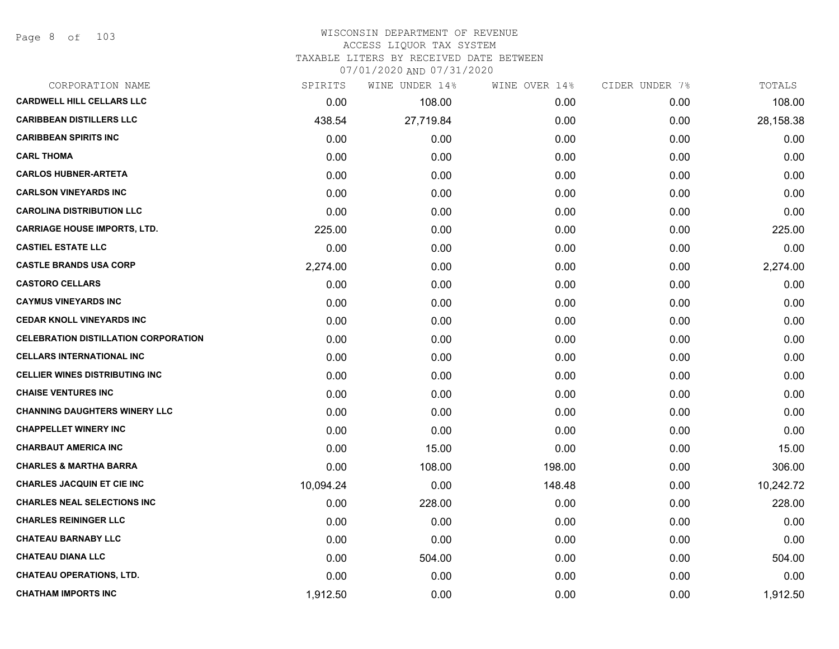Page 8 of 103

# WISCONSIN DEPARTMENT OF REVENUE ACCESS LIQUOR TAX SYSTEM

TAXABLE LITERS BY RECEIVED DATE BETWEEN

07/01/2020 AND 07/31/2020

| CORPORATION NAME                            | SPIRITS   | WINE UNDER 14% | WINE OVER 14% | CIDER UNDER 7% | TOTALS    |
|---------------------------------------------|-----------|----------------|---------------|----------------|-----------|
| <b>CARDWELL HILL CELLARS LLC</b>            | 0.00      | 108.00         | 0.00          | 0.00           | 108.00    |
| <b>CARIBBEAN DISTILLERS LLC</b>             | 438.54    | 27,719.84      | 0.00          | 0.00           | 28,158.38 |
| <b>CARIBBEAN SPIRITS INC</b>                | 0.00      | 0.00           | 0.00          | 0.00           | 0.00      |
| <b>CARL THOMA</b>                           | 0.00      | 0.00           | 0.00          | 0.00           | 0.00      |
| <b>CARLOS HUBNER-ARTETA</b>                 | 0.00      | 0.00           | 0.00          | 0.00           | 0.00      |
| <b>CARLSON VINEYARDS INC</b>                | 0.00      | 0.00           | 0.00          | 0.00           | 0.00      |
| <b>CAROLINA DISTRIBUTION LLC</b>            | 0.00      | 0.00           | 0.00          | 0.00           | 0.00      |
| <b>CARRIAGE HOUSE IMPORTS, LTD.</b>         | 225.00    | 0.00           | 0.00          | 0.00           | 225.00    |
| <b>CASTIEL ESTATE LLC</b>                   | 0.00      | 0.00           | 0.00          | 0.00           | 0.00      |
| <b>CASTLE BRANDS USA CORP</b>               | 2,274.00  | 0.00           | 0.00          | 0.00           | 2,274.00  |
| <b>CASTORO CELLARS</b>                      | 0.00      | 0.00           | 0.00          | 0.00           | 0.00      |
| <b>CAYMUS VINEYARDS INC</b>                 | 0.00      | 0.00           | 0.00          | 0.00           | 0.00      |
| <b>CEDAR KNOLL VINEYARDS INC</b>            | 0.00      | 0.00           | 0.00          | 0.00           | 0.00      |
| <b>CELEBRATION DISTILLATION CORPORATION</b> | 0.00      | 0.00           | 0.00          | 0.00           | 0.00      |
| <b>CELLARS INTERNATIONAL INC</b>            | 0.00      | 0.00           | 0.00          | 0.00           | 0.00      |
| <b>CELLIER WINES DISTRIBUTING INC</b>       | 0.00      | 0.00           | 0.00          | 0.00           | 0.00      |
| <b>CHAISE VENTURES INC</b>                  | 0.00      | 0.00           | 0.00          | 0.00           | 0.00      |
| <b>CHANNING DAUGHTERS WINERY LLC</b>        | 0.00      | 0.00           | 0.00          | 0.00           | 0.00      |
| <b>CHAPPELLET WINERY INC</b>                | 0.00      | 0.00           | 0.00          | 0.00           | 0.00      |
| <b>CHARBAUT AMERICA INC</b>                 | 0.00      | 15.00          | 0.00          | 0.00           | 15.00     |
| <b>CHARLES &amp; MARTHA BARRA</b>           | 0.00      | 108.00         | 198.00        | 0.00           | 306.00    |
| <b>CHARLES JACQUIN ET CIE INC</b>           | 10,094.24 | 0.00           | 148.48        | 0.00           | 10,242.72 |
| <b>CHARLES NEAL SELECTIONS INC</b>          | 0.00      | 228.00         | 0.00          | 0.00           | 228.00    |
| <b>CHARLES REININGER LLC</b>                | 0.00      | 0.00           | 0.00          | 0.00           | 0.00      |
| <b>CHATEAU BARNABY LLC</b>                  | 0.00      | 0.00           | 0.00          | 0.00           | 0.00      |
| <b>CHATEAU DIANA LLC</b>                    | 0.00      | 504.00         | 0.00          | 0.00           | 504.00    |
| <b>CHATEAU OPERATIONS, LTD.</b>             | 0.00      | 0.00           | 0.00          | 0.00           | 0.00      |
| <b>CHATHAM IMPORTS INC</b>                  | 1,912.50  | 0.00           | 0.00          | 0.00           | 1,912.50  |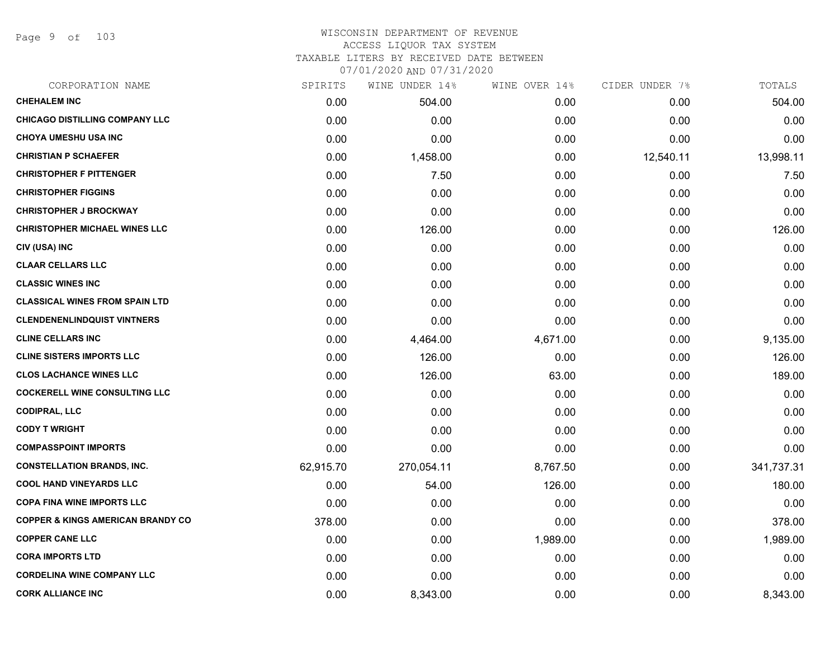Page 9 of 103

| CORPORATION NAME                             | SPIRITS   | WINE UNDER 14% | WINE OVER 14% | CIDER UNDER 7% | TOTALS     |
|----------------------------------------------|-----------|----------------|---------------|----------------|------------|
| <b>CHEHALEM INC</b>                          | 0.00      | 504.00         | 0.00          | 0.00           | 504.00     |
| <b>CHICAGO DISTILLING COMPANY LLC</b>        | 0.00      | 0.00           | 0.00          | 0.00           | 0.00       |
| <b>CHOYA UMESHU USA INC</b>                  | 0.00      | 0.00           | 0.00          | 0.00           | 0.00       |
| <b>CHRISTIAN P SCHAEFER</b>                  | 0.00      | 1,458.00       | 0.00          | 12,540.11      | 13,998.11  |
| <b>CHRISTOPHER F PITTENGER</b>               | 0.00      | 7.50           | 0.00          | 0.00           | 7.50       |
| <b>CHRISTOPHER FIGGINS</b>                   | 0.00      | 0.00           | 0.00          | 0.00           | 0.00       |
| <b>CHRISTOPHER J BROCKWAY</b>                | 0.00      | 0.00           | 0.00          | 0.00           | 0.00       |
| <b>CHRISTOPHER MICHAEL WINES LLC</b>         | 0.00      | 126.00         | 0.00          | 0.00           | 126.00     |
| CIV (USA) INC                                | 0.00      | 0.00           | 0.00          | 0.00           | 0.00       |
| <b>CLAAR CELLARS LLC</b>                     | 0.00      | 0.00           | 0.00          | 0.00           | 0.00       |
| <b>CLASSIC WINES INC</b>                     | 0.00      | 0.00           | 0.00          | 0.00           | 0.00       |
| <b>CLASSICAL WINES FROM SPAIN LTD</b>        | 0.00      | 0.00           | 0.00          | 0.00           | 0.00       |
| <b>CLENDENENLINDQUIST VINTNERS</b>           | 0.00      | 0.00           | 0.00          | 0.00           | 0.00       |
| <b>CLINE CELLARS INC</b>                     | 0.00      | 4,464.00       | 4,671.00      | 0.00           | 9,135.00   |
| <b>CLINE SISTERS IMPORTS LLC</b>             | 0.00      | 126.00         | 0.00          | 0.00           | 126.00     |
| <b>CLOS LACHANCE WINES LLC</b>               | 0.00      | 126.00         | 63.00         | 0.00           | 189.00     |
| <b>COCKERELL WINE CONSULTING LLC</b>         | 0.00      | 0.00           | 0.00          | 0.00           | 0.00       |
| <b>CODIPRAL, LLC</b>                         | 0.00      | 0.00           | 0.00          | 0.00           | 0.00       |
| <b>CODY T WRIGHT</b>                         | 0.00      | 0.00           | 0.00          | 0.00           | 0.00       |
| <b>COMPASSPOINT IMPORTS</b>                  | 0.00      | 0.00           | 0.00          | 0.00           | 0.00       |
| <b>CONSTELLATION BRANDS, INC.</b>            | 62,915.70 | 270,054.11     | 8,767.50      | 0.00           | 341,737.31 |
| <b>COOL HAND VINEYARDS LLC</b>               | 0.00      | 54.00          | 126.00        | 0.00           | 180.00     |
| <b>COPA FINA WINE IMPORTS LLC</b>            | 0.00      | 0.00           | 0.00          | 0.00           | 0.00       |
| <b>COPPER &amp; KINGS AMERICAN BRANDY CO</b> | 378.00    | 0.00           | 0.00          | 0.00           | 378.00     |
| <b>COPPER CANE LLC</b>                       | 0.00      | 0.00           | 1,989.00      | 0.00           | 1,989.00   |
| <b>CORA IMPORTS LTD</b>                      | 0.00      | 0.00           | 0.00          | 0.00           | 0.00       |
| <b>CORDELINA WINE COMPANY LLC</b>            | 0.00      | 0.00           | 0.00          | 0.00           | 0.00       |
| <b>CORK ALLIANCE INC</b>                     | 0.00      | 8,343.00       | 0.00          | 0.00           | 8,343.00   |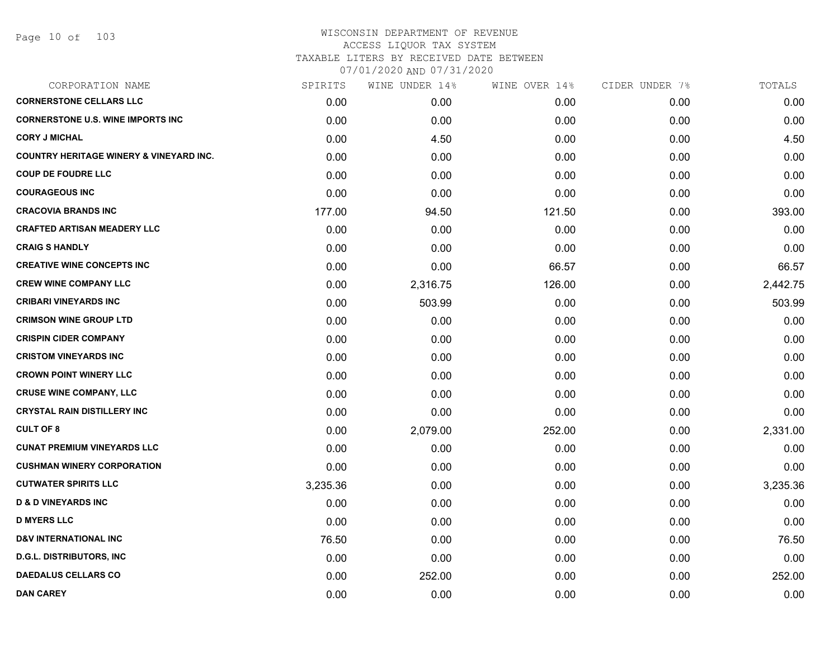|          | WINE UNDER 14% | WINE OVER 14% |      | TOTALS         |
|----------|----------------|---------------|------|----------------|
| 0.00     | 0.00           | 0.00          | 0.00 | 0.00           |
| 0.00     | 0.00           | 0.00          | 0.00 | 0.00           |
| 0.00     | 4.50           | 0.00          | 0.00 | 4.50           |
| 0.00     | 0.00           | 0.00          | 0.00 | 0.00           |
| 0.00     | 0.00           | 0.00          | 0.00 | 0.00           |
| 0.00     | 0.00           | 0.00          | 0.00 | 0.00           |
| 177.00   | 94.50          | 121.50        | 0.00 | 393.00         |
| 0.00     | 0.00           | 0.00          | 0.00 | 0.00           |
| 0.00     | 0.00           | 0.00          | 0.00 | 0.00           |
| 0.00     | 0.00           | 66.57         | 0.00 | 66.57          |
| 0.00     | 2,316.75       | 126.00        | 0.00 | 2,442.75       |
| 0.00     | 503.99         | 0.00          | 0.00 | 503.99         |
| 0.00     | 0.00           | 0.00          | 0.00 | 0.00           |
| 0.00     | 0.00           | 0.00          | 0.00 | 0.00           |
| 0.00     | 0.00           | 0.00          | 0.00 | 0.00           |
| 0.00     | 0.00           | 0.00          | 0.00 | 0.00           |
| 0.00     | 0.00           | 0.00          | 0.00 | 0.00           |
| 0.00     | 0.00           | 0.00          | 0.00 | 0.00           |
| 0.00     | 2,079.00       | 252.00        | 0.00 | 2,331.00       |
| 0.00     | 0.00           | 0.00          | 0.00 | 0.00           |
| 0.00     | 0.00           | 0.00          | 0.00 | 0.00           |
| 3,235.36 | 0.00           | 0.00          | 0.00 | 3,235.36       |
| 0.00     | 0.00           | 0.00          | 0.00 | 0.00           |
| 0.00     | 0.00           | 0.00          | 0.00 | 0.00           |
| 76.50    | 0.00           | 0.00          | 0.00 | 76.50          |
| 0.00     | 0.00           | 0.00          | 0.00 | 0.00           |
| 0.00     | 252.00         | 0.00          | 0.00 | 252.00         |
| 0.00     | 0.00           | 0.00          | 0.00 | 0.00           |
|          | SPIRITS        |               |      | CIDER UNDER 7% |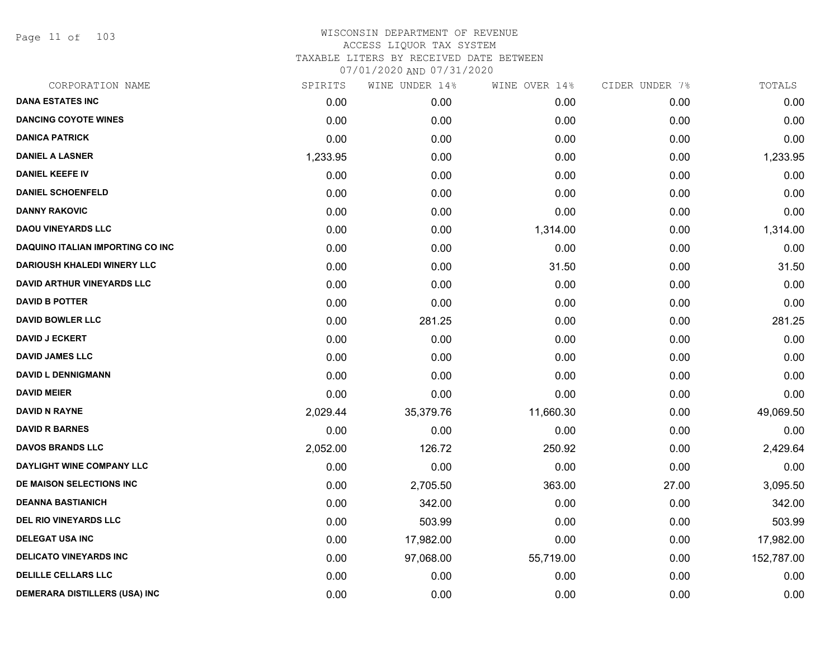Page 11 of 103

| CORPORATION NAME                        | SPIRITS  | WINE UNDER 14% | WINE OVER 14% | CIDER UNDER 7% | TOTALS     |
|-----------------------------------------|----------|----------------|---------------|----------------|------------|
| <b>DANA ESTATES INC</b>                 | 0.00     | 0.00           | 0.00          | 0.00           | 0.00       |
| <b>DANCING COYOTE WINES</b>             | 0.00     | 0.00           | 0.00          | 0.00           | 0.00       |
| <b>DANICA PATRICK</b>                   | 0.00     | 0.00           | 0.00          | 0.00           | 0.00       |
| <b>DANIEL A LASNER</b>                  | 1,233.95 | 0.00           | 0.00          | 0.00           | 1,233.95   |
| <b>DANIEL KEEFE IV</b>                  | 0.00     | 0.00           | 0.00          | 0.00           | 0.00       |
| <b>DANIEL SCHOENFELD</b>                | 0.00     | 0.00           | 0.00          | 0.00           | 0.00       |
| <b>DANNY RAKOVIC</b>                    | 0.00     | 0.00           | 0.00          | 0.00           | 0.00       |
| <b>DAOU VINEYARDS LLC</b>               | 0.00     | 0.00           | 1,314.00      | 0.00           | 1,314.00   |
| <b>DAQUINO ITALIAN IMPORTING CO INC</b> | 0.00     | 0.00           | 0.00          | 0.00           | 0.00       |
| <b>DARIOUSH KHALEDI WINERY LLC</b>      | 0.00     | 0.00           | 31.50         | 0.00           | 31.50      |
| <b>DAVID ARTHUR VINEYARDS LLC</b>       | 0.00     | 0.00           | 0.00          | 0.00           | 0.00       |
| <b>DAVID B POTTER</b>                   | 0.00     | 0.00           | 0.00          | 0.00           | 0.00       |
| <b>DAVID BOWLER LLC</b>                 | 0.00     | 281.25         | 0.00          | 0.00           | 281.25     |
| <b>DAVID J ECKERT</b>                   | 0.00     | 0.00           | 0.00          | 0.00           | 0.00       |
| <b>DAVID JAMES LLC</b>                  | 0.00     | 0.00           | 0.00          | 0.00           | 0.00       |
| <b>DAVID L DENNIGMANN</b>               | 0.00     | 0.00           | 0.00          | 0.00           | 0.00       |
| <b>DAVID MEIER</b>                      | 0.00     | 0.00           | 0.00          | 0.00           | 0.00       |
| <b>DAVID N RAYNE</b>                    | 2,029.44 | 35,379.76      | 11,660.30     | 0.00           | 49,069.50  |
| <b>DAVID R BARNES</b>                   | 0.00     | 0.00           | 0.00          | 0.00           | 0.00       |
| <b>DAVOS BRANDS LLC</b>                 | 2,052.00 | 126.72         | 250.92        | 0.00           | 2,429.64   |
| DAYLIGHT WINE COMPANY LLC               | 0.00     | 0.00           | 0.00          | 0.00           | 0.00       |
| DE MAISON SELECTIONS INC                | 0.00     | 2,705.50       | 363.00        | 27.00          | 3,095.50   |
| <b>DEANNA BASTIANICH</b>                | 0.00     | 342.00         | 0.00          | 0.00           | 342.00     |
| <b>DEL RIO VINEYARDS LLC</b>            | 0.00     | 503.99         | 0.00          | 0.00           | 503.99     |
| <b>DELEGAT USA INC</b>                  | 0.00     | 17,982.00      | 0.00          | 0.00           | 17,982.00  |
| <b>DELICATO VINEYARDS INC</b>           | 0.00     | 97,068.00      | 55,719.00     | 0.00           | 152,787.00 |
| <b>DELILLE CELLARS LLC</b>              | 0.00     | 0.00           | 0.00          | 0.00           | 0.00       |
| DEMERARA DISTILLERS (USA) INC           | 0.00     | 0.00           | 0.00          | 0.00           | 0.00       |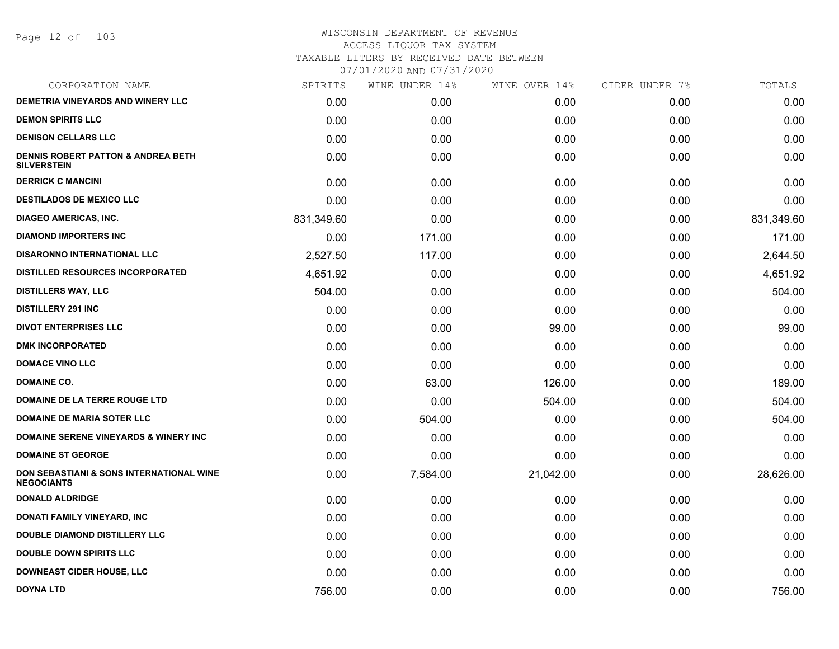Page 12 of 103

| CORPORATION NAME                                                         | SPIRITS    | WINE UNDER 14% | WINE OVER 14% | CIDER UNDER 7% | TOTALS     |
|--------------------------------------------------------------------------|------------|----------------|---------------|----------------|------------|
| <b>DEMETRIA VINEYARDS AND WINERY LLC</b>                                 | 0.00       | 0.00           | 0.00          | 0.00           | 0.00       |
| <b>DEMON SPIRITS LLC</b>                                                 | 0.00       | 0.00           | 0.00          | 0.00           | 0.00       |
| <b>DENISON CELLARS LLC</b>                                               | 0.00       | 0.00           | 0.00          | 0.00           | 0.00       |
| <b>DENNIS ROBERT PATTON &amp; ANDREA BETH</b><br><b>SILVERSTEIN</b>      | 0.00       | 0.00           | 0.00          | 0.00           | 0.00       |
| <b>DERRICK C MANCINI</b>                                                 | 0.00       | 0.00           | 0.00          | 0.00           | 0.00       |
| <b>DESTILADOS DE MEXICO LLC</b>                                          | 0.00       | 0.00           | 0.00          | 0.00           | 0.00       |
| <b>DIAGEO AMERICAS, INC.</b>                                             | 831,349.60 | 0.00           | 0.00          | 0.00           | 831,349.60 |
| <b>DIAMOND IMPORTERS INC</b>                                             | 0.00       | 171.00         | 0.00          | 0.00           | 171.00     |
| <b>DISARONNO INTERNATIONAL LLC</b>                                       | 2,527.50   | 117.00         | 0.00          | 0.00           | 2,644.50   |
| <b>DISTILLED RESOURCES INCORPORATED</b>                                  | 4,651.92   | 0.00           | 0.00          | 0.00           | 4,651.92   |
| <b>DISTILLERS WAY, LLC</b>                                               | 504.00     | 0.00           | 0.00          | 0.00           | 504.00     |
| <b>DISTILLERY 291 INC</b>                                                | 0.00       | 0.00           | 0.00          | 0.00           | 0.00       |
| <b>DIVOT ENTERPRISES LLC</b>                                             | 0.00       | 0.00           | 99.00         | 0.00           | 99.00      |
| <b>DMK INCORPORATED</b>                                                  | 0.00       | 0.00           | 0.00          | 0.00           | 0.00       |
| <b>DOMACE VINO LLC</b>                                                   | 0.00       | 0.00           | 0.00          | 0.00           | 0.00       |
| <b>DOMAINE CO.</b>                                                       | 0.00       | 63.00          | 126.00        | 0.00           | 189.00     |
| DOMAINE DE LA TERRE ROUGE LTD                                            | 0.00       | 0.00           | 504.00        | 0.00           | 504.00     |
| <b>DOMAINE DE MARIA SOTER LLC</b>                                        | 0.00       | 504.00         | 0.00          | 0.00           | 504.00     |
| DOMAINE SERENE VINEYARDS & WINERY INC                                    | 0.00       | 0.00           | 0.00          | 0.00           | 0.00       |
| <b>DOMAINE ST GEORGE</b>                                                 | 0.00       | 0.00           | 0.00          | 0.00           | 0.00       |
| <b>DON SEBASTIANI &amp; SONS INTERNATIONAL WINE</b><br><b>NEGOCIANTS</b> | 0.00       | 7,584.00       | 21,042.00     | 0.00           | 28,626.00  |
| <b>DONALD ALDRIDGE</b>                                                   | 0.00       | 0.00           | 0.00          | 0.00           | 0.00       |
| <b>DONATI FAMILY VINEYARD, INC</b>                                       | 0.00       | 0.00           | 0.00          | 0.00           | 0.00       |
| <b>DOUBLE DIAMOND DISTILLERY LLC</b>                                     | 0.00       | 0.00           | 0.00          | 0.00           | 0.00       |
| <b>DOUBLE DOWN SPIRITS LLC</b>                                           | 0.00       | 0.00           | 0.00          | 0.00           | 0.00       |
| <b>DOWNEAST CIDER HOUSE, LLC</b>                                         | 0.00       | 0.00           | 0.00          | 0.00           | 0.00       |
| <b>DOYNA LTD</b>                                                         | 756.00     | 0.00           | 0.00          | 0.00           | 756.00     |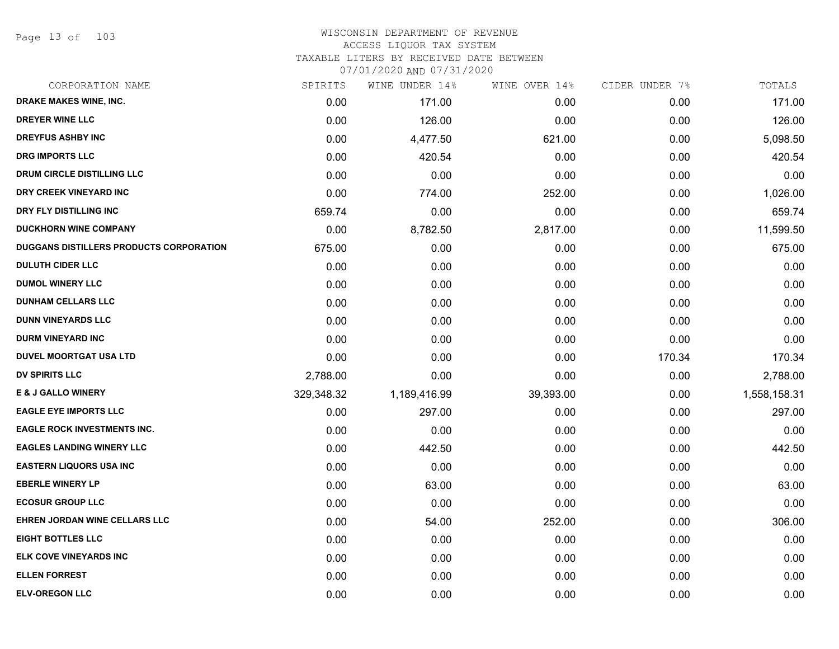Page 13 of 103

| CORPORATION NAME                        | SPIRITS    | WINE UNDER 14% | WINE OVER 14% | CIDER UNDER 7% | TOTALS       |
|-----------------------------------------|------------|----------------|---------------|----------------|--------------|
| DRAKE MAKES WINE, INC.                  | 0.00       | 171.00         | 0.00          | 0.00           | 171.00       |
| <b>DREYER WINE LLC</b>                  | 0.00       | 126.00         | 0.00          | 0.00           | 126.00       |
| <b>DREYFUS ASHBY INC</b>                | 0.00       | 4,477.50       | 621.00        | 0.00           | 5,098.50     |
| <b>DRG IMPORTS LLC</b>                  | 0.00       | 420.54         | 0.00          | 0.00           | 420.54       |
| DRUM CIRCLE DISTILLING LLC              | 0.00       | 0.00           | 0.00          | 0.00           | 0.00         |
| DRY CREEK VINEYARD INC                  | 0.00       | 774.00         | 252.00        | 0.00           | 1,026.00     |
| DRY FLY DISTILLING INC                  | 659.74     | 0.00           | 0.00          | 0.00           | 659.74       |
| <b>DUCKHORN WINE COMPANY</b>            | 0.00       | 8,782.50       | 2,817.00      | 0.00           | 11,599.50    |
| DUGGANS DISTILLERS PRODUCTS CORPORATION | 675.00     | 0.00           | 0.00          | 0.00           | 675.00       |
| <b>DULUTH CIDER LLC</b>                 | 0.00       | 0.00           | 0.00          | 0.00           | 0.00         |
| <b>DUMOL WINERY LLC</b>                 | 0.00       | 0.00           | 0.00          | 0.00           | 0.00         |
| <b>DUNHAM CELLARS LLC</b>               | 0.00       | 0.00           | 0.00          | 0.00           | 0.00         |
| <b>DUNN VINEYARDS LLC</b>               | 0.00       | 0.00           | 0.00          | 0.00           | 0.00         |
| <b>DURM VINEYARD INC</b>                | 0.00       | 0.00           | 0.00          | 0.00           | 0.00         |
| <b>DUVEL MOORTGAT USA LTD</b>           | 0.00       | 0.00           | 0.00          | 170.34         | 170.34       |
| <b>DV SPIRITS LLC</b>                   | 2,788.00   | 0.00           | 0.00          | 0.00           | 2,788.00     |
| <b>E &amp; J GALLO WINERY</b>           | 329,348.32 | 1,189,416.99   | 39,393.00     | 0.00           | 1,558,158.31 |
| <b>EAGLE EYE IMPORTS LLC</b>            | 0.00       | 297.00         | 0.00          | 0.00           | 297.00       |
| <b>EAGLE ROCK INVESTMENTS INC.</b>      | 0.00       | 0.00           | 0.00          | 0.00           | 0.00         |
| <b>EAGLES LANDING WINERY LLC</b>        | 0.00       | 442.50         | 0.00          | 0.00           | 442.50       |
| <b>EASTERN LIQUORS USA INC</b>          | 0.00       | 0.00           | 0.00          | 0.00           | 0.00         |
| <b>EBERLE WINERY LP</b>                 | 0.00       | 63.00          | 0.00          | 0.00           | 63.00        |
| <b>ECOSUR GROUP LLC</b>                 | 0.00       | 0.00           | 0.00          | 0.00           | 0.00         |
| EHREN JORDAN WINE CELLARS LLC           | 0.00       | 54.00          | 252.00        | 0.00           | 306.00       |
| <b>EIGHT BOTTLES LLC</b>                | 0.00       | 0.00           | 0.00          | 0.00           | 0.00         |
| ELK COVE VINEYARDS INC                  | 0.00       | 0.00           | 0.00          | 0.00           | 0.00         |
| <b>ELLEN FORREST</b>                    | 0.00       | 0.00           | 0.00          | 0.00           | 0.00         |
| <b>ELV-OREGON LLC</b>                   | 0.00       | 0.00           | 0.00          | 0.00           | 0.00         |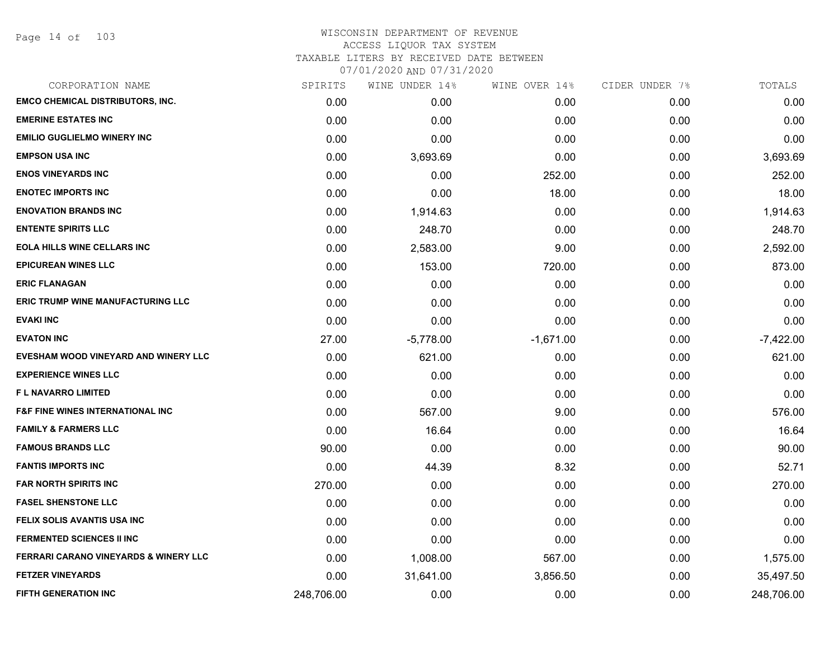Page 14 of 103

| CORPORATION NAME                            | SPIRITS    | WINE UNDER 14% | WINE OVER 14% | CIDER UNDER 7% | TOTALS      |
|---------------------------------------------|------------|----------------|---------------|----------------|-------------|
| <b>EMCO CHEMICAL DISTRIBUTORS, INC.</b>     | 0.00       | 0.00           | 0.00          | 0.00           | 0.00        |
| <b>EMERINE ESTATES INC</b>                  | 0.00       | 0.00           | 0.00          | 0.00           | 0.00        |
| <b>EMILIO GUGLIELMO WINERY INC</b>          | 0.00       | 0.00           | 0.00          | 0.00           | 0.00        |
| <b>EMPSON USA INC</b>                       | 0.00       | 3,693.69       | 0.00          | 0.00           | 3,693.69    |
| <b>ENOS VINEYARDS INC</b>                   | 0.00       | 0.00           | 252.00        | 0.00           | 252.00      |
| <b>ENOTEC IMPORTS INC</b>                   | 0.00       | 0.00           | 18.00         | 0.00           | 18.00       |
| <b>ENOVATION BRANDS INC</b>                 | 0.00       | 1,914.63       | 0.00          | 0.00           | 1,914.63    |
| <b>ENTENTE SPIRITS LLC</b>                  | 0.00       | 248.70         | 0.00          | 0.00           | 248.70      |
| <b>EOLA HILLS WINE CELLARS INC</b>          | 0.00       | 2,583.00       | 9.00          | 0.00           | 2,592.00    |
| <b>EPICUREAN WINES LLC</b>                  | 0.00       | 153.00         | 720.00        | 0.00           | 873.00      |
| <b>ERIC FLANAGAN</b>                        | 0.00       | 0.00           | 0.00          | 0.00           | 0.00        |
| <b>ERIC TRUMP WINE MANUFACTURING LLC</b>    | 0.00       | 0.00           | 0.00          | 0.00           | 0.00        |
| <b>EVAKI INC</b>                            | 0.00       | 0.00           | 0.00          | 0.00           | 0.00        |
| <b>EVATON INC</b>                           | 27.00      | $-5,778.00$    | $-1,671.00$   | 0.00           | $-7,422.00$ |
| EVESHAM WOOD VINEYARD AND WINERY LLC        | 0.00       | 621.00         | 0.00          | 0.00           | 621.00      |
| <b>EXPERIENCE WINES LLC</b>                 | 0.00       | 0.00           | 0.00          | 0.00           | 0.00        |
| <b>FL NAVARRO LIMITED</b>                   | 0.00       | 0.00           | 0.00          | 0.00           | 0.00        |
| <b>F&amp;F FINE WINES INTERNATIONAL INC</b> | 0.00       | 567.00         | 9.00          | 0.00           | 576.00      |
| <b>FAMILY &amp; FARMERS LLC</b>             | 0.00       | 16.64          | 0.00          | 0.00           | 16.64       |
| <b>FAMOUS BRANDS LLC</b>                    | 90.00      | 0.00           | 0.00          | 0.00           | 90.00       |
| <b>FANTIS IMPORTS INC</b>                   | 0.00       | 44.39          | 8.32          | 0.00           | 52.71       |
| <b>FAR NORTH SPIRITS INC</b>                | 270.00     | 0.00           | 0.00          | 0.00           | 270.00      |
| <b>FASEL SHENSTONE LLC</b>                  | 0.00       | 0.00           | 0.00          | 0.00           | 0.00        |
| FELIX SOLIS AVANTIS USA INC                 | 0.00       | 0.00           | 0.00          | 0.00           | 0.00        |
| <b>FERMENTED SCIENCES II INC</b>            | 0.00       | 0.00           | 0.00          | 0.00           | 0.00        |
| FERRARI CARANO VINEYARDS & WINERY LLC       | 0.00       | 1,008.00       | 567.00        | 0.00           | 1,575.00    |
| <b>FETZER VINEYARDS</b>                     | 0.00       | 31,641.00      | 3,856.50      | 0.00           | 35,497.50   |
| <b>FIFTH GENERATION INC</b>                 | 248,706.00 | 0.00           | 0.00          | 0.00           | 248,706.00  |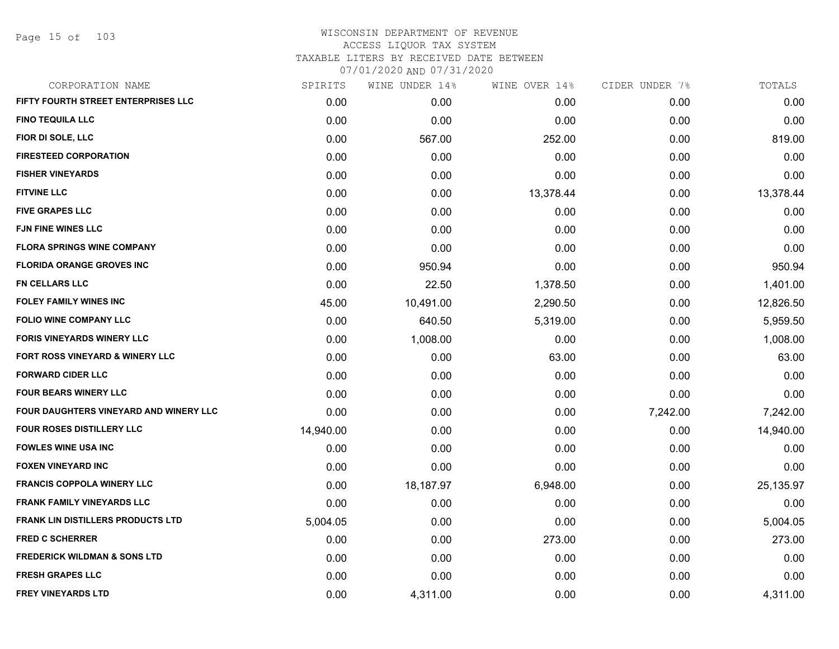Page 15 of 103

| CORPORATION NAME                         | SPIRITS   | WINE UNDER 14% | WINE OVER 14% | CIDER UNDER 7% | TOTALS    |
|------------------------------------------|-----------|----------------|---------------|----------------|-----------|
| FIFTY FOURTH STREET ENTERPRISES LLC      | 0.00      | 0.00           | 0.00          | 0.00           | 0.00      |
| <b>FINO TEQUILA LLC</b>                  | 0.00      | 0.00           | 0.00          | 0.00           | 0.00      |
| FIOR DI SOLE, LLC                        | 0.00      | 567.00         | 252.00        | 0.00           | 819.00    |
| <b>FIRESTEED CORPORATION</b>             | 0.00      | 0.00           | 0.00          | 0.00           | 0.00      |
| <b>FISHER VINEYARDS</b>                  | 0.00      | 0.00           | 0.00          | 0.00           | 0.00      |
| <b>FITVINE LLC</b>                       | 0.00      | 0.00           | 13,378.44     | 0.00           | 13,378.44 |
| <b>FIVE GRAPES LLC</b>                   | 0.00      | 0.00           | 0.00          | 0.00           | 0.00      |
| <b>FJN FINE WINES LLC</b>                | 0.00      | 0.00           | 0.00          | 0.00           | 0.00      |
| <b>FLORA SPRINGS WINE COMPANY</b>        | 0.00      | 0.00           | 0.00          | 0.00           | 0.00      |
| <b>FLORIDA ORANGE GROVES INC</b>         | 0.00      | 950.94         | 0.00          | 0.00           | 950.94    |
| <b>FN CELLARS LLC</b>                    | 0.00      | 22.50          | 1,378.50      | 0.00           | 1,401.00  |
| <b>FOLEY FAMILY WINES INC</b>            | 45.00     | 10,491.00      | 2,290.50      | 0.00           | 12,826.50 |
| <b>FOLIO WINE COMPANY LLC</b>            | 0.00      | 640.50         | 5,319.00      | 0.00           | 5,959.50  |
| <b>FORIS VINEYARDS WINERY LLC</b>        | 0.00      | 1,008.00       | 0.00          | 0.00           | 1,008.00  |
| FORT ROSS VINEYARD & WINERY LLC          | 0.00      | 0.00           | 63.00         | 0.00           | 63.00     |
| <b>FORWARD CIDER LLC</b>                 | 0.00      | 0.00           | 0.00          | 0.00           | 0.00      |
| <b>FOUR BEARS WINERY LLC</b>             | 0.00      | 0.00           | 0.00          | 0.00           | 0.00      |
| FOUR DAUGHTERS VINEYARD AND WINERY LLC   | 0.00      | 0.00           | 0.00          | 7,242.00       | 7,242.00  |
| <b>FOUR ROSES DISTILLERY LLC</b>         | 14,940.00 | 0.00           | 0.00          | 0.00           | 14,940.00 |
| <b>FOWLES WINE USA INC</b>               | 0.00      | 0.00           | 0.00          | 0.00           | 0.00      |
| <b>FOXEN VINEYARD INC</b>                | 0.00      | 0.00           | 0.00          | 0.00           | 0.00      |
| <b>FRANCIS COPPOLA WINERY LLC</b>        | 0.00      | 18,187.97      | 6,948.00      | 0.00           | 25,135.97 |
| <b>FRANK FAMILY VINEYARDS LLC</b>        | 0.00      | 0.00           | 0.00          | 0.00           | 0.00      |
| <b>FRANK LIN DISTILLERS PRODUCTS LTD</b> | 5,004.05  | 0.00           | 0.00          | 0.00           | 5,004.05  |
| <b>FRED C SCHERRER</b>                   | 0.00      | 0.00           | 273.00        | 0.00           | 273.00    |
| <b>FREDERICK WILDMAN &amp; SONS LTD</b>  | 0.00      | 0.00           | 0.00          | 0.00           | 0.00      |
| <b>FRESH GRAPES LLC</b>                  | 0.00      | 0.00           | 0.00          | 0.00           | 0.00      |
| <b>FREY VINEYARDS LTD</b>                | 0.00      | 4,311.00       | 0.00          | 0.00           | 4,311.00  |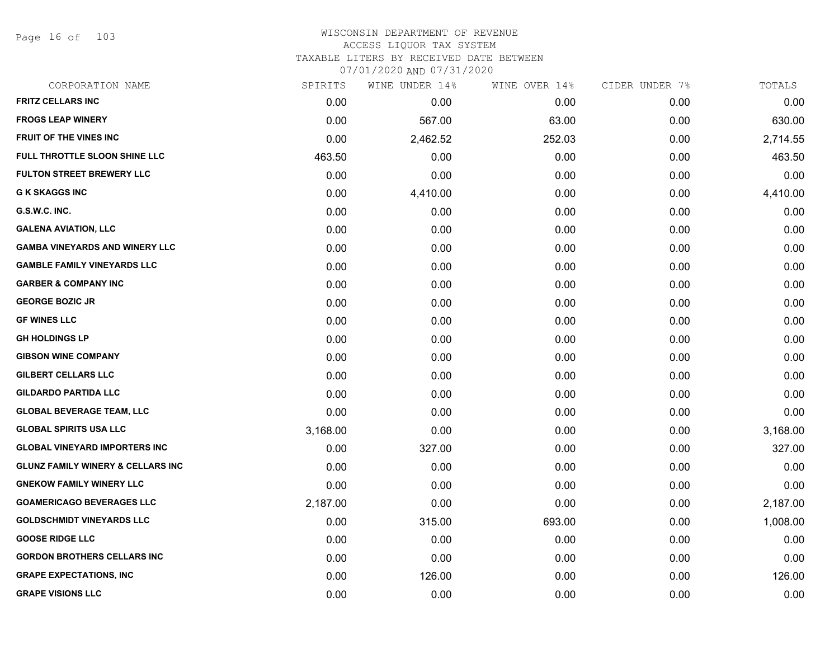Page 16 of 103

| SPIRITS  | WINE UNDER 14% | WINE OVER 14% | CIDER UNDER 7% | TOTALS   |
|----------|----------------|---------------|----------------|----------|
| 0.00     | 0.00           | 0.00          | 0.00           | 0.00     |
| 0.00     | 567.00         | 63.00         | 0.00           | 630.00   |
| 0.00     | 2,462.52       | 252.03        | 0.00           | 2,714.55 |
| 463.50   | 0.00           | 0.00          | 0.00           | 463.50   |
| 0.00     | 0.00           | 0.00          | 0.00           | 0.00     |
| 0.00     | 4,410.00       | 0.00          | 0.00           | 4,410.00 |
| 0.00     | 0.00           | 0.00          | 0.00           | 0.00     |
| 0.00     | 0.00           | 0.00          | 0.00           | 0.00     |
| 0.00     | 0.00           | 0.00          | 0.00           | 0.00     |
| 0.00     | 0.00           | 0.00          | 0.00           | 0.00     |
| 0.00     | 0.00           | 0.00          | 0.00           | 0.00     |
| 0.00     | 0.00           | 0.00          | 0.00           | 0.00     |
| 0.00     | 0.00           | 0.00          | 0.00           | 0.00     |
| 0.00     | 0.00           | 0.00          | 0.00           | 0.00     |
| 0.00     | 0.00           | 0.00          | 0.00           | 0.00     |
| 0.00     | 0.00           | 0.00          | 0.00           | 0.00     |
| 0.00     | 0.00           | 0.00          | 0.00           | 0.00     |
| 0.00     | 0.00           | 0.00          | 0.00           | 0.00     |
| 3,168.00 | 0.00           | 0.00          | 0.00           | 3,168.00 |
| 0.00     | 327.00         | 0.00          | 0.00           | 327.00   |
| 0.00     | 0.00           | 0.00          | 0.00           | 0.00     |
| 0.00     | 0.00           | 0.00          | 0.00           | 0.00     |
| 2,187.00 | 0.00           | 0.00          | 0.00           | 2,187.00 |
| 0.00     | 315.00         | 693.00        | 0.00           | 1,008.00 |
| 0.00     | 0.00           | 0.00          | 0.00           | 0.00     |
| 0.00     | 0.00           | 0.00          | 0.00           | 0.00     |
| 0.00     | 126.00         | 0.00          | 0.00           | 126.00   |
| 0.00     | 0.00           | 0.00          | 0.00           | 0.00     |
|          |                |               |                |          |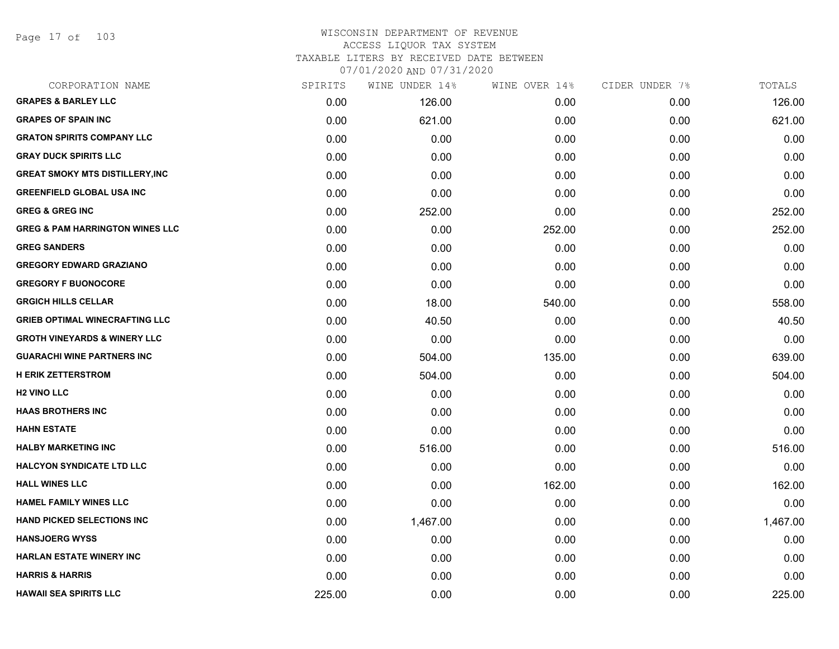Page 17 of 103

# WISCONSIN DEPARTMENT OF REVENUE ACCESS LIQUOR TAX SYSTEM TAXABLE LITERS BY RECEIVED DATE BETWEEN

07/01/2020 AND 07/31/2020

| CORPORATION NAME                           | SPIRITS | WINE UNDER 14% | WINE OVER 14% | CIDER UNDER 7% | TOTALS   |
|--------------------------------------------|---------|----------------|---------------|----------------|----------|
| <b>GRAPES &amp; BARLEY LLC</b>             | 0.00    | 126.00         | 0.00          | 0.00           | 126.00   |
| <b>GRAPES OF SPAIN INC</b>                 | 0.00    | 621.00         | 0.00          | 0.00           | 621.00   |
| <b>GRATON SPIRITS COMPANY LLC</b>          | 0.00    | 0.00           | 0.00          | 0.00           | 0.00     |
| <b>GRAY DUCK SPIRITS LLC</b>               | 0.00    | 0.00           | 0.00          | 0.00           | 0.00     |
| <b>GREAT SMOKY MTS DISTILLERY, INC</b>     | 0.00    | 0.00           | 0.00          | 0.00           | 0.00     |
| <b>GREENFIELD GLOBAL USA INC</b>           | 0.00    | 0.00           | 0.00          | 0.00           | 0.00     |
| <b>GREG &amp; GREG INC</b>                 | 0.00    | 252.00         | 0.00          | 0.00           | 252.00   |
| <b>GREG &amp; PAM HARRINGTON WINES LLC</b> | 0.00    | 0.00           | 252.00        | 0.00           | 252.00   |
| <b>GREG SANDERS</b>                        | 0.00    | 0.00           | 0.00          | 0.00           | 0.00     |
| <b>GREGORY EDWARD GRAZIANO</b>             | 0.00    | 0.00           | 0.00          | 0.00           | 0.00     |
| <b>GREGORY F BUONOCORE</b>                 | 0.00    | 0.00           | 0.00          | 0.00           | 0.00     |
| <b>GRGICH HILLS CELLAR</b>                 | 0.00    | 18.00          | 540.00        | 0.00           | 558.00   |
| <b>GRIEB OPTIMAL WINECRAFTING LLC</b>      | 0.00    | 40.50          | 0.00          | 0.00           | 40.50    |
| <b>GROTH VINEYARDS &amp; WINERY LLC</b>    | 0.00    | 0.00           | 0.00          | 0.00           | 0.00     |
| <b>GUARACHI WINE PARTNERS INC</b>          | 0.00    | 504.00         | 135.00        | 0.00           | 639.00   |
| <b>H ERIK ZETTERSTROM</b>                  | 0.00    | 504.00         | 0.00          | 0.00           | 504.00   |
| <b>H2 VINO LLC</b>                         | 0.00    | 0.00           | 0.00          | 0.00           | 0.00     |
| <b>HAAS BROTHERS INC</b>                   | 0.00    | 0.00           | 0.00          | 0.00           | 0.00     |
| <b>HAHN ESTATE</b>                         | 0.00    | 0.00           | 0.00          | 0.00           | 0.00     |
| <b>HALBY MARKETING INC</b>                 | 0.00    | 516.00         | 0.00          | 0.00           | 516.00   |
| <b>HALCYON SYNDICATE LTD LLC</b>           | 0.00    | 0.00           | 0.00          | 0.00           | 0.00     |
| <b>HALL WINES LLC</b>                      | 0.00    | 0.00           | 162.00        | 0.00           | 162.00   |
| <b>HAMEL FAMILY WINES LLC</b>              | 0.00    | 0.00           | 0.00          | 0.00           | 0.00     |
| <b>HAND PICKED SELECTIONS INC.</b>         | 0.00    | 1,467.00       | 0.00          | 0.00           | 1,467.00 |
| <b>HANSJOERG WYSS</b>                      | 0.00    | 0.00           | 0.00          | 0.00           | 0.00     |
| <b>HARLAN ESTATE WINERY INC</b>            | 0.00    | 0.00           | 0.00          | 0.00           | 0.00     |
| <b>HARRIS &amp; HARRIS</b>                 | 0.00    | 0.00           | 0.00          | 0.00           | 0.00     |
| <b>HAWAII SEA SPIRITS LLC</b>              | 225.00  | 0.00           | 0.00          | 0.00           | 225.00   |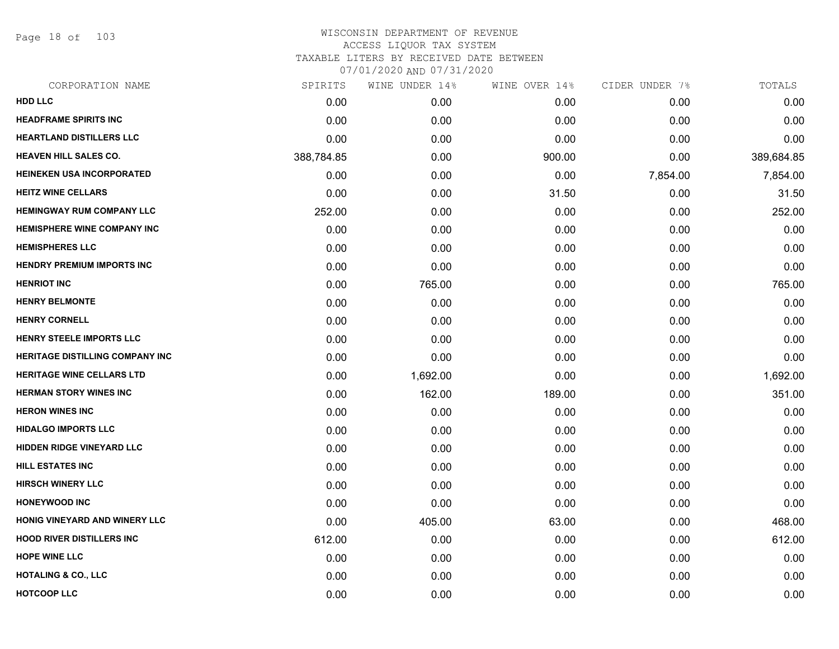Page 18 of 103

| CORPORATION NAME                   | SPIRITS    | WINE UNDER 14% | WINE OVER 14% | CIDER UNDER 7% | TOTALS     |
|------------------------------------|------------|----------------|---------------|----------------|------------|
| <b>HDD LLC</b>                     | 0.00       | 0.00           | 0.00          | 0.00           | 0.00       |
| <b>HEADFRAME SPIRITS INC</b>       | 0.00       | 0.00           | 0.00          | 0.00           | 0.00       |
| <b>HEARTLAND DISTILLERS LLC</b>    | 0.00       | 0.00           | 0.00          | 0.00           | 0.00       |
| <b>HEAVEN HILL SALES CO.</b>       | 388,784.85 | 0.00           | 900.00        | 0.00           | 389,684.85 |
| <b>HEINEKEN USA INCORPORATED</b>   | 0.00       | 0.00           | 0.00          | 7,854.00       | 7,854.00   |
| <b>HEITZ WINE CELLARS</b>          | 0.00       | 0.00           | 31.50         | 0.00           | 31.50      |
| <b>HEMINGWAY RUM COMPANY LLC</b>   | 252.00     | 0.00           | 0.00          | 0.00           | 252.00     |
| <b>HEMISPHERE WINE COMPANY INC</b> | 0.00       | 0.00           | 0.00          | 0.00           | 0.00       |
| <b>HEMISPHERES LLC</b>             | 0.00       | 0.00           | 0.00          | 0.00           | 0.00       |
| <b>HENDRY PREMIUM IMPORTS INC</b>  | 0.00       | 0.00           | 0.00          | 0.00           | 0.00       |
| <b>HENRIOT INC</b>                 | 0.00       | 765.00         | 0.00          | 0.00           | 765.00     |
| <b>HENRY BELMONTE</b>              | 0.00       | 0.00           | 0.00          | 0.00           | 0.00       |
| <b>HENRY CORNELL</b>               | 0.00       | 0.00           | 0.00          | 0.00           | 0.00       |
| HENRY STEELE IMPORTS LLC           | 0.00       | 0.00           | 0.00          | 0.00           | 0.00       |
| HERITAGE DISTILLING COMPANY INC    | 0.00       | 0.00           | 0.00          | 0.00           | 0.00       |
| <b>HERITAGE WINE CELLARS LTD</b>   | 0.00       | 1,692.00       | 0.00          | 0.00           | 1,692.00   |
| <b>HERMAN STORY WINES INC</b>      | 0.00       | 162.00         | 189.00        | 0.00           | 351.00     |
| <b>HERON WINES INC</b>             | 0.00       | 0.00           | 0.00          | 0.00           | 0.00       |
| <b>HIDALGO IMPORTS LLC</b>         | 0.00       | 0.00           | 0.00          | 0.00           | 0.00       |
| <b>HIDDEN RIDGE VINEYARD LLC</b>   | 0.00       | 0.00           | 0.00          | 0.00           | 0.00       |
| <b>HILL ESTATES INC</b>            | 0.00       | 0.00           | 0.00          | 0.00           | 0.00       |
| <b>HIRSCH WINERY LLC</b>           | 0.00       | 0.00           | 0.00          | 0.00           | 0.00       |
| <b>HONEYWOOD INC</b>               | 0.00       | 0.00           | 0.00          | 0.00           | 0.00       |
| HONIG VINEYARD AND WINERY LLC      | 0.00       | 405.00         | 63.00         | 0.00           | 468.00     |
| <b>HOOD RIVER DISTILLERS INC</b>   | 612.00     | 0.00           | 0.00          | 0.00           | 612.00     |
| <b>HOPE WINE LLC</b>               | 0.00       | 0.00           | 0.00          | 0.00           | 0.00       |
| <b>HOTALING &amp; CO., LLC</b>     | 0.00       | 0.00           | 0.00          | 0.00           | 0.00       |
| <b>HOTCOOP LLC</b>                 | 0.00       | 0.00           | 0.00          | 0.00           | 0.00       |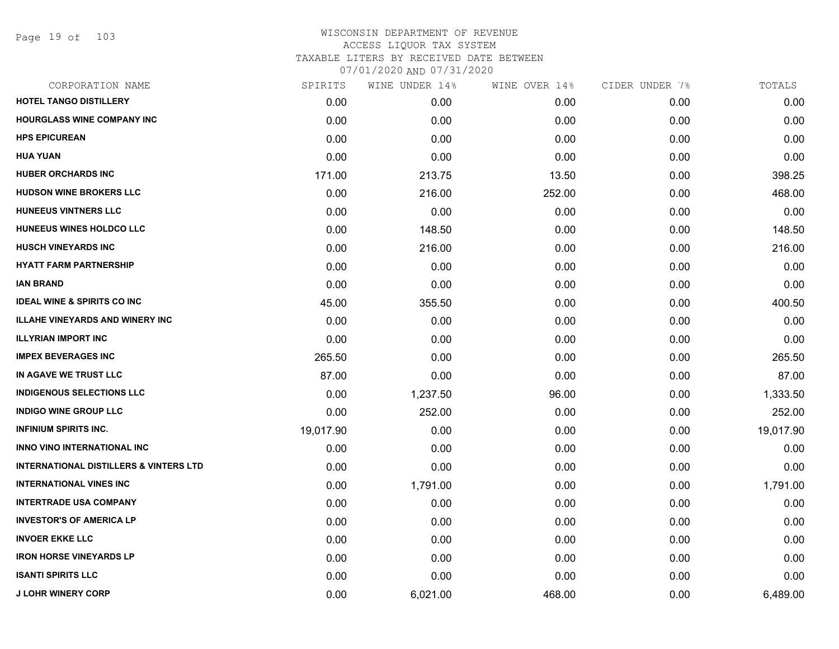Page 19 of 103

| CORPORATION NAME                                  | SPIRITS   | WINE UNDER 14% | WINE OVER 14% | CIDER UNDER 7% | TOTALS    |
|---------------------------------------------------|-----------|----------------|---------------|----------------|-----------|
| <b>HOTEL TANGO DISTILLERY</b>                     | 0.00      | 0.00           | 0.00          | 0.00           | 0.00      |
| <b>HOURGLASS WINE COMPANY INC</b>                 | 0.00      | 0.00           | 0.00          | 0.00           | 0.00      |
| <b>HPS EPICUREAN</b>                              | 0.00      | 0.00           | 0.00          | 0.00           | 0.00      |
| <b>HUA YUAN</b>                                   | 0.00      | 0.00           | 0.00          | 0.00           | 0.00      |
| HUBER ORCHARDS INC                                | 171.00    | 213.75         | 13.50         | 0.00           | 398.25    |
| <b>HUDSON WINE BROKERS LLC</b>                    | 0.00      | 216.00         | 252.00        | 0.00           | 468.00    |
| <b>HUNEEUS VINTNERS LLC</b>                       | 0.00      | 0.00           | 0.00          | 0.00           | 0.00      |
| HUNEEUS WINES HOLDCO LLC                          | 0.00      | 148.50         | 0.00          | 0.00           | 148.50    |
| <b>HUSCH VINEYARDS INC</b>                        | 0.00      | 216.00         | 0.00          | 0.00           | 216.00    |
| <b>HYATT FARM PARTNERSHIP</b>                     | 0.00      | 0.00           | 0.00          | 0.00           | 0.00      |
| <b>IAN BRAND</b>                                  | 0.00      | 0.00           | 0.00          | 0.00           | 0.00      |
| <b>IDEAL WINE &amp; SPIRITS CO INC</b>            | 45.00     | 355.50         | 0.00          | 0.00           | 400.50    |
| <b>ILLAHE VINEYARDS AND WINERY INC</b>            | 0.00      | 0.00           | 0.00          | 0.00           | 0.00      |
| <b>ILLYRIAN IMPORT INC</b>                        | 0.00      | 0.00           | 0.00          | 0.00           | 0.00      |
| <b>IMPEX BEVERAGES INC</b>                        | 265.50    | 0.00           | 0.00          | 0.00           | 265.50    |
| IN AGAVE WE TRUST LLC                             | 87.00     | 0.00           | 0.00          | 0.00           | 87.00     |
| <b>INDIGENOUS SELECTIONS LLC</b>                  | 0.00      | 1,237.50       | 96.00         | 0.00           | 1,333.50  |
| <b>INDIGO WINE GROUP LLC</b>                      | 0.00      | 252.00         | 0.00          | 0.00           | 252.00    |
| <b>INFINIUM SPIRITS INC.</b>                      | 19,017.90 | 0.00           | 0.00          | 0.00           | 19,017.90 |
| <b>INNO VINO INTERNATIONAL INC</b>                | 0.00      | 0.00           | 0.00          | 0.00           | 0.00      |
| <b>INTERNATIONAL DISTILLERS &amp; VINTERS LTD</b> | 0.00      | 0.00           | 0.00          | 0.00           | 0.00      |
| <b>INTERNATIONAL VINES INC</b>                    | 0.00      | 1,791.00       | 0.00          | 0.00           | 1,791.00  |
| <b>INTERTRADE USA COMPANY</b>                     | 0.00      | 0.00           | 0.00          | 0.00           | 0.00      |
| <b>INVESTOR'S OF AMERICA LP</b>                   | 0.00      | 0.00           | 0.00          | 0.00           | 0.00      |
| <b>INVOER EKKE LLC</b>                            | 0.00      | 0.00           | 0.00          | 0.00           | 0.00      |
| <b>IRON HORSE VINEYARDS LP</b>                    | 0.00      | 0.00           | 0.00          | 0.00           | 0.00      |
| <b>ISANTI SPIRITS LLC</b>                         | 0.00      | 0.00           | 0.00          | 0.00           | 0.00      |
| <b>J LOHR WINERY CORP</b>                         | 0.00      | 6,021.00       | 468.00        | 0.00           | 6,489.00  |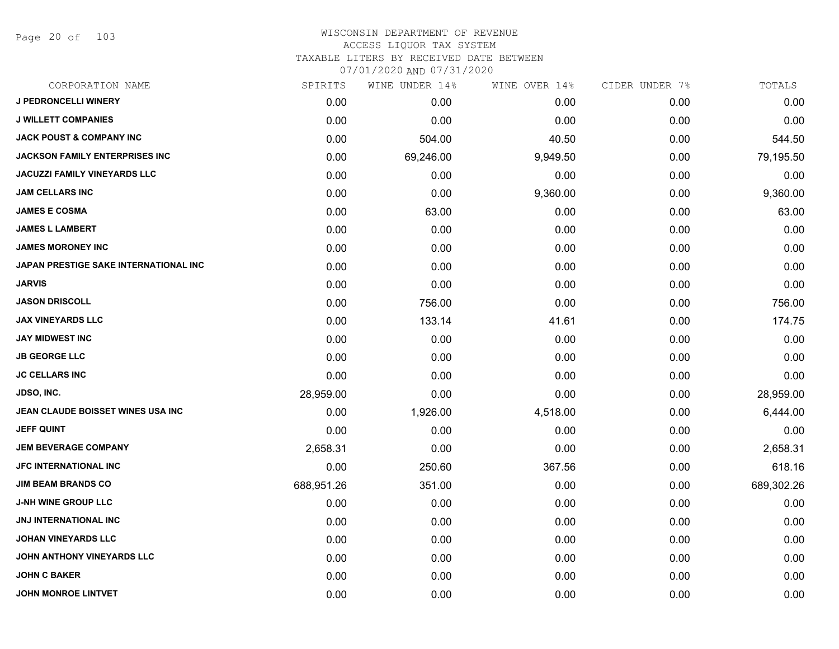Page 20 of 103

| CORPORATION NAME                      | SPIRITS    | WINE UNDER 14% | WINE OVER 14% | CIDER UNDER 7% | TOTALS     |
|---------------------------------------|------------|----------------|---------------|----------------|------------|
| <b>J PEDRONCELLI WINERY</b>           | 0.00       | 0.00           | 0.00          | 0.00           | 0.00       |
| <b>J WILLETT COMPANIES</b>            | 0.00       | 0.00           | 0.00          | 0.00           | 0.00       |
| <b>JACK POUST &amp; COMPANY INC</b>   | 0.00       | 504.00         | 40.50         | 0.00           | 544.50     |
| <b>JACKSON FAMILY ENTERPRISES INC</b> | 0.00       | 69,246.00      | 9,949.50      | 0.00           | 79,195.50  |
| <b>JACUZZI FAMILY VINEYARDS LLC</b>   | 0.00       | 0.00           | 0.00          | 0.00           | 0.00       |
| <b>JAM CELLARS INC</b>                | 0.00       | 0.00           | 9,360.00      | 0.00           | 9,360.00   |
| <b>JAMES E COSMA</b>                  | 0.00       | 63.00          | 0.00          | 0.00           | 63.00      |
| <b>JAMES L LAMBERT</b>                | 0.00       | 0.00           | 0.00          | 0.00           | 0.00       |
| <b>JAMES MORONEY INC</b>              | 0.00       | 0.00           | 0.00          | 0.00           | 0.00       |
| JAPAN PRESTIGE SAKE INTERNATIONAL INC | 0.00       | 0.00           | 0.00          | 0.00           | 0.00       |
| <b>JARVIS</b>                         | 0.00       | 0.00           | 0.00          | 0.00           | 0.00       |
| <b>JASON DRISCOLL</b>                 | 0.00       | 756.00         | 0.00          | 0.00           | 756.00     |
| <b>JAX VINEYARDS LLC</b>              | 0.00       | 133.14         | 41.61         | 0.00           | 174.75     |
| <b>JAY MIDWEST INC</b>                | 0.00       | 0.00           | 0.00          | 0.00           | 0.00       |
| <b>JB GEORGE LLC</b>                  | 0.00       | 0.00           | 0.00          | 0.00           | 0.00       |
| <b>JC CELLARS INC</b>                 | 0.00       | 0.00           | 0.00          | 0.00           | 0.00       |
| JDSO, INC.                            | 28,959.00  | 0.00           | 0.00          | 0.00           | 28,959.00  |
| JEAN CLAUDE BOISSET WINES USA INC     | 0.00       | 1,926.00       | 4,518.00      | 0.00           | 6,444.00   |
| <b>JEFF QUINT</b>                     | 0.00       | 0.00           | 0.00          | 0.00           | 0.00       |
| <b>JEM BEVERAGE COMPANY</b>           | 2,658.31   | 0.00           | 0.00          | 0.00           | 2,658.31   |
| <b>JFC INTERNATIONAL INC</b>          | 0.00       | 250.60         | 367.56        | 0.00           | 618.16     |
| <b>JIM BEAM BRANDS CO</b>             | 688,951.26 | 351.00         | 0.00          | 0.00           | 689,302.26 |
| <b>J-NH WINE GROUP LLC</b>            | 0.00       | 0.00           | 0.00          | 0.00           | 0.00       |
| <b>JNJ INTERNATIONAL INC</b>          | 0.00       | 0.00           | 0.00          | 0.00           | 0.00       |
| <b>JOHAN VINEYARDS LLC</b>            | 0.00       | 0.00           | 0.00          | 0.00           | 0.00       |
| JOHN ANTHONY VINEYARDS LLC            | 0.00       | 0.00           | 0.00          | 0.00           | 0.00       |
| <b>JOHN C BAKER</b>                   | 0.00       | 0.00           | 0.00          | 0.00           | 0.00       |
| <b>JOHN MONROE LINTVET</b>            | 0.00       | 0.00           | 0.00          | 0.00           | 0.00       |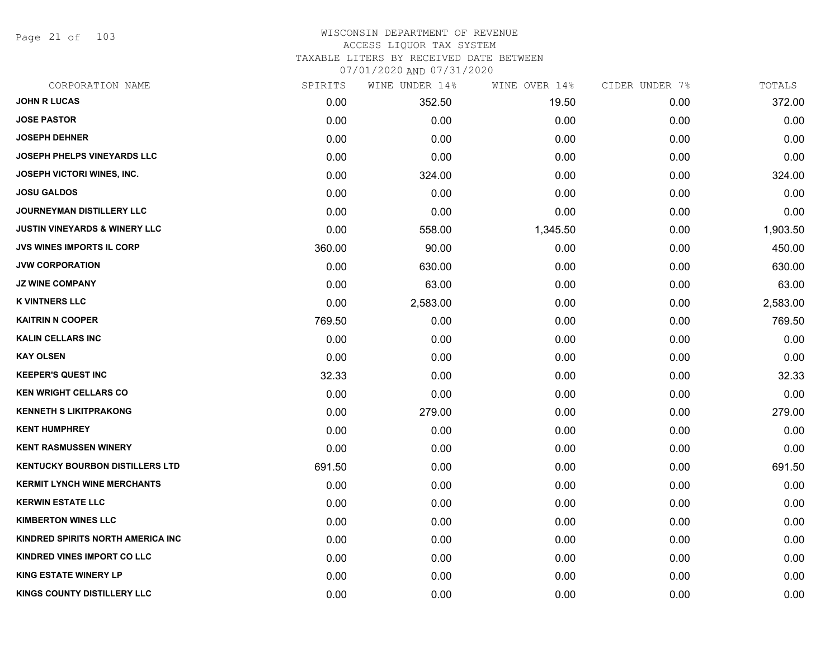Page 21 of 103

| CORPORATION NAME                         | SPIRITS | WINE UNDER 14% | WINE OVER 14% | CIDER UNDER 7% | TOTALS   |
|------------------------------------------|---------|----------------|---------------|----------------|----------|
| <b>JOHN R LUCAS</b>                      | 0.00    | 352.50         | 19.50         | 0.00           | 372.00   |
| <b>JOSE PASTOR</b>                       | 0.00    | 0.00           | 0.00          | 0.00           | 0.00     |
| <b>JOSEPH DEHNER</b>                     | 0.00    | 0.00           | 0.00          | 0.00           | 0.00     |
| <b>JOSEPH PHELPS VINEYARDS LLC</b>       | 0.00    | 0.00           | 0.00          | 0.00           | 0.00     |
| <b>JOSEPH VICTORI WINES, INC.</b>        | 0.00    | 324.00         | 0.00          | 0.00           | 324.00   |
| <b>JOSU GALDOS</b>                       | 0.00    | 0.00           | 0.00          | 0.00           | 0.00     |
| <b>JOURNEYMAN DISTILLERY LLC</b>         | 0.00    | 0.00           | 0.00          | 0.00           | 0.00     |
| <b>JUSTIN VINEYARDS &amp; WINERY LLC</b> | 0.00    | 558.00         | 1,345.50      | 0.00           | 1,903.50 |
| <b>JVS WINES IMPORTS IL CORP</b>         | 360.00  | 90.00          | 0.00          | 0.00           | 450.00   |
| <b>JVW CORPORATION</b>                   | 0.00    | 630.00         | 0.00          | 0.00           | 630.00   |
| <b>JZ WINE COMPANY</b>                   | 0.00    | 63.00          | 0.00          | 0.00           | 63.00    |
| <b>K VINTNERS LLC</b>                    | 0.00    | 2,583.00       | 0.00          | 0.00           | 2,583.00 |
| <b>KAITRIN N COOPER</b>                  | 769.50  | 0.00           | 0.00          | 0.00           | 769.50   |
| <b>KALIN CELLARS INC</b>                 | 0.00    | 0.00           | 0.00          | 0.00           | 0.00     |
| <b>KAY OLSEN</b>                         | 0.00    | 0.00           | 0.00          | 0.00           | 0.00     |
| <b>KEEPER'S QUEST INC</b>                | 32.33   | 0.00           | 0.00          | 0.00           | 32.33    |
| <b>KEN WRIGHT CELLARS CO</b>             | 0.00    | 0.00           | 0.00          | 0.00           | 0.00     |
| <b>KENNETH S LIKITPRAKONG</b>            | 0.00    | 279.00         | 0.00          | 0.00           | 279.00   |
| <b>KENT HUMPHREY</b>                     | 0.00    | 0.00           | 0.00          | 0.00           | 0.00     |
| <b>KENT RASMUSSEN WINERY</b>             | 0.00    | 0.00           | 0.00          | 0.00           | 0.00     |
| <b>KENTUCKY BOURBON DISTILLERS LTD</b>   | 691.50  | 0.00           | 0.00          | 0.00           | 691.50   |
| <b>KERMIT LYNCH WINE MERCHANTS</b>       | 0.00    | 0.00           | 0.00          | 0.00           | 0.00     |
| <b>KERWIN ESTATE LLC</b>                 | 0.00    | 0.00           | 0.00          | 0.00           | 0.00     |
| <b>KIMBERTON WINES LLC</b>               | 0.00    | 0.00           | 0.00          | 0.00           | 0.00     |
| KINDRED SPIRITS NORTH AMERICA INC        | 0.00    | 0.00           | 0.00          | 0.00           | 0.00     |
| <b>KINDRED VINES IMPORT CO LLC</b>       | 0.00    | 0.00           | 0.00          | 0.00           | 0.00     |
| <b>KING ESTATE WINERY LP</b>             | 0.00    | 0.00           | 0.00          | 0.00           | 0.00     |
| <b>KINGS COUNTY DISTILLERY LLC</b>       | 0.00    | 0.00           | 0.00          | 0.00           | 0.00     |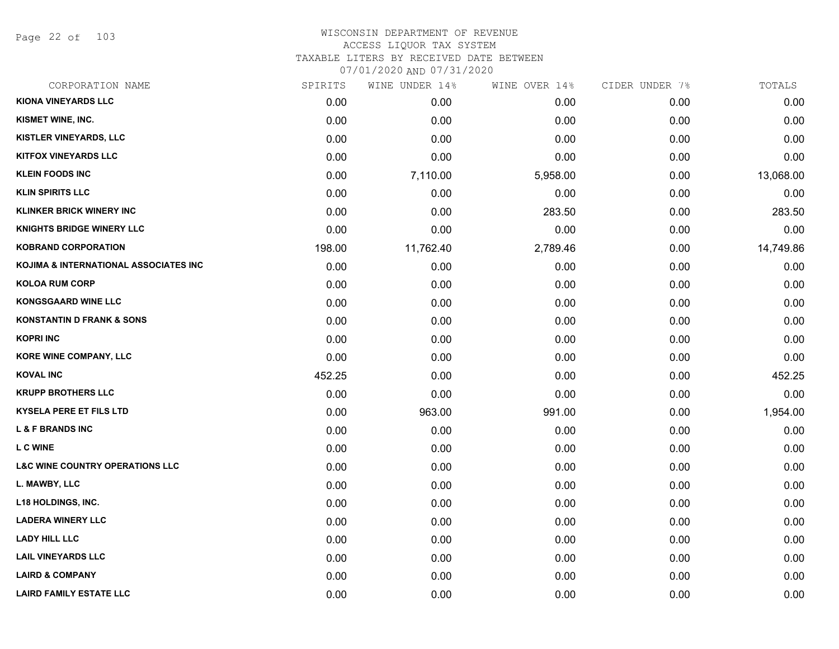Page 22 of 103

| CORPORATION NAME                           | SPIRITS | WINE UNDER 14% | WINE OVER 14% | CIDER UNDER 7% | TOTALS    |
|--------------------------------------------|---------|----------------|---------------|----------------|-----------|
| <b>KIONA VINEYARDS LLC</b>                 | 0.00    | 0.00           | 0.00          | 0.00           | 0.00      |
| KISMET WINE, INC.                          | 0.00    | 0.00           | 0.00          | 0.00           | 0.00      |
| <b>KISTLER VINEYARDS, LLC</b>              | 0.00    | 0.00           | 0.00          | 0.00           | 0.00      |
| <b>KITFOX VINEYARDS LLC</b>                | 0.00    | 0.00           | 0.00          | 0.00           | 0.00      |
| <b>KLEIN FOODS INC</b>                     | 0.00    | 7,110.00       | 5,958.00      | 0.00           | 13,068.00 |
| <b>KLIN SPIRITS LLC</b>                    | 0.00    | 0.00           | 0.00          | 0.00           | 0.00      |
| <b>KLINKER BRICK WINERY INC</b>            | 0.00    | 0.00           | 283.50        | 0.00           | 283.50    |
| <b>KNIGHTS BRIDGE WINERY LLC</b>           | 0.00    | 0.00           | 0.00          | 0.00           | 0.00      |
| <b>KOBRAND CORPORATION</b>                 | 198.00  | 11,762.40      | 2,789.46      | 0.00           | 14,749.86 |
| KOJIMA & INTERNATIONAL ASSOCIATES INC      | 0.00    | 0.00           | 0.00          | 0.00           | 0.00      |
| <b>KOLOA RUM CORP</b>                      | 0.00    | 0.00           | 0.00          | 0.00           | 0.00      |
| <b>KONGSGAARD WINE LLC</b>                 | 0.00    | 0.00           | 0.00          | 0.00           | 0.00      |
| <b>KONSTANTIN D FRANK &amp; SONS</b>       | 0.00    | 0.00           | 0.00          | 0.00           | 0.00      |
| <b>KOPRI INC</b>                           | 0.00    | 0.00           | 0.00          | 0.00           | 0.00      |
| KORE WINE COMPANY, LLC                     | 0.00    | 0.00           | 0.00          | 0.00           | 0.00      |
| <b>KOVAL INC</b>                           | 452.25  | 0.00           | 0.00          | 0.00           | 452.25    |
| <b>KRUPP BROTHERS LLC</b>                  | 0.00    | 0.00           | 0.00          | 0.00           | 0.00      |
| <b>KYSELA PERE ET FILS LTD</b>             | 0.00    | 963.00         | 991.00        | 0.00           | 1,954.00  |
| <b>L &amp; F BRANDS INC</b>                | 0.00    | 0.00           | 0.00          | 0.00           | 0.00      |
| <b>LCWINE</b>                              | 0.00    | 0.00           | 0.00          | 0.00           | 0.00      |
| <b>L&amp;C WINE COUNTRY OPERATIONS LLC</b> | 0.00    | 0.00           | 0.00          | 0.00           | 0.00      |
| L. MAWBY, LLC                              | 0.00    | 0.00           | 0.00          | 0.00           | 0.00      |
| <b>L18 HOLDINGS, INC.</b>                  | 0.00    | 0.00           | 0.00          | 0.00           | 0.00      |
| <b>LADERA WINERY LLC</b>                   | 0.00    | 0.00           | 0.00          | 0.00           | 0.00      |
| <b>LADY HILL LLC</b>                       | 0.00    | 0.00           | 0.00          | 0.00           | 0.00      |
| <b>LAIL VINEYARDS LLC</b>                  | 0.00    | 0.00           | 0.00          | 0.00           | 0.00      |
| <b>LAIRD &amp; COMPANY</b>                 | 0.00    | 0.00           | 0.00          | 0.00           | 0.00      |
| <b>LAIRD FAMILY ESTATE LLC</b>             | 0.00    | 0.00           | 0.00          | 0.00           | 0.00      |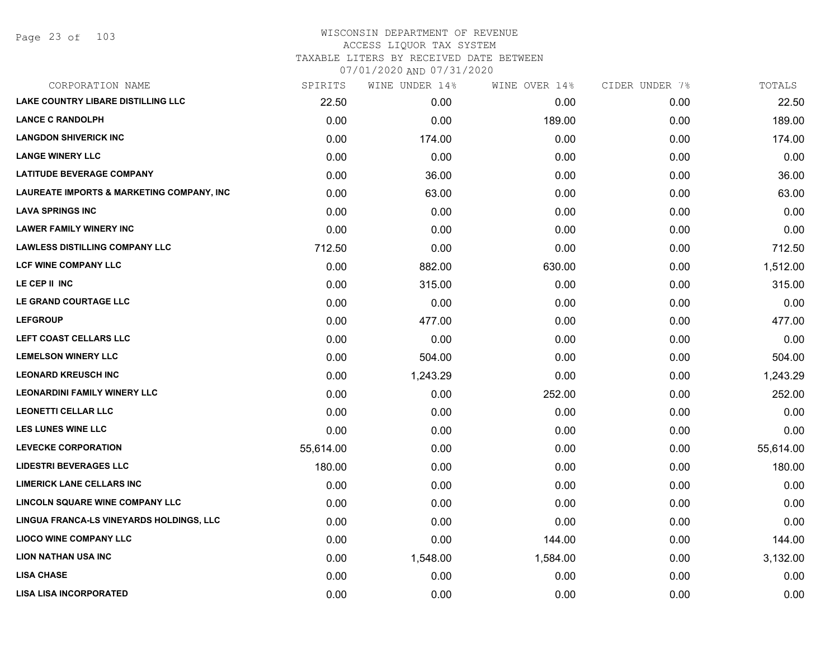| CORPORATION NAME                          | SPIRITS   | WINE UNDER 14% | WINE OVER 14% | CIDER UNDER 7% | TOTALS    |
|-------------------------------------------|-----------|----------------|---------------|----------------|-----------|
| <b>LAKE COUNTRY LIBARE DISTILLING LLC</b> | 22.50     | 0.00           | 0.00          | 0.00           | 22.50     |
| <b>LANCE C RANDOLPH</b>                   | 0.00      | 0.00           | 189.00        | 0.00           | 189.00    |
| <b>LANGDON SHIVERICK INC</b>              | 0.00      | 174.00         | 0.00          | 0.00           | 174.00    |
| <b>LANGE WINERY LLC</b>                   | 0.00      | 0.00           | 0.00          | 0.00           | 0.00      |
| <b>LATITUDE BEVERAGE COMPANY</b>          | 0.00      | 36.00          | 0.00          | 0.00           | 36.00     |
| LAUREATE IMPORTS & MARKETING COMPANY, INC | 0.00      | 63.00          | 0.00          | 0.00           | 63.00     |
| <b>LAVA SPRINGS INC</b>                   | 0.00      | 0.00           | 0.00          | 0.00           | 0.00      |
| <b>LAWER FAMILY WINERY INC</b>            | 0.00      | 0.00           | 0.00          | 0.00           | 0.00      |
| <b>LAWLESS DISTILLING COMPANY LLC</b>     | 712.50    | 0.00           | 0.00          | 0.00           | 712.50    |
| LCF WINE COMPANY LLC                      | 0.00      | 882.00         | 630.00        | 0.00           | 1,512.00  |
| LE CEP II INC                             | 0.00      | 315.00         | 0.00          | 0.00           | 315.00    |
| LE GRAND COURTAGE LLC                     | 0.00      | 0.00           | 0.00          | 0.00           | 0.00      |
| <b>LEFGROUP</b>                           | 0.00      | 477.00         | 0.00          | 0.00           | 477.00    |
| LEFT COAST CELLARS LLC                    | 0.00      | 0.00           | 0.00          | 0.00           | 0.00      |
| <b>LEMELSON WINERY LLC</b>                | 0.00      | 504.00         | 0.00          | 0.00           | 504.00    |
| <b>LEONARD KREUSCH INC</b>                | 0.00      | 1,243.29       | 0.00          | 0.00           | 1,243.29  |
| <b>LEONARDINI FAMILY WINERY LLC</b>       | 0.00      | 0.00           | 252.00        | 0.00           | 252.00    |
| <b>LEONETTI CELLAR LLC</b>                | 0.00      | 0.00           | 0.00          | 0.00           | 0.00      |
| <b>LES LUNES WINE LLC</b>                 | 0.00      | 0.00           | 0.00          | 0.00           | 0.00      |
| <b>LEVECKE CORPORATION</b>                | 55,614.00 | 0.00           | 0.00          | 0.00           | 55,614.00 |
| <b>LIDESTRI BEVERAGES LLC</b>             | 180.00    | 0.00           | 0.00          | 0.00           | 180.00    |
| <b>LIMERICK LANE CELLARS INC</b>          | 0.00      | 0.00           | 0.00          | 0.00           | 0.00      |
| LINCOLN SQUARE WINE COMPANY LLC           | 0.00      | 0.00           | 0.00          | 0.00           | 0.00      |
| LINGUA FRANCA-LS VINEYARDS HOLDINGS, LLC  | 0.00      | 0.00           | 0.00          | 0.00           | 0.00      |
| <b>LIOCO WINE COMPANY LLC</b>             | 0.00      | 0.00           | 144.00        | 0.00           | 144.00    |
| <b>LION NATHAN USA INC</b>                | 0.00      | 1,548.00       | 1,584.00      | 0.00           | 3,132.00  |
| <b>LISA CHASE</b>                         | 0.00      | 0.00           | 0.00          | 0.00           | 0.00      |
| <b>LISA LISA INCORPORATED</b>             | 0.00      | 0.00           | 0.00          | 0.00           | 0.00      |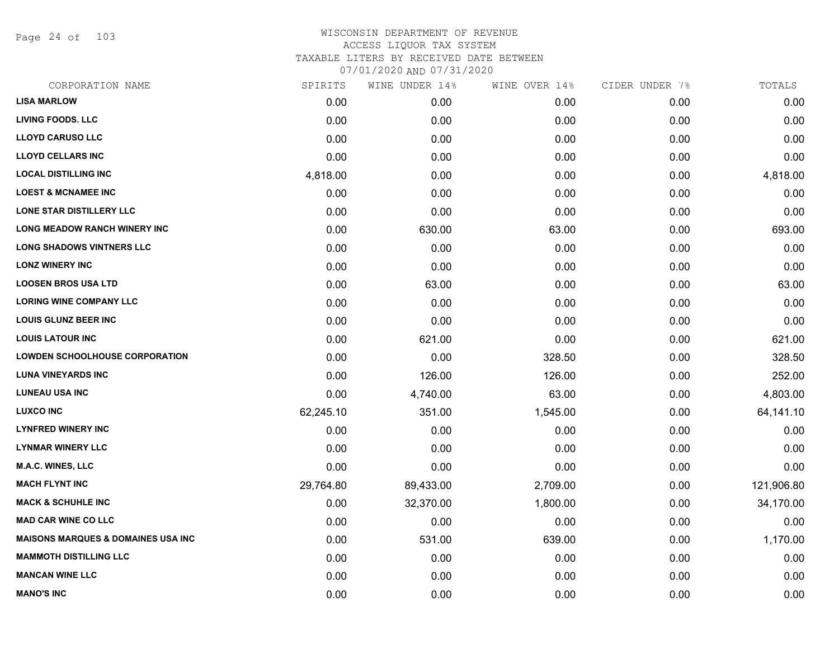Page 24 of 103

| CORPORATION NAME                              | SPIRITS   | WINE UNDER 14% | WINE OVER 14% | CIDER UNDER 7% | TOTALS     |
|-----------------------------------------------|-----------|----------------|---------------|----------------|------------|
| <b>LISA MARLOW</b>                            | 0.00      | 0.00           | 0.00          | 0.00           | 0.00       |
| <b>LIVING FOODS. LLC</b>                      | 0.00      | 0.00           | 0.00          | 0.00           | 0.00       |
| <b>LLOYD CARUSO LLC</b>                       | 0.00      | 0.00           | 0.00          | 0.00           | 0.00       |
| <b>LLOYD CELLARS INC</b>                      | 0.00      | 0.00           | 0.00          | 0.00           | 0.00       |
| <b>LOCAL DISTILLING INC</b>                   | 4,818.00  | 0.00           | 0.00          | 0.00           | 4,818.00   |
| <b>LOEST &amp; MCNAMEE INC</b>                | 0.00      | 0.00           | 0.00          | 0.00           | 0.00       |
| LONE STAR DISTILLERY LLC                      | 0.00      | 0.00           | 0.00          | 0.00           | 0.00       |
| LONG MEADOW RANCH WINERY INC                  | 0.00      | 630.00         | 63.00         | 0.00           | 693.00     |
| <b>LONG SHADOWS VINTNERS LLC</b>              | 0.00      | 0.00           | 0.00          | 0.00           | 0.00       |
| <b>LONZ WINERY INC</b>                        | 0.00      | 0.00           | 0.00          | 0.00           | 0.00       |
| <b>LOOSEN BROS USA LTD</b>                    | 0.00      | 63.00          | 0.00          | 0.00           | 63.00      |
| <b>LORING WINE COMPANY LLC</b>                | 0.00      | 0.00           | 0.00          | 0.00           | 0.00       |
| <b>LOUIS GLUNZ BEER INC</b>                   | 0.00      | 0.00           | 0.00          | 0.00           | 0.00       |
| <b>LOUIS LATOUR INC</b>                       | 0.00      | 621.00         | 0.00          | 0.00           | 621.00     |
| <b>LOWDEN SCHOOLHOUSE CORPORATION</b>         | 0.00      | 0.00           | 328.50        | 0.00           | 328.50     |
| <b>LUNA VINEYARDS INC</b>                     | 0.00      | 126.00         | 126.00        | 0.00           | 252.00     |
| <b>LUNEAU USA INC</b>                         | 0.00      | 4,740.00       | 63.00         | 0.00           | 4,803.00   |
| <b>LUXCO INC</b>                              | 62,245.10 | 351.00         | 1,545.00      | 0.00           | 64,141.10  |
| <b>LYNFRED WINERY INC</b>                     | 0.00      | 0.00           | 0.00          | 0.00           | 0.00       |
| <b>LYNMAR WINERY LLC</b>                      | 0.00      | 0.00           | 0.00          | 0.00           | 0.00       |
| <b>M.A.C. WINES, LLC</b>                      | 0.00      | 0.00           | 0.00          | 0.00           | 0.00       |
| <b>MACH FLYNT INC</b>                         | 29,764.80 | 89,433.00      | 2,709.00      | 0.00           | 121,906.80 |
| <b>MACK &amp; SCHUHLE INC</b>                 | 0.00      | 32,370.00      | 1,800.00      | 0.00           | 34,170.00  |
| <b>MAD CAR WINE CO LLC</b>                    | 0.00      | 0.00           | 0.00          | 0.00           | 0.00       |
| <b>MAISONS MARQUES &amp; DOMAINES USA INC</b> | 0.00      | 531.00         | 639.00        | 0.00           | 1,170.00   |
| <b>MAMMOTH DISTILLING LLC</b>                 | 0.00      | 0.00           | 0.00          | 0.00           | 0.00       |
| <b>MANCAN WINE LLC</b>                        | 0.00      | 0.00           | 0.00          | 0.00           | 0.00       |
| <b>MANO'S INC</b>                             | 0.00      | 0.00           | 0.00          | 0.00           | 0.00       |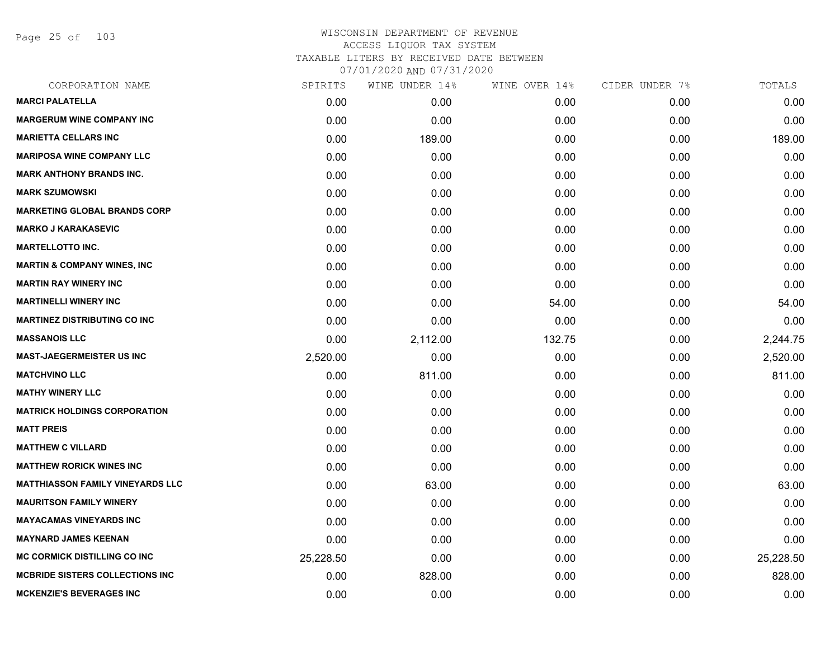Page 25 of 103

| CORPORATION NAME                        | SPIRITS   | WINE UNDER 14% | WINE OVER 14% | CIDER UNDER 7% | TOTALS    |
|-----------------------------------------|-----------|----------------|---------------|----------------|-----------|
| <b>MARCI PALATELLA</b>                  | 0.00      | 0.00           | 0.00          | 0.00           | 0.00      |
| <b>MARGERUM WINE COMPANY INC</b>        | 0.00      | 0.00           | 0.00          | 0.00           | 0.00      |
| <b>MARIETTA CELLARS INC</b>             | 0.00      | 189.00         | 0.00          | 0.00           | 189.00    |
| <b>MARIPOSA WINE COMPANY LLC</b>        | 0.00      | 0.00           | 0.00          | 0.00           | 0.00      |
| <b>MARK ANTHONY BRANDS INC.</b>         | 0.00      | 0.00           | 0.00          | 0.00           | 0.00      |
| <b>MARK SZUMOWSKI</b>                   | 0.00      | 0.00           | 0.00          | 0.00           | 0.00      |
| <b>MARKETING GLOBAL BRANDS CORP</b>     | 0.00      | 0.00           | 0.00          | 0.00           | 0.00      |
| <b>MARKO J KARAKASEVIC</b>              | 0.00      | 0.00           | 0.00          | 0.00           | 0.00      |
| <b>MARTELLOTTO INC.</b>                 | 0.00      | 0.00           | 0.00          | 0.00           | 0.00      |
| <b>MARTIN &amp; COMPANY WINES, INC</b>  | 0.00      | 0.00           | 0.00          | 0.00           | 0.00      |
| <b>MARTIN RAY WINERY INC</b>            | 0.00      | 0.00           | 0.00          | 0.00           | 0.00      |
| <b>MARTINELLI WINERY INC</b>            | 0.00      | 0.00           | 54.00         | 0.00           | 54.00     |
| <b>MARTINEZ DISTRIBUTING CO INC</b>     | 0.00      | 0.00           | 0.00          | 0.00           | 0.00      |
| <b>MASSANOIS LLC</b>                    | 0.00      | 2,112.00       | 132.75        | 0.00           | 2,244.75  |
| <b>MAST-JAEGERMEISTER US INC</b>        | 2,520.00  | 0.00           | 0.00          | 0.00           | 2,520.00  |
| <b>MATCHVINO LLC</b>                    | 0.00      | 811.00         | 0.00          | 0.00           | 811.00    |
| <b>MATHY WINERY LLC</b>                 | 0.00      | 0.00           | 0.00          | 0.00           | 0.00      |
| <b>MATRICK HOLDINGS CORPORATION</b>     | 0.00      | 0.00           | 0.00          | 0.00           | 0.00      |
| <b>MATT PREIS</b>                       | 0.00      | 0.00           | 0.00          | 0.00           | 0.00      |
| <b>MATTHEW C VILLARD</b>                | 0.00      | 0.00           | 0.00          | 0.00           | 0.00      |
| <b>MATTHEW RORICK WINES INC</b>         | 0.00      | 0.00           | 0.00          | 0.00           | 0.00      |
| <b>MATTHIASSON FAMILY VINEYARDS LLC</b> | 0.00      | 63.00          | 0.00          | 0.00           | 63.00     |
| <b>MAURITSON FAMILY WINERY</b>          | 0.00      | 0.00           | 0.00          | 0.00           | 0.00      |
| <b>MAYACAMAS VINEYARDS INC</b>          | 0.00      | 0.00           | 0.00          | 0.00           | 0.00      |
| <b>MAYNARD JAMES KEENAN</b>             | 0.00      | 0.00           | 0.00          | 0.00           | 0.00      |
| <b>MC CORMICK DISTILLING CO INC</b>     | 25,228.50 | 0.00           | 0.00          | 0.00           | 25,228.50 |
| <b>MCBRIDE SISTERS COLLECTIONS INC</b>  | 0.00      | 828.00         | 0.00          | 0.00           | 828.00    |
| <b>MCKENZIE'S BEVERAGES INC</b>         | 0.00      | 0.00           | 0.00          | 0.00           | 0.00      |
|                                         |           |                |               |                |           |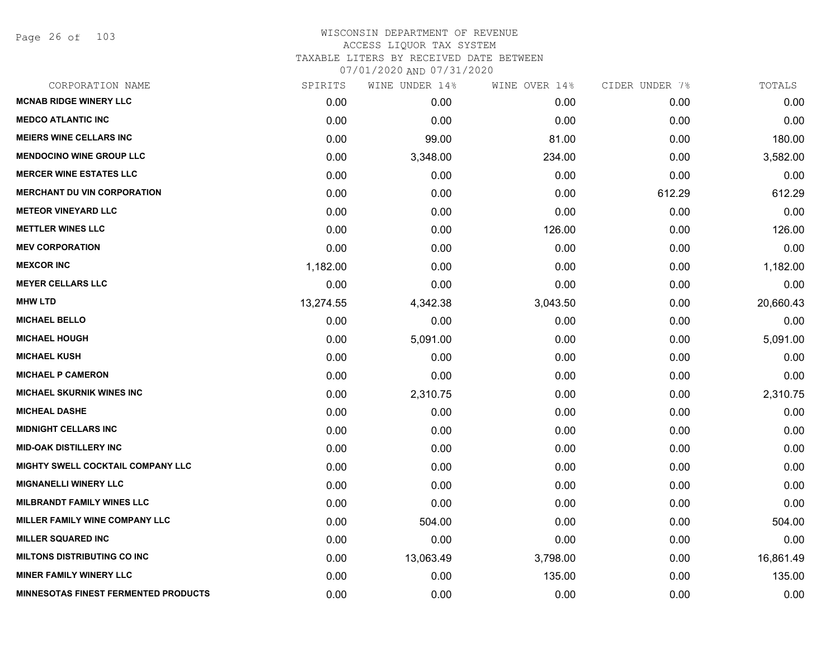Page 26 of 103

| CORPORATION NAME                            | SPIRITS   | WINE UNDER 14% | WINE OVER 14% | CIDER UNDER 7% | TOTALS    |
|---------------------------------------------|-----------|----------------|---------------|----------------|-----------|
| <b>MCNAB RIDGE WINERY LLC</b>               | 0.00      | 0.00           | 0.00          | 0.00           | 0.00      |
| <b>MEDCO ATLANTIC INC</b>                   | 0.00      | 0.00           | 0.00          | 0.00           | 0.00      |
| <b>MEIERS WINE CELLARS INC</b>              | 0.00      | 99.00          | 81.00         | 0.00           | 180.00    |
| <b>MENDOCINO WINE GROUP LLC</b>             | 0.00      | 3,348.00       | 234.00        | 0.00           | 3,582.00  |
| <b>MERCER WINE ESTATES LLC</b>              | 0.00      | 0.00           | 0.00          | 0.00           | 0.00      |
| <b>MERCHANT DU VIN CORPORATION</b>          | 0.00      | 0.00           | 0.00          | 612.29         | 612.29    |
| <b>METEOR VINEYARD LLC</b>                  | 0.00      | 0.00           | 0.00          | 0.00           | 0.00      |
| <b>METTLER WINES LLC</b>                    | 0.00      | 0.00           | 126.00        | 0.00           | 126.00    |
| <b>MEV CORPORATION</b>                      | 0.00      | 0.00           | 0.00          | 0.00           | 0.00      |
| <b>MEXCOR INC</b>                           | 1,182.00  | 0.00           | 0.00          | 0.00           | 1,182.00  |
| <b>MEYER CELLARS LLC</b>                    | 0.00      | 0.00           | 0.00          | 0.00           | 0.00      |
| <b>MHW LTD</b>                              | 13,274.55 | 4,342.38       | 3,043.50      | 0.00           | 20,660.43 |
| <b>MICHAEL BELLO</b>                        | 0.00      | 0.00           | 0.00          | 0.00           | 0.00      |
| <b>MICHAEL HOUGH</b>                        | 0.00      | 5,091.00       | 0.00          | 0.00           | 5,091.00  |
| <b>MICHAEL KUSH</b>                         | 0.00      | 0.00           | 0.00          | 0.00           | 0.00      |
| <b>MICHAEL P CAMERON</b>                    | 0.00      | 0.00           | 0.00          | 0.00           | 0.00      |
| <b>MICHAEL SKURNIK WINES INC</b>            | 0.00      | 2,310.75       | 0.00          | 0.00           | 2,310.75  |
| <b>MICHEAL DASHE</b>                        | 0.00      | 0.00           | 0.00          | 0.00           | 0.00      |
| <b>MIDNIGHT CELLARS INC</b>                 | 0.00      | 0.00           | 0.00          | 0.00           | 0.00      |
| <b>MID-OAK DISTILLERY INC</b>               | 0.00      | 0.00           | 0.00          | 0.00           | 0.00      |
| <b>MIGHTY SWELL COCKTAIL COMPANY LLC</b>    | 0.00      | 0.00           | 0.00          | 0.00           | 0.00      |
| <b>MIGNANELLI WINERY LLC</b>                | 0.00      | 0.00           | 0.00          | 0.00           | 0.00      |
| <b>MILBRANDT FAMILY WINES LLC</b>           | 0.00      | 0.00           | 0.00          | 0.00           | 0.00      |
| MILLER FAMILY WINE COMPANY LLC              | 0.00      | 504.00         | 0.00          | 0.00           | 504.00    |
| <b>MILLER SQUARED INC</b>                   | 0.00      | 0.00           | 0.00          | 0.00           | 0.00      |
| <b>MILTONS DISTRIBUTING CO INC</b>          | 0.00      | 13,063.49      | 3,798.00      | 0.00           | 16,861.49 |
| <b>MINER FAMILY WINERY LLC</b>              | 0.00      | 0.00           | 135.00        | 0.00           | 135.00    |
| <b>MINNESOTAS FINEST FERMENTED PRODUCTS</b> | 0.00      | 0.00           | 0.00          | 0.00           | 0.00      |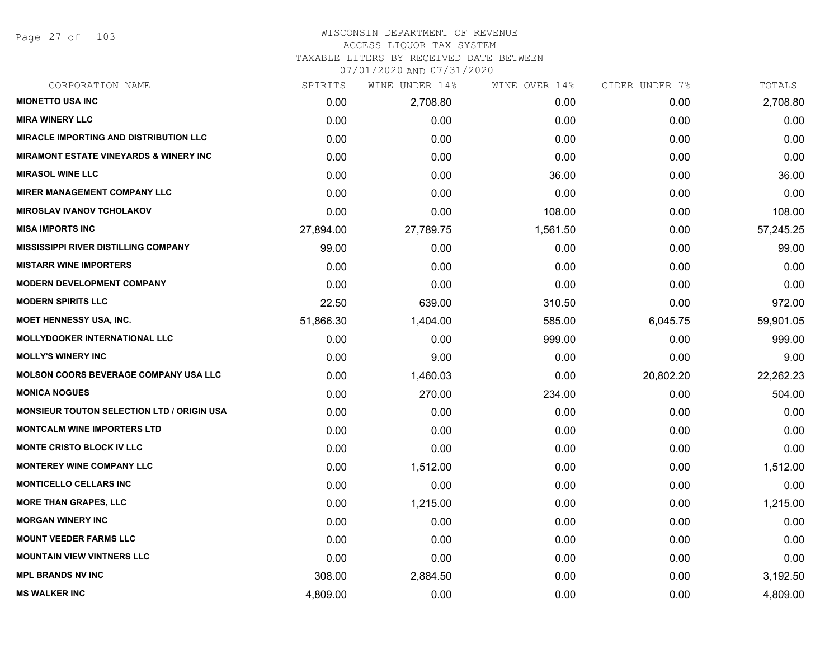Page 27 of 103

#### WISCONSIN DEPARTMENT OF REVENUE ACCESS LIQUOR TAX SYSTEM TAXABLE LITERS BY RECEIVED DATE BETWEEN

07/01/2020 AND 07/31/2020

| CORPORATION NAME                                  | SPIRITS   | WINE UNDER 14% | WINE OVER 14% | CIDER UNDER 7% | TOTALS    |
|---------------------------------------------------|-----------|----------------|---------------|----------------|-----------|
| <b>MIONETTO USA INC</b>                           | 0.00      | 2,708.80       | 0.00          | 0.00           | 2,708.80  |
| <b>MIRA WINERY LLC</b>                            | 0.00      | 0.00           | 0.00          | 0.00           | 0.00      |
| <b>MIRACLE IMPORTING AND DISTRIBUTION LLC</b>     | 0.00      | 0.00           | 0.00          | 0.00           | 0.00      |
| <b>MIRAMONT ESTATE VINEYARDS &amp; WINERY INC</b> | 0.00      | 0.00           | 0.00          | 0.00           | 0.00      |
| <b>MIRASOL WINE LLC</b>                           | 0.00      | 0.00           | 36.00         | 0.00           | 36.00     |
| <b>MIRER MANAGEMENT COMPANY LLC</b>               | 0.00      | 0.00           | 0.00          | 0.00           | 0.00      |
| <b>MIROSLAV IVANOV TCHOLAKOV</b>                  | 0.00      | 0.00           | 108.00        | 0.00           | 108.00    |
| <b>MISA IMPORTS INC</b>                           | 27,894.00 | 27,789.75      | 1,561.50      | 0.00           | 57,245.25 |
| <b>MISSISSIPPI RIVER DISTILLING COMPANY</b>       | 99.00     | 0.00           | 0.00          | 0.00           | 99.00     |
| <b>MISTARR WINE IMPORTERS</b>                     | 0.00      | 0.00           | 0.00          | 0.00           | 0.00      |
| <b>MODERN DEVELOPMENT COMPANY</b>                 | 0.00      | 0.00           | 0.00          | 0.00           | 0.00      |
| <b>MODERN SPIRITS LLC</b>                         | 22.50     | 639.00         | 310.50        | 0.00           | 972.00    |
| <b>MOET HENNESSY USA, INC.</b>                    | 51,866.30 | 1,404.00       | 585.00        | 6,045.75       | 59,901.05 |
| <b>MOLLYDOOKER INTERNATIONAL LLC</b>              | 0.00      | 0.00           | 999.00        | 0.00           | 999.00    |
| <b>MOLLY'S WINERY INC</b>                         | 0.00      | 9.00           | 0.00          | 0.00           | 9.00      |
| <b>MOLSON COORS BEVERAGE COMPANY USA LLC</b>      | 0.00      | 1,460.03       | 0.00          | 20,802.20      | 22,262.23 |
| <b>MONICA NOGUES</b>                              | 0.00      | 270.00         | 234.00        | 0.00           | 504.00    |
| <b>MONSIEUR TOUTON SELECTION LTD / ORIGIN USA</b> | 0.00      | 0.00           | 0.00          | 0.00           | 0.00      |
| <b>MONTCALM WINE IMPORTERS LTD</b>                | 0.00      | 0.00           | 0.00          | 0.00           | 0.00      |
| <b>MONTE CRISTO BLOCK IV LLC</b>                  | 0.00      | 0.00           | 0.00          | 0.00           | 0.00      |
| <b>MONTEREY WINE COMPANY LLC</b>                  | 0.00      | 1,512.00       | 0.00          | 0.00           | 1,512.00  |
| <b>MONTICELLO CELLARS INC</b>                     | 0.00      | 0.00           | 0.00          | 0.00           | 0.00      |
| <b>MORE THAN GRAPES, LLC</b>                      | 0.00      | 1,215.00       | 0.00          | 0.00           | 1,215.00  |
| <b>MORGAN WINERY INC</b>                          | 0.00      | 0.00           | 0.00          | 0.00           | 0.00      |
| <b>MOUNT VEEDER FARMS LLC</b>                     | 0.00      | 0.00           | 0.00          | 0.00           | 0.00      |
| <b>MOUNTAIN VIEW VINTNERS LLC</b>                 | 0.00      | 0.00           | 0.00          | 0.00           | 0.00      |
| <b>MPL BRANDS NV INC</b>                          | 308.00    | 2,884.50       | 0.00          | 0.00           | 3,192.50  |
| <b>MS WALKER INC</b>                              | 4,809.00  | 0.00           | 0.00          | 0.00           | 4,809.00  |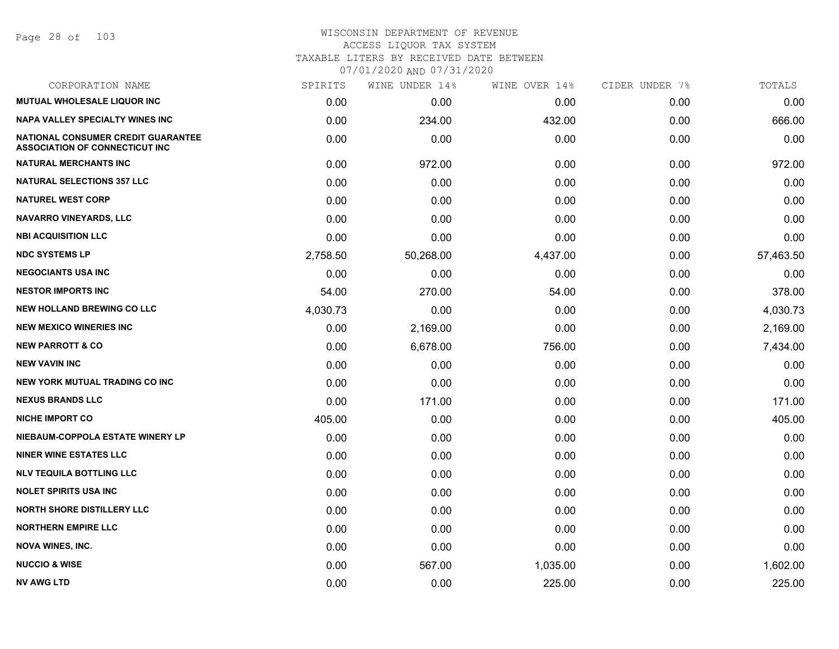Page 28 of 103

| CORPORATION NAME                                                            | SPIRITS  | WINE UNDER 14% | WINE OVER 14% | CIDER UNDER 7% | TOTALS    |
|-----------------------------------------------------------------------------|----------|----------------|---------------|----------------|-----------|
| <b>MUTUAL WHOLESALE LIQUOR INC</b>                                          | 0.00     | 0.00           | 0.00          | 0.00           | 0.00      |
| NAPA VALLEY SPECIALTY WINES INC                                             | 0.00     | 234.00         | 432.00        | 0.00           | 666.00    |
| NATIONAL CONSUMER CREDIT GUARANTEE<br><b>ASSOCIATION OF CONNECTICUT INC</b> | 0.00     | 0.00           | 0.00          | 0.00           | 0.00      |
| <b>NATURAL MERCHANTS INC</b>                                                | 0.00     | 972.00         | 0.00          | 0.00           | 972.00    |
| <b>NATURAL SELECTIONS 357 LLC</b>                                           | 0.00     | 0.00           | 0.00          | 0.00           | 0.00      |
| <b>NATUREL WEST CORP</b>                                                    | 0.00     | 0.00           | 0.00          | 0.00           | 0.00      |
| NAVARRO VINEYARDS, LLC                                                      | 0.00     | 0.00           | 0.00          | 0.00           | 0.00      |
| <b>NBI ACQUISITION LLC</b>                                                  | 0.00     | 0.00           | 0.00          | 0.00           | 0.00      |
| <b>NDC SYSTEMS LP</b>                                                       | 2,758.50 | 50,268.00      | 4,437.00      | 0.00           | 57,463.50 |
| <b>NEGOCIANTS USA INC</b>                                                   | 0.00     | 0.00           | 0.00          | 0.00           | 0.00      |
| <b>NESTOR IMPORTS INC</b>                                                   | 54.00    | 270.00         | 54.00         | 0.00           | 378.00    |
| <b>NEW HOLLAND BREWING CO LLC</b>                                           | 4,030.73 | 0.00           | 0.00          | 0.00           | 4,030.73  |
| <b>NEW MEXICO WINERIES INC</b>                                              | 0.00     | 2,169.00       | 0.00          | 0.00           | 2,169.00  |
| <b>NEW PARROTT &amp; CO</b>                                                 | 0.00     | 6,678.00       | 756.00        | 0.00           | 7,434.00  |
| <b>NEW VAVIN INC</b>                                                        | 0.00     | 0.00           | 0.00          | 0.00           | 0.00      |
| <b>NEW YORK MUTUAL TRADING CO INC</b>                                       | 0.00     | 0.00           | 0.00          | 0.00           | 0.00      |
| <b>NEXUS BRANDS LLC</b>                                                     | 0.00     | 171.00         | 0.00          | 0.00           | 171.00    |
| <b>NICHE IMPORT CO</b>                                                      | 405.00   | 0.00           | 0.00          | 0.00           | 405.00    |
| NIEBAUM-COPPOLA ESTATE WINERY LP                                            | 0.00     | 0.00           | 0.00          | 0.00           | 0.00      |
| <b>NINER WINE ESTATES LLC</b>                                               | 0.00     | 0.00           | 0.00          | 0.00           | 0.00      |
| <b>NLV TEQUILA BOTTLING LLC</b>                                             | 0.00     | 0.00           | 0.00          | 0.00           | 0.00      |
| <b>NOLET SPIRITS USA INC</b>                                                | 0.00     | 0.00           | 0.00          | 0.00           | 0.00      |
| <b>NORTH SHORE DISTILLERY LLC</b>                                           | 0.00     | 0.00           | 0.00          | 0.00           | 0.00      |
| <b>NORTHERN EMPIRE LLC</b>                                                  | 0.00     | 0.00           | 0.00          | 0.00           | 0.00      |
| <b>NOVA WINES, INC.</b>                                                     | 0.00     | 0.00           | 0.00          | 0.00           | 0.00      |
| <b>NUCCIO &amp; WISE</b>                                                    | 0.00     | 567.00         | 1,035.00      | 0.00           | 1,602.00  |
| <b>NV AWG LTD</b>                                                           | 0.00     | 0.00           | 225.00        | 0.00           | 225.00    |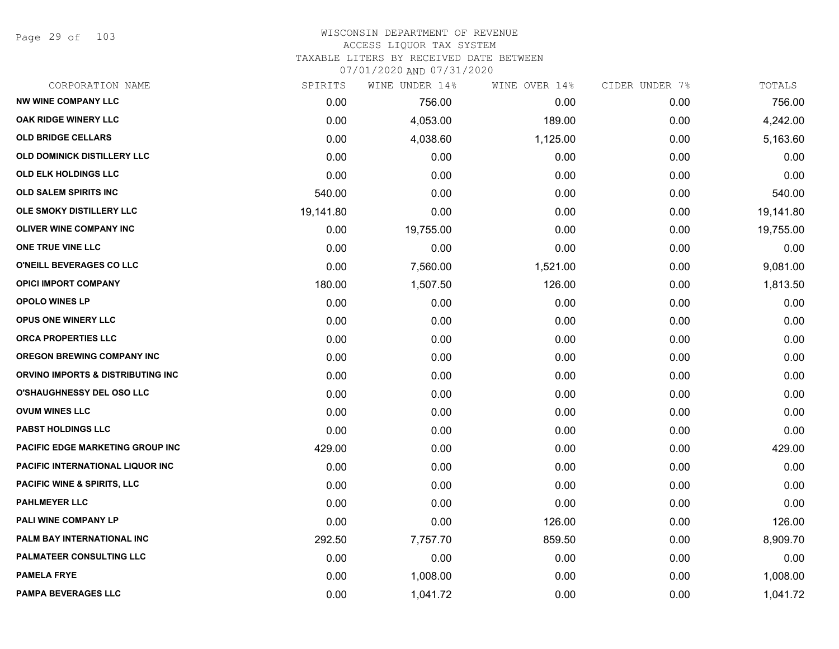Page 29 of 103

# WISCONSIN DEPARTMENT OF REVENUE ACCESS LIQUOR TAX SYSTEM TAXABLE LITERS BY RECEIVED DATE BETWEEN

07/01/2020 AND 07/31/2020

| CORPORATION NAME                       | SPIRITS   | WINE UNDER 14% | WINE OVER 14% | CIDER UNDER 7% | TOTALS    |
|----------------------------------------|-----------|----------------|---------------|----------------|-----------|
| <b>NW WINE COMPANY LLC</b>             | 0.00      | 756.00         | 0.00          | 0.00           | 756.00    |
| OAK RIDGE WINERY LLC                   | 0.00      | 4,053.00       | 189.00        | 0.00           | 4,242.00  |
| <b>OLD BRIDGE CELLARS</b>              | 0.00      | 4,038.60       | 1,125.00      | 0.00           | 5,163.60  |
| OLD DOMINICK DISTILLERY LLC            | 0.00      | 0.00           | 0.00          | 0.00           | 0.00      |
| <b>OLD ELK HOLDINGS LLC</b>            | 0.00      | 0.00           | 0.00          | 0.00           | 0.00      |
| <b>OLD SALEM SPIRITS INC</b>           | 540.00    | 0.00           | 0.00          | 0.00           | 540.00    |
| OLE SMOKY DISTILLERY LLC               | 19,141.80 | 0.00           | 0.00          | 0.00           | 19,141.80 |
| <b>OLIVER WINE COMPANY INC</b>         | 0.00      | 19,755.00      | 0.00          | 0.00           | 19,755.00 |
| ONE TRUE VINE LLC                      | 0.00      | 0.00           | 0.00          | 0.00           | 0.00      |
| O'NEILL BEVERAGES CO LLC               | 0.00      | 7,560.00       | 1,521.00      | 0.00           | 9,081.00  |
| <b>OPICI IMPORT COMPANY</b>            | 180.00    | 1,507.50       | 126.00        | 0.00           | 1,813.50  |
| <b>OPOLO WINES LP</b>                  | 0.00      | 0.00           | 0.00          | 0.00           | 0.00      |
| <b>OPUS ONE WINERY LLC</b>             | 0.00      | 0.00           | 0.00          | 0.00           | 0.00      |
| ORCA PROPERTIES LLC                    | 0.00      | 0.00           | 0.00          | 0.00           | 0.00      |
| <b>OREGON BREWING COMPANY INC</b>      | 0.00      | 0.00           | 0.00          | 0.00           | 0.00      |
| ORVINO IMPORTS & DISTRIBUTING INC      | 0.00      | 0.00           | 0.00          | 0.00           | 0.00      |
| <b>O'SHAUGHNESSY DEL OSO LLC</b>       | 0.00      | 0.00           | 0.00          | 0.00           | 0.00      |
| <b>OVUM WINES LLC</b>                  | 0.00      | 0.00           | 0.00          | 0.00           | 0.00      |
| PABST HOLDINGS LLC                     | 0.00      | 0.00           | 0.00          | 0.00           | 0.00      |
| PACIFIC EDGE MARKETING GROUP INC       | 429.00    | 0.00           | 0.00          | 0.00           | 429.00    |
| PACIFIC INTERNATIONAL LIQUOR INC       | 0.00      | 0.00           | 0.00          | 0.00           | 0.00      |
| <b>PACIFIC WINE &amp; SPIRITS, LLC</b> | 0.00      | 0.00           | 0.00          | 0.00           | 0.00      |
| <b>PAHLMEYER LLC</b>                   | 0.00      | 0.00           | 0.00          | 0.00           | 0.00      |
| PALI WINE COMPANY LP                   | 0.00      | 0.00           | 126.00        | 0.00           | 126.00    |
| PALM BAY INTERNATIONAL INC             | 292.50    | 7,757.70       | 859.50        | 0.00           | 8,909.70  |
| <b>PALMATEER CONSULTING LLC</b>        | 0.00      | 0.00           | 0.00          | 0.00           | 0.00      |
| <b>PAMELA FRYE</b>                     | 0.00      | 1,008.00       | 0.00          | 0.00           | 1,008.00  |
| <b>PAMPA BEVERAGES LLC</b>             | 0.00      | 1,041.72       | 0.00          | 0.00           | 1,041.72  |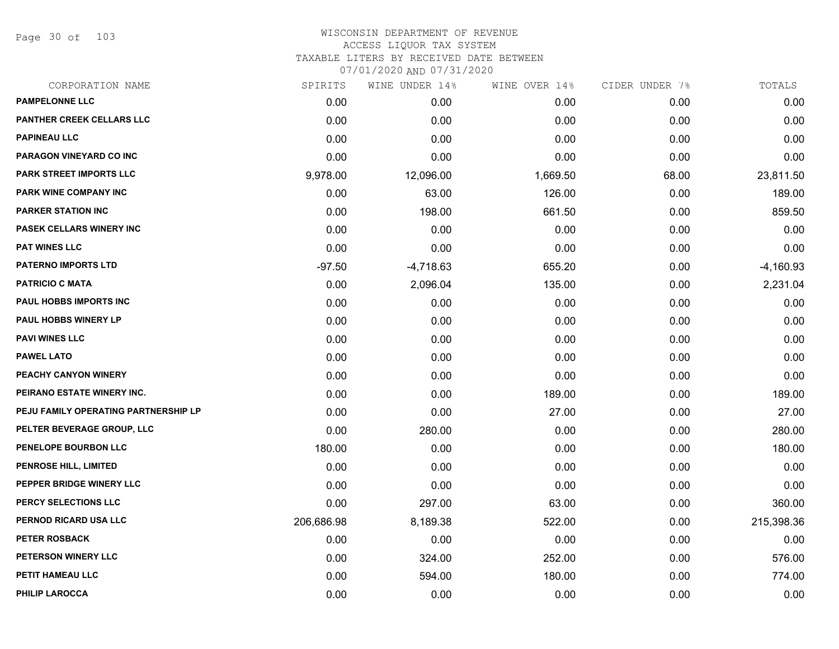Page 30 of 103

| CORPORATION NAME                     | SPIRITS    | WINE UNDER 14% | WINE OVER 14% | CIDER UNDER 7% | TOTALS      |
|--------------------------------------|------------|----------------|---------------|----------------|-------------|
| <b>PAMPELONNE LLC</b>                | 0.00       | 0.00           | 0.00          | 0.00           | 0.00        |
| PANTHER CREEK CELLARS LLC            | 0.00       | 0.00           | 0.00          | 0.00           | 0.00        |
| <b>PAPINEAU LLC</b>                  | 0.00       | 0.00           | 0.00          | 0.00           | 0.00        |
| PARAGON VINEYARD CO INC              | 0.00       | 0.00           | 0.00          | 0.00           | 0.00        |
| <b>PARK STREET IMPORTS LLC</b>       | 9,978.00   | 12,096.00      | 1,669.50      | 68.00          | 23,811.50   |
| PARK WINE COMPANY INC                | 0.00       | 63.00          | 126.00        | 0.00           | 189.00      |
| <b>PARKER STATION INC</b>            | 0.00       | 198.00         | 661.50        | 0.00           | 859.50      |
| PASEK CELLARS WINERY INC             | 0.00       | 0.00           | 0.00          | 0.00           | 0.00        |
| <b>PAT WINES LLC</b>                 | 0.00       | 0.00           | 0.00          | 0.00           | 0.00        |
| <b>PATERNO IMPORTS LTD</b>           | $-97.50$   | $-4,718.63$    | 655.20        | 0.00           | $-4,160.93$ |
| <b>PATRICIO C MATA</b>               | 0.00       | 2,096.04       | 135.00        | 0.00           | 2,231.04    |
| PAUL HOBBS IMPORTS INC               | 0.00       | 0.00           | 0.00          | 0.00           | 0.00        |
| PAUL HOBBS WINERY LP                 | 0.00       | 0.00           | 0.00          | 0.00           | 0.00        |
| <b>PAVI WINES LLC</b>                | 0.00       | 0.00           | 0.00          | 0.00           | 0.00        |
| <b>PAWEL LATO</b>                    | 0.00       | 0.00           | 0.00          | 0.00           | 0.00        |
| PEACHY CANYON WINERY                 | 0.00       | 0.00           | 0.00          | 0.00           | 0.00        |
| PEIRANO ESTATE WINERY INC.           | 0.00       | 0.00           | 189.00        | 0.00           | 189.00      |
| PEJU FAMILY OPERATING PARTNERSHIP LP | 0.00       | 0.00           | 27.00         | 0.00           | 27.00       |
| PELTER BEVERAGE GROUP, LLC           | 0.00       | 280.00         | 0.00          | 0.00           | 280.00      |
| PENELOPE BOURBON LLC                 | 180.00     | 0.00           | 0.00          | 0.00           | 180.00      |
| PENROSE HILL, LIMITED                | 0.00       | 0.00           | 0.00          | 0.00           | 0.00        |
| PEPPER BRIDGE WINERY LLC             | 0.00       | 0.00           | 0.00          | 0.00           | 0.00        |
| PERCY SELECTIONS LLC                 | 0.00       | 297.00         | 63.00         | 0.00           | 360.00      |
| PERNOD RICARD USA LLC                | 206,686.98 | 8,189.38       | 522.00        | 0.00           | 215,398.36  |
| <b>PETER ROSBACK</b>                 | 0.00       | 0.00           | 0.00          | 0.00           | 0.00        |
| PETERSON WINERY LLC                  | 0.00       | 324.00         | 252.00        | 0.00           | 576.00      |
| PETIT HAMEAU LLC                     | 0.00       | 594.00         | 180.00        | 0.00           | 774.00      |
| <b>PHILIP LAROCCA</b>                | 0.00       | 0.00           | 0.00          | 0.00           | 0.00        |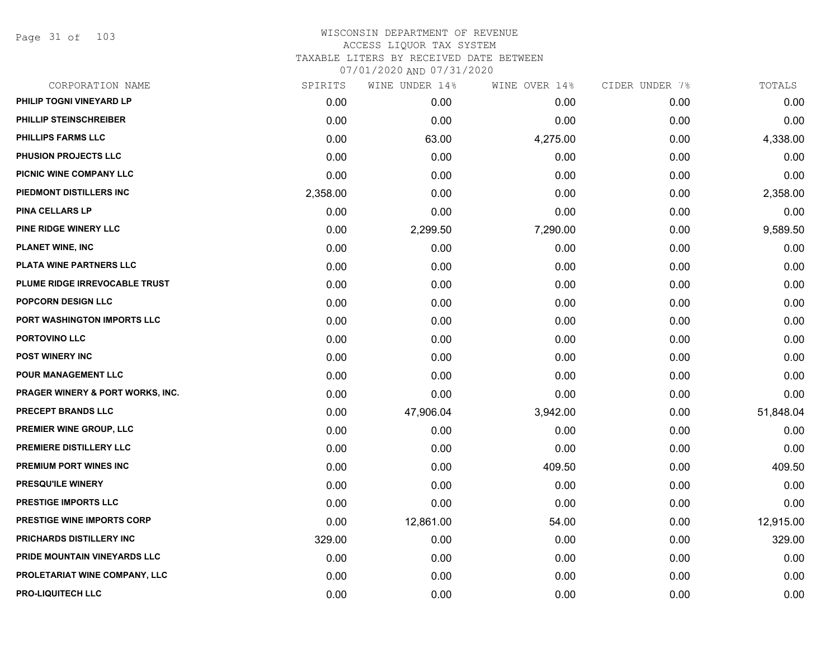Page 31 of 103

| CORPORATION NAME                            | SPIRITS  | WINE UNDER 14% | WINE OVER 14% | CIDER UNDER 7% | TOTALS    |
|---------------------------------------------|----------|----------------|---------------|----------------|-----------|
| PHILIP TOGNI VINEYARD LP                    | 0.00     | 0.00           | 0.00          | 0.00           | 0.00      |
| PHILLIP STEINSCHREIBER                      | 0.00     | 0.00           | 0.00          | 0.00           | 0.00      |
| PHILLIPS FARMS LLC                          | 0.00     | 63.00          | 4,275.00      | 0.00           | 4,338.00  |
| PHUSION PROJECTS LLC                        | 0.00     | 0.00           | 0.00          | 0.00           | 0.00      |
| PICNIC WINE COMPANY LLC                     | 0.00     | 0.00           | 0.00          | 0.00           | 0.00      |
| PIEDMONT DISTILLERS INC                     | 2,358.00 | 0.00           | 0.00          | 0.00           | 2,358.00  |
| <b>PINA CELLARS LP</b>                      | 0.00     | 0.00           | 0.00          | 0.00           | 0.00      |
| PINE RIDGE WINERY LLC                       | 0.00     | 2,299.50       | 7,290.00      | 0.00           | 9,589.50  |
| <b>PLANET WINE, INC</b>                     | 0.00     | 0.00           | 0.00          | 0.00           | 0.00      |
| PLATA WINE PARTNERS LLC                     | 0.00     | 0.00           | 0.00          | 0.00           | 0.00      |
| PLUME RIDGE IRREVOCABLE TRUST               | 0.00     | 0.00           | 0.00          | 0.00           | 0.00      |
| <b>POPCORN DESIGN LLC</b>                   | 0.00     | 0.00           | 0.00          | 0.00           | 0.00      |
| PORT WASHINGTON IMPORTS LLC                 | 0.00     | 0.00           | 0.00          | 0.00           | 0.00      |
| PORTOVINO LLC                               | 0.00     | 0.00           | 0.00          | 0.00           | 0.00      |
| POST WINERY INC                             | 0.00     | 0.00           | 0.00          | 0.00           | 0.00      |
| POUR MANAGEMENT LLC                         | 0.00     | 0.00           | 0.00          | 0.00           | 0.00      |
| <b>PRAGER WINERY &amp; PORT WORKS, INC.</b> | 0.00     | 0.00           | 0.00          | 0.00           | 0.00      |
| PRECEPT BRANDS LLC                          | 0.00     | 47,906.04      | 3,942.00      | 0.00           | 51,848.04 |
| PREMIER WINE GROUP, LLC                     | 0.00     | 0.00           | 0.00          | 0.00           | 0.00      |
| PREMIERE DISTILLERY LLC                     | 0.00     | 0.00           | 0.00          | 0.00           | 0.00      |
| <b>PREMIUM PORT WINES INC</b>               | 0.00     | 0.00           | 409.50        | 0.00           | 409.50    |
| PRESQU'ILE WINERY                           | 0.00     | 0.00           | 0.00          | 0.00           | 0.00      |
| PRESTIGE IMPORTS LLC                        | 0.00     | 0.00           | 0.00          | 0.00           | 0.00      |
| <b>PRESTIGE WINE IMPORTS CORP</b>           | 0.00     | 12,861.00      | 54.00         | 0.00           | 12,915.00 |
| PRICHARDS DISTILLERY INC                    | 329.00   | 0.00           | 0.00          | 0.00           | 329.00    |
| PRIDE MOUNTAIN VINEYARDS LLC                | 0.00     | 0.00           | 0.00          | 0.00           | 0.00      |
| PROLETARIAT WINE COMPANY, LLC               | 0.00     | 0.00           | 0.00          | 0.00           | 0.00      |
| <b>PRO-LIQUITECH LLC</b>                    | 0.00     | 0.00           | 0.00          | 0.00           | 0.00      |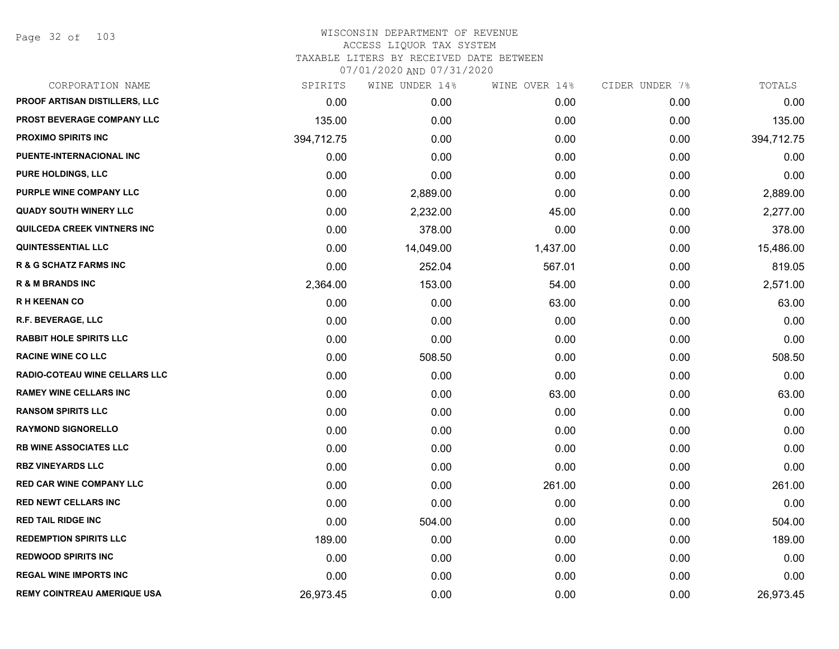Page 32 of 103

| CORPORATION NAME                     | SPIRITS    | WINE UNDER 14% | WINE OVER 14% | CIDER UNDER 7% | TOTALS     |
|--------------------------------------|------------|----------------|---------------|----------------|------------|
| <b>PROOF ARTISAN DISTILLERS, LLC</b> | 0.00       | 0.00           | 0.00          | 0.00           | 0.00       |
| PROST BEVERAGE COMPANY LLC           | 135.00     | 0.00           | 0.00          | 0.00           | 135.00     |
| <b>PROXIMO SPIRITS INC</b>           | 394,712.75 | 0.00           | 0.00          | 0.00           | 394,712.75 |
| PUENTE-INTERNACIONAL INC             | 0.00       | 0.00           | 0.00          | 0.00           | 0.00       |
| <b>PURE HOLDINGS, LLC</b>            | 0.00       | 0.00           | 0.00          | 0.00           | 0.00       |
| PURPLE WINE COMPANY LLC              | 0.00       | 2,889.00       | 0.00          | 0.00           | 2,889.00   |
| <b>QUADY SOUTH WINERY LLC</b>        | 0.00       | 2,232.00       | 45.00         | 0.00           | 2,277.00   |
| QUILCEDA CREEK VINTNERS INC          | 0.00       | 378.00         | 0.00          | 0.00           | 378.00     |
| <b>QUINTESSENTIAL LLC</b>            | 0.00       | 14,049.00      | 1,437.00      | 0.00           | 15,486.00  |
| <b>R &amp; G SCHATZ FARMS INC</b>    | 0.00       | 252.04         | 567.01        | 0.00           | 819.05     |
| <b>R &amp; M BRANDS INC</b>          | 2,364.00   | 153.00         | 54.00         | 0.00           | 2,571.00   |
| <b>RH KEENAN CO</b>                  | 0.00       | 0.00           | 63.00         | 0.00           | 63.00      |
| R.F. BEVERAGE, LLC                   | 0.00       | 0.00           | 0.00          | 0.00           | 0.00       |
| <b>RABBIT HOLE SPIRITS LLC</b>       | 0.00       | 0.00           | 0.00          | 0.00           | 0.00       |
| <b>RACINE WINE CO LLC</b>            | 0.00       | 508.50         | 0.00          | 0.00           | 508.50     |
| <b>RADIO-COTEAU WINE CELLARS LLC</b> | 0.00       | 0.00           | 0.00          | 0.00           | 0.00       |
| <b>RAMEY WINE CELLARS INC</b>        | 0.00       | 0.00           | 63.00         | 0.00           | 63.00      |
| <b>RANSOM SPIRITS LLC</b>            | 0.00       | 0.00           | 0.00          | 0.00           | 0.00       |
| <b>RAYMOND SIGNORELLO</b>            | 0.00       | 0.00           | 0.00          | 0.00           | 0.00       |
| <b>RB WINE ASSOCIATES LLC</b>        | 0.00       | 0.00           | 0.00          | 0.00           | 0.00       |
| <b>RBZ VINEYARDS LLC</b>             | 0.00       | 0.00           | 0.00          | 0.00           | 0.00       |
| <b>RED CAR WINE COMPANY LLC</b>      | 0.00       | 0.00           | 261.00        | 0.00           | 261.00     |
| <b>RED NEWT CELLARS INC</b>          | 0.00       | 0.00           | 0.00          | 0.00           | 0.00       |
| <b>RED TAIL RIDGE INC</b>            | 0.00       | 504.00         | 0.00          | 0.00           | 504.00     |
| <b>REDEMPTION SPIRITS LLC</b>        | 189.00     | 0.00           | 0.00          | 0.00           | 189.00     |
| <b>REDWOOD SPIRITS INC</b>           | 0.00       | 0.00           | 0.00          | 0.00           | 0.00       |
| <b>REGAL WINE IMPORTS INC</b>        | 0.00       | 0.00           | 0.00          | 0.00           | 0.00       |
| <b>REMY COINTREAU AMERIQUE USA</b>   | 26,973.45  | 0.00           | 0.00          | 0.00           | 26,973.45  |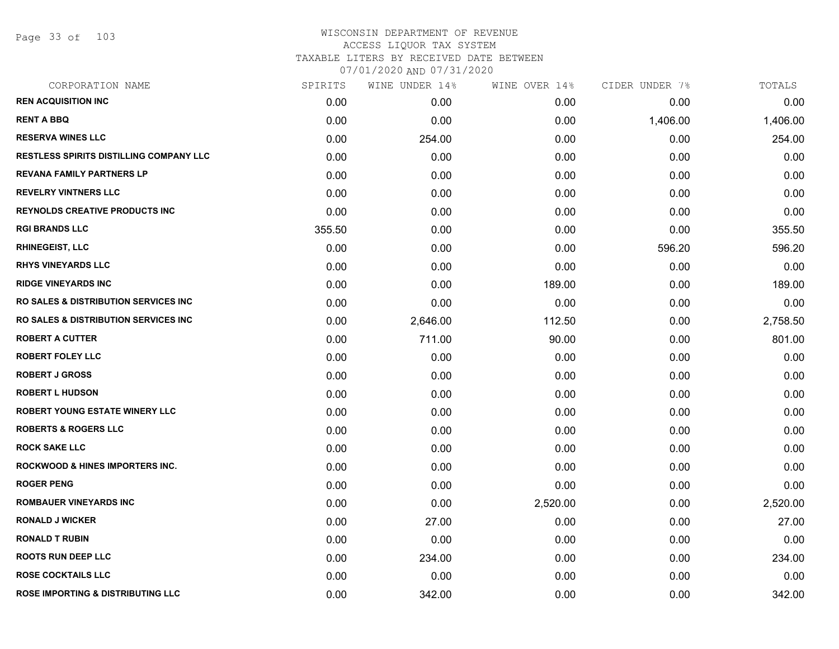Page 33 of 103

| CORPORATION NAME                                 | SPIRITS | WINE UNDER 14% | WINE OVER 14% | CIDER UNDER 7% | TOTALS   |
|--------------------------------------------------|---------|----------------|---------------|----------------|----------|
| <b>REN ACQUISITION INC</b>                       | 0.00    | 0.00           | 0.00          | 0.00           | 0.00     |
| <b>RENT A BBQ</b>                                | 0.00    | 0.00           | 0.00          | 1,406.00       | 1,406.00 |
| <b>RESERVA WINES LLC</b>                         | 0.00    | 254.00         | 0.00          | 0.00           | 254.00   |
| <b>RESTLESS SPIRITS DISTILLING COMPANY LLC</b>   | 0.00    | 0.00           | 0.00          | 0.00           | 0.00     |
| REVANA FAMILY PARTNERS LP                        | 0.00    | 0.00           | 0.00          | 0.00           | 0.00     |
| <b>REVELRY VINTNERS LLC</b>                      | 0.00    | 0.00           | 0.00          | 0.00           | 0.00     |
| <b>REYNOLDS CREATIVE PRODUCTS INC</b>            | 0.00    | 0.00           | 0.00          | 0.00           | 0.00     |
| <b>RGI BRANDS LLC</b>                            | 355.50  | 0.00           | 0.00          | 0.00           | 355.50   |
| <b>RHINEGEIST, LLC</b>                           | 0.00    | 0.00           | 0.00          | 596.20         | 596.20   |
| <b>RHYS VINEYARDS LLC</b>                        | 0.00    | 0.00           | 0.00          | 0.00           | 0.00     |
| <b>RIDGE VINEYARDS INC</b>                       | 0.00    | 0.00           | 189.00        | 0.00           | 189.00   |
| <b>RO SALES &amp; DISTRIBUTION SERVICES INC.</b> | 0.00    | 0.00           | 0.00          | 0.00           | 0.00     |
| <b>RO SALES &amp; DISTRIBUTION SERVICES INC.</b> | 0.00    | 2,646.00       | 112.50        | 0.00           | 2,758.50 |
| <b>ROBERT A CUTTER</b>                           | 0.00    | 711.00         | 90.00         | 0.00           | 801.00   |
| <b>ROBERT FOLEY LLC</b>                          | 0.00    | 0.00           | 0.00          | 0.00           | 0.00     |
| <b>ROBERT J GROSS</b>                            | 0.00    | 0.00           | 0.00          | 0.00           | 0.00     |
| <b>ROBERT L HUDSON</b>                           | 0.00    | 0.00           | 0.00          | 0.00           | 0.00     |
| <b>ROBERT YOUNG ESTATE WINERY LLC</b>            | 0.00    | 0.00           | 0.00          | 0.00           | 0.00     |
| <b>ROBERTS &amp; ROGERS LLC</b>                  | 0.00    | 0.00           | 0.00          | 0.00           | 0.00     |
| <b>ROCK SAKE LLC</b>                             | 0.00    | 0.00           | 0.00          | 0.00           | 0.00     |
| <b>ROCKWOOD &amp; HINES IMPORTERS INC.</b>       | 0.00    | 0.00           | 0.00          | 0.00           | 0.00     |
| <b>ROGER PENG</b>                                | 0.00    | 0.00           | 0.00          | 0.00           | 0.00     |
| <b>ROMBAUER VINEYARDS INC</b>                    | 0.00    | 0.00           | 2,520.00      | 0.00           | 2,520.00 |
| <b>RONALD J WICKER</b>                           | 0.00    | 27.00          | 0.00          | 0.00           | 27.00    |
| <b>RONALD T RUBIN</b>                            | 0.00    | 0.00           | 0.00          | 0.00           | 0.00     |
| <b>ROOTS RUN DEEP LLC</b>                        | 0.00    | 234.00         | 0.00          | 0.00           | 234.00   |
| <b>ROSE COCKTAILS LLC</b>                        | 0.00    | 0.00           | 0.00          | 0.00           | 0.00     |
| <b>ROSE IMPORTING &amp; DISTRIBUTING LLC</b>     | 0.00    | 342.00         | 0.00          | 0.00           | 342.00   |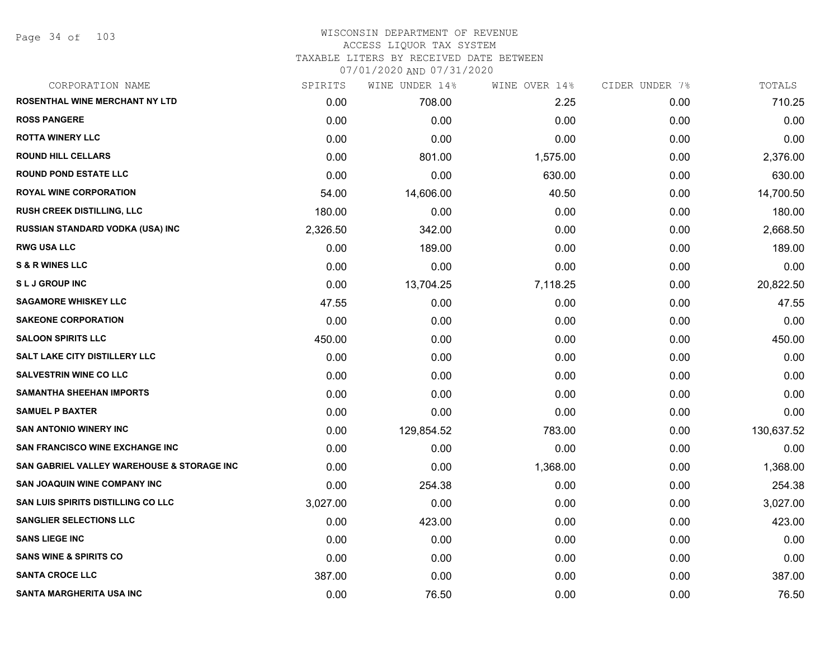Page 34 of 103

# WISCONSIN DEPARTMENT OF REVENUE ACCESS LIQUOR TAX SYSTEM TAXABLE LITERS BY RECEIVED DATE BETWEEN

07/01/2020 AND 07/31/2020

| CORPORATION NAME                           | SPIRITS  | WINE UNDER 14% | WINE OVER 14% | CIDER UNDER 7% | TOTALS     |
|--------------------------------------------|----------|----------------|---------------|----------------|------------|
| ROSENTHAL WINE MERCHANT NY LTD             | 0.00     | 708.00         | 2.25          | 0.00           | 710.25     |
| <b>ROSS PANGERE</b>                        | 0.00     | 0.00           | 0.00          | 0.00           | 0.00       |
| <b>ROTTA WINERY LLC</b>                    | 0.00     | 0.00           | 0.00          | 0.00           | 0.00       |
| <b>ROUND HILL CELLARS</b>                  | 0.00     | 801.00         | 1,575.00      | 0.00           | 2,376.00   |
| <b>ROUND POND ESTATE LLC</b>               | 0.00     | 0.00           | 630.00        | 0.00           | 630.00     |
| <b>ROYAL WINE CORPORATION</b>              | 54.00    | 14,606.00      | 40.50         | 0.00           | 14,700.50  |
| RUSH CREEK DISTILLING, LLC                 | 180.00   | 0.00           | 0.00          | 0.00           | 180.00     |
| RUSSIAN STANDARD VODKA (USA) INC           | 2,326.50 | 342.00         | 0.00          | 0.00           | 2,668.50   |
| <b>RWG USA LLC</b>                         | 0.00     | 189.00         | 0.00          | 0.00           | 189.00     |
| <b>S &amp; R WINES LLC</b>                 | 0.00     | 0.00           | 0.00          | 0.00           | 0.00       |
| <b>SLJ GROUP INC</b>                       | 0.00     | 13,704.25      | 7,118.25      | 0.00           | 20,822.50  |
| <b>SAGAMORE WHISKEY LLC</b>                | 47.55    | 0.00           | 0.00          | 0.00           | 47.55      |
| <b>SAKEONE CORPORATION</b>                 | 0.00     | 0.00           | 0.00          | 0.00           | 0.00       |
| <b>SALOON SPIRITS LLC</b>                  | 450.00   | 0.00           | 0.00          | 0.00           | 450.00     |
| <b>SALT LAKE CITY DISTILLERY LLC</b>       | 0.00     | 0.00           | 0.00          | 0.00           | 0.00       |
| SALVESTRIN WINE CO LLC                     | 0.00     | 0.00           | 0.00          | 0.00           | 0.00       |
| <b>SAMANTHA SHEEHAN IMPORTS</b>            | 0.00     | 0.00           | 0.00          | 0.00           | 0.00       |
| <b>SAMUEL P BAXTER</b>                     | 0.00     | 0.00           | 0.00          | 0.00           | 0.00       |
| <b>SAN ANTONIO WINERY INC</b>              | 0.00     | 129,854.52     | 783.00        | 0.00           | 130,637.52 |
| <b>SAN FRANCISCO WINE EXCHANGE INC</b>     | 0.00     | 0.00           | 0.00          | 0.00           | 0.00       |
| SAN GABRIEL VALLEY WAREHOUSE & STORAGE INC | 0.00     | 0.00           | 1,368.00      | 0.00           | 1,368.00   |
| SAN JOAQUIN WINE COMPANY INC               | 0.00     | 254.38         | 0.00          | 0.00           | 254.38     |
| SAN LUIS SPIRITS DISTILLING CO LLC         | 3,027.00 | 0.00           | 0.00          | 0.00           | 3,027.00   |
| <b>SANGLIER SELECTIONS LLC</b>             | 0.00     | 423.00         | 0.00          | 0.00           | 423.00     |
| <b>SANS LIEGE INC</b>                      | 0.00     | 0.00           | 0.00          | 0.00           | 0.00       |
| <b>SANS WINE &amp; SPIRITS CO</b>          | 0.00     | 0.00           | 0.00          | 0.00           | 0.00       |
| <b>SANTA CROCE LLC</b>                     | 387.00   | 0.00           | 0.00          | 0.00           | 387.00     |
| <b>SANTA MARGHERITA USA INC</b>            | 0.00     | 76.50          | 0.00          | 0.00           | 76.50      |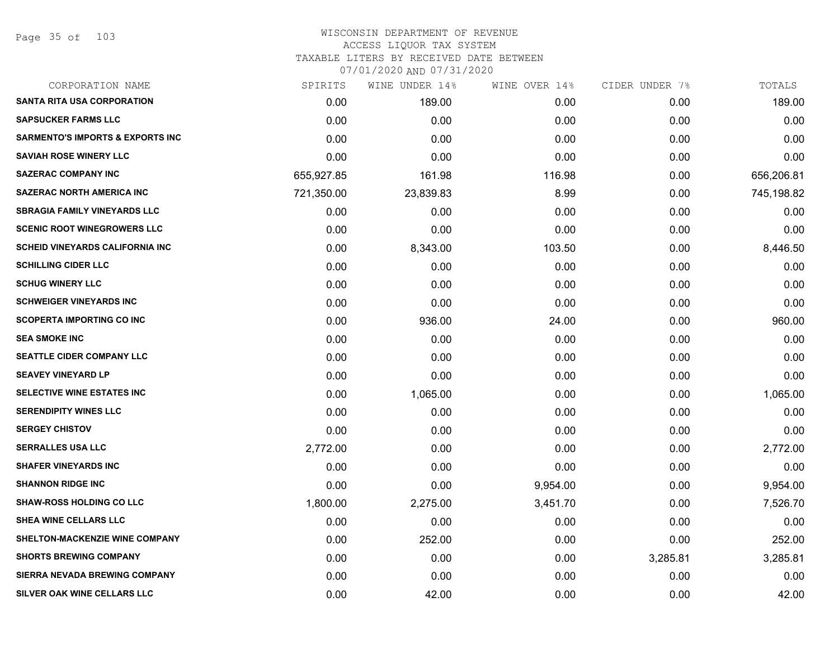Page 35 of 103

| CORPORATION NAME                            | SPIRITS    | WINE UNDER 14% | WINE OVER 14% | CIDER UNDER 7% | TOTALS     |
|---------------------------------------------|------------|----------------|---------------|----------------|------------|
| <b>SANTA RITA USA CORPORATION</b>           | 0.00       | 189.00         | 0.00          | 0.00           | 189.00     |
| <b>SAPSUCKER FARMS LLC</b>                  | 0.00       | 0.00           | 0.00          | 0.00           | 0.00       |
| <b>SARMENTO'S IMPORTS &amp; EXPORTS INC</b> | 0.00       | 0.00           | 0.00          | 0.00           | 0.00       |
| <b>SAVIAH ROSE WINERY LLC</b>               | 0.00       | 0.00           | 0.00          | 0.00           | 0.00       |
| <b>SAZERAC COMPANY INC</b>                  | 655,927.85 | 161.98         | 116.98        | 0.00           | 656,206.81 |
| <b>SAZERAC NORTH AMERICA INC</b>            | 721,350.00 | 23,839.83      | 8.99          | 0.00           | 745,198.82 |
| <b>SBRAGIA FAMILY VINEYARDS LLC</b>         | 0.00       | 0.00           | 0.00          | 0.00           | 0.00       |
| <b>SCENIC ROOT WINEGROWERS LLC</b>          | 0.00       | 0.00           | 0.00          | 0.00           | 0.00       |
| <b>SCHEID VINEYARDS CALIFORNIA INC</b>      | 0.00       | 8,343.00       | 103.50        | 0.00           | 8,446.50   |
| <b>SCHILLING CIDER LLC</b>                  | 0.00       | 0.00           | 0.00          | 0.00           | 0.00       |
| <b>SCHUG WINERY LLC</b>                     | 0.00       | 0.00           | 0.00          | 0.00           | 0.00       |
| <b>SCHWEIGER VINEYARDS INC</b>              | 0.00       | 0.00           | 0.00          | 0.00           | 0.00       |
| <b>SCOPERTA IMPORTING CO INC</b>            | 0.00       | 936.00         | 24.00         | 0.00           | 960.00     |
| <b>SEA SMOKE INC</b>                        | 0.00       | 0.00           | 0.00          | 0.00           | 0.00       |
| <b>SEATTLE CIDER COMPANY LLC</b>            | 0.00       | 0.00           | 0.00          | 0.00           | 0.00       |
| <b>SEAVEY VINEYARD LP</b>                   | 0.00       | 0.00           | 0.00          | 0.00           | 0.00       |
| <b>SELECTIVE WINE ESTATES INC</b>           | 0.00       | 1,065.00       | 0.00          | 0.00           | 1,065.00   |
| <b>SERENDIPITY WINES LLC</b>                | 0.00       | 0.00           | 0.00          | 0.00           | 0.00       |
| <b>SERGEY CHISTOV</b>                       | 0.00       | 0.00           | 0.00          | 0.00           | 0.00       |
| <b>SERRALLES USA LLC</b>                    | 2,772.00   | 0.00           | 0.00          | 0.00           | 2,772.00   |
| <b>SHAFER VINEYARDS INC</b>                 | 0.00       | 0.00           | 0.00          | 0.00           | 0.00       |
| <b>SHANNON RIDGE INC</b>                    | 0.00       | 0.00           | 9,954.00      | 0.00           | 9,954.00   |
| <b>SHAW-ROSS HOLDING CO LLC</b>             | 1,800.00   | 2,275.00       | 3,451.70      | 0.00           | 7,526.70   |
| SHEA WINE CELLARS LLC                       | 0.00       | 0.00           | 0.00          | 0.00           | 0.00       |
| SHELTON-MACKENZIE WINE COMPANY              | 0.00       | 252.00         | 0.00          | 0.00           | 252.00     |
| <b>SHORTS BREWING COMPANY</b>               | 0.00       | 0.00           | 0.00          | 3,285.81       | 3,285.81   |
| <b>SIERRA NEVADA BREWING COMPANY</b>        | 0.00       | 0.00           | 0.00          | 0.00           | 0.00       |
| SILVER OAK WINE CELLARS LLC                 | 0.00       | 42.00          | 0.00          | 0.00           | 42.00      |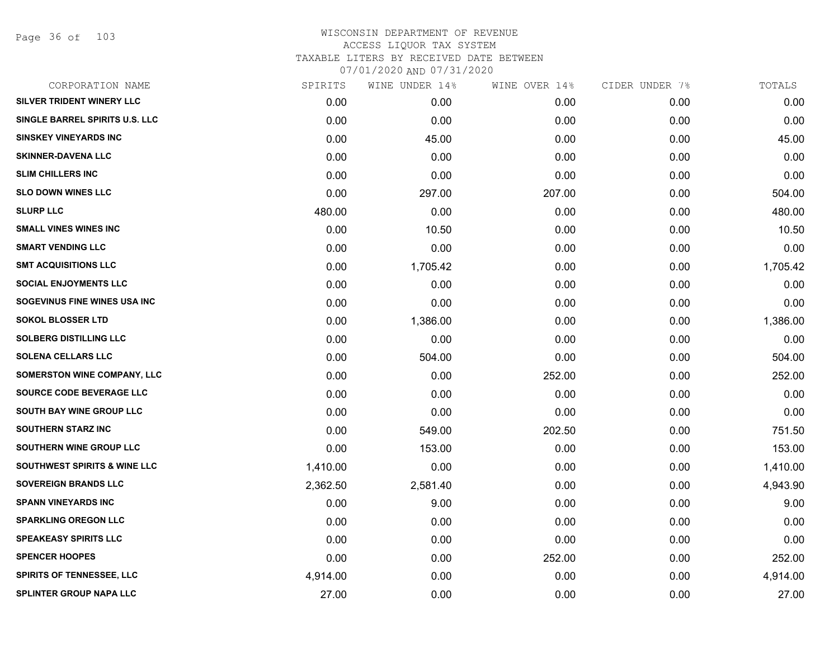Page 36 of 103

| CORPORATION NAME                        | SPIRITS  | WINE UNDER 14% | WINE OVER 14% | CIDER UNDER 7% | TOTALS   |
|-----------------------------------------|----------|----------------|---------------|----------------|----------|
| SILVER TRIDENT WINERY LLC               | 0.00     | 0.00           | 0.00          | 0.00           | 0.00     |
| SINGLE BARREL SPIRITS U.S. LLC          | 0.00     | 0.00           | 0.00          | 0.00           | 0.00     |
| <b>SINSKEY VINEYARDS INC</b>            | 0.00     | 45.00          | 0.00          | 0.00           | 45.00    |
| <b>SKINNER-DAVENA LLC</b>               | 0.00     | 0.00           | 0.00          | 0.00           | 0.00     |
| <b>SLIM CHILLERS INC</b>                | 0.00     | 0.00           | 0.00          | 0.00           | 0.00     |
| <b>SLO DOWN WINES LLC</b>               | 0.00     | 297.00         | 207.00        | 0.00           | 504.00   |
| <b>SLURP LLC</b>                        | 480.00   | 0.00           | 0.00          | 0.00           | 480.00   |
| <b>SMALL VINES WINES INC</b>            | 0.00     | 10.50          | 0.00          | 0.00           | 10.50    |
| <b>SMART VENDING LLC</b>                | 0.00     | 0.00           | 0.00          | 0.00           | 0.00     |
| <b>SMT ACQUISITIONS LLC</b>             | 0.00     | 1,705.42       | 0.00          | 0.00           | 1,705.42 |
| <b>SOCIAL ENJOYMENTS LLC</b>            | 0.00     | 0.00           | 0.00          | 0.00           | 0.00     |
| SOGEVINUS FINE WINES USA INC            | 0.00     | 0.00           | 0.00          | 0.00           | 0.00     |
| <b>SOKOL BLOSSER LTD</b>                | 0.00     | 1,386.00       | 0.00          | 0.00           | 1,386.00 |
| <b>SOLBERG DISTILLING LLC</b>           | 0.00     | 0.00           | 0.00          | 0.00           | 0.00     |
| <b>SOLENA CELLARS LLC</b>               | 0.00     | 504.00         | 0.00          | 0.00           | 504.00   |
| SOMERSTON WINE COMPANY, LLC             | 0.00     | 0.00           | 252.00        | 0.00           | 252.00   |
| SOURCE CODE BEVERAGE LLC                | 0.00     | 0.00           | 0.00          | 0.00           | 0.00     |
| SOUTH BAY WINE GROUP LLC                | 0.00     | 0.00           | 0.00          | 0.00           | 0.00     |
| <b>SOUTHERN STARZ INC</b>               | 0.00     | 549.00         | 202.50        | 0.00           | 751.50   |
| SOUTHERN WINE GROUP LLC                 | 0.00     | 153.00         | 0.00          | 0.00           | 153.00   |
| <b>SOUTHWEST SPIRITS &amp; WINE LLC</b> | 1,410.00 | 0.00           | 0.00          | 0.00           | 1,410.00 |
| <b>SOVEREIGN BRANDS LLC</b>             | 2,362.50 | 2,581.40       | 0.00          | 0.00           | 4,943.90 |
| <b>SPANN VINEYARDS INC</b>              | 0.00     | 9.00           | 0.00          | 0.00           | 9.00     |
| <b>SPARKLING OREGON LLC</b>             | 0.00     | 0.00           | 0.00          | 0.00           | 0.00     |
| <b>SPEAKEASY SPIRITS LLC</b>            | 0.00     | 0.00           | 0.00          | 0.00           | 0.00     |
| <b>SPENCER HOOPES</b>                   | 0.00     | 0.00           | 252.00        | 0.00           | 252.00   |
| <b>SPIRITS OF TENNESSEE, LLC</b>        | 4,914.00 | 0.00           | 0.00          | 0.00           | 4,914.00 |
| <b>SPLINTER GROUP NAPA LLC</b>          | 27.00    | 0.00           | 0.00          | 0.00           | 27.00    |
|                                         |          |                |               |                |          |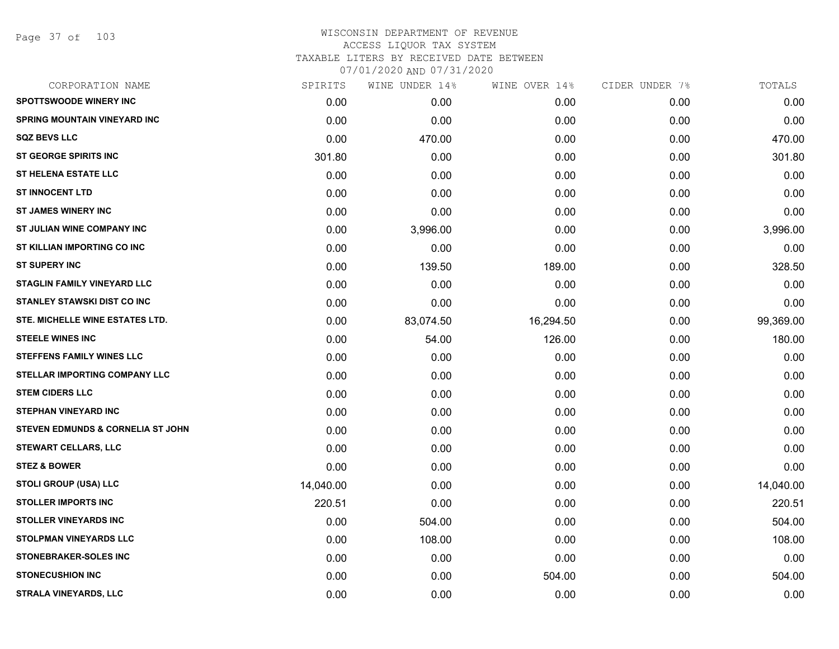Page 37 of 103

| CORPORATION NAME                             | SPIRITS   | WINE UNDER 14% | WINE OVER 14% | CIDER UNDER 7% | TOTALS    |
|----------------------------------------------|-----------|----------------|---------------|----------------|-----------|
| <b>SPOTTSWOODE WINERY INC</b>                | 0.00      | 0.00           | 0.00          | 0.00           | 0.00      |
| <b>SPRING MOUNTAIN VINEYARD INC</b>          | 0.00      | 0.00           | 0.00          | 0.00           | 0.00      |
| <b>SQZ BEVS LLC</b>                          | 0.00      | 470.00         | 0.00          | 0.00           | 470.00    |
| <b>ST GEORGE SPIRITS INC</b>                 | 301.80    | 0.00           | 0.00          | 0.00           | 301.80    |
| <b>ST HELENA ESTATE LLC</b>                  | 0.00      | 0.00           | 0.00          | 0.00           | 0.00      |
| <b>ST INNOCENT LTD</b>                       | 0.00      | 0.00           | 0.00          | 0.00           | 0.00      |
| <b>ST JAMES WINERY INC</b>                   | 0.00      | 0.00           | 0.00          | 0.00           | 0.00      |
| ST JULIAN WINE COMPANY INC                   | 0.00      | 3,996.00       | 0.00          | 0.00           | 3,996.00  |
| ST KILLIAN IMPORTING CO INC                  | 0.00      | 0.00           | 0.00          | 0.00           | 0.00      |
| <b>ST SUPERY INC</b>                         | 0.00      | 139.50         | 189.00        | 0.00           | 328.50    |
| <b>STAGLIN FAMILY VINEYARD LLC</b>           | 0.00      | 0.00           | 0.00          | 0.00           | 0.00      |
| <b>STANLEY STAWSKI DIST CO INC</b>           | 0.00      | 0.00           | 0.00          | 0.00           | 0.00      |
| STE. MICHELLE WINE ESTATES LTD.              | 0.00      | 83,074.50      | 16,294.50     | 0.00           | 99,369.00 |
| <b>STEELE WINES INC</b>                      | 0.00      | 54.00          | 126.00        | 0.00           | 180.00    |
| <b>STEFFENS FAMILY WINES LLC</b>             | 0.00      | 0.00           | 0.00          | 0.00           | 0.00      |
| STELLAR IMPORTING COMPANY LLC                | 0.00      | 0.00           | 0.00          | 0.00           | 0.00      |
| <b>STEM CIDERS LLC</b>                       | 0.00      | 0.00           | 0.00          | 0.00           | 0.00      |
| <b>STEPHAN VINEYARD INC</b>                  | 0.00      | 0.00           | 0.00          | 0.00           | 0.00      |
| <b>STEVEN EDMUNDS &amp; CORNELIA ST JOHN</b> | 0.00      | 0.00           | 0.00          | 0.00           | 0.00      |
| STEWART CELLARS, LLC                         | 0.00      | 0.00           | 0.00          | 0.00           | 0.00      |
| <b>STEZ &amp; BOWER</b>                      | 0.00      | 0.00           | 0.00          | 0.00           | 0.00      |
| <b>STOLI GROUP (USA) LLC</b>                 | 14,040.00 | 0.00           | 0.00          | 0.00           | 14,040.00 |
| <b>STOLLER IMPORTS INC</b>                   | 220.51    | 0.00           | 0.00          | 0.00           | 220.51    |
| <b>STOLLER VINEYARDS INC</b>                 | 0.00      | 504.00         | 0.00          | 0.00           | 504.00    |
| <b>STOLPMAN VINEYARDS LLC</b>                | 0.00      | 108.00         | 0.00          | 0.00           | 108.00    |
| <b>STONEBRAKER-SOLES INC</b>                 | 0.00      | 0.00           | 0.00          | 0.00           | 0.00      |
| <b>STONECUSHION INC</b>                      | 0.00      | 0.00           | 504.00        | 0.00           | 504.00    |
| <b>STRALA VINEYARDS, LLC</b>                 | 0.00      | 0.00           | 0.00          | 0.00           | 0.00      |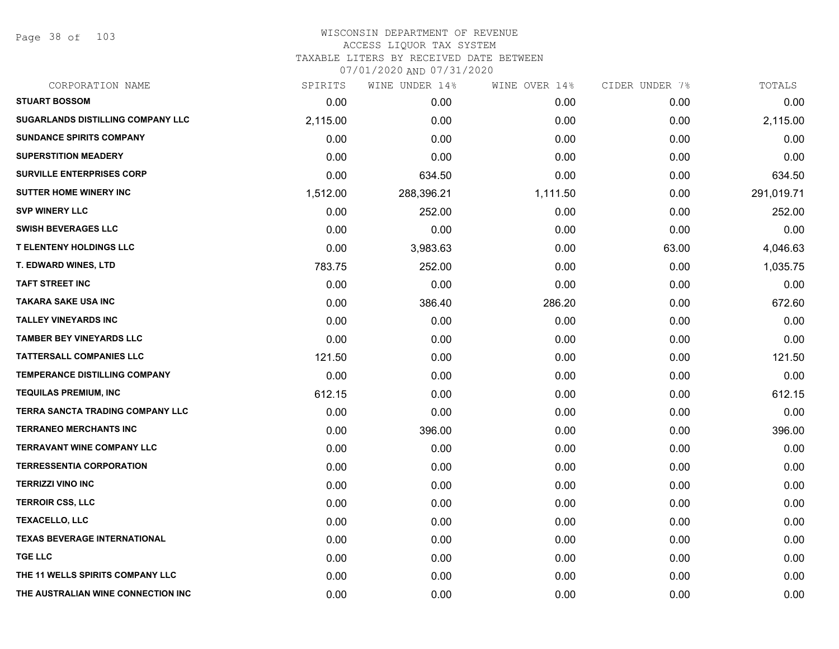Page 38 of 103

| CORPORATION NAME                         | SPIRITS  | WINE UNDER 14% | WINE OVER 14% | CIDER UNDER 7% | TOTALS     |
|------------------------------------------|----------|----------------|---------------|----------------|------------|
| <b>STUART BOSSOM</b>                     | 0.00     | 0.00           | 0.00          | 0.00           | 0.00       |
| <b>SUGARLANDS DISTILLING COMPANY LLC</b> | 2,115.00 | 0.00           | 0.00          | 0.00           | 2,115.00   |
| <b>SUNDANCE SPIRITS COMPANY</b>          | 0.00     | 0.00           | 0.00          | 0.00           | 0.00       |
| <b>SUPERSTITION MEADERY</b>              | 0.00     | 0.00           | 0.00          | 0.00           | 0.00       |
| <b>SURVILLE ENTERPRISES CORP</b>         | 0.00     | 634.50         | 0.00          | 0.00           | 634.50     |
| <b>SUTTER HOME WINERY INC</b>            | 1,512.00 | 288,396.21     | 1,111.50      | 0.00           | 291,019.71 |
| <b>SVP WINERY LLC</b>                    | 0.00     | 252.00         | 0.00          | 0.00           | 252.00     |
| <b>SWISH BEVERAGES LLC</b>               | 0.00     | 0.00           | 0.00          | 0.00           | 0.00       |
| <b>T ELENTENY HOLDINGS LLC</b>           | 0.00     | 3,983.63       | 0.00          | 63.00          | 4,046.63   |
| T. EDWARD WINES, LTD                     | 783.75   | 252.00         | 0.00          | 0.00           | 1,035.75   |
| <b>TAFT STREET INC</b>                   | 0.00     | 0.00           | 0.00          | 0.00           | 0.00       |
| <b>TAKARA SAKE USA INC</b>               | 0.00     | 386.40         | 286.20        | 0.00           | 672.60     |
| <b>TALLEY VINEYARDS INC</b>              | 0.00     | 0.00           | 0.00          | 0.00           | 0.00       |
| <b>TAMBER BEY VINEYARDS LLC</b>          | 0.00     | 0.00           | 0.00          | 0.00           | 0.00       |
| <b>TATTERSALL COMPANIES LLC</b>          | 121.50   | 0.00           | 0.00          | 0.00           | 121.50     |
| <b>TEMPERANCE DISTILLING COMPANY</b>     | 0.00     | 0.00           | 0.00          | 0.00           | 0.00       |
| <b>TEQUILAS PREMIUM, INC</b>             | 612.15   | 0.00           | 0.00          | 0.00           | 612.15     |
| <b>TERRA SANCTA TRADING COMPANY LLC</b>  | 0.00     | 0.00           | 0.00          | 0.00           | 0.00       |
| <b>TERRANEO MERCHANTS INC</b>            | 0.00     | 396.00         | 0.00          | 0.00           | 396.00     |
| <b>TERRAVANT WINE COMPANY LLC</b>        | 0.00     | 0.00           | 0.00          | 0.00           | 0.00       |
| <b>TERRESSENTIA CORPORATION</b>          | 0.00     | 0.00           | 0.00          | 0.00           | 0.00       |
| <b>TERRIZZI VINO INC</b>                 | 0.00     | 0.00           | 0.00          | 0.00           | 0.00       |
| <b>TERROIR CSS, LLC</b>                  | 0.00     | 0.00           | 0.00          | 0.00           | 0.00       |
| <b>TEXACELLO, LLC</b>                    | 0.00     | 0.00           | 0.00          | 0.00           | 0.00       |
| <b>TEXAS BEVERAGE INTERNATIONAL</b>      | 0.00     | 0.00           | 0.00          | 0.00           | 0.00       |
| <b>TGE LLC</b>                           | 0.00     | 0.00           | 0.00          | 0.00           | 0.00       |
| THE 11 WELLS SPIRITS COMPANY LLC         | 0.00     | 0.00           | 0.00          | 0.00           | 0.00       |
| THE AUSTRALIAN WINE CONNECTION INC       | 0.00     | 0.00           | 0.00          | 0.00           | 0.00       |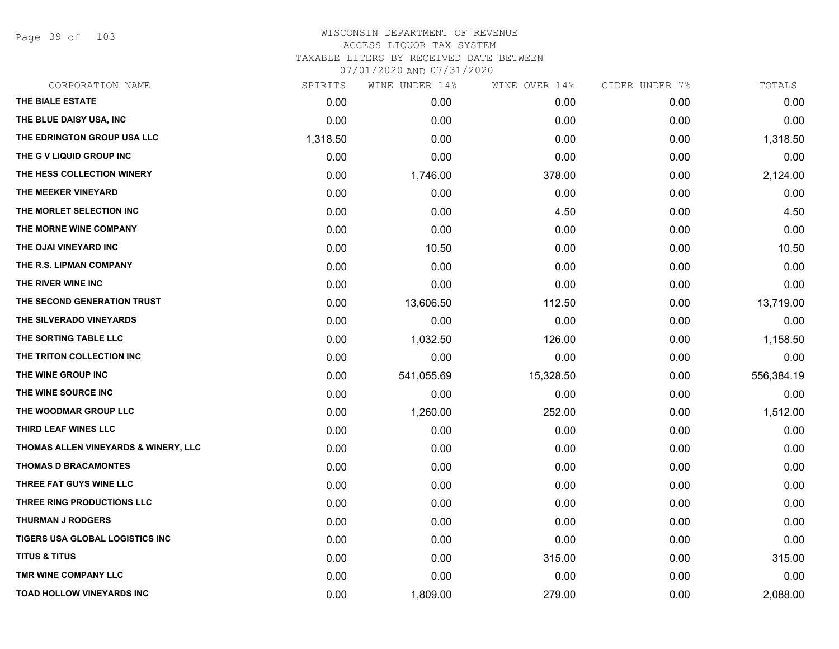Page 39 of 103

| CORPORATION NAME                     | SPIRITS  | WINE UNDER 14% | WINE OVER 14% | CIDER UNDER 7% | TOTALS     |
|--------------------------------------|----------|----------------|---------------|----------------|------------|
| THE BIALE ESTATE                     | 0.00     | 0.00           | 0.00          | 0.00           | 0.00       |
| THE BLUE DAISY USA, INC              | 0.00     | 0.00           | 0.00          | 0.00           | 0.00       |
| THE EDRINGTON GROUP USA LLC          | 1,318.50 | 0.00           | 0.00          | 0.00           | 1,318.50   |
| THE G V LIQUID GROUP INC             | 0.00     | 0.00           | 0.00          | 0.00           | 0.00       |
| THE HESS COLLECTION WINERY           | 0.00     | 1,746.00       | 378.00        | 0.00           | 2,124.00   |
| THE MEEKER VINEYARD                  | 0.00     | 0.00           | 0.00          | 0.00           | 0.00       |
| THE MORLET SELECTION INC             | 0.00     | 0.00           | 4.50          | 0.00           | 4.50       |
| THE MORNE WINE COMPANY               | 0.00     | 0.00           | 0.00          | 0.00           | 0.00       |
| THE OJAI VINEYARD INC                | 0.00     | 10.50          | 0.00          | 0.00           | 10.50      |
| THE R.S. LIPMAN COMPANY              | 0.00     | 0.00           | 0.00          | 0.00           | 0.00       |
| THE RIVER WINE INC                   | 0.00     | 0.00           | 0.00          | 0.00           | 0.00       |
| THE SECOND GENERATION TRUST          | 0.00     | 13,606.50      | 112.50        | 0.00           | 13,719.00  |
| THE SILVERADO VINEYARDS              | 0.00     | 0.00           | 0.00          | 0.00           | 0.00       |
| THE SORTING TABLE LLC                | 0.00     | 1,032.50       | 126.00        | 0.00           | 1,158.50   |
| THE TRITON COLLECTION INC            | 0.00     | 0.00           | 0.00          | 0.00           | 0.00       |
| THE WINE GROUP INC                   | 0.00     | 541,055.69     | 15,328.50     | 0.00           | 556,384.19 |
| THE WINE SOURCE INC                  | 0.00     | 0.00           | 0.00          | 0.00           | 0.00       |
| THE WOODMAR GROUP LLC                | 0.00     | 1,260.00       | 252.00        | 0.00           | 1,512.00   |
| THIRD LEAF WINES LLC                 | 0.00     | 0.00           | 0.00          | 0.00           | 0.00       |
| THOMAS ALLEN VINEYARDS & WINERY, LLC | 0.00     | 0.00           | 0.00          | 0.00           | 0.00       |
| <b>THOMAS D BRACAMONTES</b>          | 0.00     | 0.00           | 0.00          | 0.00           | 0.00       |
| THREE FAT GUYS WINE LLC              | 0.00     | 0.00           | 0.00          | 0.00           | 0.00       |
| THREE RING PRODUCTIONS LLC           | 0.00     | 0.00           | 0.00          | 0.00           | 0.00       |
| <b>THURMAN J RODGERS</b>             | 0.00     | 0.00           | 0.00          | 0.00           | 0.00       |
| TIGERS USA GLOBAL LOGISTICS INC      | 0.00     | 0.00           | 0.00          | 0.00           | 0.00       |
| <b>TITUS &amp; TITUS</b>             | 0.00     | 0.00           | 315.00        | 0.00           | 315.00     |
| TMR WINE COMPANY LLC                 | 0.00     | 0.00           | 0.00          | 0.00           | 0.00       |
| <b>TOAD HOLLOW VINEYARDS INC</b>     | 0.00     | 1,809.00       | 279.00        | 0.00           | 2,088.00   |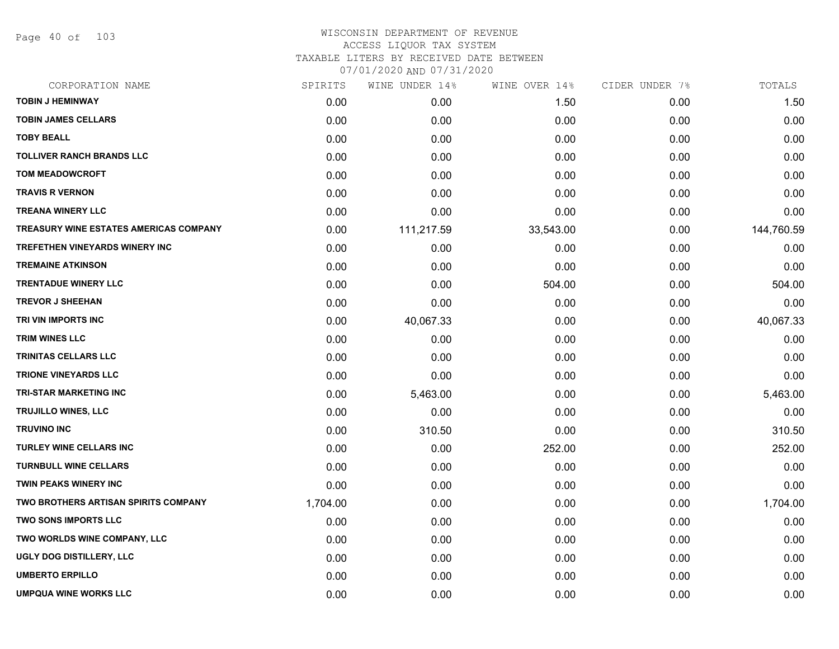Page 40 of 103

| CORPORATION NAME                       | SPIRITS  | WINE UNDER 14% | WINE OVER 14% | CIDER UNDER 7% | TOTALS     |
|----------------------------------------|----------|----------------|---------------|----------------|------------|
| <b>TOBIN J HEMINWAY</b>                | 0.00     | 0.00           | 1.50          | 0.00           | 1.50       |
| <b>TOBIN JAMES CELLARS</b>             | 0.00     | 0.00           | 0.00          | 0.00           | 0.00       |
| <b>TOBY BEALL</b>                      | 0.00     | 0.00           | 0.00          | 0.00           | 0.00       |
| <b>TOLLIVER RANCH BRANDS LLC</b>       | 0.00     | 0.00           | 0.00          | 0.00           | 0.00       |
| <b>TOM MEADOWCROFT</b>                 | 0.00     | 0.00           | 0.00          | 0.00           | 0.00       |
| <b>TRAVIS R VERNON</b>                 | 0.00     | 0.00           | 0.00          | 0.00           | 0.00       |
| <b>TREANA WINERY LLC</b>               | 0.00     | 0.00           | 0.00          | 0.00           | 0.00       |
| TREASURY WINE ESTATES AMERICAS COMPANY | 0.00     | 111,217.59     | 33,543.00     | 0.00           | 144,760.59 |
| <b>TREFETHEN VINEYARDS WINERY INC</b>  | 0.00     | 0.00           | 0.00          | 0.00           | 0.00       |
| <b>TREMAINE ATKINSON</b>               | 0.00     | 0.00           | 0.00          | 0.00           | 0.00       |
| <b>TRENTADUE WINERY LLC</b>            | 0.00     | 0.00           | 504.00        | 0.00           | 504.00     |
| <b>TREVOR J SHEEHAN</b>                | 0.00     | 0.00           | 0.00          | 0.00           | 0.00       |
| TRI VIN IMPORTS INC                    | 0.00     | 40,067.33      | 0.00          | 0.00           | 40,067.33  |
| <b>TRIM WINES LLC</b>                  | 0.00     | 0.00           | 0.00          | 0.00           | 0.00       |
| <b>TRINITAS CELLARS LLC</b>            | 0.00     | 0.00           | 0.00          | 0.00           | 0.00       |
| <b>TRIONE VINEYARDS LLC</b>            | 0.00     | 0.00           | 0.00          | 0.00           | 0.00       |
| <b>TRI-STAR MARKETING INC</b>          | 0.00     | 5,463.00       | 0.00          | 0.00           | 5,463.00   |
| TRUJILLO WINES, LLC                    | 0.00     | 0.00           | 0.00          | 0.00           | 0.00       |
| <b>TRUVINO INC</b>                     | 0.00     | 310.50         | 0.00          | 0.00           | 310.50     |
| <b>TURLEY WINE CELLARS INC</b>         | 0.00     | 0.00           | 252.00        | 0.00           | 252.00     |
| <b>TURNBULL WINE CELLARS</b>           | 0.00     | 0.00           | 0.00          | 0.00           | 0.00       |
| <b>TWIN PEAKS WINERY INC</b>           | 0.00     | 0.00           | 0.00          | 0.00           | 0.00       |
| TWO BROTHERS ARTISAN SPIRITS COMPANY   | 1,704.00 | 0.00           | 0.00          | 0.00           | 1,704.00   |
| <b>TWO SONS IMPORTS LLC</b>            | 0.00     | 0.00           | 0.00          | 0.00           | 0.00       |
| TWO WORLDS WINE COMPANY, LLC           | 0.00     | 0.00           | 0.00          | 0.00           | 0.00       |
| UGLY DOG DISTILLERY, LLC               | 0.00     | 0.00           | 0.00          | 0.00           | 0.00       |
| <b>UMBERTO ERPILLO</b>                 | 0.00     | 0.00           | 0.00          | 0.00           | 0.00       |
| <b>UMPQUA WINE WORKS LLC</b>           | 0.00     | 0.00           | 0.00          | 0.00           | 0.00       |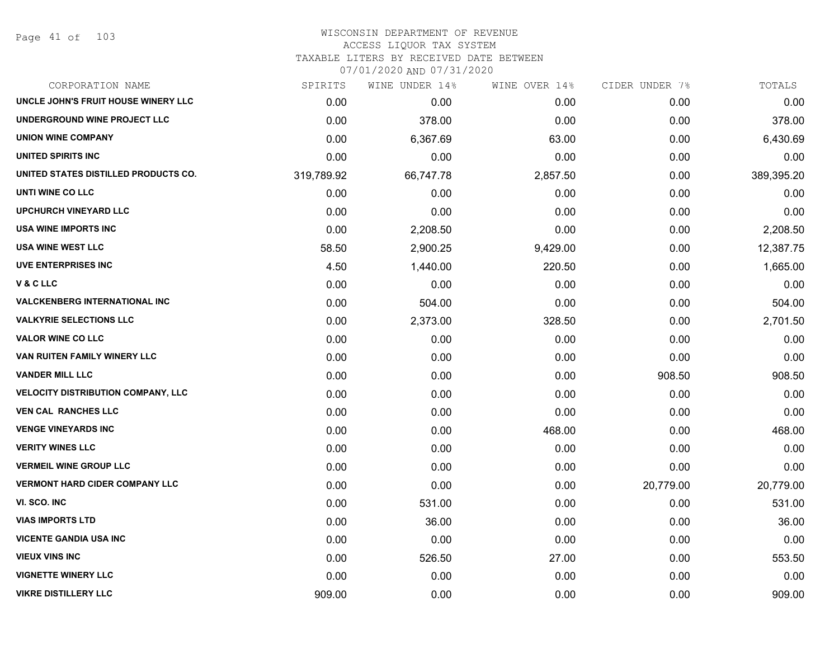Page 41 of 103

#### WISCONSIN DEPARTMENT OF REVENUE ACCESS LIQUOR TAX SYSTEM TAXABLE LITERS BY RECEIVED DATE BETWEEN

| CORPORATION NAME                          | SPIRITS    | WINE UNDER 14% | WINE OVER 14% | CIDER UNDER 7% | TOTALS     |
|-------------------------------------------|------------|----------------|---------------|----------------|------------|
| UNCLE JOHN'S FRUIT HOUSE WINERY LLC       | 0.00       | 0.00           | 0.00          | 0.00           | 0.00       |
| UNDERGROUND WINE PROJECT LLC              | 0.00       | 378.00         | 0.00          | 0.00           | 378.00     |
| <b>UNION WINE COMPANY</b>                 | 0.00       | 6,367.69       | 63.00         | 0.00           | 6,430.69   |
| UNITED SPIRITS INC                        | 0.00       | 0.00           | 0.00          | 0.00           | 0.00       |
| UNITED STATES DISTILLED PRODUCTS CO.      | 319,789.92 | 66,747.78      | 2,857.50      | 0.00           | 389,395.20 |
| UNTI WINE CO LLC                          | 0.00       | 0.00           | 0.00          | 0.00           | 0.00       |
| <b>UPCHURCH VINEYARD LLC</b>              | 0.00       | 0.00           | 0.00          | 0.00           | 0.00       |
| <b>USA WINE IMPORTS INC</b>               | 0.00       | 2,208.50       | 0.00          | 0.00           | 2,208.50   |
| <b>USA WINE WEST LLC</b>                  | 58.50      | 2,900.25       | 9,429.00      | 0.00           | 12,387.75  |
| <b>UVE ENTERPRISES INC</b>                | 4.50       | 1,440.00       | 220.50        | 0.00           | 1,665.00   |
| V & C LLC                                 | 0.00       | 0.00           | 0.00          | 0.00           | 0.00       |
| <b>VALCKENBERG INTERNATIONAL INC</b>      | 0.00       | 504.00         | 0.00          | 0.00           | 504.00     |
| <b>VALKYRIE SELECTIONS LLC</b>            | 0.00       | 2,373.00       | 328.50        | 0.00           | 2,701.50   |
| <b>VALOR WINE CO LLC</b>                  | 0.00       | 0.00           | 0.00          | 0.00           | 0.00       |
| VAN RUITEN FAMILY WINERY LLC              | 0.00       | 0.00           | 0.00          | 0.00           | 0.00       |
| <b>VANDER MILL LLC</b>                    | 0.00       | 0.00           | 0.00          | 908.50         | 908.50     |
| <b>VELOCITY DISTRIBUTION COMPANY, LLC</b> | 0.00       | 0.00           | 0.00          | 0.00           | 0.00       |
| <b>VEN CAL RANCHES LLC</b>                | 0.00       | 0.00           | 0.00          | 0.00           | 0.00       |
| <b>VENGE VINEYARDS INC</b>                | 0.00       | 0.00           | 468.00        | 0.00           | 468.00     |
| <b>VERITY WINES LLC</b>                   | 0.00       | 0.00           | 0.00          | 0.00           | 0.00       |
| <b>VERMEIL WINE GROUP LLC</b>             | 0.00       | 0.00           | 0.00          | 0.00           | 0.00       |
| <b>VERMONT HARD CIDER COMPANY LLC</b>     | 0.00       | 0.00           | 0.00          | 20,779.00      | 20,779.00  |
| VI. SCO. INC                              | 0.00       | 531.00         | 0.00          | 0.00           | 531.00     |
| <b>VIAS IMPORTS LTD</b>                   | 0.00       | 36.00          | 0.00          | 0.00           | 36.00      |
| <b>VICENTE GANDIA USA INC</b>             | 0.00       | 0.00           | 0.00          | 0.00           | 0.00       |
| <b>VIEUX VINS INC</b>                     | 0.00       | 526.50         | 27.00         | 0.00           | 553.50     |
| <b>VIGNETTE WINERY LLC</b>                | 0.00       | 0.00           | 0.00          | 0.00           | 0.00       |
| <b>VIKRE DISTILLERY LLC</b>               | 909.00     | 0.00           | 0.00          | 0.00           | 909.00     |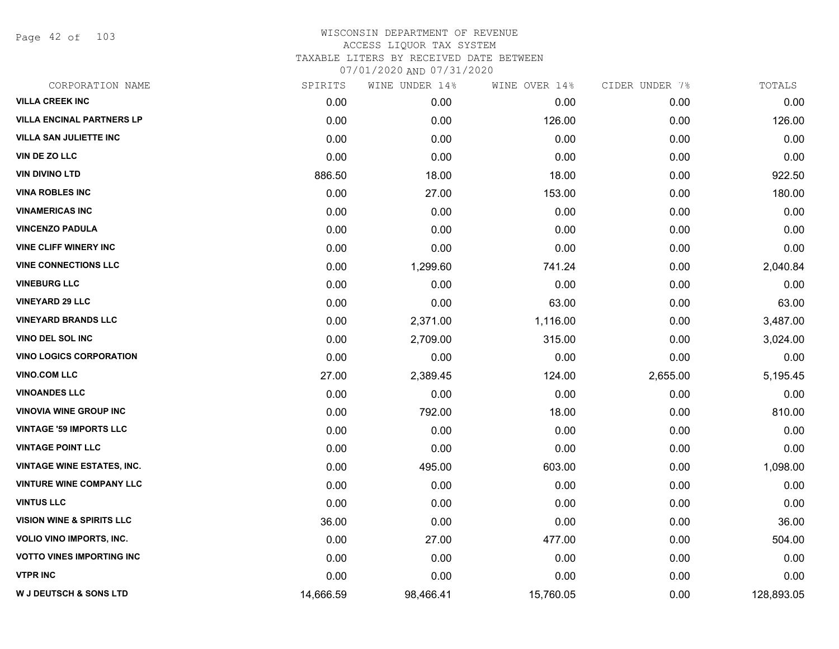Page 42 of 103

| CORPORATION NAME                     | SPIRITS   | WINE UNDER 14% | WINE OVER 14% | CIDER UNDER 7% | TOTALS     |
|--------------------------------------|-----------|----------------|---------------|----------------|------------|
| <b>VILLA CREEK INC</b>               | 0.00      | 0.00           | 0.00          | 0.00           | 0.00       |
| <b>VILLA ENCINAL PARTNERS LP</b>     | 0.00      | 0.00           | 126.00        | 0.00           | 126.00     |
| <b>VILLA SAN JULIETTE INC</b>        | 0.00      | 0.00           | 0.00          | 0.00           | 0.00       |
| VIN DE ZO LLC                        | 0.00      | 0.00           | 0.00          | 0.00           | 0.00       |
| <b>VIN DIVINO LTD</b>                | 886.50    | 18.00          | 18.00         | 0.00           | 922.50     |
| <b>VINA ROBLES INC</b>               | 0.00      | 27.00          | 153.00        | 0.00           | 180.00     |
| <b>VINAMERICAS INC</b>               | 0.00      | 0.00           | 0.00          | 0.00           | 0.00       |
| <b>VINCENZO PADULA</b>               | 0.00      | 0.00           | 0.00          | 0.00           | 0.00       |
| <b>VINE CLIFF WINERY INC</b>         | 0.00      | 0.00           | 0.00          | 0.00           | 0.00       |
| <b>VINE CONNECTIONS LLC</b>          | 0.00      | 1,299.60       | 741.24        | 0.00           | 2,040.84   |
| <b>VINEBURG LLC</b>                  | 0.00      | 0.00           | 0.00          | 0.00           | 0.00       |
| <b>VINEYARD 29 LLC</b>               | 0.00      | 0.00           | 63.00         | 0.00           | 63.00      |
| <b>VINEYARD BRANDS LLC</b>           | 0.00      | 2,371.00       | 1,116.00      | 0.00           | 3,487.00   |
| VINO DEL SOL INC                     | 0.00      | 2,709.00       | 315.00        | 0.00           | 3,024.00   |
| <b>VINO LOGICS CORPORATION</b>       | 0.00      | 0.00           | 0.00          | 0.00           | 0.00       |
| <b>VINO.COM LLC</b>                  | 27.00     | 2,389.45       | 124.00        | 2,655.00       | 5,195.45   |
| <b>VINOANDES LLC</b>                 | 0.00      | 0.00           | 0.00          | 0.00           | 0.00       |
| <b>VINOVIA WINE GROUP INC</b>        | 0.00      | 792.00         | 18.00         | 0.00           | 810.00     |
| <b>VINTAGE '59 IMPORTS LLC</b>       | 0.00      | 0.00           | 0.00          | 0.00           | 0.00       |
| <b>VINTAGE POINT LLC</b>             | 0.00      | 0.00           | 0.00          | 0.00           | 0.00       |
| <b>VINTAGE WINE ESTATES, INC.</b>    | 0.00      | 495.00         | 603.00        | 0.00           | 1,098.00   |
| <b>VINTURE WINE COMPANY LLC</b>      | 0.00      | 0.00           | 0.00          | 0.00           | 0.00       |
| <b>VINTUS LLC</b>                    | 0.00      | 0.00           | 0.00          | 0.00           | 0.00       |
| <b>VISION WINE &amp; SPIRITS LLC</b> | 36.00     | 0.00           | 0.00          | 0.00           | 36.00      |
| <b>VOLIO VINO IMPORTS, INC.</b>      | 0.00      | 27.00          | 477.00        | 0.00           | 504.00     |
| <b>VOTTO VINES IMPORTING INC</b>     | 0.00      | 0.00           | 0.00          | 0.00           | 0.00       |
| <b>VTPR INC</b>                      | 0.00      | 0.00           | 0.00          | 0.00           | 0.00       |
| <b>W J DEUTSCH &amp; SONS LTD</b>    | 14,666.59 | 98,466.41      | 15,760.05     | 0.00           | 128,893.05 |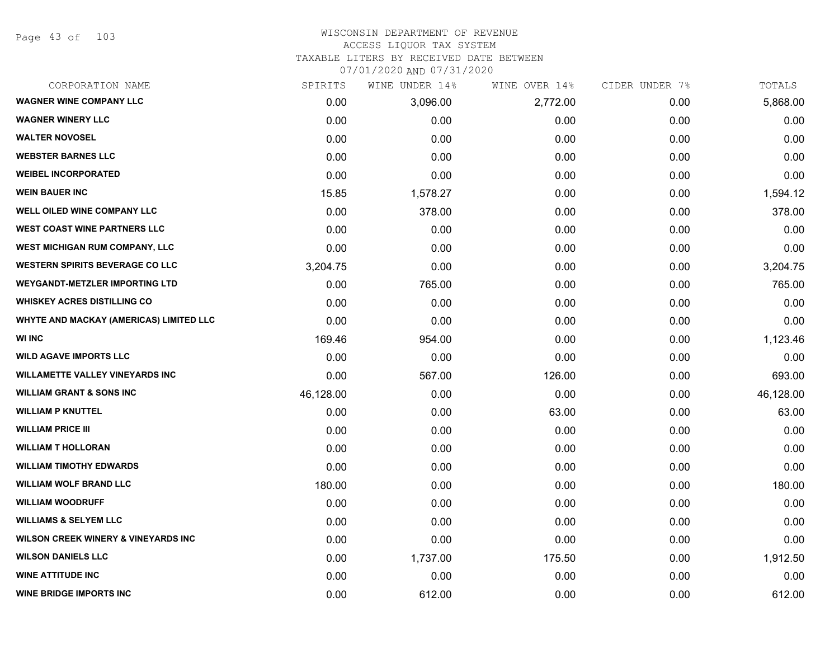Page 43 of 103

#### WISCONSIN DEPARTMENT OF REVENUE ACCESS LIQUOR TAX SYSTEM

TAXABLE LITERS BY RECEIVED DATE BETWEEN

| CORPORATION NAME                               | SPIRITS   | WINE UNDER 14% | WINE OVER 14% | CIDER UNDER 7% | TOTALS    |
|------------------------------------------------|-----------|----------------|---------------|----------------|-----------|
| <b>WAGNER WINE COMPANY LLC</b>                 | 0.00      | 3,096.00       | 2,772.00      | 0.00           | 5,868.00  |
| <b>WAGNER WINERY LLC</b>                       | 0.00      | 0.00           | 0.00          | 0.00           | 0.00      |
| <b>WALTER NOVOSEL</b>                          | 0.00      | 0.00           | 0.00          | 0.00           | 0.00      |
| <b>WEBSTER BARNES LLC</b>                      | 0.00      | 0.00           | 0.00          | 0.00           | 0.00      |
| <b>WEIBEL INCORPORATED</b>                     | 0.00      | 0.00           | 0.00          | 0.00           | 0.00      |
| <b>WEIN BAUER INC</b>                          | 15.85     | 1,578.27       | 0.00          | 0.00           | 1,594.12  |
| WELL OILED WINE COMPANY LLC                    | 0.00      | 378.00         | 0.00          | 0.00           | 378.00    |
| <b>WEST COAST WINE PARTNERS LLC</b>            | 0.00      | 0.00           | 0.00          | 0.00           | 0.00      |
| WEST MICHIGAN RUM COMPANY, LLC                 | 0.00      | 0.00           | 0.00          | 0.00           | 0.00      |
| <b>WESTERN SPIRITS BEVERAGE CO LLC</b>         | 3,204.75  | 0.00           | 0.00          | 0.00           | 3,204.75  |
| <b>WEYGANDT-METZLER IMPORTING LTD</b>          | 0.00      | 765.00         | 0.00          | 0.00           | 765.00    |
| <b>WHISKEY ACRES DISTILLING CO</b>             | 0.00      | 0.00           | 0.00          | 0.00           | 0.00      |
| WHYTE AND MACKAY (AMERICAS) LIMITED LLC        | 0.00      | 0.00           | 0.00          | 0.00           | 0.00      |
| <b>WI INC</b>                                  | 169.46    | 954.00         | 0.00          | 0.00           | 1,123.46  |
| <b>WILD AGAVE IMPORTS LLC</b>                  | 0.00      | 0.00           | 0.00          | 0.00           | 0.00      |
| <b>WILLAMETTE VALLEY VINEYARDS INC</b>         | 0.00      | 567.00         | 126.00        | 0.00           | 693.00    |
| <b>WILLIAM GRANT &amp; SONS INC</b>            | 46,128.00 | 0.00           | 0.00          | 0.00           | 46,128.00 |
| <b>WILLIAM P KNUTTEL</b>                       | 0.00      | 0.00           | 63.00         | 0.00           | 63.00     |
| <b>WILLIAM PRICE III</b>                       | 0.00      | 0.00           | 0.00          | 0.00           | 0.00      |
| <b>WILLIAM T HOLLORAN</b>                      | 0.00      | 0.00           | 0.00          | 0.00           | 0.00      |
| <b>WILLIAM TIMOTHY EDWARDS</b>                 | 0.00      | 0.00           | 0.00          | 0.00           | 0.00      |
| <b>WILLIAM WOLF BRAND LLC</b>                  | 180.00    | 0.00           | 0.00          | 0.00           | 180.00    |
| <b>WILLIAM WOODRUFF</b>                        | 0.00      | 0.00           | 0.00          | 0.00           | 0.00      |
| <b>WILLIAMS &amp; SELYEM LLC</b>               | 0.00      | 0.00           | 0.00          | 0.00           | 0.00      |
| <b>WILSON CREEK WINERY &amp; VINEYARDS INC</b> | 0.00      | 0.00           | 0.00          | 0.00           | 0.00      |
| <b>WILSON DANIELS LLC</b>                      | 0.00      | 1,737.00       | 175.50        | 0.00           | 1,912.50  |
| <b>WINE ATTITUDE INC</b>                       | 0.00      | 0.00           | 0.00          | 0.00           | 0.00      |
| <b>WINE BRIDGE IMPORTS INC</b>                 | 0.00      | 612.00         | 0.00          | 0.00           | 612.00    |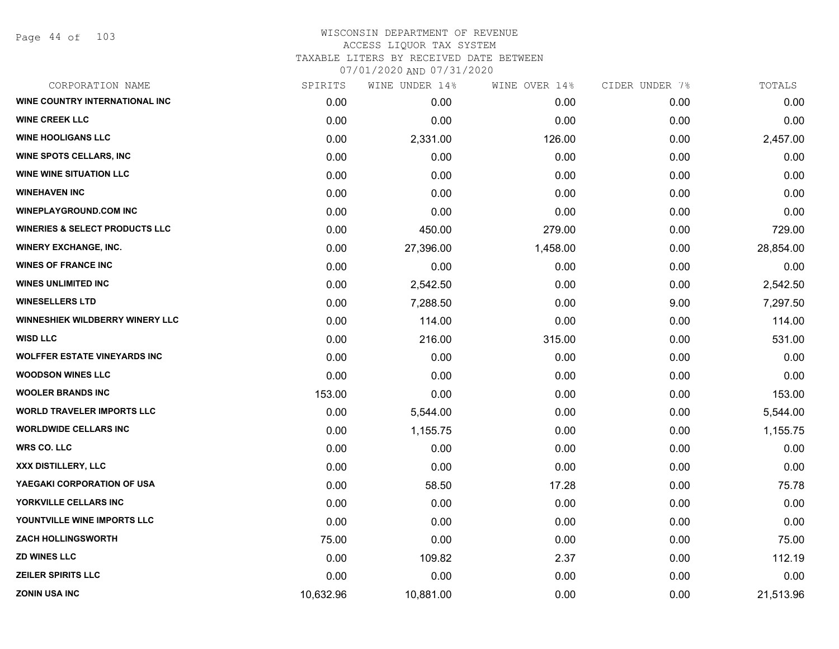Page 44 of 103

| CORPORATION NAME                          | SPIRITS   | WINE UNDER 14% | WINE OVER 14% | CIDER UNDER 7% | TOTALS    |
|-------------------------------------------|-----------|----------------|---------------|----------------|-----------|
| WINE COUNTRY INTERNATIONAL INC            | 0.00      | 0.00           | 0.00          | 0.00           | 0.00      |
| <b>WINE CREEK LLC</b>                     | 0.00      | 0.00           | 0.00          | 0.00           | 0.00      |
| <b>WINE HOOLIGANS LLC</b>                 | 0.00      | 2,331.00       | 126.00        | 0.00           | 2,457.00  |
| <b>WINE SPOTS CELLARS, INC</b>            | 0.00      | 0.00           | 0.00          | 0.00           | 0.00      |
| <b>WINE WINE SITUATION LLC</b>            | 0.00      | 0.00           | 0.00          | 0.00           | 0.00      |
| <b>WINEHAVEN INC</b>                      | 0.00      | 0.00           | 0.00          | 0.00           | 0.00      |
| <b>WINEPLAYGROUND.COM INC</b>             | 0.00      | 0.00           | 0.00          | 0.00           | 0.00      |
| <b>WINERIES &amp; SELECT PRODUCTS LLC</b> | 0.00      | 450.00         | 279.00        | 0.00           | 729.00    |
| <b>WINERY EXCHANGE, INC.</b>              | 0.00      | 27,396.00      | 1,458.00      | 0.00           | 28,854.00 |
| <b>WINES OF FRANCE INC</b>                | 0.00      | 0.00           | 0.00          | 0.00           | 0.00      |
| <b>WINES UNLIMITED INC</b>                | 0.00      | 2,542.50       | 0.00          | 0.00           | 2,542.50  |
| <b>WINESELLERS LTD</b>                    | 0.00      | 7,288.50       | 0.00          | 9.00           | 7,297.50  |
| WINNESHIEK WILDBERRY WINERY LLC           | 0.00      | 114.00         | 0.00          | 0.00           | 114.00    |
| <b>WISD LLC</b>                           | 0.00      | 216.00         | 315.00        | 0.00           | 531.00    |
| <b>WOLFFER ESTATE VINEYARDS INC</b>       | 0.00      | 0.00           | 0.00          | 0.00           | 0.00      |
| <b>WOODSON WINES LLC</b>                  | 0.00      | 0.00           | 0.00          | 0.00           | 0.00      |
| <b>WOOLER BRANDS INC</b>                  | 153.00    | 0.00           | 0.00          | 0.00           | 153.00    |
| <b>WORLD TRAVELER IMPORTS LLC</b>         | 0.00      | 5,544.00       | 0.00          | 0.00           | 5,544.00  |
| <b>WORLDWIDE CELLARS INC</b>              | 0.00      | 1,155.75       | 0.00          | 0.00           | 1,155.75  |
| <b>WRS CO. LLC</b>                        | 0.00      | 0.00           | 0.00          | 0.00           | 0.00      |
| XXX DISTILLERY, LLC                       | 0.00      | 0.00           | 0.00          | 0.00           | 0.00      |
| YAEGAKI CORPORATION OF USA                | 0.00      | 58.50          | 17.28         | 0.00           | 75.78     |
| YORKVILLE CELLARS INC                     | 0.00      | 0.00           | 0.00          | 0.00           | 0.00      |
| YOUNTVILLE WINE IMPORTS LLC               | 0.00      | 0.00           | 0.00          | 0.00           | 0.00      |
| <b>ZACH HOLLINGSWORTH</b>                 | 75.00     | 0.00           | 0.00          | 0.00           | 75.00     |
| <b>ZD WINES LLC</b>                       | 0.00      | 109.82         | 2.37          | 0.00           | 112.19    |
| <b>ZEILER SPIRITS LLC</b>                 | 0.00      | 0.00           | 0.00          | 0.00           | 0.00      |
| <b>ZONIN USA INC</b>                      | 10,632.96 | 10,881.00      | 0.00          | 0.00           | 21,513.96 |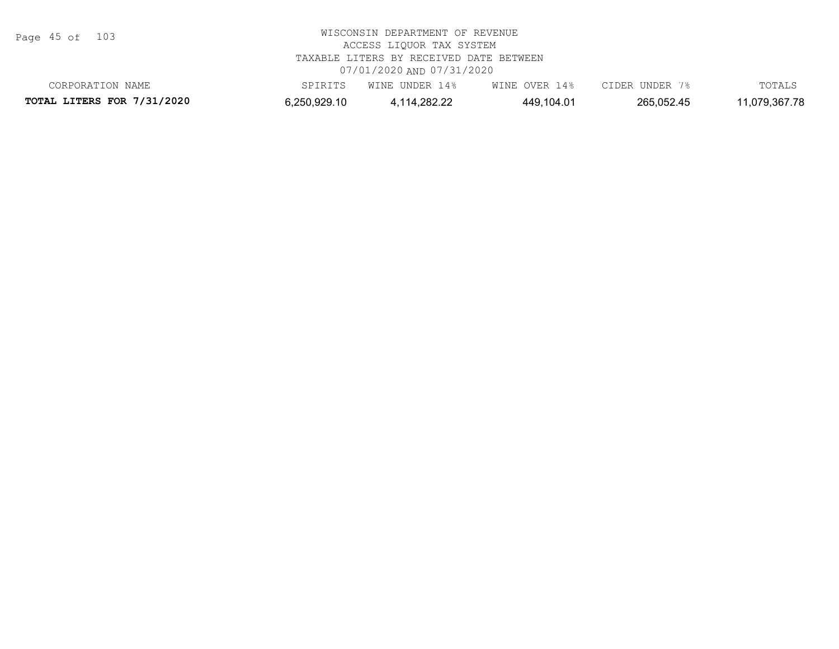Page 45 of 103

| CORPORATION NAME                  | SPIRITS      | WINE UNDER 14% | WINE OVER 14% | CIDER UNDER 7% | TOTALS        |
|-----------------------------------|--------------|----------------|---------------|----------------|---------------|
| <b>TOTAL LITERS FOR 7/31/2020</b> | 6,250,929.10 | 4,114,282.22   | 449,104.01    | 265,052.45     | 11,079,367.78 |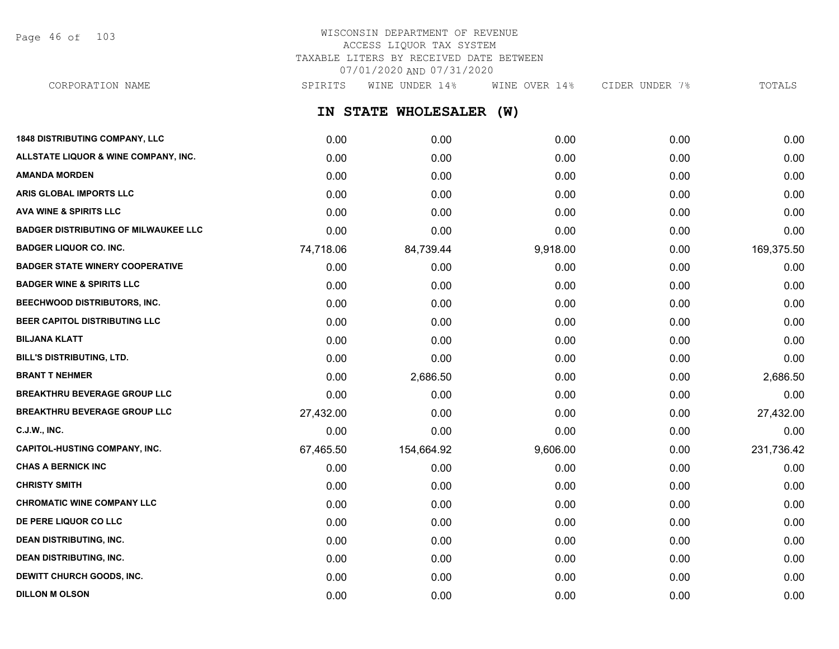Page 46 of 103

## WISCONSIN DEPARTMENT OF REVENUE ACCESS LIQUOR TAX SYSTEM TAXABLE LITERS BY RECEIVED DATE BETWEEN 07/01/2020 AND 07/31/2020

**IN STATE WHOLESALER (W) 1848 DISTRIBUTING COMPANY, LLC** 0.00 0.00 0.00 0.00 0.00 **ALLSTATE LIQUOR & WINE COMPANY, INC.** 0.00 0.00 0.00 0.00 0.00 **AMANDA MORDEN** 0.00 0.00 0.00 0.00 0.00 **ARIS GLOBAL IMPORTS LLC** 0.00 0.00 0.00 0.00 0.00 **AVA WINE & SPIRITS LLC** 0.00 0.00 0.00 0.00 0.00 **BADGER DISTRIBUTING OF MILWAUKEE LLC** 0.00 0.00 0.00 0.00 0.00 **BADGER LIQUOR CO. INC.** 74,718.06 84,739.44 9,918.00 0.00 169,375.50 **BADGER STATE WINERY COOPERATIVE** 0.00 0.00 0.00 0.00 0.00 **BADGER WINE & SPIRITS LLC** 0.00 0.00 0.00 0.00 0.00 **BEECHWOOD DISTRIBUTORS, INC.** 0.00 0.00 0.00 0.00 0.00 **BEER CAPITOL DISTRIBUTING LLC** 0.00 0.00 0.00 0.00 0.00 **BILJANA KLATT** 0.00 0.00 0.00 0.00 0.00 **BILL'S DISTRIBUTING, LTD.** 0.00 0.00 0.00 0.00 0.00 **BRANT T NEHMER** 0.00 2,686.50 0.00 0.00 2,686.50 **BREAKTHRU BEVERAGE GROUP LLC**  $0.00$   $0.00$   $0.00$   $0.00$   $0.00$   $0.00$   $0.00$   $0.00$   $0.00$   $0.00$   $0.00$   $0.00$   $0.00$   $0.00$   $0.00$   $0.00$   $0.00$   $0.00$   $0.00$   $0.00$   $0.00$   $0.00$   $0.00$   $0.00$   $0.00$   $0.00$   $0.00$   $0$ **BREAKTHRU BEVERAGE GROUP LLC** 27,432.00 0.00 0.00 0.00 27,432.00 **C.J.W., INC.** 6.00 **0.00 0.00 0.00 0.00 0.00 0.00 0.00 0.00 0.00 0.00 0.00 0.00 0.00 0.00 CAPITOL-HUSTING COMPANY, INC.** 67,465.50 154,664.92 9,606.00 0.00 231,736.42 **CHAS A BERNICK INC** 0.00 0.00 0.00 0.00 0.00 **CHRISTY SMITH** 0.00 0.00 0.00 0.00 0.00 **CHROMATIC WINE COMPANY LLC** 0.00 0.00 0.00 0.00 0.00 **DE PERE LIQUOR CO LLC** 0.00 0.00 0.00 0.00 0.00 **DEAN DISTRIBUTING, INC.** 0.00 0.00 0.00 0.00 0.00 **DEAN DISTRIBUTING, INC.** 0.00 0.00 0.00 0.00 0.00 **DEWITT CHURCH GOODS, INC.** 0.00 0.00 0.00 0.00 0.00 CORPORATION NAME SPIRITS WINE UNDER 14% WINE OVER 14% CIDER UNDER 7% TOTALS

**DILLON M OLSON** 0.00 0.00 0.00 0.00 0.00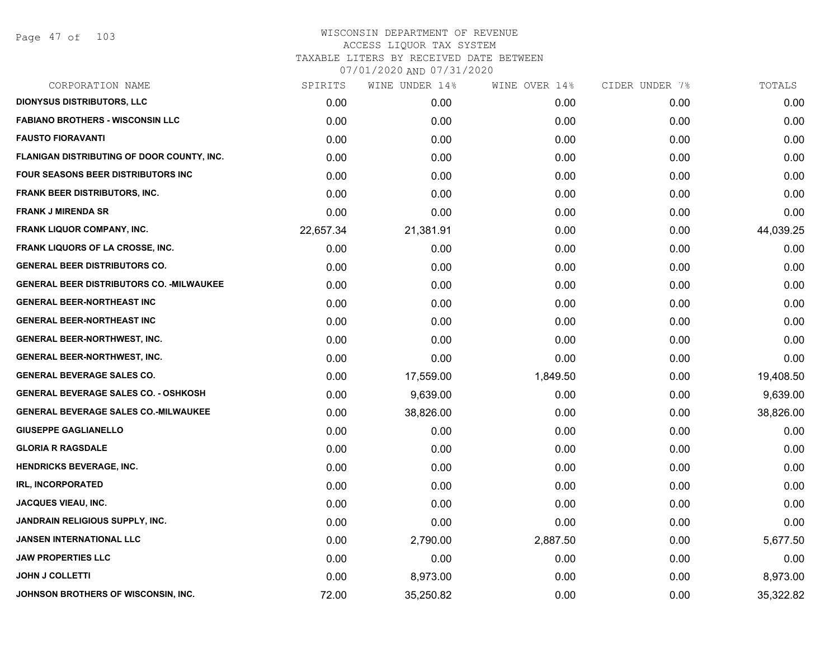| CORPORATION NAME                                 | SPIRITS   | WINE UNDER 14% | WINE OVER 14% | CIDER UNDER 7% | TOTALS    |
|--------------------------------------------------|-----------|----------------|---------------|----------------|-----------|
| <b>DIONYSUS DISTRIBUTORS, LLC</b>                | 0.00      | 0.00           | 0.00          | 0.00           | 0.00      |
| <b>FABIANO BROTHERS - WISCONSIN LLC</b>          | 0.00      | 0.00           | 0.00          | 0.00           | 0.00      |
| <b>FAUSTO FIORAVANTI</b>                         | 0.00      | 0.00           | 0.00          | 0.00           | 0.00      |
| FLANIGAN DISTRIBUTING OF DOOR COUNTY, INC.       | 0.00      | 0.00           | 0.00          | 0.00           | 0.00      |
| FOUR SEASONS BEER DISTRIBUTORS INC               | 0.00      | 0.00           | 0.00          | 0.00           | 0.00      |
| <b>FRANK BEER DISTRIBUTORS, INC.</b>             | 0.00      | 0.00           | 0.00          | 0.00           | 0.00      |
| <b>FRANK J MIRENDA SR</b>                        | 0.00      | 0.00           | 0.00          | 0.00           | 0.00      |
| <b>FRANK LIQUOR COMPANY, INC.</b>                | 22,657.34 | 21,381.91      | 0.00          | 0.00           | 44,039.25 |
| <b>FRANK LIQUORS OF LA CROSSE, INC.</b>          | 0.00      | 0.00           | 0.00          | 0.00           | 0.00      |
| <b>GENERAL BEER DISTRIBUTORS CO.</b>             | 0.00      | 0.00           | 0.00          | 0.00           | 0.00      |
| <b>GENERAL BEER DISTRIBUTORS CO. - MILWAUKEE</b> | 0.00      | 0.00           | 0.00          | 0.00           | 0.00      |
| <b>GENERAL BEER-NORTHEAST INC</b>                | 0.00      | 0.00           | 0.00          | 0.00           | 0.00      |
| <b>GENERAL BEER-NORTHEAST INC</b>                | 0.00      | 0.00           | 0.00          | 0.00           | 0.00      |
| <b>GENERAL BEER-NORTHWEST, INC.</b>              | 0.00      | 0.00           | 0.00          | 0.00           | 0.00      |
| <b>GENERAL BEER-NORTHWEST, INC.</b>              | 0.00      | 0.00           | 0.00          | 0.00           | 0.00      |
| <b>GENERAL BEVERAGE SALES CO.</b>                | 0.00      | 17,559.00      | 1,849.50      | 0.00           | 19,408.50 |
| <b>GENERAL BEVERAGE SALES CO. - OSHKOSH</b>      | 0.00      | 9,639.00       | 0.00          | 0.00           | 9,639.00  |
| <b>GENERAL BEVERAGE SALES CO.-MILWAUKEE</b>      | 0.00      | 38,826.00      | 0.00          | 0.00           | 38,826.00 |
| <b>GIUSEPPE GAGLIANELLO</b>                      | 0.00      | 0.00           | 0.00          | 0.00           | 0.00      |
| <b>GLORIA R RAGSDALE</b>                         | 0.00      | 0.00           | 0.00          | 0.00           | 0.00      |
| <b>HENDRICKS BEVERAGE, INC.</b>                  | 0.00      | 0.00           | 0.00          | 0.00           | 0.00      |
| <b>IRL, INCORPORATED</b>                         | 0.00      | 0.00           | 0.00          | 0.00           | 0.00      |
| <b>JACQUES VIEAU, INC.</b>                       | 0.00      | 0.00           | 0.00          | 0.00           | 0.00      |
| JANDRAIN RELIGIOUS SUPPLY, INC.                  | 0.00      | 0.00           | 0.00          | 0.00           | 0.00      |
| JANSEN INTERNATIONAL LLC                         | 0.00      | 2,790.00       | 2,887.50      | 0.00           | 5,677.50  |
| <b>JAW PROPERTIES LLC</b>                        | 0.00      | 0.00           | 0.00          | 0.00           | 0.00      |
| <b>JOHN J COLLETTI</b>                           | 0.00      | 8,973.00       | 0.00          | 0.00           | 8,973.00  |
| JOHNSON BROTHERS OF WISCONSIN, INC.              | 72.00     | 35,250.82      | 0.00          | 0.00           | 35,322.82 |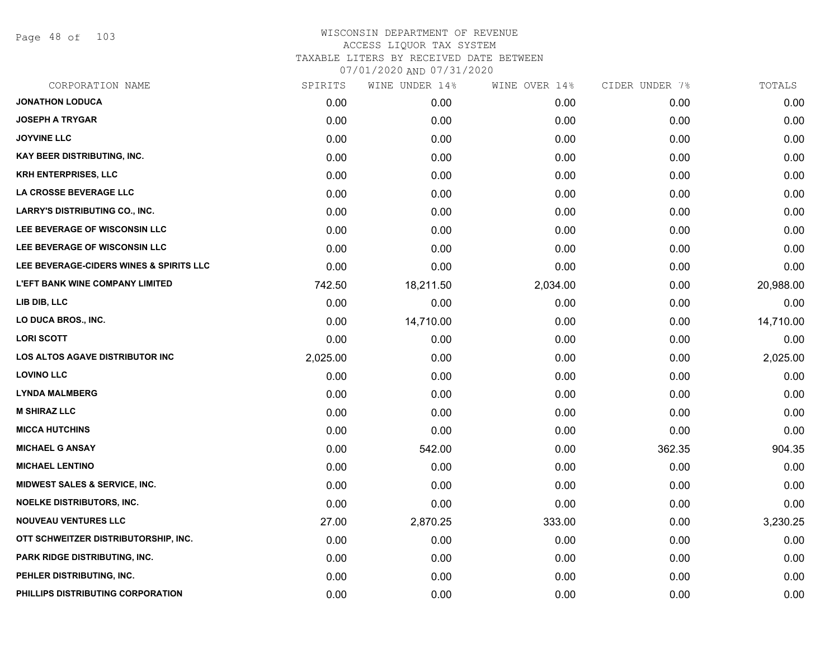Page 48 of 103

| SPIRITS  | WINE UNDER 14% |          | CIDER UNDER 7% | TOTALS    |
|----------|----------------|----------|----------------|-----------|
| 0.00     | 0.00           | 0.00     | 0.00           | 0.00      |
| 0.00     | 0.00           | 0.00     | 0.00           | 0.00      |
| 0.00     | 0.00           | 0.00     | 0.00           | 0.00      |
| 0.00     | 0.00           | 0.00     | 0.00           | 0.00      |
| 0.00     | 0.00           | 0.00     | 0.00           | 0.00      |
| 0.00     | 0.00           | 0.00     | 0.00           | 0.00      |
| 0.00     | 0.00           | 0.00     | 0.00           | 0.00      |
| 0.00     | 0.00           | 0.00     | 0.00           | 0.00      |
| 0.00     | 0.00           | 0.00     | 0.00           | 0.00      |
| 0.00     | 0.00           | 0.00     | 0.00           | 0.00      |
| 742.50   | 18,211.50      | 2,034.00 | 0.00           | 20,988.00 |
| 0.00     | 0.00           | 0.00     | 0.00           | 0.00      |
| 0.00     | 14,710.00      | 0.00     | 0.00           | 14,710.00 |
| 0.00     | 0.00           | 0.00     | 0.00           | 0.00      |
| 2,025.00 | 0.00           | 0.00     | 0.00           | 2,025.00  |
| 0.00     | 0.00           | 0.00     | 0.00           | 0.00      |
| 0.00     | 0.00           | 0.00     | 0.00           | 0.00      |
| 0.00     | 0.00           | 0.00     | 0.00           | 0.00      |
| 0.00     | 0.00           | 0.00     | 0.00           | 0.00      |
| 0.00     | 542.00         | 0.00     | 362.35         | 904.35    |
| 0.00     | 0.00           | 0.00     | 0.00           | 0.00      |
| 0.00     | 0.00           | 0.00     | 0.00           | 0.00      |
| 0.00     | 0.00           | 0.00     | 0.00           | 0.00      |
| 27.00    | 2,870.25       | 333.00   | 0.00           | 3,230.25  |
| 0.00     | 0.00           | 0.00     | 0.00           | 0.00      |
| 0.00     | 0.00           | 0.00     | 0.00           | 0.00      |
| 0.00     | 0.00           | 0.00     | 0.00           | 0.00      |
| 0.00     | 0.00           | 0.00     | 0.00           | 0.00      |
|          |                |          | WINE OVER 14%  |           |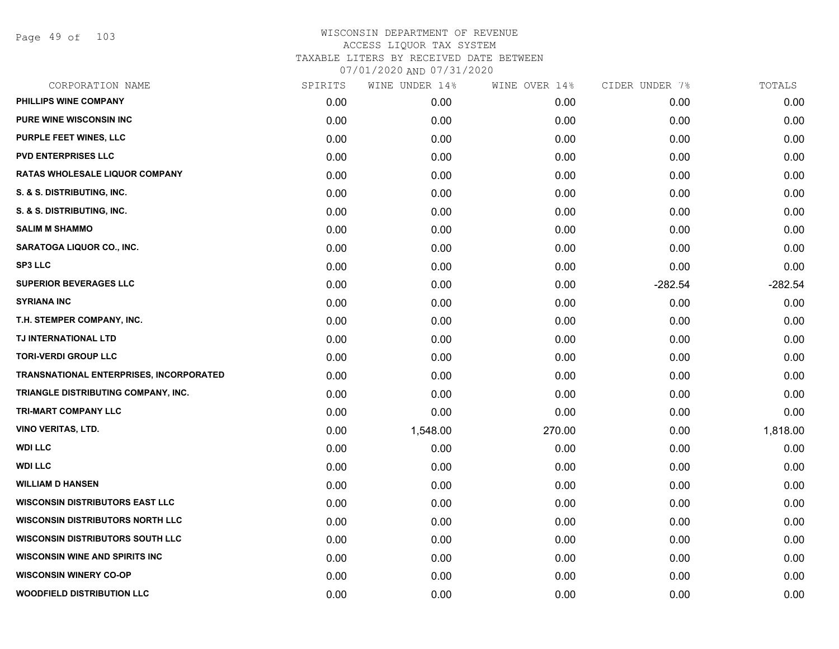Page 49 of 103

| CORPORATION NAME                        | SPIRITS | WINE UNDER 14% | WINE OVER 14% | CIDER UNDER 7% | TOTALS    |
|-----------------------------------------|---------|----------------|---------------|----------------|-----------|
| PHILLIPS WINE COMPANY                   | 0.00    | 0.00           | 0.00          | 0.00           | 0.00      |
| <b>PURE WINE WISCONSIN INC</b>          | 0.00    | 0.00           | 0.00          | 0.00           | 0.00      |
| PURPLE FEET WINES, LLC                  | 0.00    | 0.00           | 0.00          | 0.00           | 0.00      |
| <b>PVD ENTERPRISES LLC</b>              | 0.00    | 0.00           | 0.00          | 0.00           | 0.00      |
| RATAS WHOLESALE LIQUOR COMPANY          | 0.00    | 0.00           | 0.00          | 0.00           | 0.00      |
| S. & S. DISTRIBUTING, INC.              | 0.00    | 0.00           | 0.00          | 0.00           | 0.00      |
| S. & S. DISTRIBUTING, INC.              | 0.00    | 0.00           | 0.00          | 0.00           | 0.00      |
| <b>SALIM M SHAMMO</b>                   | 0.00    | 0.00           | 0.00          | 0.00           | 0.00      |
| SARATOGA LIQUOR CO., INC.               | 0.00    | 0.00           | 0.00          | 0.00           | 0.00      |
| <b>SP3 LLC</b>                          | 0.00    | 0.00           | 0.00          | 0.00           | 0.00      |
| <b>SUPERIOR BEVERAGES LLC</b>           | 0.00    | 0.00           | 0.00          | $-282.54$      | $-282.54$ |
| <b>SYRIANA INC</b>                      | 0.00    | 0.00           | 0.00          | 0.00           | 0.00      |
| T.H. STEMPER COMPANY, INC.              | 0.00    | 0.00           | 0.00          | 0.00           | 0.00      |
| TJ INTERNATIONAL LTD                    | 0.00    | 0.00           | 0.00          | 0.00           | 0.00      |
| <b>TORI-VERDI GROUP LLC</b>             | 0.00    | 0.00           | 0.00          | 0.00           | 0.00      |
| TRANSNATIONAL ENTERPRISES, INCORPORATED | 0.00    | 0.00           | 0.00          | 0.00           | 0.00      |
| TRIANGLE DISTRIBUTING COMPANY, INC.     | 0.00    | 0.00           | 0.00          | 0.00           | 0.00      |
| <b>TRI-MART COMPANY LLC</b>             | 0.00    | 0.00           | 0.00          | 0.00           | 0.00      |
| <b>VINO VERITAS, LTD.</b>               | 0.00    | 1,548.00       | 270.00        | 0.00           | 1,818.00  |
| <b>WDI LLC</b>                          | 0.00    | 0.00           | 0.00          | 0.00           | 0.00      |
| <b>WDI LLC</b>                          | 0.00    | 0.00           | 0.00          | 0.00           | 0.00      |
| <b>WILLIAM D HANSEN</b>                 | 0.00    | 0.00           | 0.00          | 0.00           | 0.00      |
| <b>WISCONSIN DISTRIBUTORS EAST LLC</b>  | 0.00    | 0.00           | 0.00          | 0.00           | 0.00      |
| <b>WISCONSIN DISTRIBUTORS NORTH LLC</b> | 0.00    | 0.00           | 0.00          | 0.00           | 0.00      |
| <b>WISCONSIN DISTRIBUTORS SOUTH LLC</b> | 0.00    | 0.00           | 0.00          | 0.00           | 0.00      |
| <b>WISCONSIN WINE AND SPIRITS INC</b>   | 0.00    | 0.00           | 0.00          | 0.00           | 0.00      |
| <b>WISCONSIN WINERY CO-OP</b>           | 0.00    | 0.00           | 0.00          | 0.00           | 0.00      |
| <b>WOODFIELD DISTRIBUTION LLC</b>       | 0.00    | 0.00           | 0.00          | 0.00           | 0.00      |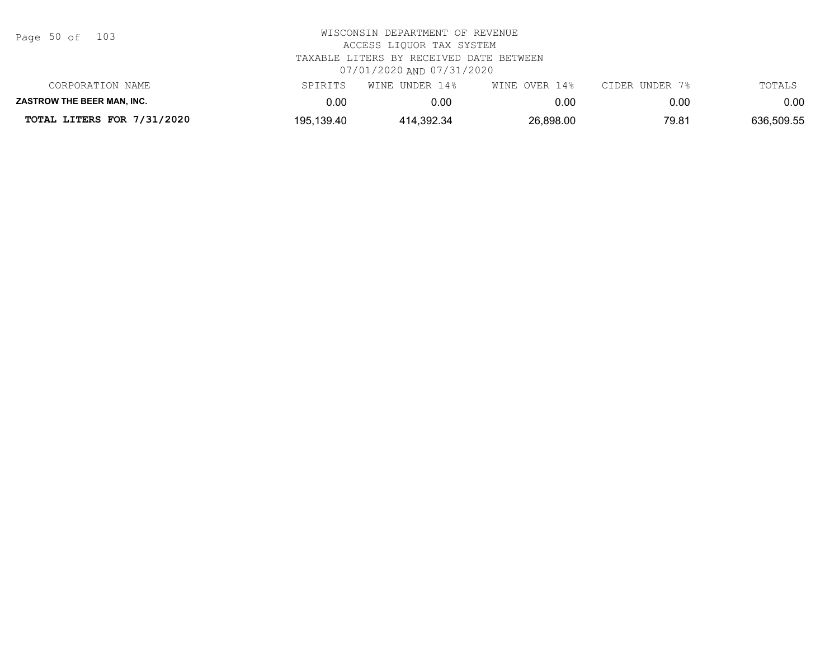| Page 50 of |  |  | 103 |
|------------|--|--|-----|
|------------|--|--|-----|

| CORPORATION NAME                  | SPIRITS    | WINE UNDER 14% | WINE OVER 14% | CIDER UNDER 7% | TOTALS     |
|-----------------------------------|------------|----------------|---------------|----------------|------------|
| <b>ZASTROW THE BEER MAN. INC.</b> | 0.00       | 0.00           | 0.00          | 0.00           | $0.00\,$   |
| TOTAL LITERS FOR 7/31/2020        | 195,139.40 | 414,392.34     | 26,898.00     | 79.81          | 636,509.55 |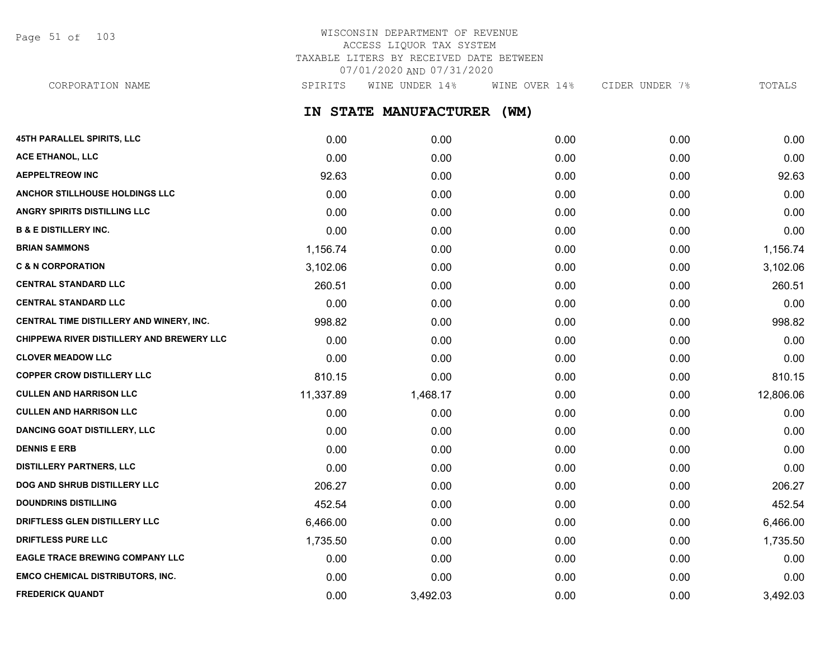Page 51 of 103

## WISCONSIN DEPARTMENT OF REVENUE ACCESS LIQUOR TAX SYSTEM TAXABLE LITERS BY RECEIVED DATE BETWEEN 07/01/2020 AND 07/31/2020

**IN STATE MANUFACTURER (WM) 45TH PARALLEL SPIRITS, LLC** 0.00 0.00 0.00 0.00 0.00 **ACE ETHANOL, LLC** 0.00 0.00 0.00 0.00 0.00 **AEPPELTREOW INC** 92.63 0.00 0.00 0.00 92.63 **ANCHOR STILLHOUSE HOLDINGS LLC** 0.00 0.00 0.00 0.00 0.00 **ANGRY SPIRITS DISTILLING LLC** 0.00 0.00 0.00 0.00 0.00 **B & E DISTILLERY INC.** 0.00 0.00 0.00 0.00 0.00 **BRIAN SAMMONS** 1,156.74 0.00 0.00 0.00 1,156.74 **C & N CORPORATION CONSTRUCTED ASSESSED AS A CORPORATION CONSTRUCTED AS A CORPORATION CONSTRUCTED AS A CORPORATION CENTRAL STANDARD LLC** 260.51 0.00 0.00 0.00 260.51 **CENTRAL STANDARD LLC** 0.00 0.00 0.00 0.00 0.00 **CENTRAL TIME DISTILLERY AND WINERY, INC.**  $998.82$  0.00 0.00 0.00 0.00 0.00 0.00 998.82 **CHIPPEWA RIVER DISTILLERY AND BREWERY LLC** 0.00 0.00 0.00 0.00 0.00 **CLOVER MEADOW LLC** 0.00 0.00 0.00 0.00 0.00 **COPPER CROW DISTILLERY LLC** 810.15 810.15 810.15 810.00 0.00 0.00 0.00 0.00 0.00 0.00 810.15 **CULLEN AND HARRISON LLC** 11,337.89 1,468.17 0.00 0.00 12,806.06 **CULLEN AND HARRISON LLC** 0.00 0.00 0.00 0.00 0.00 **DANCING GOAT DISTILLERY, LLC** 0.00 0.00 0.00 0.00 0.00 **DENNIS E ERB** 0.00 0.00 0.00 0.00 0.00 **DISTILLERY PARTNERS, LLC** 0.00 0.00 0.00 0.00 0.00 **DOG AND SHRUB DISTILLERY LLC**  $206.27$   $0.00$   $0.00$   $0.00$   $0.00$   $0.00$   $0.00$   $206.27$ CORPORATION NAME SPIRITS WINE UNDER 14% WINE OVER 14% CIDER UNDER 7% TOTALS

**DOUNDRINS DISTILLING** 452.54 0.00 0.00 0.00 452.54 **DRIFTLESS GLEN DISTILLERY LLC** 6,466.00 0.00 0.00 0.00 6,466.00 **DRIFTLESS PURE LLC** 1,735.50 0.00 0.00 0.00 1,735.50 **EAGLE TRACE BREWING COMPANY LLC** 0.00 0.00 0.00 0.00 0.00 **EMCO CHEMICAL DISTRIBUTORS, INC.** 0.00 0.00 0.00 0.00 0.00 **FREDERICK QUANDT** 0.00 3,492.03 0.00 0.00 3,492.03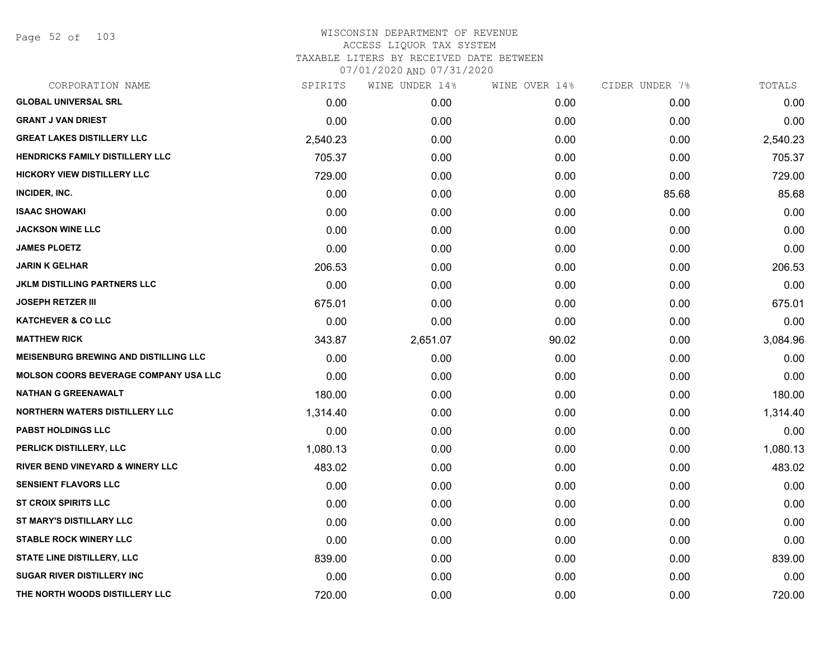Page 52 of 103

| CORPORATION NAME                             | SPIRITS  | WINE UNDER 14% | WINE OVER 14% | CIDER UNDER 7% | TOTALS   |
|----------------------------------------------|----------|----------------|---------------|----------------|----------|
| <b>GLOBAL UNIVERSAL SRL</b>                  | 0.00     | 0.00           | 0.00          | 0.00           | 0.00     |
| <b>GRANT J VAN DRIEST</b>                    | 0.00     | 0.00           | 0.00          | 0.00           | 0.00     |
| <b>GREAT LAKES DISTILLERY LLC</b>            | 2,540.23 | 0.00           | 0.00          | 0.00           | 2,540.23 |
| <b>HENDRICKS FAMILY DISTILLERY LLC</b>       | 705.37   | 0.00           | 0.00          | 0.00           | 705.37   |
| <b>HICKORY VIEW DISTILLERY LLC</b>           | 729.00   | 0.00           | 0.00          | 0.00           | 729.00   |
| INCIDER, INC.                                | 0.00     | 0.00           | 0.00          | 85.68          | 85.68    |
| <b>ISAAC SHOWAKI</b>                         | 0.00     | 0.00           | 0.00          | 0.00           | 0.00     |
| <b>JACKSON WINE LLC</b>                      | 0.00     | 0.00           | 0.00          | 0.00           | 0.00     |
| <b>JAMES PLOETZ</b>                          | 0.00     | 0.00           | 0.00          | 0.00           | 0.00     |
| <b>JARIN K GELHAR</b>                        | 206.53   | 0.00           | 0.00          | 0.00           | 206.53   |
| <b>JKLM DISTILLING PARTNERS LLC</b>          | 0.00     | 0.00           | 0.00          | 0.00           | 0.00     |
| <b>JOSEPH RETZER III</b>                     | 675.01   | 0.00           | 0.00          | 0.00           | 675.01   |
| <b>KATCHEVER &amp; CO LLC</b>                | 0.00     | 0.00           | 0.00          | 0.00           | 0.00     |
| <b>MATTHEW RICK</b>                          | 343.87   | 2,651.07       | 90.02         | 0.00           | 3,084.96 |
| <b>MEISENBURG BREWING AND DISTILLING LLC</b> | 0.00     | 0.00           | 0.00          | 0.00           | 0.00     |
| <b>MOLSON COORS BEVERAGE COMPANY USA LLC</b> | 0.00     | 0.00           | 0.00          | 0.00           | 0.00     |
| <b>NATHAN G GREENAWALT</b>                   | 180.00   | 0.00           | 0.00          | 0.00           | 180.00   |
| <b>NORTHERN WATERS DISTILLERY LLC</b>        | 1,314.40 | 0.00           | 0.00          | 0.00           | 1,314.40 |
| <b>PABST HOLDINGS LLC</b>                    | 0.00     | 0.00           | 0.00          | 0.00           | 0.00     |
| PERLICK DISTILLERY, LLC                      | 1,080.13 | 0.00           | 0.00          | 0.00           | 1,080.13 |
| <b>RIVER BEND VINEYARD &amp; WINERY LLC</b>  | 483.02   | 0.00           | 0.00          | 0.00           | 483.02   |
| <b>SENSIENT FLAVORS LLC</b>                  | 0.00     | 0.00           | 0.00          | 0.00           | 0.00     |
| <b>ST CROIX SPIRITS LLC</b>                  | 0.00     | 0.00           | 0.00          | 0.00           | 0.00     |
| ST MARY'S DISTILLARY LLC                     | 0.00     | 0.00           | 0.00          | 0.00           | 0.00     |
| <b>STABLE ROCK WINERY LLC</b>                | 0.00     | 0.00           | 0.00          | 0.00           | 0.00     |
| STATE LINE DISTILLERY, LLC                   | 839.00   | 0.00           | 0.00          | 0.00           | 839.00   |
| <b>SUGAR RIVER DISTILLERY INC</b>            | 0.00     | 0.00           | 0.00          | 0.00           | 0.00     |
| THE NORTH WOODS DISTILLERY LLC               | 720.00   | 0.00           | 0.00          | 0.00           | 720.00   |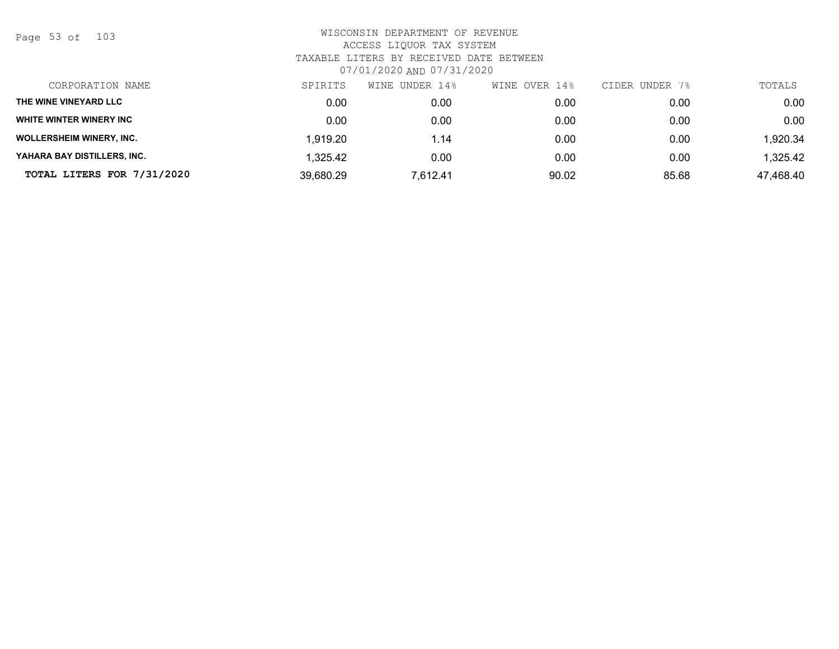Page 53 of 103

| CORPORATION NAME                | SPIRITS   | WINE<br>UNDER 14% | OVER 14%<br>WINE | CIDER UNDER 7% | TOTALS    |
|---------------------------------|-----------|-------------------|------------------|----------------|-----------|
| THE WINE VINEYARD LLC           | 0.00      | 0.00              | 0.00             | 0.00           | 0.00      |
| <b>WHITE WINTER WINERY INC</b>  | 0.00      | 0.00              | 0.00             | 0.00           | 0.00      |
| <b>WOLLERSHEIM WINERY, INC.</b> | 1,919.20  | 1.14              | 0.00             | 0.00           | 1,920.34  |
| YAHARA BAY DISTILLERS, INC.     | 1,325.42  | 0.00              | 0.00             | 0.00           | 1,325.42  |
| TOTAL LITERS FOR 7/31/2020      | 39,680.29 | 7,612.41          | 90.02            | 85.68          | 47,468.40 |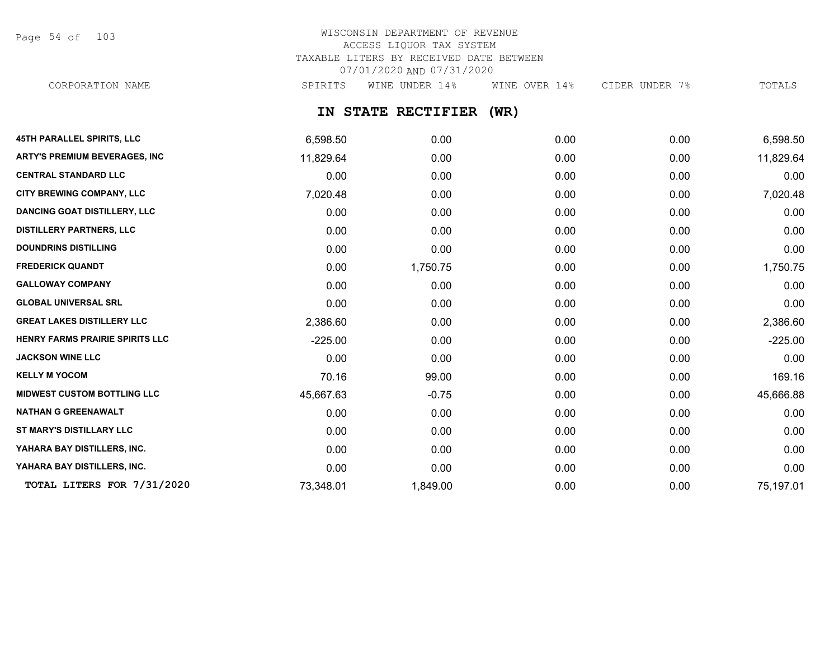Page 54 of 103

### WISCONSIN DEPARTMENT OF REVENUE ACCESS LIQUOR TAX SYSTEM TAXABLE LITERS BY RECEIVED DATE BETWEEN 07/01/2020 AND 07/31/2020 CORPORATION NAME SPIRITS WINE UNDER 14% WINE OVER 14% CIDER UNDER 7% TOTALS

**IN STATE RECTIFIER (WR)**

| <b>45TH PARALLEL SPIRITS, LLC</b>      | 6,598.50  | 0.00     | 0.00 | 0.00 | 6,598.50  |
|----------------------------------------|-----------|----------|------|------|-----------|
| ARTY'S PREMIUM BEVERAGES, INC          | 11,829.64 | 0.00     | 0.00 | 0.00 | 11,829.64 |
| <b>CENTRAL STANDARD LLC</b>            | 0.00      | 0.00     | 0.00 | 0.00 | 0.00      |
| <b>CITY BREWING COMPANY, LLC</b>       | 7,020.48  | 0.00     | 0.00 | 0.00 | 7,020.48  |
| <b>DANCING GOAT DISTILLERY, LLC</b>    | 0.00      | 0.00     | 0.00 | 0.00 | 0.00      |
| <b>DISTILLERY PARTNERS, LLC</b>        | 0.00      | 0.00     | 0.00 | 0.00 | 0.00      |
| <b>DOUNDRINS DISTILLING</b>            | 0.00      | 0.00     | 0.00 | 0.00 | 0.00      |
| <b>FREDERICK QUANDT</b>                | 0.00      | 1,750.75 | 0.00 | 0.00 | 1,750.75  |
| <b>GALLOWAY COMPANY</b>                | 0.00      | 0.00     | 0.00 | 0.00 | 0.00      |
| <b>GLOBAL UNIVERSAL SRL</b>            | 0.00      | 0.00     | 0.00 | 0.00 | 0.00      |
| <b>GREAT LAKES DISTILLERY LLC</b>      | 2,386.60  | 0.00     | 0.00 | 0.00 | 2,386.60  |
| <b>HENRY FARMS PRAIRIE SPIRITS LLC</b> | $-225.00$ | 0.00     | 0.00 | 0.00 | $-225.00$ |
| <b>JACKSON WINE LLC</b>                | 0.00      | 0.00     | 0.00 | 0.00 | 0.00      |
| <b>KELLY M YOCOM</b>                   | 70.16     | 99.00    | 0.00 | 0.00 | 169.16    |
| <b>MIDWEST CUSTOM BOTTLING LLC</b>     | 45,667.63 | $-0.75$  | 0.00 | 0.00 | 45,666.88 |
| <b>NATHAN G GREENAWALT</b>             | 0.00      | 0.00     | 0.00 | 0.00 | 0.00      |
| <b>ST MARY'S DISTILLARY LLC</b>        | 0.00      | 0.00     | 0.00 | 0.00 | 0.00      |
| YAHARA BAY DISTILLERS, INC.            | 0.00      | 0.00     | 0.00 | 0.00 | 0.00      |
| YAHARA BAY DISTILLERS, INC.            | 0.00      | 0.00     | 0.00 | 0.00 | 0.00      |
| TOTAL LITERS FOR 7/31/2020             | 73,348.01 | 1,849.00 | 0.00 | 0.00 | 75,197.01 |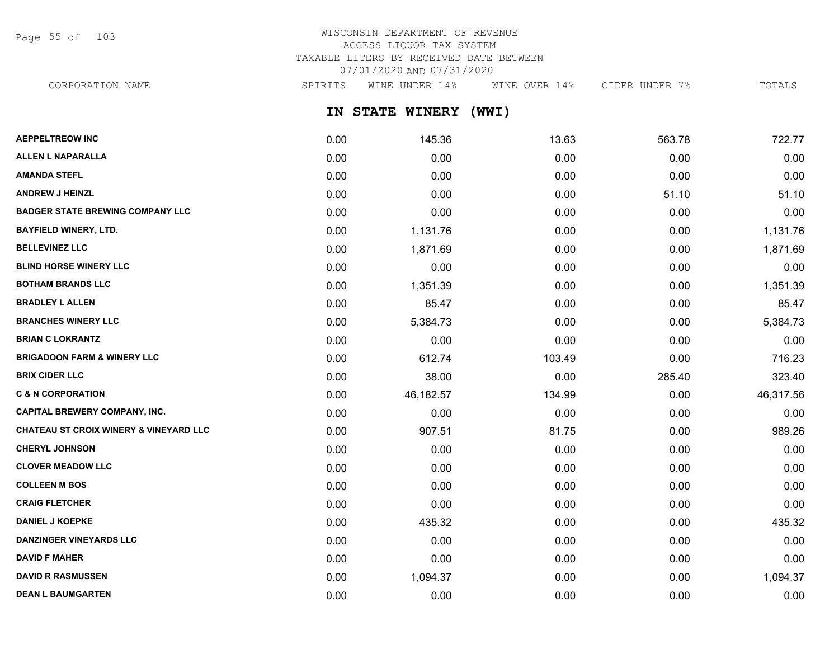Page 55 of 103

## WISCONSIN DEPARTMENT OF REVENUE ACCESS LIQUOR TAX SYSTEM TAXABLE LITERS BY RECEIVED DATE BETWEEN 07/01/2020 AND 07/31/2020

CORPORATION NAME SPIRITS WINE UNDER 14% WINE OVER 14% CIDER UNDER 7% TOTALS

**IN STATE WINERY (WWI)**

| <b>AEPPELTREOW INC</b>                            | 0.00 | 145.36    | 13.63  | 563.78 | 722.77    |
|---------------------------------------------------|------|-----------|--------|--------|-----------|
| <b>ALLEN L NAPARALLA</b>                          | 0.00 | 0.00      | 0.00   | 0.00   | 0.00      |
| <b>AMANDA STEFL</b>                               | 0.00 | 0.00      | 0.00   | 0.00   | 0.00      |
| <b>ANDREW J HEINZL</b>                            | 0.00 | 0.00      | 0.00   | 51.10  | 51.10     |
| <b>BADGER STATE BREWING COMPANY LLC</b>           | 0.00 | 0.00      | 0.00   | 0.00   | 0.00      |
| <b>BAYFIELD WINERY, LTD.</b>                      | 0.00 | 1,131.76  | 0.00   | 0.00   | 1,131.76  |
| <b>BELLEVINEZ LLC</b>                             | 0.00 | 1,871.69  | 0.00   | 0.00   | 1,871.69  |
| <b>BLIND HORSE WINERY LLC</b>                     | 0.00 | 0.00      | 0.00   | 0.00   | 0.00      |
| <b>BOTHAM BRANDS LLC</b>                          | 0.00 | 1,351.39  | 0.00   | 0.00   | 1,351.39  |
| <b>BRADLEY L ALLEN</b>                            | 0.00 | 85.47     | 0.00   | 0.00   | 85.47     |
| <b>BRANCHES WINERY LLC</b>                        | 0.00 | 5,384.73  | 0.00   | 0.00   | 5,384.73  |
| <b>BRIAN C LOKRANTZ</b>                           | 0.00 | 0.00      | 0.00   | 0.00   | 0.00      |
| <b>BRIGADOON FARM &amp; WINERY LLC</b>            | 0.00 | 612.74    | 103.49 | 0.00   | 716.23    |
| <b>BRIX CIDER LLC</b>                             | 0.00 | 38.00     | 0.00   | 285.40 | 323.40    |
| <b>C &amp; N CORPORATION</b>                      | 0.00 | 46,182.57 | 134.99 | 0.00   | 46,317.56 |
| CAPITAL BREWERY COMPANY, INC.                     | 0.00 | 0.00      | 0.00   | 0.00   | 0.00      |
| <b>CHATEAU ST CROIX WINERY &amp; VINEYARD LLC</b> | 0.00 | 907.51    | 81.75  | 0.00   | 989.26    |
| <b>CHERYL JOHNSON</b>                             | 0.00 | 0.00      | 0.00   | 0.00   | 0.00      |
| <b>CLOVER MEADOW LLC</b>                          | 0.00 | 0.00      | 0.00   | 0.00   | 0.00      |
| <b>COLLEEN M BOS</b>                              | 0.00 | 0.00      | 0.00   | 0.00   | 0.00      |
| <b>CRAIG FLETCHER</b>                             | 0.00 | 0.00      | 0.00   | 0.00   | 0.00      |
| <b>DANIEL J KOEPKE</b>                            | 0.00 | 435.32    | 0.00   | 0.00   | 435.32    |
| <b>DANZINGER VINEYARDS LLC</b>                    | 0.00 | 0.00      | 0.00   | 0.00   | 0.00      |
| <b>DAVID F MAHER</b>                              | 0.00 | 0.00      | 0.00   | 0.00   | 0.00      |
| <b>DAVID R RASMUSSEN</b>                          | 0.00 | 1,094.37  | 0.00   | 0.00   | 1,094.37  |
| <b>DEAN L BAUMGARTEN</b>                          | 0.00 | 0.00      | 0.00   | 0.00   | 0.00      |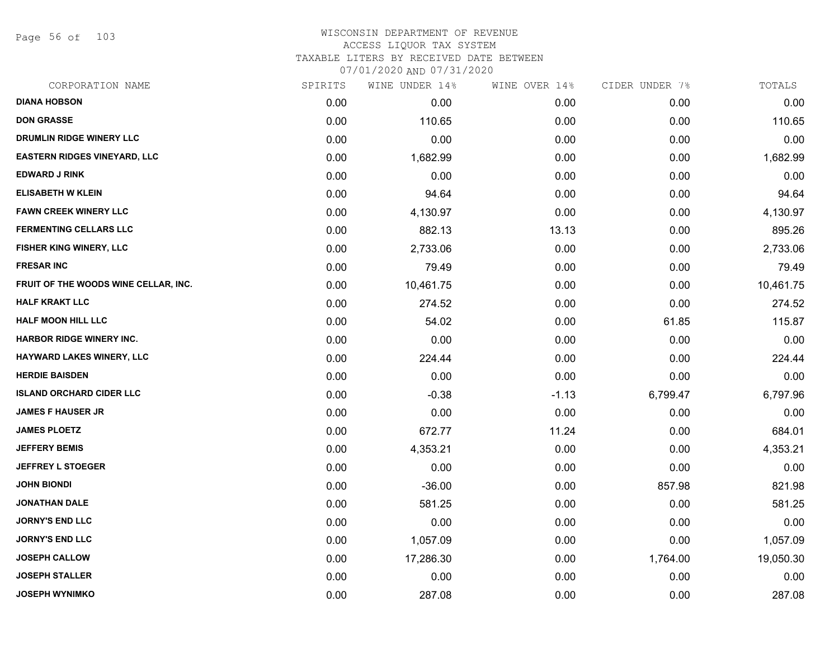Page 56 of 103

| CORPORATION NAME                     | SPIRITS | WINE UNDER 14% | WINE OVER 14% | CIDER UNDER 7% | TOTALS    |
|--------------------------------------|---------|----------------|---------------|----------------|-----------|
| <b>DIANA HOBSON</b>                  | 0.00    | 0.00           | 0.00          | 0.00           | 0.00      |
| <b>DON GRASSE</b>                    | 0.00    | 110.65         | 0.00          | 0.00           | 110.65    |
| DRUMLIN RIDGE WINERY LLC             | 0.00    | 0.00           | 0.00          | 0.00           | 0.00      |
| <b>EASTERN RIDGES VINEYARD, LLC</b>  | 0.00    | 1,682.99       | 0.00          | 0.00           | 1,682.99  |
| <b>EDWARD J RINK</b>                 | 0.00    | 0.00           | 0.00          | 0.00           | 0.00      |
| <b>ELISABETH W KLEIN</b>             | 0.00    | 94.64          | 0.00          | 0.00           | 94.64     |
| <b>FAWN CREEK WINERY LLC</b>         | 0.00    | 4,130.97       | 0.00          | 0.00           | 4,130.97  |
| <b>FERMENTING CELLARS LLC</b>        | 0.00    | 882.13         | 13.13         | 0.00           | 895.26    |
| FISHER KING WINERY, LLC              | 0.00    | 2,733.06       | 0.00          | 0.00           | 2,733.06  |
| <b>FRESAR INC</b>                    | 0.00    | 79.49          | 0.00          | 0.00           | 79.49     |
| FRUIT OF THE WOODS WINE CELLAR, INC. | 0.00    | 10,461.75      | 0.00          | 0.00           | 10,461.75 |
| <b>HALF KRAKT LLC</b>                | 0.00    | 274.52         | 0.00          | 0.00           | 274.52    |
| <b>HALF MOON HILL LLC</b>            | 0.00    | 54.02          | 0.00          | 61.85          | 115.87    |
| <b>HARBOR RIDGE WINERY INC.</b>      | 0.00    | 0.00           | 0.00          | 0.00           | 0.00      |
| <b>HAYWARD LAKES WINERY, LLC</b>     | 0.00    | 224.44         | 0.00          | 0.00           | 224.44    |
| <b>HERDIE BAISDEN</b>                | 0.00    | 0.00           | 0.00          | 0.00           | 0.00      |
| <b>ISLAND ORCHARD CIDER LLC</b>      | 0.00    | $-0.38$        | $-1.13$       | 6,799.47       | 6,797.96  |
| <b>JAMES F HAUSER JR</b>             | 0.00    | 0.00           | 0.00          | 0.00           | 0.00      |
| <b>JAMES PLOETZ</b>                  | 0.00    | 672.77         | 11.24         | 0.00           | 684.01    |
| <b>JEFFERY BEMIS</b>                 | 0.00    | 4,353.21       | 0.00          | 0.00           | 4,353.21  |
| <b>JEFFREY L STOEGER</b>             | 0.00    | 0.00           | 0.00          | 0.00           | 0.00      |
| <b>JOHN BIONDI</b>                   | 0.00    | $-36.00$       | 0.00          | 857.98         | 821.98    |
| <b>JONATHAN DALE</b>                 | 0.00    | 581.25         | 0.00          | 0.00           | 581.25    |
| <b>JORNY'S END LLC</b>               | 0.00    | 0.00           | 0.00          | 0.00           | 0.00      |
| <b>JORNY'S END LLC</b>               | 0.00    | 1,057.09       | 0.00          | 0.00           | 1,057.09  |
| <b>JOSEPH CALLOW</b>                 | 0.00    | 17,286.30      | 0.00          | 1,764.00       | 19,050.30 |
| <b>JOSEPH STALLER</b>                | 0.00    | 0.00           | 0.00          | 0.00           | 0.00      |
| <b>JOSEPH WYNIMKO</b>                | 0.00    | 287.08         | 0.00          | 0.00           | 287.08    |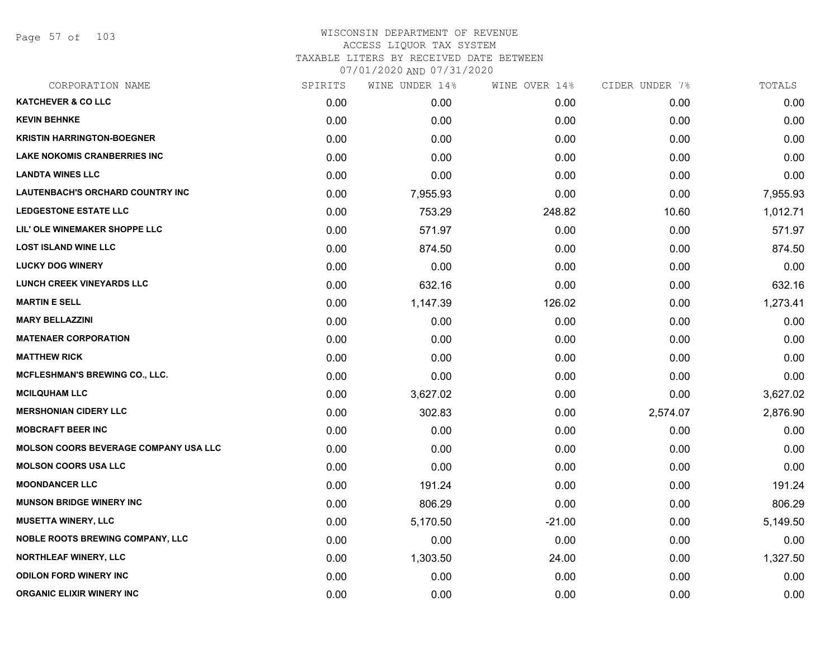Page 57 of 103

| SPIRITS | WINE UNDER 14% |          |               | TOTALS         |
|---------|----------------|----------|---------------|----------------|
| 0.00    | 0.00           | 0.00     | 0.00          | 0.00           |
| 0.00    | 0.00           | 0.00     | 0.00          | 0.00           |
| 0.00    | 0.00           | 0.00     | 0.00          | 0.00           |
| 0.00    | 0.00           | 0.00     | 0.00          | 0.00           |
| 0.00    | 0.00           | 0.00     | 0.00          | 0.00           |
| 0.00    | 7,955.93       | 0.00     | 0.00          | 7,955.93       |
| 0.00    | 753.29         | 248.82   | 10.60         | 1,012.71       |
| 0.00    | 571.97         | 0.00     | 0.00          | 571.97         |
| 0.00    | 874.50         | 0.00     | 0.00          | 874.50         |
| 0.00    | 0.00           | 0.00     | 0.00          | 0.00           |
| 0.00    | 632.16         | 0.00     | 0.00          | 632.16         |
| 0.00    | 1,147.39       | 126.02   | 0.00          | 1,273.41       |
| 0.00    | 0.00           | 0.00     | 0.00          | 0.00           |
| 0.00    | 0.00           | 0.00     | 0.00          | 0.00           |
| 0.00    | 0.00           | 0.00     | 0.00          | 0.00           |
| 0.00    | 0.00           | 0.00     | 0.00          | 0.00           |
| 0.00    | 3,627.02       | 0.00     | 0.00          | 3,627.02       |
| 0.00    | 302.83         | 0.00     | 2,574.07      | 2,876.90       |
| 0.00    | 0.00           | 0.00     | 0.00          | 0.00           |
| 0.00    | 0.00           | 0.00     | 0.00          | 0.00           |
| 0.00    | 0.00           | 0.00     | 0.00          | 0.00           |
| 0.00    | 191.24         | 0.00     | 0.00          | 191.24         |
| 0.00    | 806.29         | 0.00     | 0.00          | 806.29         |
| 0.00    | 5,170.50       | $-21.00$ | 0.00          | 5,149.50       |
| 0.00    | 0.00           | 0.00     | 0.00          | 0.00           |
| 0.00    | 1,303.50       | 24.00    | 0.00          | 1,327.50       |
| 0.00    | 0.00           | 0.00     | 0.00          | 0.00           |
| 0.00    | 0.00           | 0.00     | 0.00          | 0.00           |
|         |                |          | WINE OVER 14% | CIDER UNDER 7% |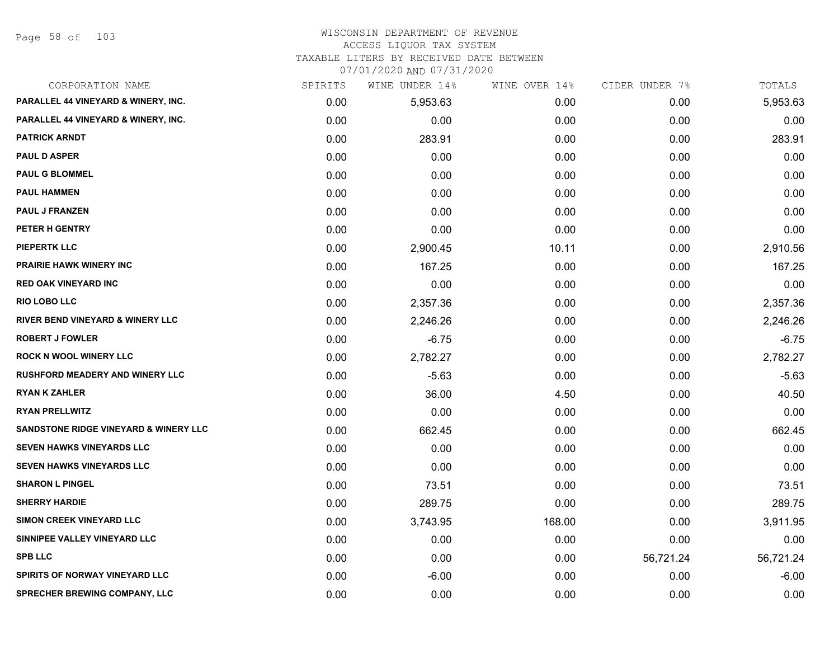Page 58 of 103

## WISCONSIN DEPARTMENT OF REVENUE ACCESS LIQUOR TAX SYSTEM

TAXABLE LITERS BY RECEIVED DATE BETWEEN

| CORPORATION NAME                                 | SPIRITS | WINE UNDER 14% | WINE OVER 14% | CIDER UNDER 7% | TOTALS    |
|--------------------------------------------------|---------|----------------|---------------|----------------|-----------|
| PARALLEL 44 VINEYARD & WINERY, INC.              | 0.00    | 5,953.63       | 0.00          | 0.00           | 5,953.63  |
| PARALLEL 44 VINEYARD & WINERY, INC.              | 0.00    | 0.00           | 0.00          | 0.00           | 0.00      |
| <b>PATRICK ARNDT</b>                             | 0.00    | 283.91         | 0.00          | 0.00           | 283.91    |
| <b>PAUL D ASPER</b>                              | 0.00    | 0.00           | 0.00          | 0.00           | 0.00      |
| <b>PAUL G BLOMMEL</b>                            | 0.00    | 0.00           | 0.00          | 0.00           | 0.00      |
| <b>PAUL HAMMEN</b>                               | 0.00    | 0.00           | 0.00          | 0.00           | 0.00      |
| <b>PAUL J FRANZEN</b>                            | 0.00    | 0.00           | 0.00          | 0.00           | 0.00      |
| <b>PETER H GENTRY</b>                            | 0.00    | 0.00           | 0.00          | 0.00           | 0.00      |
| <b>PIEPERTK LLC</b>                              | 0.00    | 2,900.45       | 10.11         | 0.00           | 2,910.56  |
| <b>PRAIRIE HAWK WINERY INC</b>                   | 0.00    | 167.25         | 0.00          | 0.00           | 167.25    |
| <b>RED OAK VINEYARD INC</b>                      | 0.00    | 0.00           | 0.00          | 0.00           | 0.00      |
| <b>RIO LOBO LLC</b>                              | 0.00    | 2,357.36       | 0.00          | 0.00           | 2,357.36  |
| <b>RIVER BEND VINEYARD &amp; WINERY LLC</b>      | 0.00    | 2,246.26       | 0.00          | 0.00           | 2,246.26  |
| <b>ROBERT J FOWLER</b>                           | 0.00    | $-6.75$        | 0.00          | 0.00           | $-6.75$   |
| <b>ROCK N WOOL WINERY LLC</b>                    | 0.00    | 2,782.27       | 0.00          | 0.00           | 2,782.27  |
| <b>RUSHFORD MEADERY AND WINERY LLC</b>           | 0.00    | $-5.63$        | 0.00          | 0.00           | $-5.63$   |
| <b>RYAN K ZAHLER</b>                             | 0.00    | 36.00          | 4.50          | 0.00           | 40.50     |
| <b>RYAN PRELLWITZ</b>                            | 0.00    | 0.00           | 0.00          | 0.00           | 0.00      |
| <b>SANDSTONE RIDGE VINEYARD &amp; WINERY LLC</b> | 0.00    | 662.45         | 0.00          | 0.00           | 662.45    |
| <b>SEVEN HAWKS VINEYARDS LLC</b>                 | 0.00    | 0.00           | 0.00          | 0.00           | 0.00      |
| SEVEN HAWKS VINEYARDS LLC                        | 0.00    | 0.00           | 0.00          | 0.00           | 0.00      |
| <b>SHARON L PINGEL</b>                           | 0.00    | 73.51          | 0.00          | 0.00           | 73.51     |
| <b>SHERRY HARDIE</b>                             | 0.00    | 289.75         | 0.00          | 0.00           | 289.75    |
| <b>SIMON CREEK VINEYARD LLC</b>                  | 0.00    | 3,743.95       | 168.00        | 0.00           | 3,911.95  |
| SINNIPEE VALLEY VINEYARD LLC                     | 0.00    | 0.00           | 0.00          | 0.00           | 0.00      |
| <b>SPB LLC</b>                                   | 0.00    | 0.00           | 0.00          | 56,721.24      | 56,721.24 |
| SPIRITS OF NORWAY VINEYARD LLC                   | 0.00    | $-6.00$        | 0.00          | 0.00           | $-6.00$   |
| <b>SPRECHER BREWING COMPANY, LLC</b>             | 0.00    | 0.00           | 0.00          | 0.00           | 0.00      |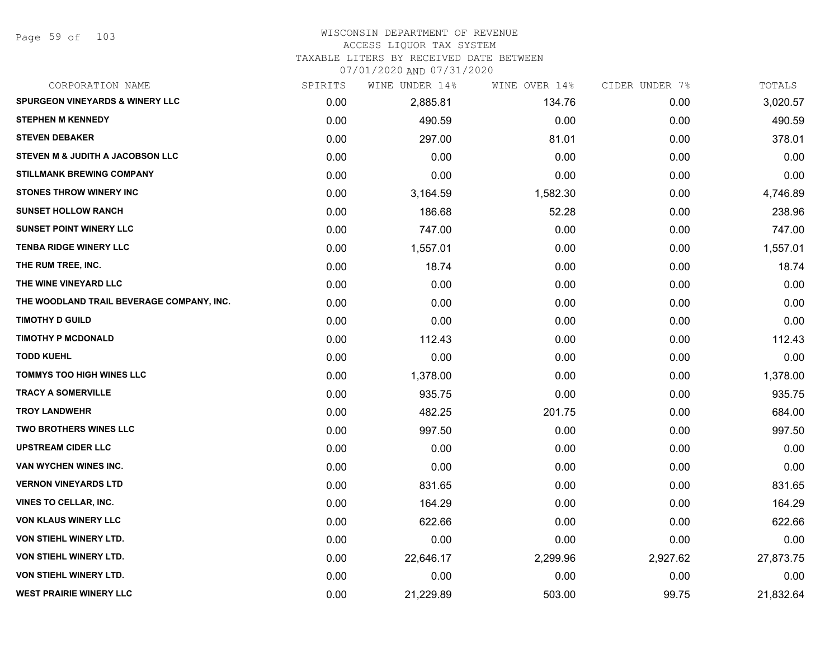#### WISCONSIN DEPARTMENT OF REVENUE ACCESS LIQUOR TAX SYSTEM TAXABLE LITERS BY RECEIVED DATE BETWEEN

| CORPORATION NAME                           | SPIRITS | WINE UNDER 14% | WINE OVER 14% | CIDER UNDER 7% | TOTALS    |
|--------------------------------------------|---------|----------------|---------------|----------------|-----------|
| <b>SPURGEON VINEYARDS &amp; WINERY LLC</b> | 0.00    | 2,885.81       | 134.76        | 0.00           | 3,020.57  |
| <b>STEPHEN M KENNEDY</b>                   | 0.00    | 490.59         | 0.00          | 0.00           | 490.59    |
| <b>STEVEN DEBAKER</b>                      | 0.00    | 297.00         | 81.01         | 0.00           | 378.01    |
| STEVEN M & JUDITH A JACOBSON LLC           | 0.00    | 0.00           | 0.00          | 0.00           | 0.00      |
| <b>STILLMANK BREWING COMPANY</b>           | 0.00    | 0.00           | 0.00          | 0.00           | 0.00      |
| <b>STONES THROW WINERY INC</b>             | 0.00    | 3,164.59       | 1,582.30      | 0.00           | 4,746.89  |
| <b>SUNSET HOLLOW RANCH</b>                 | 0.00    | 186.68         | 52.28         | 0.00           | 238.96    |
| <b>SUNSET POINT WINERY LLC</b>             | 0.00    | 747.00         | 0.00          | 0.00           | 747.00    |
| <b>TENBA RIDGE WINERY LLC</b>              | 0.00    | 1,557.01       | 0.00          | 0.00           | 1,557.01  |
| THE RUM TREE, INC.                         | 0.00    | 18.74          | 0.00          | 0.00           | 18.74     |
| THE WINE VINEYARD LLC                      | 0.00    | 0.00           | 0.00          | 0.00           | 0.00      |
| THE WOODLAND TRAIL BEVERAGE COMPANY, INC.  | 0.00    | 0.00           | 0.00          | 0.00           | 0.00      |
| <b>TIMOTHY D GUILD</b>                     | 0.00    | 0.00           | 0.00          | 0.00           | 0.00      |
| <b>TIMOTHY P MCDONALD</b>                  | 0.00    | 112.43         | 0.00          | 0.00           | 112.43    |
| <b>TODD KUEHL</b>                          | 0.00    | 0.00           | 0.00          | 0.00           | 0.00      |
| <b>TOMMYS TOO HIGH WINES LLC</b>           | 0.00    | 1,378.00       | 0.00          | 0.00           | 1,378.00  |
| <b>TRACY A SOMERVILLE</b>                  | 0.00    | 935.75         | 0.00          | 0.00           | 935.75    |
| <b>TROY LANDWEHR</b>                       | 0.00    | 482.25         | 201.75        | 0.00           | 684.00    |
| <b>TWO BROTHERS WINES LLC</b>              | 0.00    | 997.50         | 0.00          | 0.00           | 997.50    |
| <b>UPSTREAM CIDER LLC</b>                  | 0.00    | 0.00           | 0.00          | 0.00           | 0.00      |
| VAN WYCHEN WINES INC.                      | 0.00    | 0.00           | 0.00          | 0.00           | 0.00      |
| <b>VERNON VINEYARDS LTD</b>                | 0.00    | 831.65         | 0.00          | 0.00           | 831.65    |
| <b>VINES TO CELLAR, INC.</b>               | 0.00    | 164.29         | 0.00          | 0.00           | 164.29    |
| <b>VON KLAUS WINERY LLC</b>                | 0.00    | 622.66         | 0.00          | 0.00           | 622.66    |
| <b>VON STIEHL WINERY LTD.</b>              | 0.00    | 0.00           | 0.00          | 0.00           | 0.00      |
| <b>VON STIEHL WINERY LTD.</b>              | 0.00    | 22,646.17      | 2,299.96      | 2,927.62       | 27,873.75 |
| VON STIEHL WINERY LTD.                     | 0.00    | 0.00           | 0.00          | 0.00           | 0.00      |
| <b>WEST PRAIRIE WINERY LLC</b>             | 0.00    | 21,229.89      | 503.00        | 99.75          | 21,832.64 |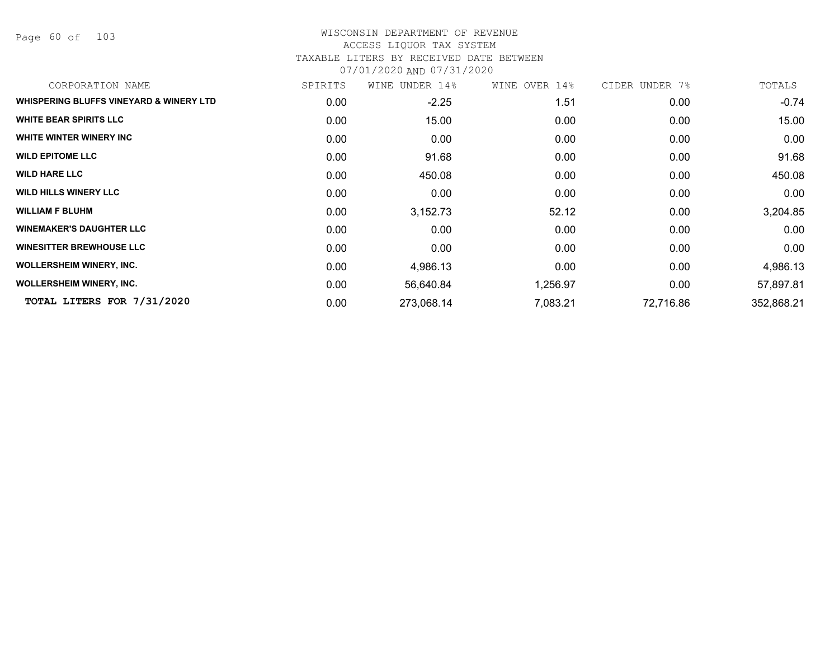Page 60 of 103

#### WISCONSIN DEPARTMENT OF REVENUE ACCESS LIQUOR TAX SYSTEM TAXABLE LITERS BY RECEIVED DATE BETWEEN

| CORPORATION NAME                        | SPIRITS | WINE UNDER 14% | WINE OVER 14% | CIDER UNDER 7% | TOTALS     |
|-----------------------------------------|---------|----------------|---------------|----------------|------------|
| WHISPERING BLUFFS VINEYARD & WINERY LTD | 0.00    | $-2.25$        | 1.51          | 0.00           | $-0.74$    |
| <b>WHITE BEAR SPIRITS LLC</b>           | 0.00    | 15.00          | 0.00          | 0.00           | 15.00      |
| WHITE WINTER WINERY INC                 | 0.00    | 0.00           | 0.00          | 0.00           | 0.00       |
| <b>WILD EPITOME LLC</b>                 | 0.00    | 91.68          | 0.00          | 0.00           | 91.68      |
| <b>WILD HARE LLC</b>                    | 0.00    | 450.08         | 0.00          | 0.00           | 450.08     |
| <b>WILD HILLS WINERY LLC</b>            | 0.00    | 0.00           | 0.00          | 0.00           | 0.00       |
| <b>WILLIAM F BLUHM</b>                  | 0.00    | 3,152.73       | 52.12         | 0.00           | 3,204.85   |
| <b>WINEMAKER'S DAUGHTER LLC</b>         | 0.00    | 0.00           | 0.00          | 0.00           | 0.00       |
| <b>WINESITTER BREWHOUSE LLC</b>         | 0.00    | 0.00           | 0.00          | 0.00           | 0.00       |
| <b>WOLLERSHEIM WINERY, INC.</b>         | 0.00    | 4,986.13       | 0.00          | 0.00           | 4,986.13   |
| <b>WOLLERSHEIM WINERY, INC.</b>         | 0.00    | 56,640.84      | 1,256.97      | 0.00           | 57,897.81  |
| TOTAL LITERS FOR 7/31/2020              | 0.00    | 273,068.14     | 7,083.21      | 72,716.86      | 352,868.21 |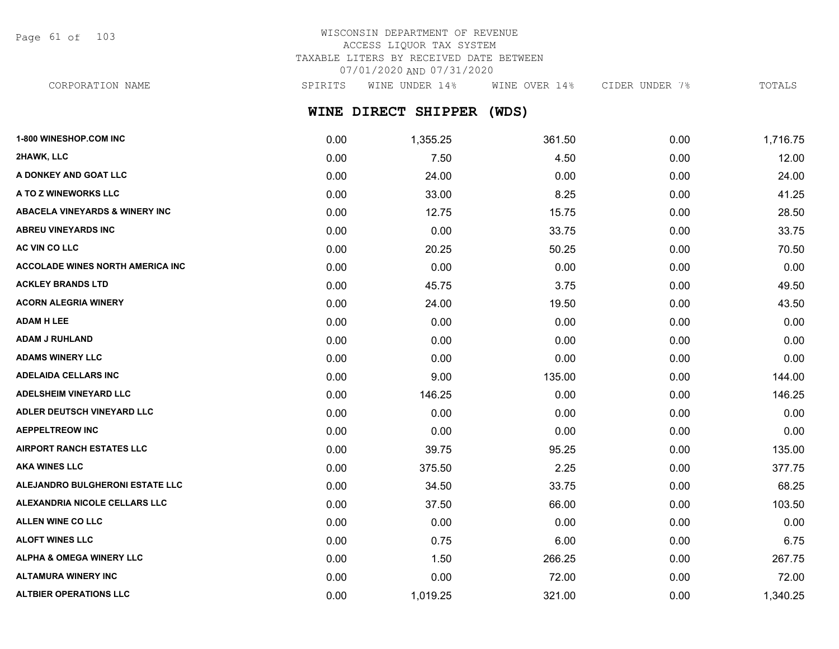Page 61 of 103

## WISCONSIN DEPARTMENT OF REVENUE ACCESS LIQUOR TAX SYSTEM TAXABLE LITERS BY RECEIVED DATE BETWEEN 07/01/2020 AND 07/31/2020

CORPORATION NAME SPIRITS WINE UNDER 14% WINE OVER 14% CIDER UNDER 7% TOTALS

# **WINE DIRECT SHIPPER (WDS)**

| 1-800 WINESHOP.COM INC                    | 0.00 | 1,355.25 | 361.50 | 0.00 | 1,716.75 |
|-------------------------------------------|------|----------|--------|------|----------|
| 2HAWK, LLC                                | 0.00 | 7.50     | 4.50   | 0.00 | 12.00    |
| A DONKEY AND GOAT LLC                     | 0.00 | 24.00    | 0.00   | 0.00 | 24.00    |
| A TO Z WINEWORKS LLC                      | 0.00 | 33.00    | 8.25   | 0.00 | 41.25    |
| <b>ABACELA VINEYARDS &amp; WINERY INC</b> | 0.00 | 12.75    | 15.75  | 0.00 | 28.50    |
| <b>ABREU VINEYARDS INC</b>                | 0.00 | 0.00     | 33.75  | 0.00 | 33.75    |
| AC VIN CO LLC                             | 0.00 | 20.25    | 50.25  | 0.00 | 70.50    |
| <b>ACCOLADE WINES NORTH AMERICA INC</b>   | 0.00 | 0.00     | 0.00   | 0.00 | 0.00     |
| <b>ACKLEY BRANDS LTD</b>                  | 0.00 | 45.75    | 3.75   | 0.00 | 49.50    |
| <b>ACORN ALEGRIA WINERY</b>               | 0.00 | 24.00    | 19.50  | 0.00 | 43.50    |
| <b>ADAM H LEE</b>                         | 0.00 | 0.00     | 0.00   | 0.00 | 0.00     |
| <b>ADAM J RUHLAND</b>                     | 0.00 | 0.00     | 0.00   | 0.00 | 0.00     |
| <b>ADAMS WINERY LLC</b>                   | 0.00 | 0.00     | 0.00   | 0.00 | 0.00     |
| <b>ADELAIDA CELLARS INC</b>               | 0.00 | 9.00     | 135.00 | 0.00 | 144.00   |
| ADELSHEIM VINEYARD LLC                    | 0.00 | 146.25   | 0.00   | 0.00 | 146.25   |
| ADLER DEUTSCH VINEYARD LLC                | 0.00 | 0.00     | 0.00   | 0.00 | 0.00     |
| <b>AEPPELTREOW INC</b>                    | 0.00 | 0.00     | 0.00   | 0.00 | 0.00     |
| <b>AIRPORT RANCH ESTATES LLC</b>          | 0.00 | 39.75    | 95.25  | 0.00 | 135.00   |
| <b>AKA WINES LLC</b>                      | 0.00 | 375.50   | 2.25   | 0.00 | 377.75   |
| ALEJANDRO BULGHERONI ESTATE LLC           | 0.00 | 34.50    | 33.75  | 0.00 | 68.25    |
| ALEXANDRIA NICOLE CELLARS LLC             | 0.00 | 37.50    | 66.00  | 0.00 | 103.50   |
| ALLEN WINE CO LLC                         | 0.00 | 0.00     | 0.00   | 0.00 | 0.00     |
| <b>ALOFT WINES LLC</b>                    | 0.00 | 0.75     | 6.00   | 0.00 | 6.75     |
| <b>ALPHA &amp; OMEGA WINERY LLC</b>       | 0.00 | 1.50     | 266.25 | 0.00 | 267.75   |
| <b>ALTAMURA WINERY INC</b>                | 0.00 | 0.00     | 72.00  | 0.00 | 72.00    |
| <b>ALTBIER OPERATIONS LLC</b>             | 0.00 | 1,019.25 | 321.00 | 0.00 | 1,340.25 |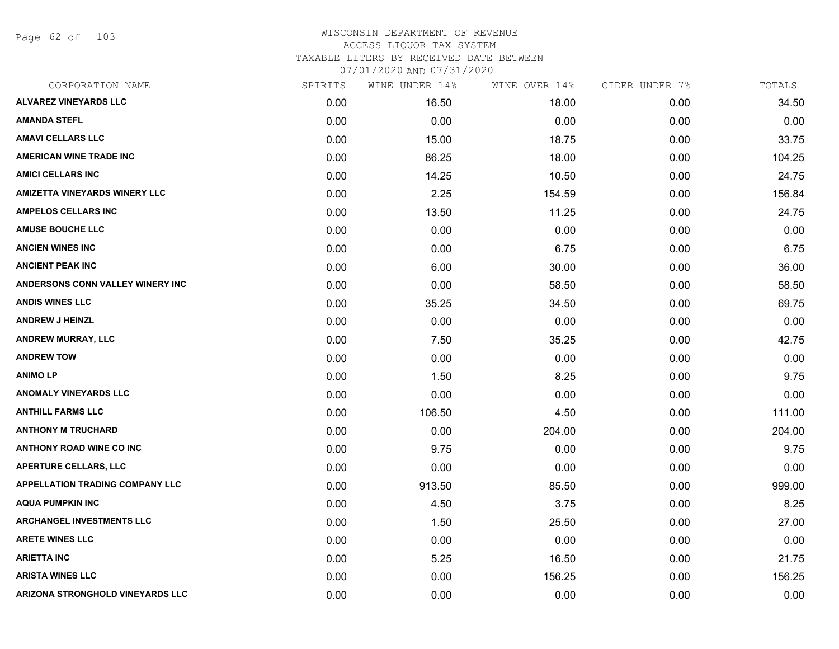Page 62 of 103

| CORPORATION NAME                        | SPIRITS | WINE UNDER 14% | WINE OVER 14% | CIDER UNDER 7% | TOTALS |
|-----------------------------------------|---------|----------------|---------------|----------------|--------|
| <b>ALVAREZ VINEYARDS LLC</b>            | 0.00    | 16.50          | 18.00         | 0.00           | 34.50  |
| <b>AMANDA STEFL</b>                     | 0.00    | 0.00           | 0.00          | 0.00           | 0.00   |
| <b>AMAVI CELLARS LLC</b>                | 0.00    | 15.00          | 18.75         | 0.00           | 33.75  |
| <b>AMERICAN WINE TRADE INC</b>          | 0.00    | 86.25          | 18.00         | 0.00           | 104.25 |
| <b>AMICI CELLARS INC</b>                | 0.00    | 14.25          | 10.50         | 0.00           | 24.75  |
| <b>AMIZETTA VINEYARDS WINERY LLC</b>    | 0.00    | 2.25           | 154.59        | 0.00           | 156.84 |
| <b>AMPELOS CELLARS INC</b>              | 0.00    | 13.50          | 11.25         | 0.00           | 24.75  |
| <b>AMUSE BOUCHE LLC</b>                 | 0.00    | 0.00           | 0.00          | 0.00           | 0.00   |
| <b>ANCIEN WINES INC</b>                 | 0.00    | 0.00           | 6.75          | 0.00           | 6.75   |
| <b>ANCIENT PEAK INC</b>                 | 0.00    | 6.00           | 30.00         | 0.00           | 36.00  |
| <b>ANDERSONS CONN VALLEY WINERY INC</b> | 0.00    | 0.00           | 58.50         | 0.00           | 58.50  |
| <b>ANDIS WINES LLC</b>                  | 0.00    | 35.25          | 34.50         | 0.00           | 69.75  |
| <b>ANDREW J HEINZL</b>                  | 0.00    | 0.00           | 0.00          | 0.00           | 0.00   |
| <b>ANDREW MURRAY, LLC</b>               | 0.00    | 7.50           | 35.25         | 0.00           | 42.75  |
| <b>ANDREW TOW</b>                       | 0.00    | 0.00           | 0.00          | 0.00           | 0.00   |
| <b>ANIMOLP</b>                          | 0.00    | 1.50           | 8.25          | 0.00           | 9.75   |
| <b>ANOMALY VINEYARDS LLC</b>            | 0.00    | 0.00           | 0.00          | 0.00           | 0.00   |
| <b>ANTHILL FARMS LLC</b>                | 0.00    | 106.50         | 4.50          | 0.00           | 111.00 |
| <b>ANTHONY M TRUCHARD</b>               | 0.00    | 0.00           | 204.00        | 0.00           | 204.00 |
| <b>ANTHONY ROAD WINE CO INC</b>         | 0.00    | 9.75           | 0.00          | 0.00           | 9.75   |
| <b>APERTURE CELLARS, LLC</b>            | 0.00    | 0.00           | 0.00          | 0.00           | 0.00   |
| <b>APPELLATION TRADING COMPANY LLC</b>  | 0.00    | 913.50         | 85.50         | 0.00           | 999.00 |
| <b>AQUA PUMPKIN INC</b>                 | 0.00    | 4.50           | 3.75          | 0.00           | 8.25   |
| <b>ARCHANGEL INVESTMENTS LLC</b>        | 0.00    | 1.50           | 25.50         | 0.00           | 27.00  |
| <b>ARETE WINES LLC</b>                  | 0.00    | 0.00           | 0.00          | 0.00           | 0.00   |
| <b>ARIETTA INC</b>                      | 0.00    | 5.25           | 16.50         | 0.00           | 21.75  |
| <b>ARISTA WINES LLC</b>                 | 0.00    | 0.00           | 156.25        | 0.00           | 156.25 |
| <b>ARIZONA STRONGHOLD VINEYARDS LLC</b> | 0.00    | 0.00           | 0.00          | 0.00           | 0.00   |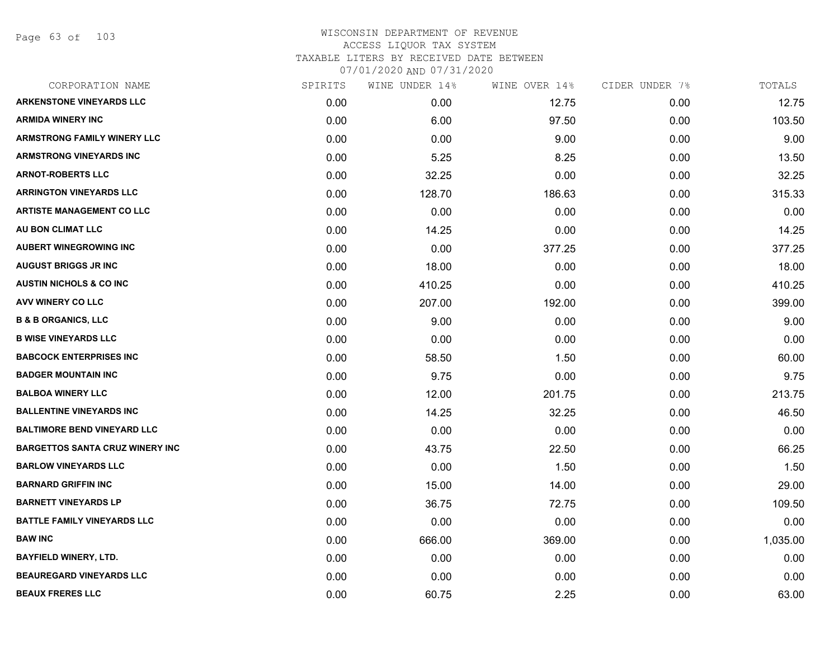Page 63 of 103

| CORPORATION NAME                        | SPIRITS | WINE UNDER 14% | WINE OVER 14% | CIDER UNDER 7% | TOTALS   |
|-----------------------------------------|---------|----------------|---------------|----------------|----------|
| <b>ARKENSTONE VINEYARDS LLC</b>         | 0.00    | 0.00           | 12.75         | 0.00           | 12.75    |
| <b>ARMIDA WINERY INC</b>                | 0.00    | 6.00           | 97.50         | 0.00           | 103.50   |
| <b>ARMSTRONG FAMILY WINERY LLC</b>      | 0.00    | 0.00           | 9.00          | 0.00           | 9.00     |
| <b>ARMSTRONG VINEYARDS INC</b>          | 0.00    | 5.25           | 8.25          | 0.00           | 13.50    |
| <b>ARNOT-ROBERTS LLC</b>                | 0.00    | 32.25          | 0.00          | 0.00           | 32.25    |
| <b>ARRINGTON VINEYARDS LLC</b>          | 0.00    | 128.70         | 186.63        | 0.00           | 315.33   |
| <b>ARTISTE MANAGEMENT CO LLC</b>        | 0.00    | 0.00           | 0.00          | 0.00           | 0.00     |
| AU BON CLIMAT LLC                       | 0.00    | 14.25          | 0.00          | 0.00           | 14.25    |
| <b>AUBERT WINEGROWING INC</b>           | 0.00    | 0.00           | 377.25        | 0.00           | 377.25   |
| <b>AUGUST BRIGGS JR INC</b>             | 0.00    | 18.00          | 0.00          | 0.00           | 18.00    |
| <b>AUSTIN NICHOLS &amp; CO INC</b>      | 0.00    | 410.25         | 0.00          | 0.00           | 410.25   |
| AVV WINERY CO LLC                       | 0.00    | 207.00         | 192.00        | 0.00           | 399.00   |
| <b>B &amp; B ORGANICS, LLC</b>          | 0.00    | 9.00           | 0.00          | 0.00           | 9.00     |
| <b>B WISE VINEYARDS LLC</b>             | 0.00    | 0.00           | 0.00          | 0.00           | 0.00     |
| <b>BABCOCK ENTERPRISES INC</b>          | 0.00    | 58.50          | 1.50          | 0.00           | 60.00    |
| <b>BADGER MOUNTAIN INC</b>              | 0.00    | 9.75           | 0.00          | 0.00           | 9.75     |
| <b>BALBOA WINERY LLC</b>                | 0.00    | 12.00          | 201.75        | 0.00           | 213.75   |
| <b>BALLENTINE VINEYARDS INC</b>         | 0.00    | 14.25          | 32.25         | 0.00           | 46.50    |
| <b>BALTIMORE BEND VINEYARD LLC</b>      | 0.00    | 0.00           | 0.00          | 0.00           | 0.00     |
| <b>BARGETTOS SANTA CRUZ WINERY INC.</b> | 0.00    | 43.75          | 22.50         | 0.00           | 66.25    |
| <b>BARLOW VINEYARDS LLC</b>             | 0.00    | 0.00           | 1.50          | 0.00           | 1.50     |
| <b>BARNARD GRIFFIN INC</b>              | 0.00    | 15.00          | 14.00         | 0.00           | 29.00    |
| <b>BARNETT VINEYARDS LP</b>             | 0.00    | 36.75          | 72.75         | 0.00           | 109.50   |
| <b>BATTLE FAMILY VINEYARDS LLC</b>      | 0.00    | 0.00           | 0.00          | 0.00           | 0.00     |
| <b>BAW INC</b>                          | 0.00    | 666.00         | 369.00        | 0.00           | 1,035.00 |
| <b>BAYFIELD WINERY, LTD.</b>            | 0.00    | 0.00           | 0.00          | 0.00           | 0.00     |
| <b>BEAUREGARD VINEYARDS LLC</b>         | 0.00    | 0.00           | 0.00          | 0.00           | 0.00     |
| <b>BEAUX FRERES LLC</b>                 | 0.00    | 60.75          | 2.25          | 0.00           | 63.00    |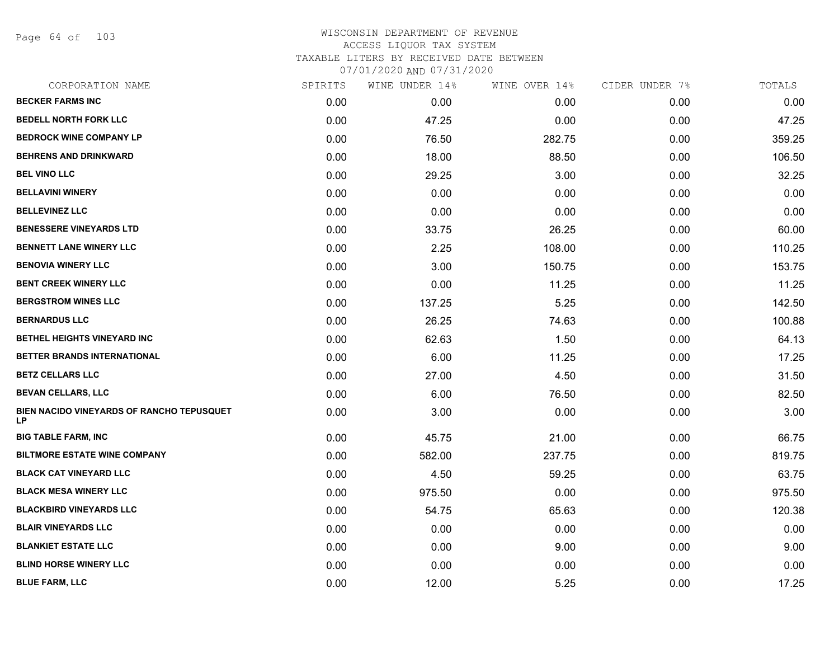Page 64 of 103

| CORPORATION NAME                                       | SPIRITS | WINE UNDER 14% | WINE OVER 14% | CIDER UNDER 7% | TOTALS |
|--------------------------------------------------------|---------|----------------|---------------|----------------|--------|
| <b>BECKER FARMS INC</b>                                | 0.00    | 0.00           | 0.00          | 0.00           | 0.00   |
| <b>BEDELL NORTH FORK LLC</b>                           | 0.00    | 47.25          | 0.00          | 0.00           | 47.25  |
| <b>BEDROCK WINE COMPANY LP</b>                         | 0.00    | 76.50          | 282.75        | 0.00           | 359.25 |
| <b>BEHRENS AND DRINKWARD</b>                           | 0.00    | 18.00          | 88.50         | 0.00           | 106.50 |
| <b>BEL VINO LLC</b>                                    | 0.00    | 29.25          | 3.00          | 0.00           | 32.25  |
| <b>BELLAVINI WINERY</b>                                | 0.00    | 0.00           | 0.00          | 0.00           | 0.00   |
| <b>BELLEVINEZ LLC</b>                                  | 0.00    | 0.00           | 0.00          | 0.00           | 0.00   |
| <b>BENESSERE VINEYARDS LTD</b>                         | 0.00    | 33.75          | 26.25         | 0.00           | 60.00  |
| <b>BENNETT LANE WINERY LLC</b>                         | 0.00    | 2.25           | 108.00        | 0.00           | 110.25 |
| <b>BENOVIA WINERY LLC</b>                              | 0.00    | 3.00           | 150.75        | 0.00           | 153.75 |
| <b>BENT CREEK WINERY LLC</b>                           | 0.00    | 0.00           | 11.25         | 0.00           | 11.25  |
| <b>BERGSTROM WINES LLC</b>                             | 0.00    | 137.25         | 5.25          | 0.00           | 142.50 |
| <b>BERNARDUS LLC</b>                                   | 0.00    | 26.25          | 74.63         | 0.00           | 100.88 |
| BETHEL HEIGHTS VINEYARD INC                            | 0.00    | 62.63          | 1.50          | 0.00           | 64.13  |
| BETTER BRANDS INTERNATIONAL                            | 0.00    | 6.00           | 11.25         | 0.00           | 17.25  |
| <b>BETZ CELLARS LLC</b>                                | 0.00    | 27.00          | 4.50          | 0.00           | 31.50  |
| <b>BEVAN CELLARS, LLC</b>                              | 0.00    | 6.00           | 76.50         | 0.00           | 82.50  |
| BIEN NACIDO VINEYARDS OF RANCHO TEPUSQUET<br><b>LP</b> | 0.00    | 3.00           | 0.00          | 0.00           | 3.00   |
| <b>BIG TABLE FARM, INC</b>                             | 0.00    | 45.75          | 21.00         | 0.00           | 66.75  |
| <b>BILTMORE ESTATE WINE COMPANY</b>                    | 0.00    | 582.00         | 237.75        | 0.00           | 819.75 |
| <b>BLACK CAT VINEYARD LLC</b>                          | 0.00    | 4.50           | 59.25         | 0.00           | 63.75  |
| <b>BLACK MESA WINERY LLC</b>                           | 0.00    | 975.50         | 0.00          | 0.00           | 975.50 |
| <b>BLACKBIRD VINEYARDS LLC</b>                         | 0.00    | 54.75          | 65.63         | 0.00           | 120.38 |
| <b>BLAIR VINEYARDS LLC</b>                             | 0.00    | 0.00           | 0.00          | 0.00           | 0.00   |
| <b>BLANKIET ESTATE LLC</b>                             | 0.00    | 0.00           | 9.00          | 0.00           | 9.00   |
| <b>BLIND HORSE WINERY LLC</b>                          | 0.00    | 0.00           | 0.00          | 0.00           | 0.00   |
| <b>BLUE FARM, LLC</b>                                  | 0.00    | 12.00          | 5.25          | 0.00           | 17.25  |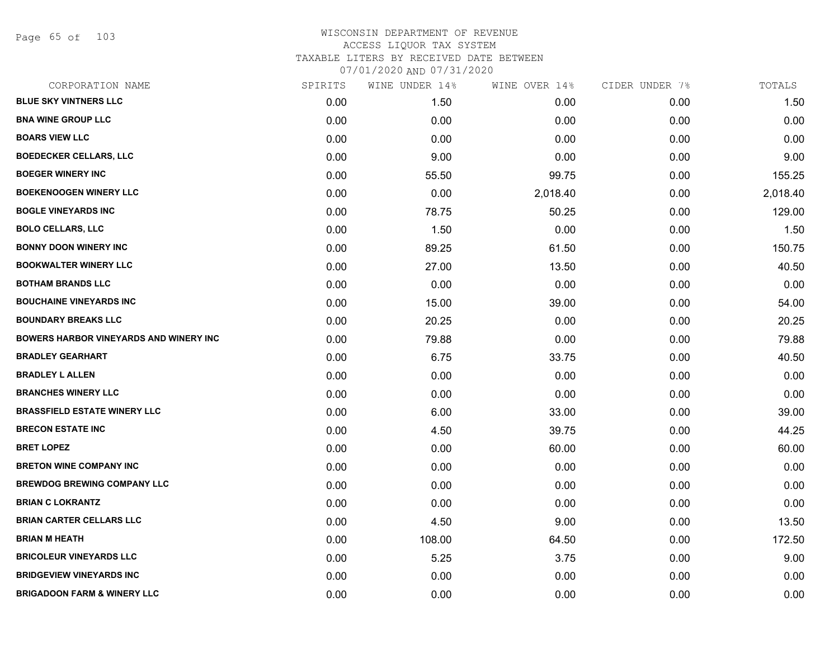Page 65 of 103

| CORPORATION NAME                              | SPIRITS | WINE UNDER 14% | WINE OVER 14% | CIDER UNDER 7% | TOTALS   |
|-----------------------------------------------|---------|----------------|---------------|----------------|----------|
| <b>BLUE SKY VINTNERS LLC</b>                  | 0.00    | 1.50           | 0.00          | 0.00           | 1.50     |
| <b>BNA WINE GROUP LLC</b>                     | 0.00    | 0.00           | 0.00          | 0.00           | 0.00     |
| <b>BOARS VIEW LLC</b>                         | 0.00    | 0.00           | 0.00          | 0.00           | 0.00     |
| <b>BOEDECKER CELLARS, LLC</b>                 | 0.00    | 9.00           | 0.00          | 0.00           | 9.00     |
| <b>BOEGER WINERY INC</b>                      | 0.00    | 55.50          | 99.75         | 0.00           | 155.25   |
| <b>BOEKENOOGEN WINERY LLC</b>                 | 0.00    | 0.00           | 2,018.40      | 0.00           | 2,018.40 |
| <b>BOGLE VINEYARDS INC</b>                    | 0.00    | 78.75          | 50.25         | 0.00           | 129.00   |
| <b>BOLO CELLARS, LLC</b>                      | 0.00    | 1.50           | 0.00          | 0.00           | 1.50     |
| <b>BONNY DOON WINERY INC</b>                  | 0.00    | 89.25          | 61.50         | 0.00           | 150.75   |
| <b>BOOKWALTER WINERY LLC</b>                  | 0.00    | 27.00          | 13.50         | 0.00           | 40.50    |
| <b>BOTHAM BRANDS LLC</b>                      | 0.00    | 0.00           | 0.00          | 0.00           | 0.00     |
| <b>BOUCHAINE VINEYARDS INC</b>                | 0.00    | 15.00          | 39.00         | 0.00           | 54.00    |
| <b>BOUNDARY BREAKS LLC</b>                    | 0.00    | 20.25          | 0.00          | 0.00           | 20.25    |
| <b>BOWERS HARBOR VINEYARDS AND WINERY INC</b> | 0.00    | 79.88          | 0.00          | 0.00           | 79.88    |
| <b>BRADLEY GEARHART</b>                       | 0.00    | 6.75           | 33.75         | 0.00           | 40.50    |
| <b>BRADLEY L ALLEN</b>                        | 0.00    | 0.00           | 0.00          | 0.00           | 0.00     |
| <b>BRANCHES WINERY LLC</b>                    | 0.00    | 0.00           | 0.00          | 0.00           | 0.00     |
| <b>BRASSFIELD ESTATE WINERY LLC</b>           | 0.00    | 6.00           | 33.00         | 0.00           | 39.00    |
| <b>BRECON ESTATE INC</b>                      | 0.00    | 4.50           | 39.75         | 0.00           | 44.25    |
| <b>BRET LOPEZ</b>                             | 0.00    | 0.00           | 60.00         | 0.00           | 60.00    |
| <b>BRETON WINE COMPANY INC</b>                | 0.00    | 0.00           | 0.00          | 0.00           | 0.00     |
| <b>BREWDOG BREWING COMPANY LLC</b>            | 0.00    | 0.00           | 0.00          | 0.00           | 0.00     |
| <b>BRIAN C LOKRANTZ</b>                       | 0.00    | 0.00           | 0.00          | 0.00           | 0.00     |
| <b>BRIAN CARTER CELLARS LLC</b>               | 0.00    | 4.50           | 9.00          | 0.00           | 13.50    |
| <b>BRIAN M HEATH</b>                          | 0.00    | 108.00         | 64.50         | 0.00           | 172.50   |
| <b>BRICOLEUR VINEYARDS LLC</b>                | 0.00    | 5.25           | 3.75          | 0.00           | 9.00     |
| <b>BRIDGEVIEW VINEYARDS INC</b>               | 0.00    | 0.00           | 0.00          | 0.00           | 0.00     |
| <b>BRIGADOON FARM &amp; WINERY LLC</b>        | 0.00    | 0.00           | 0.00          | 0.00           | 0.00     |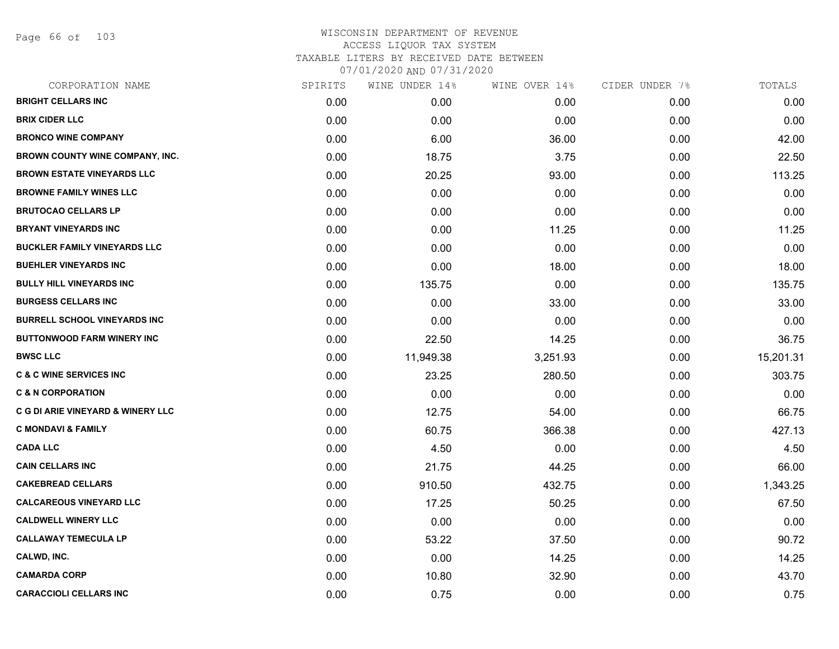Page 66 of 103

| CORPORATION NAME                    | SPIRITS | WINE UNDER 14% | WINE OVER 14% | CIDER UNDER 7% | TOTALS    |
|-------------------------------------|---------|----------------|---------------|----------------|-----------|
| <b>BRIGHT CELLARS INC</b>           | 0.00    | 0.00           | 0.00          | 0.00           | 0.00      |
| <b>BRIX CIDER LLC</b>               | 0.00    | 0.00           | 0.00          | 0.00           | 0.00      |
| <b>BRONCO WINE COMPANY</b>          | 0.00    | 6.00           | 36.00         | 0.00           | 42.00     |
| BROWN COUNTY WINE COMPANY, INC.     | 0.00    | 18.75          | 3.75          | 0.00           | 22.50     |
| <b>BROWN ESTATE VINEYARDS LLC</b>   | 0.00    | 20.25          | 93.00         | 0.00           | 113.25    |
| <b>BROWNE FAMILY WINES LLC</b>      | 0.00    | 0.00           | 0.00          | 0.00           | 0.00      |
| <b>BRUTOCAO CELLARS LP</b>          | 0.00    | 0.00           | 0.00          | 0.00           | 0.00      |
| <b>BRYANT VINEYARDS INC</b>         | 0.00    | 0.00           | 11.25         | 0.00           | 11.25     |
| <b>BUCKLER FAMILY VINEYARDS LLC</b> | 0.00    | 0.00           | 0.00          | 0.00           | 0.00      |
| <b>BUEHLER VINEYARDS INC</b>        | 0.00    | 0.00           | 18.00         | 0.00           | 18.00     |
| <b>BULLY HILL VINEYARDS INC</b>     | 0.00    | 135.75         | 0.00          | 0.00           | 135.75    |
| <b>BURGESS CELLARS INC</b>          | 0.00    | 0.00           | 33.00         | 0.00           | 33.00     |
| <b>BURRELL SCHOOL VINEYARDS INC</b> | 0.00    | 0.00           | 0.00          | 0.00           | 0.00      |
| <b>BUTTONWOOD FARM WINERY INC</b>   | 0.00    | 22.50          | 14.25         | 0.00           | 36.75     |
| <b>BWSC LLC</b>                     | 0.00    | 11,949.38      | 3,251.93      | 0.00           | 15,201.31 |
| <b>C &amp; C WINE SERVICES INC</b>  | 0.00    | 23.25          | 280.50        | 0.00           | 303.75    |
| <b>C &amp; N CORPORATION</b>        | 0.00    | 0.00           | 0.00          | 0.00           | 0.00      |
| C G DI ARIE VINEYARD & WINERY LLC   | 0.00    | 12.75          | 54.00         | 0.00           | 66.75     |
| <b>C MONDAVI &amp; FAMILY</b>       | 0.00    | 60.75          | 366.38        | 0.00           | 427.13    |
| <b>CADA LLC</b>                     | 0.00    | 4.50           | 0.00          | 0.00           | 4.50      |
| <b>CAIN CELLARS INC</b>             | 0.00    | 21.75          | 44.25         | 0.00           | 66.00     |
| <b>CAKEBREAD CELLARS</b>            | 0.00    | 910.50         | 432.75        | 0.00           | 1,343.25  |
| <b>CALCAREOUS VINEYARD LLC</b>      | 0.00    | 17.25          | 50.25         | 0.00           | 67.50     |
| <b>CALDWELL WINERY LLC</b>          | 0.00    | 0.00           | 0.00          | 0.00           | 0.00      |
| <b>CALLAWAY TEMECULA LP</b>         | 0.00    | 53.22          | 37.50         | 0.00           | 90.72     |
| CALWD, INC.                         | 0.00    | 0.00           | 14.25         | 0.00           | 14.25     |
| <b>CAMARDA CORP</b>                 | 0.00    | 10.80          | 32.90         | 0.00           | 43.70     |
| <b>CARACCIOLI CELLARS INC</b>       | 0.00    | 0.75           | 0.00          | 0.00           | 0.75      |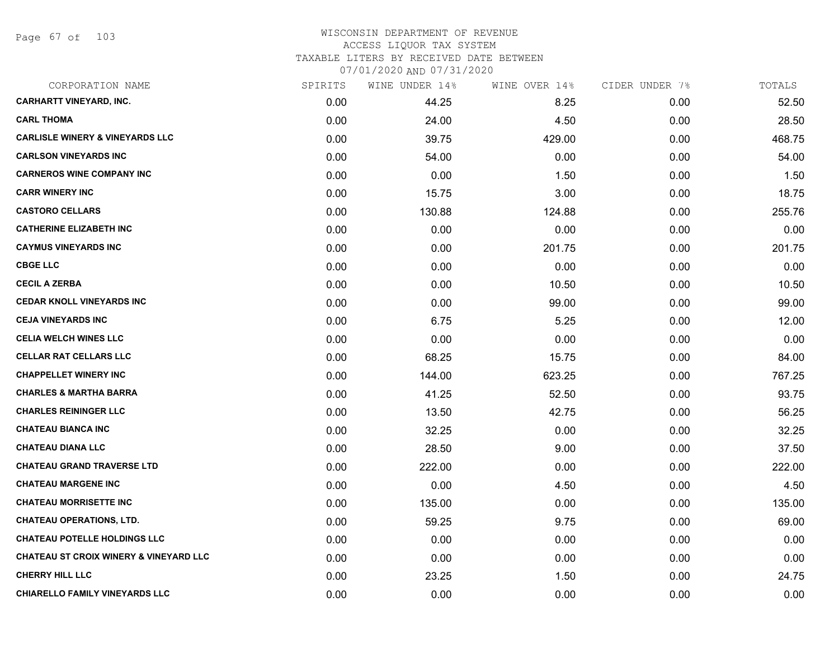Page 67 of 103

| CORPORATION NAME                                  | SPIRITS | WINE UNDER 14% | WINE OVER 14% | CIDER UNDER 7% | TOTALS |
|---------------------------------------------------|---------|----------------|---------------|----------------|--------|
| <b>CARHARTT VINEYARD, INC.</b>                    | 0.00    | 44.25          | 8.25          | 0.00           | 52.50  |
| <b>CARL THOMA</b>                                 | 0.00    | 24.00          | 4.50          | 0.00           | 28.50  |
| <b>CARLISLE WINERY &amp; VINEYARDS LLC</b>        | 0.00    | 39.75          | 429.00        | 0.00           | 468.75 |
| <b>CARLSON VINEYARDS INC</b>                      | 0.00    | 54.00          | 0.00          | 0.00           | 54.00  |
| <b>CARNEROS WINE COMPANY INC</b>                  | 0.00    | 0.00           | 1.50          | 0.00           | 1.50   |
| <b>CARR WINERY INC</b>                            | 0.00    | 15.75          | 3.00          | 0.00           | 18.75  |
| <b>CASTORO CELLARS</b>                            | 0.00    | 130.88         | 124.88        | 0.00           | 255.76 |
| <b>CATHERINE ELIZABETH INC</b>                    | 0.00    | 0.00           | 0.00          | 0.00           | 0.00   |
| <b>CAYMUS VINEYARDS INC</b>                       | 0.00    | 0.00           | 201.75        | 0.00           | 201.75 |
| <b>CBGE LLC</b>                                   | 0.00    | 0.00           | 0.00          | 0.00           | 0.00   |
| <b>CECIL A ZERBA</b>                              | 0.00    | 0.00           | 10.50         | 0.00           | 10.50  |
| <b>CEDAR KNOLL VINEYARDS INC</b>                  | 0.00    | 0.00           | 99.00         | 0.00           | 99.00  |
| <b>CEJA VINEYARDS INC</b>                         | 0.00    | 6.75           | 5.25          | 0.00           | 12.00  |
| <b>CELIA WELCH WINES LLC</b>                      | 0.00    | 0.00           | 0.00          | 0.00           | 0.00   |
| <b>CELLAR RAT CELLARS LLC</b>                     | 0.00    | 68.25          | 15.75         | 0.00           | 84.00  |
| <b>CHAPPELLET WINERY INC</b>                      | 0.00    | 144.00         | 623.25        | 0.00           | 767.25 |
| <b>CHARLES &amp; MARTHA BARRA</b>                 | 0.00    | 41.25          | 52.50         | 0.00           | 93.75  |
| <b>CHARLES REININGER LLC</b>                      | 0.00    | 13.50          | 42.75         | 0.00           | 56.25  |
| <b>CHATEAU BIANCA INC</b>                         | 0.00    | 32.25          | 0.00          | 0.00           | 32.25  |
| <b>CHATEAU DIANA LLC</b>                          | 0.00    | 28.50          | 9.00          | 0.00           | 37.50  |
| <b>CHATEAU GRAND TRAVERSE LTD</b>                 | 0.00    | 222.00         | 0.00          | 0.00           | 222.00 |
| <b>CHATEAU MARGENE INC</b>                        | 0.00    | 0.00           | 4.50          | 0.00           | 4.50   |
| <b>CHATEAU MORRISETTE INC</b>                     | 0.00    | 135.00         | 0.00          | 0.00           | 135.00 |
| <b>CHATEAU OPERATIONS, LTD.</b>                   | 0.00    | 59.25          | 9.75          | 0.00           | 69.00  |
| <b>CHATEAU POTELLE HOLDINGS LLC</b>               | 0.00    | 0.00           | 0.00          | 0.00           | 0.00   |
| <b>CHATEAU ST CROIX WINERY &amp; VINEYARD LLC</b> | 0.00    | 0.00           | 0.00          | 0.00           | 0.00   |
| <b>CHERRY HILL LLC</b>                            | 0.00    | 23.25          | 1.50          | 0.00           | 24.75  |
| <b>CHIARELLO FAMILY VINEYARDS LLC</b>             | 0.00    | 0.00           | 0.00          | 0.00           | 0.00   |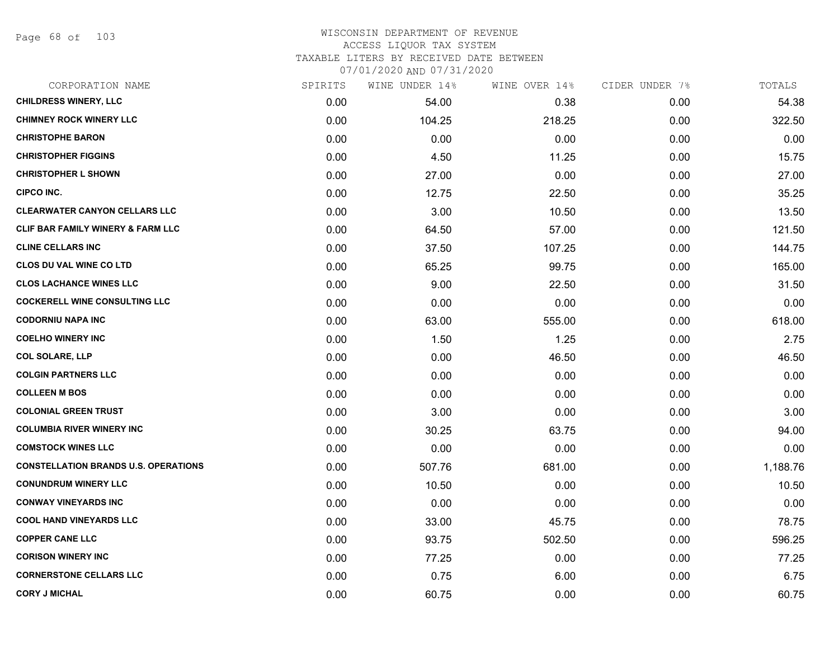Page 68 of 103

| CORPORATION NAME                            | SPIRITS | WINE UNDER 14% | WINE OVER 14% | CIDER UNDER 7% | TOTALS   |
|---------------------------------------------|---------|----------------|---------------|----------------|----------|
| <b>CHILDRESS WINERY, LLC</b>                | 0.00    | 54.00          | 0.38          | 0.00           | 54.38    |
| <b>CHIMNEY ROCK WINERY LLC</b>              | 0.00    | 104.25         | 218.25        | 0.00           | 322.50   |
| <b>CHRISTOPHE BARON</b>                     | 0.00    | 0.00           | 0.00          | 0.00           | 0.00     |
| <b>CHRISTOPHER FIGGINS</b>                  | 0.00    | 4.50           | 11.25         | 0.00           | 15.75    |
| <b>CHRISTOPHER L SHOWN</b>                  | 0.00    | 27.00          | 0.00          | 0.00           | 27.00    |
| CIPCO INC.                                  | 0.00    | 12.75          | 22.50         | 0.00           | 35.25    |
| <b>CLEARWATER CANYON CELLARS LLC</b>        | 0.00    | 3.00           | 10.50         | 0.00           | 13.50    |
| CLIF BAR FAMILY WINERY & FARM LLC           | 0.00    | 64.50          | 57.00         | 0.00           | 121.50   |
| <b>CLINE CELLARS INC</b>                    | 0.00    | 37.50          | 107.25        | 0.00           | 144.75   |
| <b>CLOS DU VAL WINE CO LTD</b>              | 0.00    | 65.25          | 99.75         | 0.00           | 165.00   |
| <b>CLOS LACHANCE WINES LLC</b>              | 0.00    | 9.00           | 22.50         | 0.00           | 31.50    |
| <b>COCKERELL WINE CONSULTING LLC</b>        | 0.00    | 0.00           | 0.00          | 0.00           | 0.00     |
| <b>CODORNIU NAPA INC</b>                    | 0.00    | 63.00          | 555.00        | 0.00           | 618.00   |
| <b>COELHO WINERY INC</b>                    | 0.00    | 1.50           | 1.25          | 0.00           | 2.75     |
| <b>COL SOLARE, LLP</b>                      | 0.00    | 0.00           | 46.50         | 0.00           | 46.50    |
| <b>COLGIN PARTNERS LLC</b>                  | 0.00    | 0.00           | 0.00          | 0.00           | 0.00     |
| <b>COLLEEN M BOS</b>                        | 0.00    | 0.00           | 0.00          | 0.00           | 0.00     |
| <b>COLONIAL GREEN TRUST</b>                 | 0.00    | 3.00           | 0.00          | 0.00           | 3.00     |
| <b>COLUMBIA RIVER WINERY INC</b>            | 0.00    | 30.25          | 63.75         | 0.00           | 94.00    |
| <b>COMSTOCK WINES LLC</b>                   | 0.00    | 0.00           | 0.00          | 0.00           | 0.00     |
| <b>CONSTELLATION BRANDS U.S. OPERATIONS</b> | 0.00    | 507.76         | 681.00        | 0.00           | 1,188.76 |
| <b>CONUNDRUM WINERY LLC</b>                 | 0.00    | 10.50          | 0.00          | 0.00           | 10.50    |
| <b>CONWAY VINEYARDS INC</b>                 | 0.00    | 0.00           | 0.00          | 0.00           | 0.00     |
| <b>COOL HAND VINEYARDS LLC</b>              | 0.00    | 33.00          | 45.75         | 0.00           | 78.75    |
| <b>COPPER CANE LLC</b>                      | 0.00    | 93.75          | 502.50        | 0.00           | 596.25   |
| <b>CORISON WINERY INC</b>                   | 0.00    | 77.25          | 0.00          | 0.00           | 77.25    |
| <b>CORNERSTONE CELLARS LLC</b>              | 0.00    | 0.75           | 6.00          | 0.00           | 6.75     |
| <b>CORY J MICHAL</b>                        | 0.00    | 60.75          | 0.00          | 0.00           | 60.75    |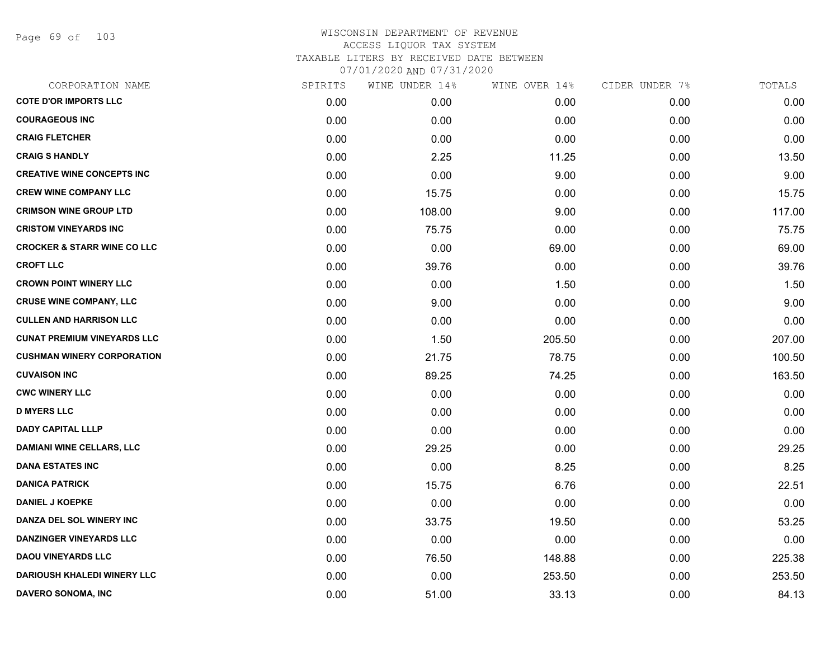Page 69 of 103

| CORPORATION NAME                       | SPIRITS | WINE UNDER 14% | WINE OVER 14% | CIDER UNDER 7% | TOTALS |
|----------------------------------------|---------|----------------|---------------|----------------|--------|
| <b>COTE D'OR IMPORTS LLC</b>           | 0.00    | 0.00           | 0.00          | 0.00           | 0.00   |
| <b>COURAGEOUS INC</b>                  | 0.00    | 0.00           | 0.00          | 0.00           | 0.00   |
| <b>CRAIG FLETCHER</b>                  | 0.00    | 0.00           | 0.00          | 0.00           | 0.00   |
| <b>CRAIG S HANDLY</b>                  | 0.00    | 2.25           | 11.25         | 0.00           | 13.50  |
| <b>CREATIVE WINE CONCEPTS INC</b>      | 0.00    | 0.00           | 9.00          | 0.00           | 9.00   |
| <b>CREW WINE COMPANY LLC</b>           | 0.00    | 15.75          | 0.00          | 0.00           | 15.75  |
| <b>CRIMSON WINE GROUP LTD</b>          | 0.00    | 108.00         | 9.00          | 0.00           | 117.00 |
| <b>CRISTOM VINEYARDS INC</b>           | 0.00    | 75.75          | 0.00          | 0.00           | 75.75  |
| <b>CROCKER &amp; STARR WINE CO LLC</b> | 0.00    | 0.00           | 69.00         | 0.00           | 69.00  |
| <b>CROFT LLC</b>                       | 0.00    | 39.76          | 0.00          | 0.00           | 39.76  |
| <b>CROWN POINT WINERY LLC</b>          | 0.00    | 0.00           | 1.50          | 0.00           | 1.50   |
| <b>CRUSE WINE COMPANY, LLC</b>         | 0.00    | 9.00           | 0.00          | 0.00           | 9.00   |
| <b>CULLEN AND HARRISON LLC</b>         | 0.00    | 0.00           | 0.00          | 0.00           | 0.00   |
| <b>CUNAT PREMIUM VINEYARDS LLC</b>     | 0.00    | 1.50           | 205.50        | 0.00           | 207.00 |
| <b>CUSHMAN WINERY CORPORATION</b>      | 0.00    | 21.75          | 78.75         | 0.00           | 100.50 |
| <b>CUVAISON INC</b>                    | 0.00    | 89.25          | 74.25         | 0.00           | 163.50 |
| <b>CWC WINERY LLC</b>                  | 0.00    | 0.00           | 0.00          | 0.00           | 0.00   |
| <b>D MYERS LLC</b>                     | 0.00    | 0.00           | 0.00          | 0.00           | 0.00   |
| <b>DADY CAPITAL LLLP</b>               | 0.00    | 0.00           | 0.00          | 0.00           | 0.00   |
| <b>DAMIANI WINE CELLARS, LLC</b>       | 0.00    | 29.25          | 0.00          | 0.00           | 29.25  |
| <b>DANA ESTATES INC</b>                | 0.00    | 0.00           | 8.25          | 0.00           | 8.25   |
| <b>DANICA PATRICK</b>                  | 0.00    | 15.75          | 6.76          | 0.00           | 22.51  |
| <b>DANIEL J KOEPKE</b>                 | 0.00    | 0.00           | 0.00          | 0.00           | 0.00   |
| DANZA DEL SOL WINERY INC               | 0.00    | 33.75          | 19.50         | 0.00           | 53.25  |
| <b>DANZINGER VINEYARDS LLC</b>         | 0.00    | 0.00           | 0.00          | 0.00           | 0.00   |
| <b>DAOU VINEYARDS LLC</b>              | 0.00    | 76.50          | 148.88        | 0.00           | 225.38 |
| <b>DARIOUSH KHALEDI WINERY LLC</b>     | 0.00    | 0.00           | 253.50        | 0.00           | 253.50 |
| DAVERO SONOMA, INC                     | 0.00    | 51.00          | 33.13         | 0.00           | 84.13  |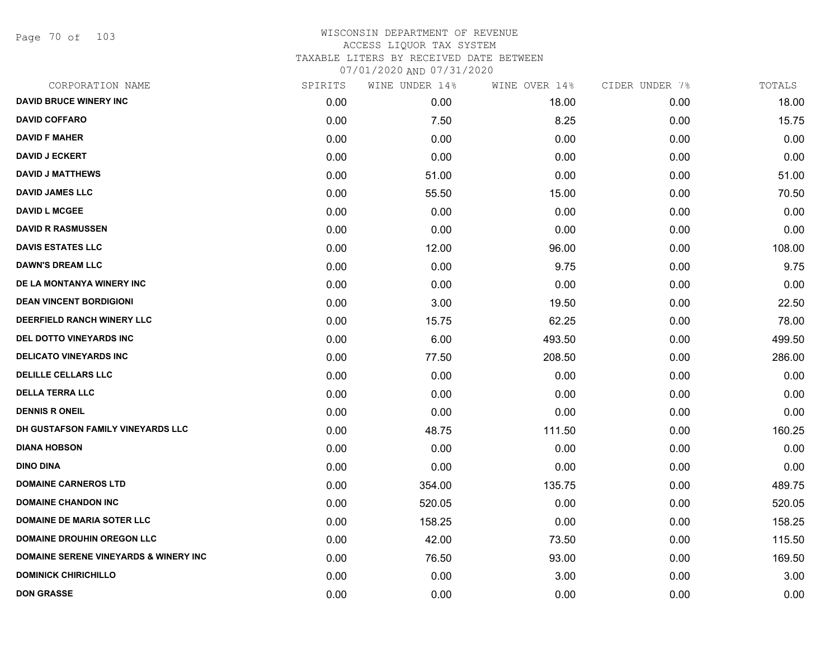Page 70 of 103

| CORPORATION NAME                                 | SPIRITS | WINE UNDER 14% | WINE OVER 14% | CIDER UNDER 7% | TOTALS |
|--------------------------------------------------|---------|----------------|---------------|----------------|--------|
| <b>DAVID BRUCE WINERY INC</b>                    | 0.00    | 0.00           | 18.00         | 0.00           | 18.00  |
| <b>DAVID COFFARO</b>                             | 0.00    | 7.50           | 8.25          | 0.00           | 15.75  |
| <b>DAVID F MAHER</b>                             | 0.00    | 0.00           | 0.00          | 0.00           | 0.00   |
| <b>DAVID J ECKERT</b>                            | 0.00    | 0.00           | 0.00          | 0.00           | 0.00   |
| <b>DAVID J MATTHEWS</b>                          | 0.00    | 51.00          | 0.00          | 0.00           | 51.00  |
| <b>DAVID JAMES LLC</b>                           | 0.00    | 55.50          | 15.00         | 0.00           | 70.50  |
| <b>DAVID L MCGEE</b>                             | 0.00    | 0.00           | 0.00          | 0.00           | 0.00   |
| <b>DAVID R RASMUSSEN</b>                         | 0.00    | 0.00           | 0.00          | 0.00           | 0.00   |
| <b>DAVIS ESTATES LLC</b>                         | 0.00    | 12.00          | 96.00         | 0.00           | 108.00 |
| <b>DAWN'S DREAM LLC</b>                          | 0.00    | 0.00           | 9.75          | 0.00           | 9.75   |
| DE LA MONTANYA WINERY INC                        | 0.00    | 0.00           | 0.00          | 0.00           | 0.00   |
| <b>DEAN VINCENT BORDIGIONI</b>                   | 0.00    | 3.00           | 19.50         | 0.00           | 22.50  |
| DEERFIELD RANCH WINERY LLC                       | 0.00    | 15.75          | 62.25         | 0.00           | 78.00  |
| DEL DOTTO VINEYARDS INC                          | 0.00    | 6.00           | 493.50        | 0.00           | 499.50 |
| <b>DELICATO VINEYARDS INC</b>                    | 0.00    | 77.50          | 208.50        | 0.00           | 286.00 |
| <b>DELILLE CELLARS LLC</b>                       | 0.00    | 0.00           | 0.00          | 0.00           | 0.00   |
| <b>DELLA TERRA LLC</b>                           | 0.00    | 0.00           | 0.00          | 0.00           | 0.00   |
| <b>DENNIS R ONEIL</b>                            | 0.00    | 0.00           | 0.00          | 0.00           | 0.00   |
| DH GUSTAFSON FAMILY VINEYARDS LLC                | 0.00    | 48.75          | 111.50        | 0.00           | 160.25 |
| <b>DIANA HOBSON</b>                              | 0.00    | 0.00           | 0.00          | 0.00           | 0.00   |
| <b>DINO DINA</b>                                 | 0.00    | 0.00           | 0.00          | 0.00           | 0.00   |
| <b>DOMAINE CARNEROS LTD</b>                      | 0.00    | 354.00         | 135.75        | 0.00           | 489.75 |
| <b>DOMAINE CHANDON INC</b>                       | 0.00    | 520.05         | 0.00          | 0.00           | 520.05 |
| <b>DOMAINE DE MARIA SOTER LLC</b>                | 0.00    | 158.25         | 0.00          | 0.00           | 158.25 |
| <b>DOMAINE DROUHIN OREGON LLC</b>                | 0.00    | 42.00          | 73.50         | 0.00           | 115.50 |
| <b>DOMAINE SERENE VINEYARDS &amp; WINERY INC</b> | 0.00    | 76.50          | 93.00         | 0.00           | 169.50 |
| <b>DOMINICK CHIRICHILLO</b>                      | 0.00    | 0.00           | 3.00          | 0.00           | 3.00   |
| <b>DON GRASSE</b>                                | 0.00    | 0.00           | 0.00          | 0.00           | 0.00   |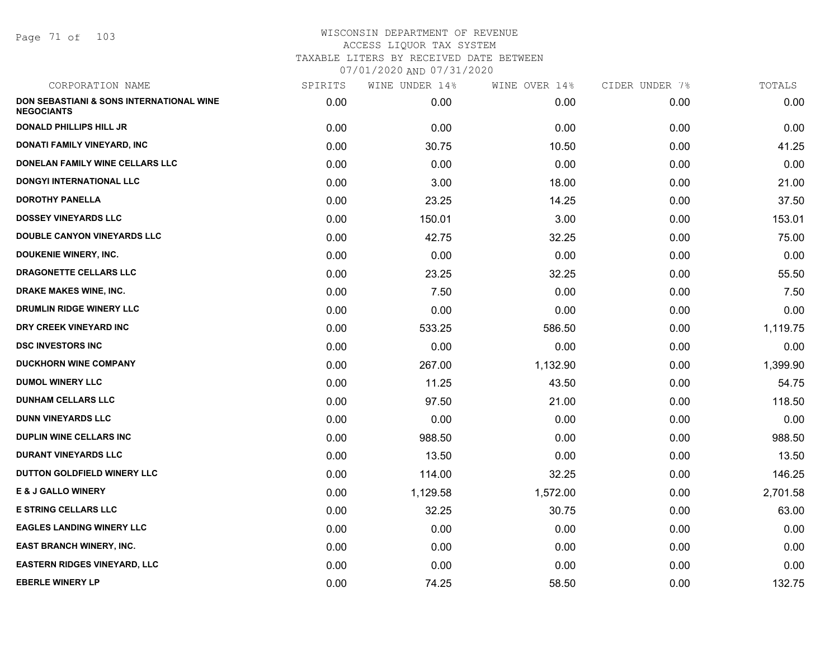Page 71 of 103

| CORPORATION NAME                                              | SPIRITS | WINE UNDER 14% | WINE OVER 14% | CIDER UNDER 7% | TOTALS   |
|---------------------------------------------------------------|---------|----------------|---------------|----------------|----------|
| DON SEBASTIANI & SONS INTERNATIONAL WINE<br><b>NEGOCIANTS</b> | 0.00    | 0.00           | 0.00          | 0.00           | 0.00     |
| <b>DONALD PHILLIPS HILL JR</b>                                | 0.00    | 0.00           | 0.00          | 0.00           | 0.00     |
| DONATI FAMILY VINEYARD, INC                                   | 0.00    | 30.75          | 10.50         | 0.00           | 41.25    |
| DONELAN FAMILY WINE CELLARS LLC                               | 0.00    | 0.00           | 0.00          | 0.00           | 0.00     |
| DONGYI INTERNATIONAL LLC                                      | 0.00    | 3.00           | 18.00         | 0.00           | 21.00    |
| <b>DOROTHY PANELLA</b>                                        | 0.00    | 23.25          | 14.25         | 0.00           | 37.50    |
| <b>DOSSEY VINEYARDS LLC</b>                                   | 0.00    | 150.01         | 3.00          | 0.00           | 153.01   |
| DOUBLE CANYON VINEYARDS LLC                                   | 0.00    | 42.75          | 32.25         | 0.00           | 75.00    |
| <b>DOUKENIE WINERY, INC.</b>                                  | 0.00    | 0.00           | 0.00          | 0.00           | 0.00     |
| DRAGONETTE CELLARS LLC                                        | 0.00    | 23.25          | 32.25         | 0.00           | 55.50    |
| <b>DRAKE MAKES WINE, INC.</b>                                 | 0.00    | 7.50           | 0.00          | 0.00           | 7.50     |
| DRUMLIN RIDGE WINERY LLC                                      | 0.00    | 0.00           | 0.00          | 0.00           | 0.00     |
| DRY CREEK VINEYARD INC                                        | 0.00    | 533.25         | 586.50        | 0.00           | 1,119.75 |
| <b>DSC INVESTORS INC</b>                                      | 0.00    | 0.00           | 0.00          | 0.00           | 0.00     |
| <b>DUCKHORN WINE COMPANY</b>                                  | 0.00    | 267.00         | 1,132.90      | 0.00           | 1,399.90 |
| <b>DUMOL WINERY LLC</b>                                       | 0.00    | 11.25          | 43.50         | 0.00           | 54.75    |
| <b>DUNHAM CELLARS LLC</b>                                     | 0.00    | 97.50          | 21.00         | 0.00           | 118.50   |
| <b>DUNN VINEYARDS LLC</b>                                     | 0.00    | 0.00           | 0.00          | 0.00           | 0.00     |
| <b>DUPLIN WINE CELLARS INC</b>                                | 0.00    | 988.50         | 0.00          | 0.00           | 988.50   |
| <b>DURANT VINEYARDS LLC</b>                                   | 0.00    | 13.50          | 0.00          | 0.00           | 13.50    |
| DUTTON GOLDFIELD WINERY LLC                                   | 0.00    | 114.00         | 32.25         | 0.00           | 146.25   |
| <b>E &amp; J GALLO WINERY</b>                                 | 0.00    | 1,129.58       | 1,572.00      | 0.00           | 2,701.58 |
| <b>E STRING CELLARS LLC</b>                                   | 0.00    | 32.25          | 30.75         | 0.00           | 63.00    |
| <b>EAGLES LANDING WINERY LLC</b>                              | 0.00    | 0.00           | 0.00          | 0.00           | 0.00     |
| <b>EAST BRANCH WINERY, INC.</b>                               | 0.00    | 0.00           | 0.00          | 0.00           | 0.00     |
| <b>EASTERN RIDGES VINEYARD, LLC</b>                           | 0.00    | 0.00           | 0.00          | 0.00           | 0.00     |
| <b>EBERLE WINERY LP</b>                                       | 0.00    | 74.25          | 58.50         | 0.00           | 132.75   |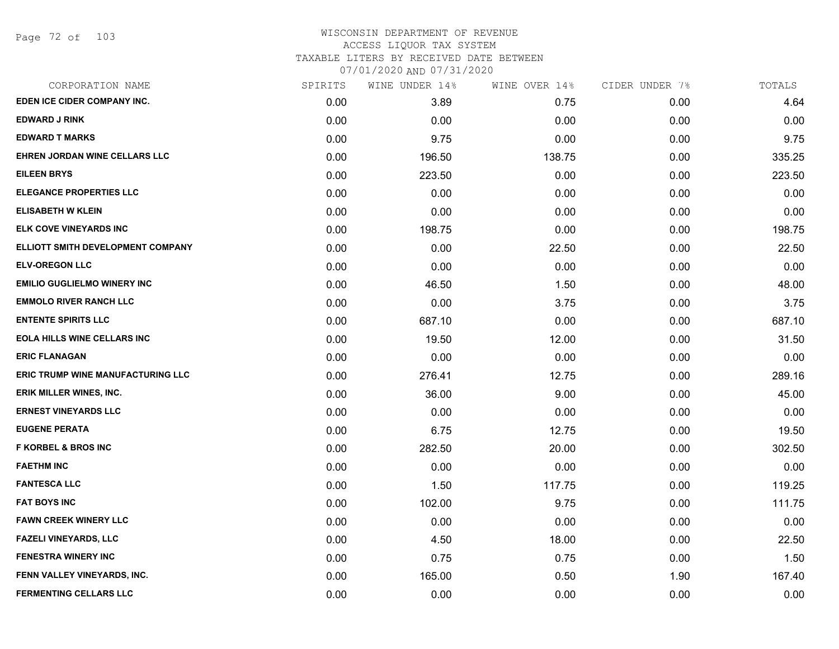| CORPORATION NAME                         | SPIRITS | WINE UNDER 14% | WINE OVER 14% | CIDER UNDER 7% | TOTALS |
|------------------------------------------|---------|----------------|---------------|----------------|--------|
| EDEN ICE CIDER COMPANY INC.              | 0.00    | 3.89           | 0.75          | 0.00           | 4.64   |
| <b>EDWARD J RINK</b>                     | 0.00    | 0.00           | 0.00          | 0.00           | 0.00   |
| <b>EDWARD T MARKS</b>                    | 0.00    | 9.75           | 0.00          | 0.00           | 9.75   |
| EHREN JORDAN WINE CELLARS LLC            | 0.00    | 196.50         | 138.75        | 0.00           | 335.25 |
| <b>EILEEN BRYS</b>                       | 0.00    | 223.50         | 0.00          | 0.00           | 223.50 |
| <b>ELEGANCE PROPERTIES LLC</b>           | 0.00    | 0.00           | 0.00          | 0.00           | 0.00   |
| <b>ELISABETH W KLEIN</b>                 | 0.00    | 0.00           | 0.00          | 0.00           | 0.00   |
| ELK COVE VINEYARDS INC                   | 0.00    | 198.75         | 0.00          | 0.00           | 198.75 |
| ELLIOTT SMITH DEVELOPMENT COMPANY        | 0.00    | 0.00           | 22.50         | 0.00           | 22.50  |
| <b>ELV-OREGON LLC</b>                    | 0.00    | 0.00           | 0.00          | 0.00           | 0.00   |
| <b>EMILIO GUGLIELMO WINERY INC</b>       | 0.00    | 46.50          | 1.50          | 0.00           | 48.00  |
| <b>EMMOLO RIVER RANCH LLC</b>            | 0.00    | 0.00           | 3.75          | 0.00           | 3.75   |
| <b>ENTENTE SPIRITS LLC</b>               | 0.00    | 687.10         | 0.00          | 0.00           | 687.10 |
| <b>EOLA HILLS WINE CELLARS INC</b>       | 0.00    | 19.50          | 12.00         | 0.00           | 31.50  |
| <b>ERIC FLANAGAN</b>                     | 0.00    | 0.00           | 0.00          | 0.00           | 0.00   |
| <b>ERIC TRUMP WINE MANUFACTURING LLC</b> | 0.00    | 276.41         | 12.75         | 0.00           | 289.16 |
| <b>ERIK MILLER WINES, INC.</b>           | 0.00    | 36.00          | 9.00          | 0.00           | 45.00  |
| <b>ERNEST VINEYARDS LLC</b>              | 0.00    | 0.00           | 0.00          | 0.00           | 0.00   |
| <b>EUGENE PERATA</b>                     | 0.00    | 6.75           | 12.75         | 0.00           | 19.50  |
| <b>F KORBEL &amp; BROS INC</b>           | 0.00    | 282.50         | 20.00         | 0.00           | 302.50 |
| <b>FAETHM INC</b>                        | 0.00    | 0.00           | 0.00          | 0.00           | 0.00   |
| <b>FANTESCA LLC</b>                      | 0.00    | 1.50           | 117.75        | 0.00           | 119.25 |
| <b>FAT BOYS INC</b>                      | 0.00    | 102.00         | 9.75          | 0.00           | 111.75 |
| <b>FAWN CREEK WINERY LLC</b>             | 0.00    | 0.00           | 0.00          | 0.00           | 0.00   |
| <b>FAZELI VINEYARDS, LLC</b>             | 0.00    | 4.50           | 18.00         | 0.00           | 22.50  |
| <b>FENESTRA WINERY INC</b>               | 0.00    | 0.75           | 0.75          | 0.00           | 1.50   |
| FENN VALLEY VINEYARDS, INC.              | 0.00    | 165.00         | 0.50          | 1.90           | 167.40 |
| <b>FERMENTING CELLARS LLC</b>            | 0.00    | 0.00           | 0.00          | 0.00           | 0.00   |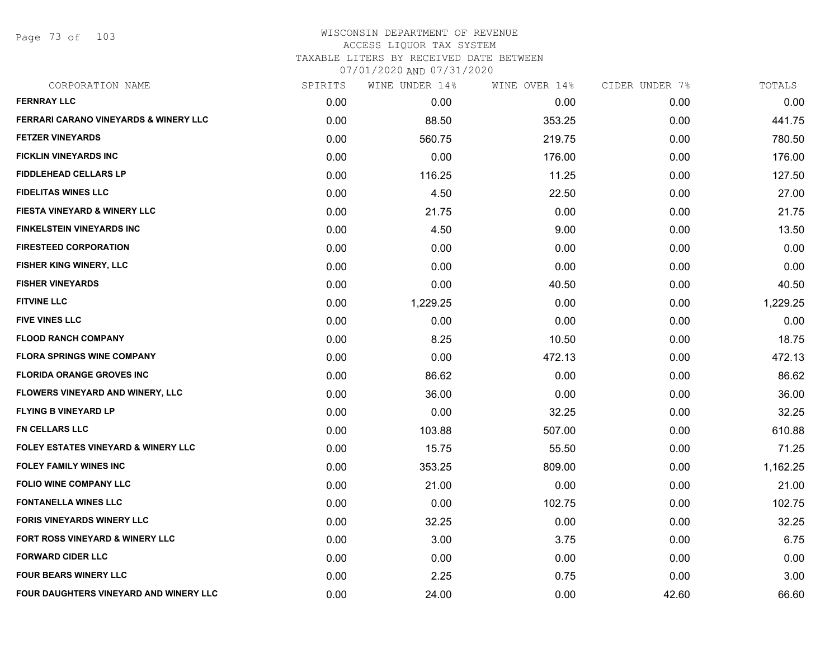Page 73 of 103

| CORPORATION NAME                                 | SPIRITS | WINE UNDER 14% | WINE OVER 14% | CIDER UNDER 7% | TOTALS   |
|--------------------------------------------------|---------|----------------|---------------|----------------|----------|
| <b>FERNRAY LLC</b>                               | 0.00    | 0.00           | 0.00          | 0.00           | 0.00     |
| <b>FERRARI CARANO VINEYARDS &amp; WINERY LLC</b> | 0.00    | 88.50          | 353.25        | 0.00           | 441.75   |
| <b>FETZER VINEYARDS</b>                          | 0.00    | 560.75         | 219.75        | 0.00           | 780.50   |
| <b>FICKLIN VINEYARDS INC</b>                     | 0.00    | 0.00           | 176.00        | 0.00           | 176.00   |
| <b>FIDDLEHEAD CELLARS LP</b>                     | 0.00    | 116.25         | 11.25         | 0.00           | 127.50   |
| <b>FIDELITAS WINES LLC</b>                       | 0.00    | 4.50           | 22.50         | 0.00           | 27.00    |
| <b>FIESTA VINEYARD &amp; WINERY LLC</b>          | 0.00    | 21.75          | 0.00          | 0.00           | 21.75    |
| <b>FINKELSTEIN VINEYARDS INC</b>                 | 0.00    | 4.50           | 9.00          | 0.00           | 13.50    |
| <b>FIRESTEED CORPORATION</b>                     | 0.00    | 0.00           | 0.00          | 0.00           | 0.00     |
| FISHER KING WINERY, LLC                          | 0.00    | 0.00           | 0.00          | 0.00           | 0.00     |
| <b>FISHER VINEYARDS</b>                          | 0.00    | 0.00           | 40.50         | 0.00           | 40.50    |
| <b>FITVINE LLC</b>                               | 0.00    | 1,229.25       | 0.00          | 0.00           | 1,229.25 |
| <b>FIVE VINES LLC</b>                            | 0.00    | 0.00           | 0.00          | 0.00           | 0.00     |
| <b>FLOOD RANCH COMPANY</b>                       | 0.00    | 8.25           | 10.50         | 0.00           | 18.75    |
| <b>FLORA SPRINGS WINE COMPANY</b>                | 0.00    | 0.00           | 472.13        | 0.00           | 472.13   |
| <b>FLORIDA ORANGE GROVES INC</b>                 | 0.00    | 86.62          | 0.00          | 0.00           | 86.62    |
| <b>FLOWERS VINEYARD AND WINERY, LLC</b>          | 0.00    | 36.00          | 0.00          | 0.00           | 36.00    |
| <b>FLYING B VINEYARD LP</b>                      | 0.00    | 0.00           | 32.25         | 0.00           | 32.25    |
| <b>FN CELLARS LLC</b>                            | 0.00    | 103.88         | 507.00        | 0.00           | 610.88   |
| <b>FOLEY ESTATES VINEYARD &amp; WINERY LLC</b>   | 0.00    | 15.75          | 55.50         | 0.00           | 71.25    |
| <b>FOLEY FAMILY WINES INC</b>                    | 0.00    | 353.25         | 809.00        | 0.00           | 1,162.25 |
| <b>FOLIO WINE COMPANY LLC</b>                    | 0.00    | 21.00          | 0.00          | 0.00           | 21.00    |
| <b>FONTANELLA WINES LLC</b>                      | 0.00    | 0.00           | 102.75        | 0.00           | 102.75   |
| <b>FORIS VINEYARDS WINERY LLC</b>                | 0.00    | 32.25          | 0.00          | 0.00           | 32.25    |
| <b>FORT ROSS VINEYARD &amp; WINERY LLC</b>       | 0.00    | 3.00           | 3.75          | 0.00           | 6.75     |
| <b>FORWARD CIDER LLC</b>                         | 0.00    | 0.00           | 0.00          | 0.00           | 0.00     |
| <b>FOUR BEARS WINERY LLC</b>                     | 0.00    | 2.25           | 0.75          | 0.00           | 3.00     |
| FOUR DAUGHTERS VINEYARD AND WINERY LLC           | 0.00    | 24.00          | 0.00          | 42.60          | 66.60    |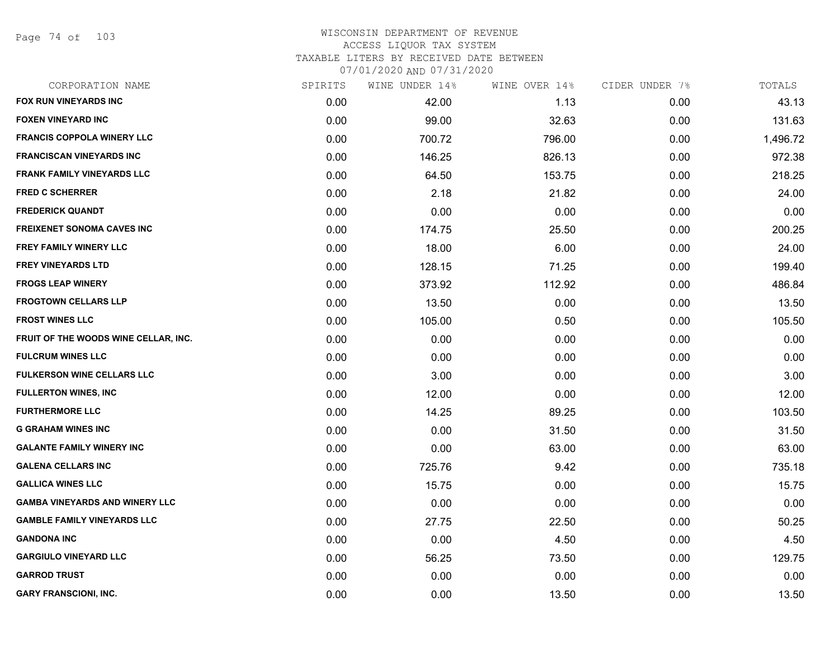Page 74 of 103

| CORPORATION NAME                      | SPIRITS | WINE UNDER 14% | WINE OVER 14% | CIDER UNDER 7% | TOTALS   |
|---------------------------------------|---------|----------------|---------------|----------------|----------|
| <b>FOX RUN VINEYARDS INC</b>          | 0.00    | 42.00          | 1.13          | 0.00           | 43.13    |
| <b>FOXEN VINEYARD INC</b>             | 0.00    | 99.00          | 32.63         | 0.00           | 131.63   |
| FRANCIS COPPOLA WINERY LLC            | 0.00    | 700.72         | 796.00        | 0.00           | 1,496.72 |
| <b>FRANCISCAN VINEYARDS INC</b>       | 0.00    | 146.25         | 826.13        | 0.00           | 972.38   |
| <b>FRANK FAMILY VINEYARDS LLC</b>     | 0.00    | 64.50          | 153.75        | 0.00           | 218.25   |
| <b>FRED C SCHERRER</b>                | 0.00    | 2.18           | 21.82         | 0.00           | 24.00    |
| <b>FREDERICK QUANDT</b>               | 0.00    | 0.00           | 0.00          | 0.00           | 0.00     |
| <b>FREIXENET SONOMA CAVES INC</b>     | 0.00    | 174.75         | 25.50         | 0.00           | 200.25   |
| <b>FREY FAMILY WINERY LLC</b>         | 0.00    | 18.00          | 6.00          | 0.00           | 24.00    |
| <b>FREY VINEYARDS LTD</b>             | 0.00    | 128.15         | 71.25         | 0.00           | 199.40   |
| <b>FROGS LEAP WINERY</b>              | 0.00    | 373.92         | 112.92        | 0.00           | 486.84   |
| <b>FROGTOWN CELLARS LLP</b>           | 0.00    | 13.50          | 0.00          | 0.00           | 13.50    |
| <b>FROST WINES LLC</b>                | 0.00    | 105.00         | 0.50          | 0.00           | 105.50   |
| FRUIT OF THE WOODS WINE CELLAR, INC.  | 0.00    | 0.00           | 0.00          | 0.00           | 0.00     |
| <b>FULCRUM WINES LLC</b>              | 0.00    | 0.00           | 0.00          | 0.00           | 0.00     |
| FULKERSON WINE CELLARS LLC            | 0.00    | 3.00           | 0.00          | 0.00           | 3.00     |
| <b>FULLERTON WINES, INC</b>           | 0.00    | 12.00          | 0.00          | 0.00           | 12.00    |
| <b>FURTHERMORE LLC</b>                | 0.00    | 14.25          | 89.25         | 0.00           | 103.50   |
| <b>G GRAHAM WINES INC</b>             | 0.00    | 0.00           | 31.50         | 0.00           | 31.50    |
| <b>GALANTE FAMILY WINERY INC</b>      | 0.00    | 0.00           | 63.00         | 0.00           | 63.00    |
| <b>GALENA CELLARS INC</b>             | 0.00    | 725.76         | 9.42          | 0.00           | 735.18   |
| <b>GALLICA WINES LLC</b>              | 0.00    | 15.75          | 0.00          | 0.00           | 15.75    |
| <b>GAMBA VINEYARDS AND WINERY LLC</b> | 0.00    | 0.00           | 0.00          | 0.00           | 0.00     |
| <b>GAMBLE FAMILY VINEYARDS LLC</b>    | 0.00    | 27.75          | 22.50         | 0.00           | 50.25    |
| <b>GANDONA INC</b>                    | 0.00    | 0.00           | 4.50          | 0.00           | 4.50     |
| <b>GARGIULO VINEYARD LLC</b>          | 0.00    | 56.25          | 73.50         | 0.00           | 129.75   |
| <b>GARROD TRUST</b>                   | 0.00    | 0.00           | 0.00          | 0.00           | 0.00     |
| <b>GARY FRANSCIONI, INC.</b>          | 0.00    | 0.00           | 13.50         | 0.00           | 13.50    |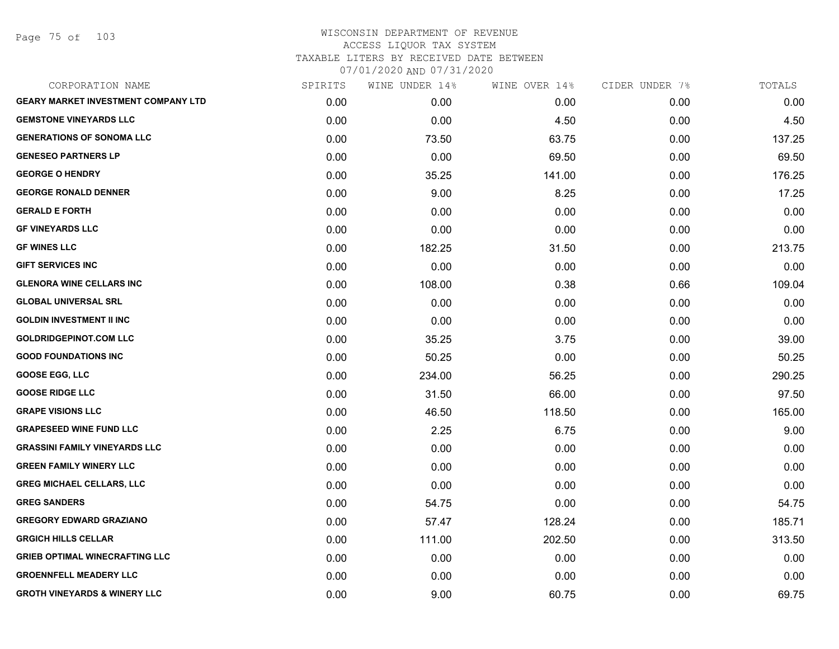Page 75 of 103

| CORPORATION NAME                           | SPIRITS | WINE UNDER 14% | WINE OVER 14% | CIDER UNDER 7% | TOTALS |
|--------------------------------------------|---------|----------------|---------------|----------------|--------|
| <b>GEARY MARKET INVESTMENT COMPANY LTD</b> | 0.00    | 0.00           | 0.00          | 0.00           | 0.00   |
| <b>GEMSTONE VINEYARDS LLC</b>              | 0.00    | 0.00           | 4.50          | 0.00           | 4.50   |
| <b>GENERATIONS OF SONOMA LLC</b>           | 0.00    | 73.50          | 63.75         | 0.00           | 137.25 |
| <b>GENESEO PARTNERS LP</b>                 | 0.00    | 0.00           | 69.50         | 0.00           | 69.50  |
| <b>GEORGE O HENDRY</b>                     | 0.00    | 35.25          | 141.00        | 0.00           | 176.25 |
| <b>GEORGE RONALD DENNER</b>                | 0.00    | 9.00           | 8.25          | 0.00           | 17.25  |
| <b>GERALD E FORTH</b>                      | 0.00    | 0.00           | 0.00          | 0.00           | 0.00   |
| <b>GF VINEYARDS LLC</b>                    | 0.00    | 0.00           | 0.00          | 0.00           | 0.00   |
| <b>GF WINES LLC</b>                        | 0.00    | 182.25         | 31.50         | 0.00           | 213.75 |
| <b>GIFT SERVICES INC</b>                   | 0.00    | 0.00           | 0.00          | 0.00           | 0.00   |
| <b>GLENORA WINE CELLARS INC</b>            | 0.00    | 108.00         | 0.38          | 0.66           | 109.04 |
| <b>GLOBAL UNIVERSAL SRL</b>                | 0.00    | 0.00           | 0.00          | 0.00           | 0.00   |
| <b>GOLDIN INVESTMENT II INC</b>            | 0.00    | 0.00           | 0.00          | 0.00           | 0.00   |
| <b>GOLDRIDGEPINOT.COM LLC</b>              | 0.00    | 35.25          | 3.75          | 0.00           | 39.00  |
| <b>GOOD FOUNDATIONS INC</b>                | 0.00    | 50.25          | 0.00          | 0.00           | 50.25  |
| <b>GOOSE EGG, LLC</b>                      | 0.00    | 234.00         | 56.25         | 0.00           | 290.25 |
| <b>GOOSE RIDGE LLC</b>                     | 0.00    | 31.50          | 66.00         | 0.00           | 97.50  |
| <b>GRAPE VISIONS LLC</b>                   | 0.00    | 46.50          | 118.50        | 0.00           | 165.00 |
| <b>GRAPESEED WINE FUND LLC</b>             | 0.00    | 2.25           | 6.75          | 0.00           | 9.00   |
| <b>GRASSINI FAMILY VINEYARDS LLC</b>       | 0.00    | 0.00           | 0.00          | 0.00           | 0.00   |
| <b>GREEN FAMILY WINERY LLC</b>             | 0.00    | 0.00           | 0.00          | 0.00           | 0.00   |
| <b>GREG MICHAEL CELLARS, LLC</b>           | 0.00    | 0.00           | 0.00          | 0.00           | 0.00   |
| <b>GREG SANDERS</b>                        | 0.00    | 54.75          | 0.00          | 0.00           | 54.75  |
| <b>GREGORY EDWARD GRAZIANO</b>             | 0.00    | 57.47          | 128.24        | 0.00           | 185.71 |
| <b>GRGICH HILLS CELLAR</b>                 | 0.00    | 111.00         | 202.50        | 0.00           | 313.50 |
| <b>GRIEB OPTIMAL WINECRAFTING LLC</b>      | 0.00    | 0.00           | 0.00          | 0.00           | 0.00   |
| <b>GROENNFELL MEADERY LLC</b>              | 0.00    | 0.00           | 0.00          | 0.00           | 0.00   |
| <b>GROTH VINEYARDS &amp; WINERY LLC</b>    | 0.00    | 9.00           | 60.75         | 0.00           | 69.75  |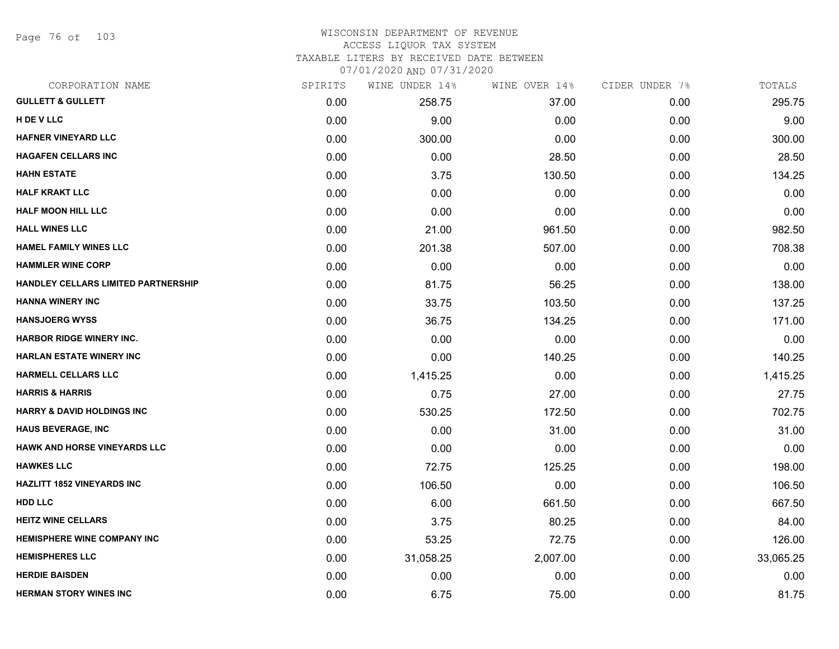Page 76 of 103

#### WISCONSIN DEPARTMENT OF REVENUE ACCESS LIQUOR TAX SYSTEM

TAXABLE LITERS BY RECEIVED DATE BETWEEN

07/01/2020 AND 07/31/2020

| CORPORATION NAME                      | SPIRITS | WINE UNDER 14% | WINE OVER 14% | CIDER UNDER 7% | TOTALS    |
|---------------------------------------|---------|----------------|---------------|----------------|-----------|
| <b>GULLETT &amp; GULLETT</b>          | 0.00    | 258.75         | 37.00         | 0.00           | 295.75    |
| H DE V LLC                            | 0.00    | 9.00           | 0.00          | 0.00           | 9.00      |
| <b>HAFNER VINEYARD LLC</b>            | 0.00    | 300.00         | 0.00          | 0.00           | 300.00    |
| <b>HAGAFEN CELLARS INC</b>            | 0.00    | 0.00           | 28.50         | 0.00           | 28.50     |
| <b>HAHN ESTATE</b>                    | 0.00    | 3.75           | 130.50        | 0.00           | 134.25    |
| <b>HALF KRAKT LLC</b>                 | 0.00    | 0.00           | 0.00          | 0.00           | 0.00      |
| <b>HALF MOON HILL LLC</b>             | 0.00    | 0.00           | 0.00          | 0.00           | 0.00      |
| <b>HALL WINES LLC</b>                 | 0.00    | 21.00          | 961.50        | 0.00           | 982.50    |
| <b>HAMEL FAMILY WINES LLC</b>         | 0.00    | 201.38         | 507.00        | 0.00           | 708.38    |
| <b>HAMMLER WINE CORP</b>              | 0.00    | 0.00           | 0.00          | 0.00           | 0.00      |
| HANDLEY CELLARS LIMITED PARTNERSHIP   | 0.00    | 81.75          | 56.25         | 0.00           | 138.00    |
| <b>HANNA WINERY INC</b>               | 0.00    | 33.75          | 103.50        | 0.00           | 137.25    |
| <b>HANSJOERG WYSS</b>                 | 0.00    | 36.75          | 134.25        | 0.00           | 171.00    |
| <b>HARBOR RIDGE WINERY INC.</b>       | 0.00    | 0.00           | 0.00          | 0.00           | 0.00      |
| <b>HARLAN ESTATE WINERY INC</b>       | 0.00    | 0.00           | 140.25        | 0.00           | 140.25    |
| <b>HARMELL CELLARS LLC</b>            | 0.00    | 1,415.25       | 0.00          | 0.00           | 1,415.25  |
| <b>HARRIS &amp; HARRIS</b>            | 0.00    | 0.75           | 27.00         | 0.00           | 27.75     |
| <b>HARRY &amp; DAVID HOLDINGS INC</b> | 0.00    | 530.25         | 172.50        | 0.00           | 702.75    |
| <b>HAUS BEVERAGE, INC</b>             | 0.00    | 0.00           | 31.00         | 0.00           | 31.00     |
| <b>HAWK AND HORSE VINEYARDS LLC</b>   | 0.00    | 0.00           | 0.00          | 0.00           | 0.00      |
| <b>HAWKES LLC</b>                     | 0.00    | 72.75          | 125.25        | 0.00           | 198.00    |
| <b>HAZLITT 1852 VINEYARDS INC</b>     | 0.00    | 106.50         | 0.00          | 0.00           | 106.50    |
| <b>HDD LLC</b>                        | 0.00    | 6.00           | 661.50        | 0.00           | 667.50    |
| <b>HEITZ WINE CELLARS</b>             | 0.00    | 3.75           | 80.25         | 0.00           | 84.00     |
| <b>HEMISPHERE WINE COMPANY INC</b>    | 0.00    | 53.25          | 72.75         | 0.00           | 126.00    |
| <b>HEMISPHERES LLC</b>                | 0.00    | 31,058.25      | 2,007.00      | 0.00           | 33,065.25 |
| <b>HERDIE BAISDEN</b>                 | 0.00    | 0.00           | 0.00          | 0.00           | 0.00      |
| <b>HERMAN STORY WINES INC</b>         | 0.00    | 6.75           | 75.00         | 0.00           | 81.75     |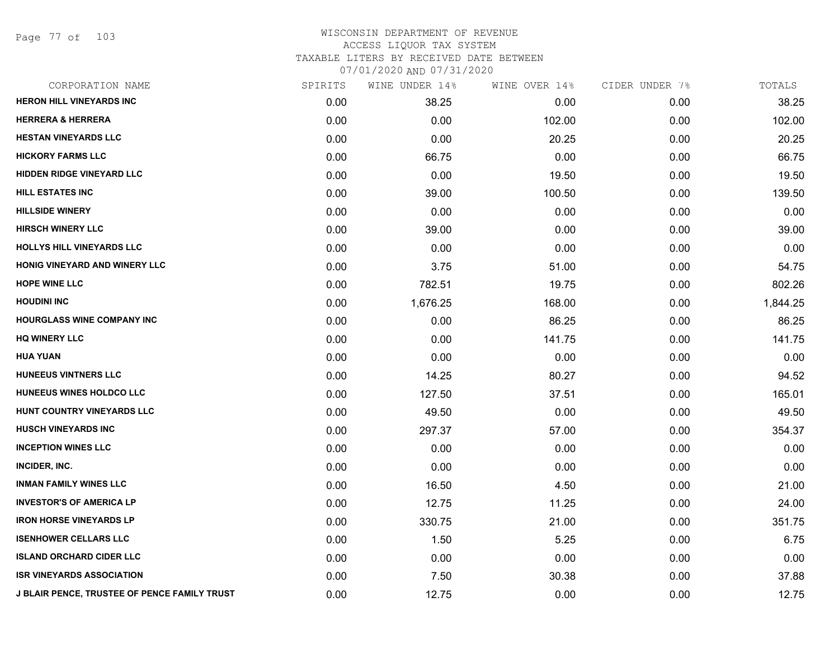Page 77 of 103

| CORPORATION NAME                             | SPIRITS | WINE UNDER 14% | WINE OVER 14% | CIDER UNDER 7% | TOTALS   |
|----------------------------------------------|---------|----------------|---------------|----------------|----------|
| <b>HERON HILL VINEYARDS INC</b>              | 0.00    | 38.25          | 0.00          | 0.00           | 38.25    |
| <b>HERRERA &amp; HERRERA</b>                 | 0.00    | 0.00           | 102.00        | 0.00           | 102.00   |
| <b>HESTAN VINEYARDS LLC</b>                  | 0.00    | 0.00           | 20.25         | 0.00           | 20.25    |
| <b>HICKORY FARMS LLC</b>                     | 0.00    | 66.75          | 0.00          | 0.00           | 66.75    |
| <b>HIDDEN RIDGE VINEYARD LLC</b>             | 0.00    | 0.00           | 19.50         | 0.00           | 19.50    |
| <b>HILL ESTATES INC</b>                      | 0.00    | 39.00          | 100.50        | 0.00           | 139.50   |
| <b>HILLSIDE WINERY</b>                       | 0.00    | 0.00           | 0.00          | 0.00           | 0.00     |
| <b>HIRSCH WINERY LLC</b>                     | 0.00    | 39.00          | 0.00          | 0.00           | 39.00    |
| <b>HOLLYS HILL VINEYARDS LLC</b>             | 0.00    | 0.00           | 0.00          | 0.00           | 0.00     |
| HONIG VINEYARD AND WINERY LLC                | 0.00    | 3.75           | 51.00         | 0.00           | 54.75    |
| <b>HOPE WINE LLC</b>                         | 0.00    | 782.51         | 19.75         | 0.00           | 802.26   |
| <b>HOUDINI INC</b>                           | 0.00    | 1,676.25       | 168.00        | 0.00           | 1,844.25 |
| <b>HOURGLASS WINE COMPANY INC</b>            | 0.00    | 0.00           | 86.25         | 0.00           | 86.25    |
| <b>HQ WINERY LLC</b>                         | 0.00    | 0.00           | 141.75        | 0.00           | 141.75   |
| <b>HUA YUAN</b>                              | 0.00    | 0.00           | 0.00          | 0.00           | 0.00     |
| HUNEEUS VINTNERS LLC                         | 0.00    | 14.25          | 80.27         | 0.00           | 94.52    |
| HUNEEUS WINES HOLDCO LLC                     | 0.00    | 127.50         | 37.51         | 0.00           | 165.01   |
| HUNT COUNTRY VINEYARDS LLC                   | 0.00    | 49.50          | 0.00          | 0.00           | 49.50    |
| <b>HUSCH VINEYARDS INC</b>                   | 0.00    | 297.37         | 57.00         | 0.00           | 354.37   |
| <b>INCEPTION WINES LLC</b>                   | 0.00    | 0.00           | 0.00          | 0.00           | 0.00     |
| INCIDER, INC.                                | 0.00    | 0.00           | 0.00          | 0.00           | 0.00     |
| <b>INMAN FAMILY WINES LLC</b>                | 0.00    | 16.50          | 4.50          | 0.00           | 21.00    |
| <b>INVESTOR'S OF AMERICA LP</b>              | 0.00    | 12.75          | 11.25         | 0.00           | 24.00    |
| <b>IRON HORSE VINEYARDS LP</b>               | 0.00    | 330.75         | 21.00         | 0.00           | 351.75   |
| <b>ISENHOWER CELLARS LLC</b>                 | 0.00    | 1.50           | 5.25          | 0.00           | 6.75     |
| <b>ISLAND ORCHARD CIDER LLC</b>              | 0.00    | 0.00           | 0.00          | 0.00           | 0.00     |
| <b>ISR VINEYARDS ASSOCIATION</b>             | 0.00    | 7.50           | 30.38         | 0.00           | 37.88    |
| J BLAIR PENCE, TRUSTEE OF PENCE FAMILY TRUST | 0.00    | 12.75          | 0.00          | 0.00           | 12.75    |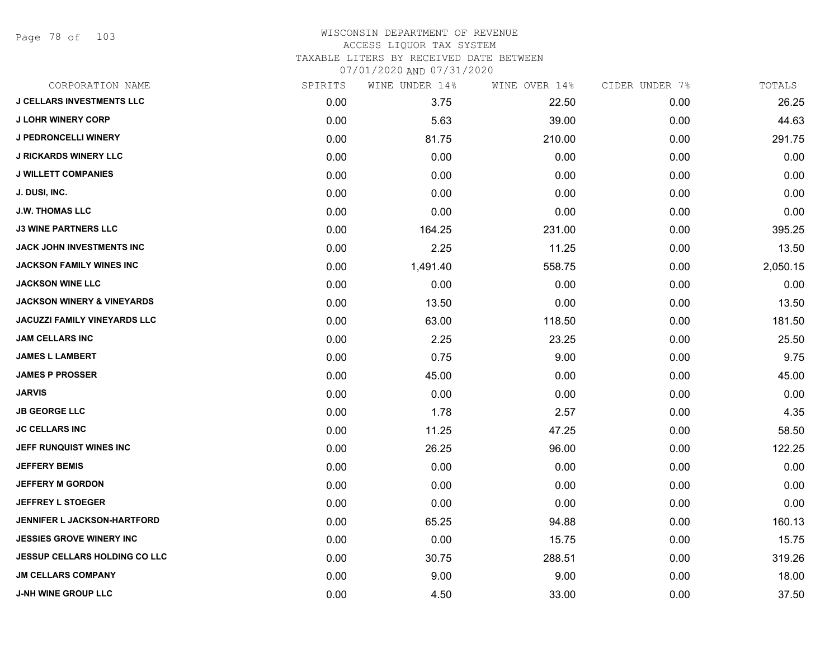Page 78 of 103

| CORPORATION NAME                      | SPIRITS | WINE UNDER 14% | WINE OVER 14% | CIDER UNDER 7% | TOTALS   |
|---------------------------------------|---------|----------------|---------------|----------------|----------|
| <b>J CELLARS INVESTMENTS LLC</b>      | 0.00    | 3.75           | 22.50         | 0.00           | 26.25    |
| <b>J LOHR WINERY CORP</b>             | 0.00    | 5.63           | 39.00         | 0.00           | 44.63    |
| <b>J PEDRONCELLI WINERY</b>           | 0.00    | 81.75          | 210.00        | 0.00           | 291.75   |
| <b>J RICKARDS WINERY LLC</b>          | 0.00    | 0.00           | 0.00          | 0.00           | 0.00     |
| <b>J WILLETT COMPANIES</b>            | 0.00    | 0.00           | 0.00          | 0.00           | 0.00     |
| J. DUSI, INC.                         | 0.00    | 0.00           | 0.00          | 0.00           | 0.00     |
| <b>J.W. THOMAS LLC</b>                | 0.00    | 0.00           | 0.00          | 0.00           | 0.00     |
| <b>J3 WINE PARTNERS LLC</b>           | 0.00    | 164.25         | 231.00        | 0.00           | 395.25   |
| <b>JACK JOHN INVESTMENTS INC</b>      | 0.00    | 2.25           | 11.25         | 0.00           | 13.50    |
| <b>JACKSON FAMILY WINES INC</b>       | 0.00    | 1,491.40       | 558.75        | 0.00           | 2,050.15 |
| <b>JACKSON WINE LLC</b>               | 0.00    | 0.00           | 0.00          | 0.00           | 0.00     |
| <b>JACKSON WINERY &amp; VINEYARDS</b> | 0.00    | 13.50          | 0.00          | 0.00           | 13.50    |
| <b>JACUZZI FAMILY VINEYARDS LLC</b>   | 0.00    | 63.00          | 118.50        | 0.00           | 181.50   |
| <b>JAM CELLARS INC</b>                | 0.00    | 2.25           | 23.25         | 0.00           | 25.50    |
| <b>JAMES L LAMBERT</b>                | 0.00    | 0.75           | 9.00          | 0.00           | 9.75     |
| <b>JAMES P PROSSER</b>                | 0.00    | 45.00          | 0.00          | 0.00           | 45.00    |
| <b>JARVIS</b>                         | 0.00    | 0.00           | 0.00          | 0.00           | 0.00     |
| <b>JB GEORGE LLC</b>                  | 0.00    | 1.78           | 2.57          | 0.00           | 4.35     |
| <b>JC CELLARS INC</b>                 | 0.00    | 11.25          | 47.25         | 0.00           | 58.50    |
| JEFF RUNQUIST WINES INC               | 0.00    | 26.25          | 96.00         | 0.00           | 122.25   |
| <b>JEFFERY BEMIS</b>                  | 0.00    | 0.00           | 0.00          | 0.00           | 0.00     |
| <b>JEFFERY M GORDON</b>               | 0.00    | 0.00           | 0.00          | 0.00           | 0.00     |
| <b>JEFFREY L STOEGER</b>              | 0.00    | 0.00           | 0.00          | 0.00           | 0.00     |
| <b>JENNIFER L JACKSON-HARTFORD</b>    | 0.00    | 65.25          | 94.88         | 0.00           | 160.13   |
| <b>JESSIES GROVE WINERY INC</b>       | 0.00    | 0.00           | 15.75         | 0.00           | 15.75    |
| <b>JESSUP CELLARS HOLDING CO LLC</b>  | 0.00    | 30.75          | 288.51        | 0.00           | 319.26   |
| <b>JM CELLARS COMPANY</b>             | 0.00    | 9.00           | 9.00          | 0.00           | 18.00    |
| <b>J-NH WINE GROUP LLC</b>            | 0.00    | 4.50           | 33.00         | 0.00           | 37.50    |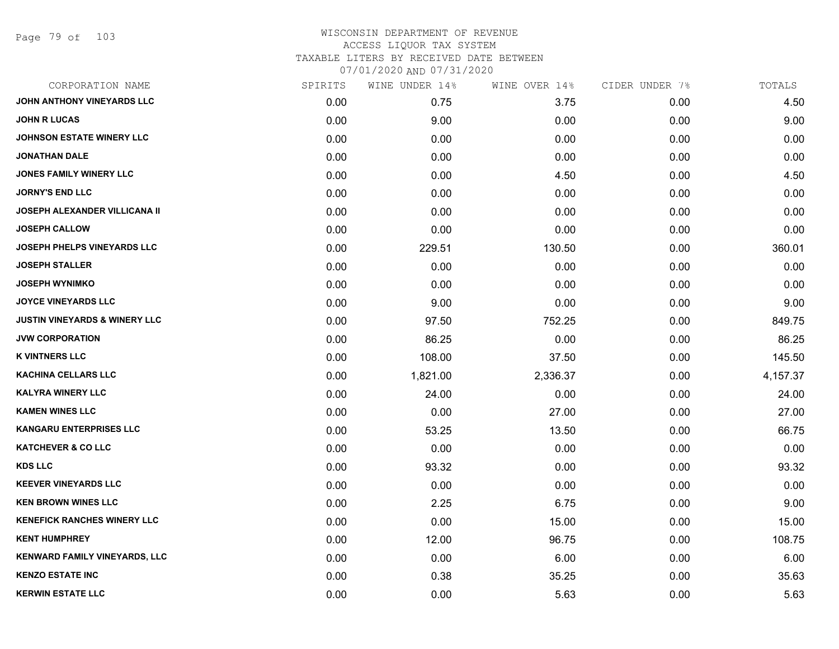Page 79 of 103

| CORPORATION NAME                         | SPIRITS | WINE UNDER 14% | WINE OVER 14% | CIDER UNDER 7% | TOTALS   |
|------------------------------------------|---------|----------------|---------------|----------------|----------|
| JOHN ANTHONY VINEYARDS LLC               | 0.00    | 0.75           | 3.75          | 0.00           | 4.50     |
| <b>JOHN R LUCAS</b>                      | 0.00    | 9.00           | 0.00          | 0.00           | 9.00     |
| JOHNSON ESTATE WINERY LLC                | 0.00    | 0.00           | 0.00          | 0.00           | 0.00     |
| <b>JONATHAN DALE</b>                     | 0.00    | 0.00           | 0.00          | 0.00           | 0.00     |
| <b>JONES FAMILY WINERY LLC</b>           | 0.00    | 0.00           | 4.50          | 0.00           | 4.50     |
| <b>JORNY'S END LLC</b>                   | 0.00    | 0.00           | 0.00          | 0.00           | 0.00     |
| JOSEPH ALEXANDER VILLICANA II            | 0.00    | 0.00           | 0.00          | 0.00           | 0.00     |
| <b>JOSEPH CALLOW</b>                     | 0.00    | 0.00           | 0.00          | 0.00           | 0.00     |
| JOSEPH PHELPS VINEYARDS LLC              | 0.00    | 229.51         | 130.50        | 0.00           | 360.01   |
| <b>JOSEPH STALLER</b>                    | 0.00    | 0.00           | 0.00          | 0.00           | 0.00     |
| <b>JOSEPH WYNIMKO</b>                    | 0.00    | 0.00           | 0.00          | 0.00           | 0.00     |
| <b>JOYCE VINEYARDS LLC</b>               | 0.00    | 9.00           | 0.00          | 0.00           | 9.00     |
| <b>JUSTIN VINEYARDS &amp; WINERY LLC</b> | 0.00    | 97.50          | 752.25        | 0.00           | 849.75   |
| <b>JVW CORPORATION</b>                   | 0.00    | 86.25          | 0.00          | 0.00           | 86.25    |
| <b>K VINTNERS LLC</b>                    | 0.00    | 108.00         | 37.50         | 0.00           | 145.50   |
| <b>KACHINA CELLARS LLC</b>               | 0.00    | 1,821.00       | 2,336.37      | 0.00           | 4,157.37 |
| <b>KALYRA WINERY LLC</b>                 | 0.00    | 24.00          | 0.00          | 0.00           | 24.00    |
| <b>KAMEN WINES LLC</b>                   | 0.00    | 0.00           | 27.00         | 0.00           | 27.00    |
| <b>KANGARU ENTERPRISES LLC</b>           | 0.00    | 53.25          | 13.50         | 0.00           | 66.75    |
| <b>KATCHEVER &amp; CO LLC</b>            | 0.00    | 0.00           | 0.00          | 0.00           | 0.00     |
| <b>KDS LLC</b>                           | 0.00    | 93.32          | 0.00          | 0.00           | 93.32    |
| <b>KEEVER VINEYARDS LLC</b>              | 0.00    | 0.00           | 0.00          | 0.00           | 0.00     |
| <b>KEN BROWN WINES LLC</b>               | 0.00    | 2.25           | 6.75          | 0.00           | 9.00     |
| <b>KENEFICK RANCHES WINERY LLC</b>       | 0.00    | 0.00           | 15.00         | 0.00           | 15.00    |
| <b>KENT HUMPHREY</b>                     | 0.00    | 12.00          | 96.75         | 0.00           | 108.75   |
| <b>KENWARD FAMILY VINEYARDS, LLC</b>     | 0.00    | 0.00           | 6.00          | 0.00           | 6.00     |
| <b>KENZO ESTATE INC</b>                  | 0.00    | 0.38           | 35.25         | 0.00           | 35.63    |
| <b>KERWIN ESTATE LLC</b>                 | 0.00    | 0.00           | 5.63          | 0.00           | 5.63     |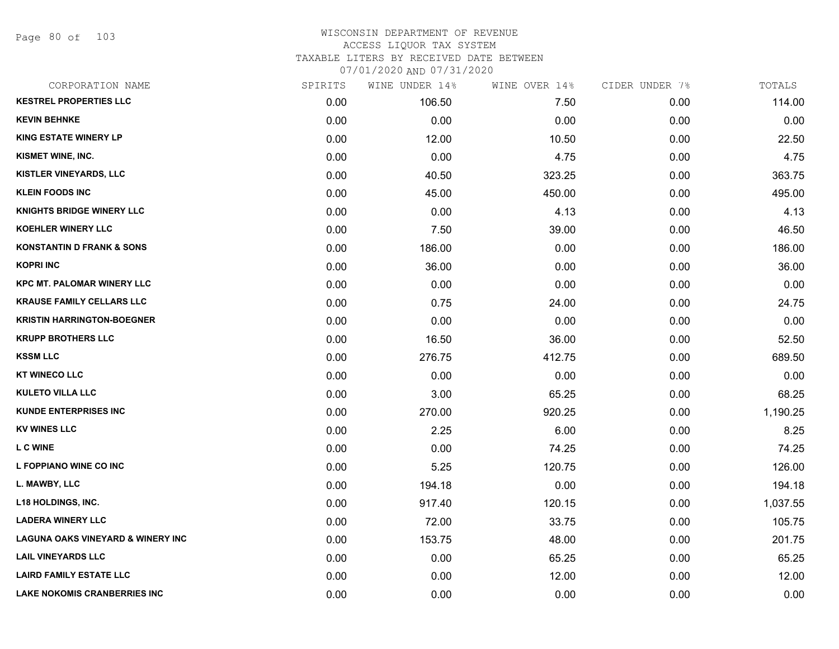Page 80 of 103

| CORPORATION NAME                             | SPIRITS | WINE UNDER 14% | WINE OVER 14% | CIDER UNDER 7% | TOTALS   |
|----------------------------------------------|---------|----------------|---------------|----------------|----------|
| <b>KESTREL PROPERTIES LLC</b>                | 0.00    | 106.50         | 7.50          | 0.00           | 114.00   |
| <b>KEVIN BEHNKE</b>                          | 0.00    | 0.00           | 0.00          | 0.00           | 0.00     |
| <b>KING ESTATE WINERY LP</b>                 | 0.00    | 12.00          | 10.50         | 0.00           | 22.50    |
| <b>KISMET WINE, INC.</b>                     | 0.00    | 0.00           | 4.75          | 0.00           | 4.75     |
| <b>KISTLER VINEYARDS, LLC</b>                | 0.00    | 40.50          | 323.25        | 0.00           | 363.75   |
| <b>KLEIN FOODS INC</b>                       | 0.00    | 45.00          | 450.00        | 0.00           | 495.00   |
| <b>KNIGHTS BRIDGE WINERY LLC</b>             | 0.00    | 0.00           | 4.13          | 0.00           | 4.13     |
| <b>KOEHLER WINERY LLC</b>                    | 0.00    | 7.50           | 39.00         | 0.00           | 46.50    |
| <b>KONSTANTIN D FRANK &amp; SONS</b>         | 0.00    | 186.00         | 0.00          | 0.00           | 186.00   |
| <b>KOPRI INC</b>                             | 0.00    | 36.00          | 0.00          | 0.00           | 36.00    |
| <b>KPC MT. PALOMAR WINERY LLC</b>            | 0.00    | 0.00           | 0.00          | 0.00           | 0.00     |
| <b>KRAUSE FAMILY CELLARS LLC</b>             | 0.00    | 0.75           | 24.00         | 0.00           | 24.75    |
| <b>KRISTIN HARRINGTON-BOEGNER</b>            | 0.00    | 0.00           | 0.00          | 0.00           | 0.00     |
| <b>KRUPP BROTHERS LLC</b>                    | 0.00    | 16.50          | 36.00         | 0.00           | 52.50    |
| <b>KSSM LLC</b>                              | 0.00    | 276.75         | 412.75        | 0.00           | 689.50   |
| <b>KT WINECO LLC</b>                         | 0.00    | 0.00           | 0.00          | 0.00           | 0.00     |
| <b>KULETO VILLA LLC</b>                      | 0.00    | 3.00           | 65.25         | 0.00           | 68.25    |
| <b>KUNDE ENTERPRISES INC</b>                 | 0.00    | 270.00         | 920.25        | 0.00           | 1,190.25 |
| <b>KV WINES LLC</b>                          | 0.00    | 2.25           | 6.00          | 0.00           | 8.25     |
| <b>LC WINE</b>                               | 0.00    | 0.00           | 74.25         | 0.00           | 74.25    |
| L FOPPIANO WINE CO INC                       | 0.00    | 5.25           | 120.75        | 0.00           | 126.00   |
| L. MAWBY, LLC                                | 0.00    | 194.18         | 0.00          | 0.00           | 194.18   |
| <b>L18 HOLDINGS, INC.</b>                    | 0.00    | 917.40         | 120.15        | 0.00           | 1,037.55 |
| <b>LADERA WINERY LLC</b>                     | 0.00    | 72.00          | 33.75         | 0.00           | 105.75   |
| <b>LAGUNA OAKS VINEYARD &amp; WINERY INC</b> | 0.00    | 153.75         | 48.00         | 0.00           | 201.75   |
| <b>LAIL VINEYARDS LLC</b>                    | 0.00    | 0.00           | 65.25         | 0.00           | 65.25    |
| <b>LAIRD FAMILY ESTATE LLC</b>               | 0.00    | 0.00           | 12.00         | 0.00           | 12.00    |
| <b>LAKE NOKOMIS CRANBERRIES INC</b>          | 0.00    | 0.00           | 0.00          | 0.00           | 0.00     |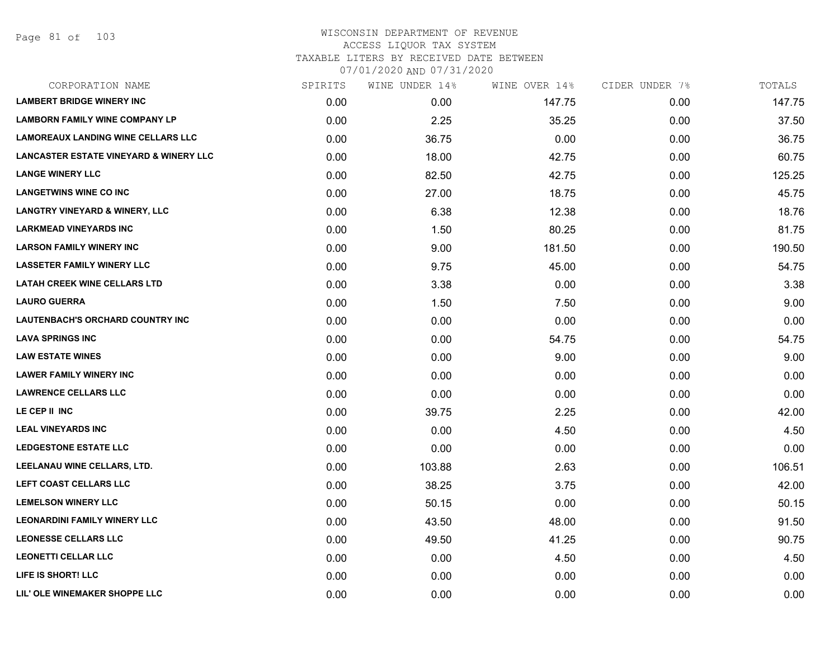| CORPORATION NAME                                  | SPIRITS | WINE UNDER 14% | WINE OVER 14% | CIDER UNDER 7% | TOTALS |
|---------------------------------------------------|---------|----------------|---------------|----------------|--------|
| <b>LAMBERT BRIDGE WINERY INC</b>                  | 0.00    | 0.00           | 147.75        | 0.00           | 147.75 |
| <b>LAMBORN FAMILY WINE COMPANY LP</b>             | 0.00    | 2.25           | 35.25         | 0.00           | 37.50  |
| <b>LAMOREAUX LANDING WINE CELLARS LLC</b>         | 0.00    | 36.75          | 0.00          | 0.00           | 36.75  |
| <b>LANCASTER ESTATE VINEYARD &amp; WINERY LLC</b> | 0.00    | 18.00          | 42.75         | 0.00           | 60.75  |
| <b>LANGE WINERY LLC</b>                           | 0.00    | 82.50          | 42.75         | 0.00           | 125.25 |
| <b>LANGETWINS WINE CO INC</b>                     | 0.00    | 27.00          | 18.75         | 0.00           | 45.75  |
| <b>LANGTRY VINEYARD &amp; WINERY, LLC</b>         | 0.00    | 6.38           | 12.38         | 0.00           | 18.76  |
| <b>LARKMEAD VINEYARDS INC</b>                     | 0.00    | 1.50           | 80.25         | 0.00           | 81.75  |
| <b>LARSON FAMILY WINERY INC</b>                   | 0.00    | 9.00           | 181.50        | 0.00           | 190.50 |
| <b>LASSETER FAMILY WINERY LLC</b>                 | 0.00    | 9.75           | 45.00         | 0.00           | 54.75  |
| <b>LATAH CREEK WINE CELLARS LTD</b>               | 0.00    | 3.38           | 0.00          | 0.00           | 3.38   |
| <b>LAURO GUERRA</b>                               | 0.00    | 1.50           | 7.50          | 0.00           | 9.00   |
| LAUTENBACH'S ORCHARD COUNTRY INC                  | 0.00    | 0.00           | 0.00          | 0.00           | 0.00   |
| <b>LAVA SPRINGS INC</b>                           | 0.00    | 0.00           | 54.75         | 0.00           | 54.75  |
| <b>LAW ESTATE WINES</b>                           | 0.00    | 0.00           | 9.00          | 0.00           | 9.00   |
| <b>LAWER FAMILY WINERY INC</b>                    | 0.00    | 0.00           | 0.00          | 0.00           | 0.00   |
| <b>LAWRENCE CELLARS LLC</b>                       | 0.00    | 0.00           | 0.00          | 0.00           | 0.00   |
| LE CEP II INC                                     | 0.00    | 39.75          | 2.25          | 0.00           | 42.00  |
| <b>LEAL VINEYARDS INC</b>                         | 0.00    | 0.00           | 4.50          | 0.00           | 4.50   |
| <b>LEDGESTONE ESTATE LLC</b>                      | 0.00    | 0.00           | 0.00          | 0.00           | 0.00   |
| LEELANAU WINE CELLARS, LTD.                       | 0.00    | 103.88         | 2.63          | 0.00           | 106.51 |
| LEFT COAST CELLARS LLC                            | 0.00    | 38.25          | 3.75          | 0.00           | 42.00  |
| <b>LEMELSON WINERY LLC</b>                        | 0.00    | 50.15          | 0.00          | 0.00           | 50.15  |
| <b>LEONARDINI FAMILY WINERY LLC</b>               | 0.00    | 43.50          | 48.00         | 0.00           | 91.50  |
| <b>LEONESSE CELLARS LLC</b>                       | 0.00    | 49.50          | 41.25         | 0.00           | 90.75  |
| <b>LEONETTI CELLAR LLC</b>                        | 0.00    | 0.00           | 4.50          | 0.00           | 4.50   |
| LIFE IS SHORT! LLC                                | 0.00    | 0.00           | 0.00          | 0.00           | 0.00   |
| LIL' OLE WINEMAKER SHOPPE LLC                     | 0.00    | 0.00           | 0.00          | 0.00           | 0.00   |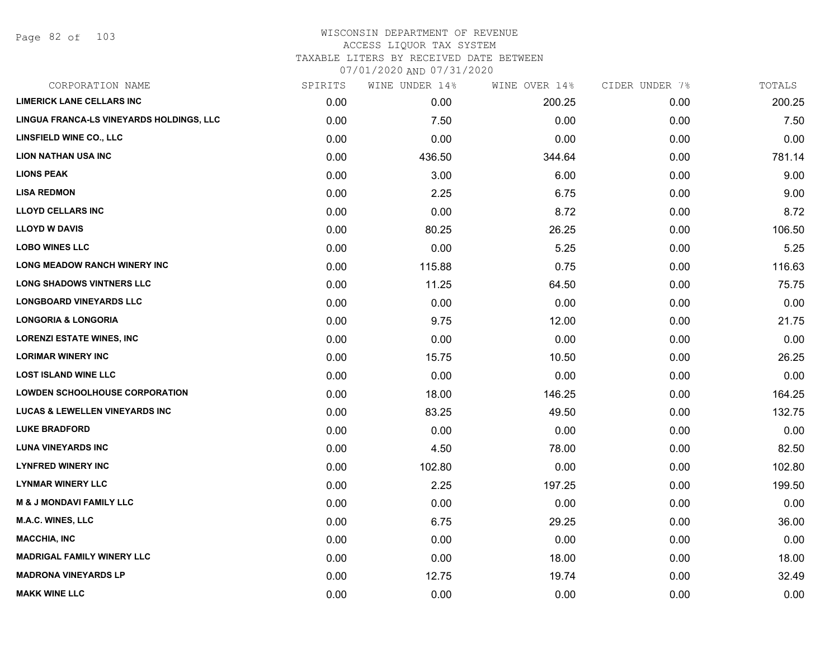# WISCONSIN DEPARTMENT OF REVENUE ACCESS LIQUOR TAX SYSTEM TAXABLE LITERS BY RECEIVED DATE BETWEEN

07/01/2020 AND 07/31/2020

| CORPORATION NAME                          | SPIRITS | WINE UNDER 14% | WINE OVER 14% | CIDER UNDER 7% | TOTALS |
|-------------------------------------------|---------|----------------|---------------|----------------|--------|
| <b>LIMERICK LANE CELLARS INC</b>          | 0.00    | 0.00           | 200.25        | 0.00           | 200.25 |
| LINGUA FRANCA-LS VINEYARDS HOLDINGS, LLC  | 0.00    | 7.50           | 0.00          | 0.00           | 7.50   |
| <b>LINSFIELD WINE CO., LLC</b>            | 0.00    | 0.00           | 0.00          | 0.00           | 0.00   |
| <b>LION NATHAN USA INC</b>                | 0.00    | 436.50         | 344.64        | 0.00           | 781.14 |
| <b>LIONS PEAK</b>                         | 0.00    | 3.00           | 6.00          | 0.00           | 9.00   |
| <b>LISA REDMON</b>                        | 0.00    | 2.25           | 6.75          | 0.00           | 9.00   |
| <b>LLOYD CELLARS INC</b>                  | 0.00    | 0.00           | 8.72          | 0.00           | 8.72   |
| <b>LLOYD W DAVIS</b>                      | 0.00    | 80.25          | 26.25         | 0.00           | 106.50 |
| <b>LOBO WINES LLC</b>                     | 0.00    | 0.00           | 5.25          | 0.00           | 5.25   |
| <b>LONG MEADOW RANCH WINERY INC</b>       | 0.00    | 115.88         | 0.75          | 0.00           | 116.63 |
| <b>LONG SHADOWS VINTNERS LLC</b>          | 0.00    | 11.25          | 64.50         | 0.00           | 75.75  |
| <b>LONGBOARD VINEYARDS LLC</b>            | 0.00    | 0.00           | 0.00          | 0.00           | 0.00   |
| <b>LONGORIA &amp; LONGORIA</b>            | 0.00    | 9.75           | 12.00         | 0.00           | 21.75  |
| <b>LORENZI ESTATE WINES, INC</b>          | 0.00    | 0.00           | 0.00          | 0.00           | 0.00   |
| <b>LORIMAR WINERY INC</b>                 | 0.00    | 15.75          | 10.50         | 0.00           | 26.25  |
| <b>LOST ISLAND WINE LLC</b>               | 0.00    | 0.00           | 0.00          | 0.00           | 0.00   |
| <b>LOWDEN SCHOOLHOUSE CORPORATION</b>     | 0.00    | 18.00          | 146.25        | 0.00           | 164.25 |
| <b>LUCAS &amp; LEWELLEN VINEYARDS INC</b> | 0.00    | 83.25          | 49.50         | 0.00           | 132.75 |
| <b>LUKE BRADFORD</b>                      | 0.00    | 0.00           | 0.00          | 0.00           | 0.00   |
| <b>LUNA VINEYARDS INC</b>                 | 0.00    | 4.50           | 78.00         | 0.00           | 82.50  |
| <b>LYNFRED WINERY INC</b>                 | 0.00    | 102.80         | 0.00          | 0.00           | 102.80 |
| <b>LYNMAR WINERY LLC</b>                  | 0.00    | 2.25           | 197.25        | 0.00           | 199.50 |
| <b>M &amp; J MONDAVI FAMILY LLC</b>       | 0.00    | 0.00           | 0.00          | 0.00           | 0.00   |
| M.A.C. WINES, LLC                         | 0.00    | 6.75           | 29.25         | 0.00           | 36.00  |
| <b>MACCHIA, INC</b>                       | 0.00    | 0.00           | 0.00          | 0.00           | 0.00   |
| <b>MADRIGAL FAMILY WINERY LLC</b>         | 0.00    | 0.00           | 18.00         | 0.00           | 18.00  |
| <b>MADRONA VINEYARDS LP</b>               | 0.00    | 12.75          | 19.74         | 0.00           | 32.49  |
| <b>MAKK WINE LLC</b>                      | 0.00    | 0.00           | 0.00          | 0.00           | 0.00   |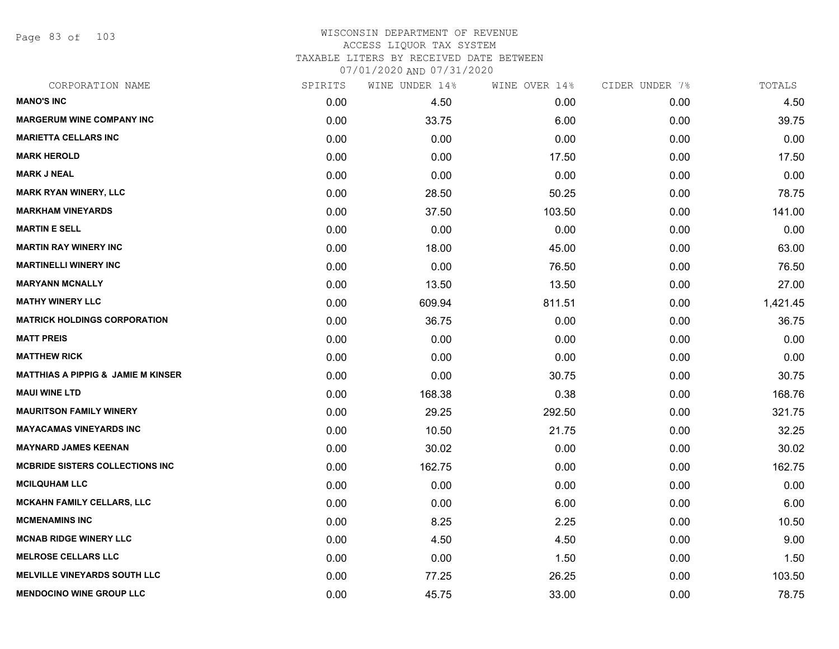Page 83 of 103

| CORPORATION NAME                              | SPIRITS | WINE UNDER 14% | WINE OVER 14% | CIDER UNDER 7% | TOTALS   |
|-----------------------------------------------|---------|----------------|---------------|----------------|----------|
| <b>MANO'S INC</b>                             | 0.00    | 4.50           | 0.00          | 0.00           | 4.50     |
| <b>MARGERUM WINE COMPANY INC</b>              | 0.00    | 33.75          | 6.00          | 0.00           | 39.75    |
| <b>MARIETTA CELLARS INC</b>                   | 0.00    | 0.00           | 0.00          | 0.00           | 0.00     |
| <b>MARK HEROLD</b>                            | 0.00    | 0.00           | 17.50         | 0.00           | 17.50    |
| <b>MARK J NEAL</b>                            | 0.00    | 0.00           | 0.00          | 0.00           | 0.00     |
| <b>MARK RYAN WINERY, LLC</b>                  | 0.00    | 28.50          | 50.25         | 0.00           | 78.75    |
| <b>MARKHAM VINEYARDS</b>                      | 0.00    | 37.50          | 103.50        | 0.00           | 141.00   |
| <b>MARTIN E SELL</b>                          | 0.00    | 0.00           | 0.00          | 0.00           | 0.00     |
| <b>MARTIN RAY WINERY INC</b>                  | 0.00    | 18.00          | 45.00         | 0.00           | 63.00    |
| <b>MARTINELLI WINERY INC</b>                  | 0.00    | 0.00           | 76.50         | 0.00           | 76.50    |
| <b>MARYANN MCNALLY</b>                        | 0.00    | 13.50          | 13.50         | 0.00           | 27.00    |
| <b>MATHY WINERY LLC</b>                       | 0.00    | 609.94         | 811.51        | 0.00           | 1,421.45 |
| <b>MATRICK HOLDINGS CORPORATION</b>           | 0.00    | 36.75          | 0.00          | 0.00           | 36.75    |
| <b>MATT PREIS</b>                             | 0.00    | 0.00           | 0.00          | 0.00           | 0.00     |
| <b>MATTHEW RICK</b>                           | 0.00    | 0.00           | 0.00          | 0.00           | 0.00     |
| <b>MATTHIAS A PIPPIG &amp; JAMIE M KINSER</b> | 0.00    | 0.00           | 30.75         | 0.00           | 30.75    |
| <b>MAUI WINE LTD</b>                          | 0.00    | 168.38         | 0.38          | 0.00           | 168.76   |
| <b>MAURITSON FAMILY WINERY</b>                | 0.00    | 29.25          | 292.50        | 0.00           | 321.75   |
| <b>MAYACAMAS VINEYARDS INC</b>                | 0.00    | 10.50          | 21.75         | 0.00           | 32.25    |
| <b>MAYNARD JAMES KEENAN</b>                   | 0.00    | 30.02          | 0.00          | 0.00           | 30.02    |
| <b>MCBRIDE SISTERS COLLECTIONS INC</b>        | 0.00    | 162.75         | 0.00          | 0.00           | 162.75   |
| <b>MCILQUHAM LLC</b>                          | 0.00    | 0.00           | 0.00          | 0.00           | 0.00     |
| <b>MCKAHN FAMILY CELLARS, LLC</b>             | 0.00    | 0.00           | 6.00          | 0.00           | 6.00     |
| <b>MCMENAMINS INC</b>                         | 0.00    | 8.25           | 2.25          | 0.00           | 10.50    |
| <b>MCNAB RIDGE WINERY LLC</b>                 | 0.00    | 4.50           | 4.50          | 0.00           | 9.00     |
| <b>MELROSE CELLARS LLC</b>                    | 0.00    | 0.00           | 1.50          | 0.00           | 1.50     |
| <b>MELVILLE VINEYARDS SOUTH LLC</b>           | 0.00    | 77.25          | 26.25         | 0.00           | 103.50   |
| <b>MENDOCINO WINE GROUP LLC</b>               | 0.00    | 45.75          | 33.00         | 0.00           | 78.75    |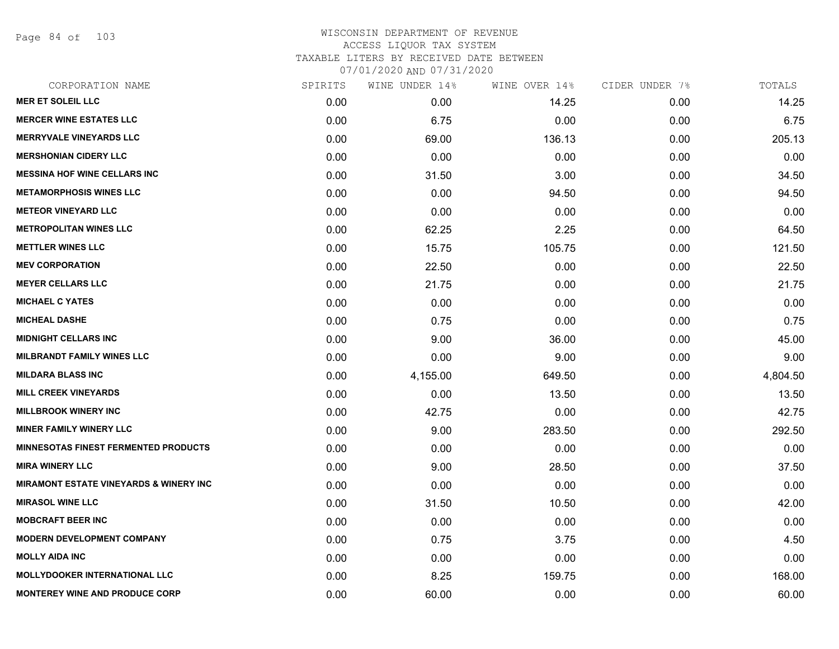Page 84 of 103

| CORPORATION NAME                                  | SPIRITS | WINE UNDER 14% | WINE OVER 14% | CIDER UNDER 7% | TOTALS   |
|---------------------------------------------------|---------|----------------|---------------|----------------|----------|
| <b>MER ET SOLEIL LLC</b>                          | 0.00    | 0.00           | 14.25         | 0.00           | 14.25    |
| <b>MERCER WINE ESTATES LLC</b>                    | 0.00    | 6.75           | 0.00          | 0.00           | 6.75     |
| <b>MERRYVALE VINEYARDS LLC</b>                    | 0.00    | 69.00          | 136.13        | 0.00           | 205.13   |
| <b>MERSHONIAN CIDERY LLC</b>                      | 0.00    | 0.00           | 0.00          | 0.00           | 0.00     |
| <b>MESSINA HOF WINE CELLARS INC</b>               | 0.00    | 31.50          | 3.00          | 0.00           | 34.50    |
| <b>METAMORPHOSIS WINES LLC</b>                    | 0.00    | 0.00           | 94.50         | 0.00           | 94.50    |
| <b>METEOR VINEYARD LLC</b>                        | 0.00    | 0.00           | 0.00          | 0.00           | 0.00     |
| <b>METROPOLITAN WINES LLC</b>                     | 0.00    | 62.25          | 2.25          | 0.00           | 64.50    |
| <b>METTLER WINES LLC</b>                          | 0.00    | 15.75          | 105.75        | 0.00           | 121.50   |
| <b>MEV CORPORATION</b>                            | 0.00    | 22.50          | 0.00          | 0.00           | 22.50    |
| <b>MEYER CELLARS LLC</b>                          | 0.00    | 21.75          | 0.00          | 0.00           | 21.75    |
| <b>MICHAEL C YATES</b>                            | 0.00    | 0.00           | 0.00          | 0.00           | 0.00     |
| <b>MICHEAL DASHE</b>                              | 0.00    | 0.75           | 0.00          | 0.00           | 0.75     |
| <b>MIDNIGHT CELLARS INC</b>                       | 0.00    | 9.00           | 36.00         | 0.00           | 45.00    |
| <b>MILBRANDT FAMILY WINES LLC</b>                 | 0.00    | 0.00           | 9.00          | 0.00           | 9.00     |
| <b>MILDARA BLASS INC</b>                          | 0.00    | 4,155.00       | 649.50        | 0.00           | 4,804.50 |
| <b>MILL CREEK VINEYARDS</b>                       | 0.00    | 0.00           | 13.50         | 0.00           | 13.50    |
| <b>MILLBROOK WINERY INC</b>                       | 0.00    | 42.75          | 0.00          | 0.00           | 42.75    |
| <b>MINER FAMILY WINERY LLC</b>                    | 0.00    | 9.00           | 283.50        | 0.00           | 292.50   |
| <b>MINNESOTAS FINEST FERMENTED PRODUCTS</b>       | 0.00    | 0.00           | 0.00          | 0.00           | 0.00     |
| <b>MIRA WINERY LLC</b>                            | 0.00    | 9.00           | 28.50         | 0.00           | 37.50    |
| <b>MIRAMONT ESTATE VINEYARDS &amp; WINERY INC</b> | 0.00    | 0.00           | 0.00          | 0.00           | 0.00     |
| <b>MIRASOL WINE LLC</b>                           | 0.00    | 31.50          | 10.50         | 0.00           | 42.00    |
| <b>MOBCRAFT BEER INC</b>                          | 0.00    | 0.00           | 0.00          | 0.00           | 0.00     |
| <b>MODERN DEVELOPMENT COMPANY</b>                 | 0.00    | 0.75           | 3.75          | 0.00           | 4.50     |
| <b>MOLLY AIDA INC</b>                             | 0.00    | 0.00           | 0.00          | 0.00           | 0.00     |
| <b>MOLLYDOOKER INTERNATIONAL LLC</b>              | 0.00    | 8.25           | 159.75        | 0.00           | 168.00   |
| <b>MONTEREY WINE AND PRODUCE CORP</b>             | 0.00    | 60.00          | 0.00          | 0.00           | 60.00    |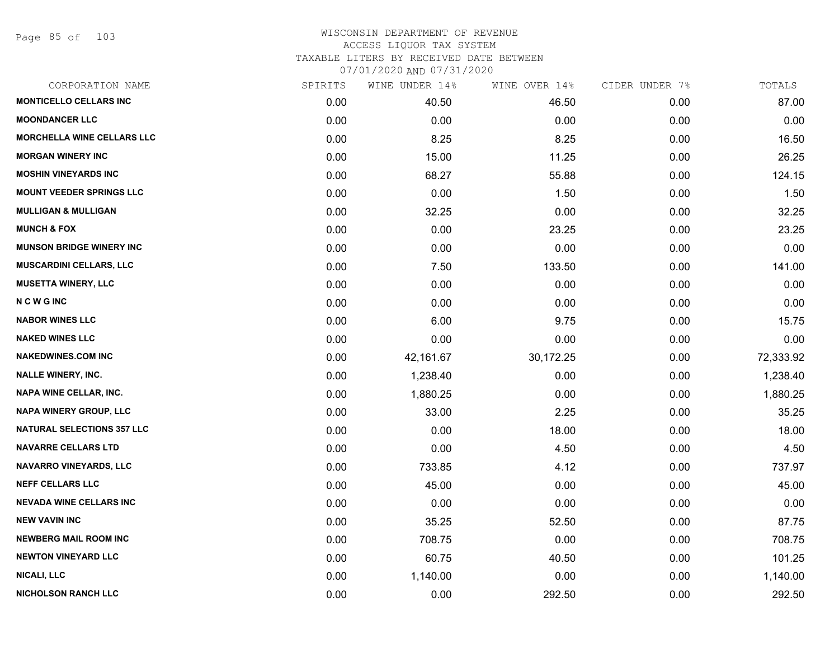Page 85 of 103

| CORPORATION NAME                  | SPIRITS | WINE UNDER 14% | WINE OVER 14% | CIDER UNDER 7% | TOTALS    |
|-----------------------------------|---------|----------------|---------------|----------------|-----------|
| <b>MONTICELLO CELLARS INC</b>     | 0.00    | 40.50          | 46.50         | 0.00           | 87.00     |
| <b>MOONDANCER LLC</b>             | 0.00    | 0.00           | 0.00          | 0.00           | 0.00      |
| <b>MORCHELLA WINE CELLARS LLC</b> | 0.00    | 8.25           | 8.25          | 0.00           | 16.50     |
| <b>MORGAN WINERY INC</b>          | 0.00    | 15.00          | 11.25         | 0.00           | 26.25     |
| <b>MOSHIN VINEYARDS INC</b>       | 0.00    | 68.27          | 55.88         | 0.00           | 124.15    |
| <b>MOUNT VEEDER SPRINGS LLC</b>   | 0.00    | 0.00           | 1.50          | 0.00           | 1.50      |
| <b>MULLIGAN &amp; MULLIGAN</b>    | 0.00    | 32.25          | 0.00          | 0.00           | 32.25     |
| <b>MUNCH &amp; FOX</b>            | 0.00    | 0.00           | 23.25         | 0.00           | 23.25     |
| <b>MUNSON BRIDGE WINERY INC</b>   | 0.00    | 0.00           | 0.00          | 0.00           | 0.00      |
| <b>MUSCARDINI CELLARS, LLC</b>    | 0.00    | 7.50           | 133.50        | 0.00           | 141.00    |
| <b>MUSETTA WINERY, LLC</b>        | 0.00    | 0.00           | 0.00          | 0.00           | 0.00      |
| <b>NCWGINC</b>                    | 0.00    | 0.00           | 0.00          | 0.00           | 0.00      |
| <b>NABOR WINES LLC</b>            | 0.00    | 6.00           | 9.75          | 0.00           | 15.75     |
| <b>NAKED WINES LLC</b>            | 0.00    | 0.00           | 0.00          | 0.00           | 0.00      |
| <b>NAKEDWINES.COM INC</b>         | 0.00    | 42,161.67      | 30,172.25     | 0.00           | 72,333.92 |
| <b>NALLE WINERY, INC.</b>         | 0.00    | 1,238.40       | 0.00          | 0.00           | 1,238.40  |
| <b>NAPA WINE CELLAR, INC.</b>     | 0.00    | 1,880.25       | 0.00          | 0.00           | 1,880.25  |
| NAPA WINERY GROUP, LLC            | 0.00    | 33.00          | 2.25          | 0.00           | 35.25     |
| <b>NATURAL SELECTIONS 357 LLC</b> | 0.00    | 0.00           | 18.00         | 0.00           | 18.00     |
| <b>NAVARRE CELLARS LTD</b>        | 0.00    | 0.00           | 4.50          | 0.00           | 4.50      |
| <b>NAVARRO VINEYARDS, LLC</b>     | 0.00    | 733.85         | 4.12          | 0.00           | 737.97    |
| <b>NEFF CELLARS LLC</b>           | 0.00    | 45.00          | 0.00          | 0.00           | 45.00     |
| <b>NEVADA WINE CELLARS INC</b>    | 0.00    | 0.00           | 0.00          | 0.00           | 0.00      |
| <b>NEW VAVIN INC</b>              | 0.00    | 35.25          | 52.50         | 0.00           | 87.75     |
| <b>NEWBERG MAIL ROOM INC</b>      | 0.00    | 708.75         | 0.00          | 0.00           | 708.75    |
| <b>NEWTON VINEYARD LLC</b>        | 0.00    | 60.75          | 40.50         | 0.00           | 101.25    |
| NICALI, LLC                       | 0.00    | 1,140.00       | 0.00          | 0.00           | 1,140.00  |
| <b>NICHOLSON RANCH LLC</b>        | 0.00    | 0.00           | 292.50        | 0.00           | 292.50    |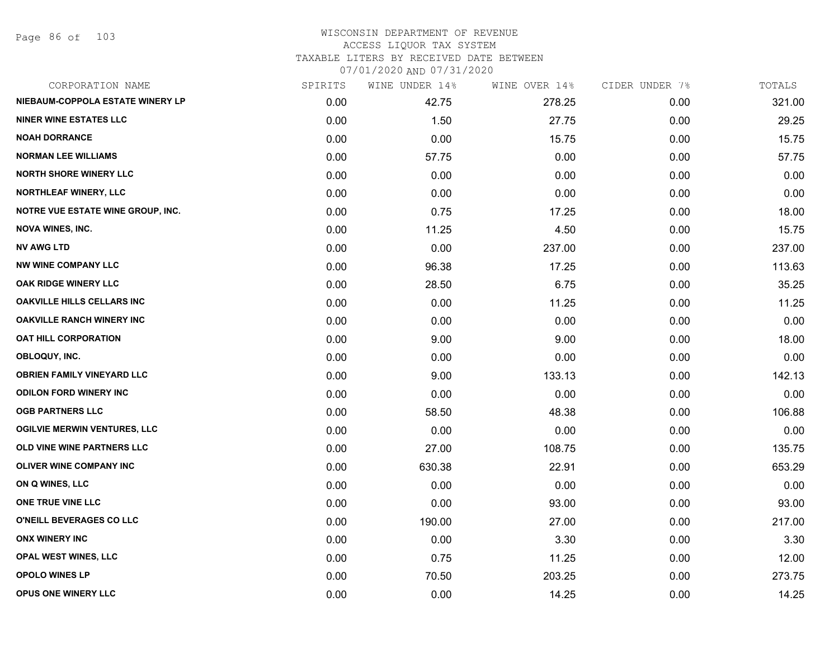Page 86 of 103

| CORPORATION NAME                         | SPIRITS | WINE UNDER 14% | WINE OVER 14% | CIDER UNDER 7% | TOTALS |
|------------------------------------------|---------|----------------|---------------|----------------|--------|
| NIEBAUM-COPPOLA ESTATE WINERY LP         | 0.00    | 42.75          | 278.25        | 0.00           | 321.00 |
| <b>NINER WINE ESTATES LLC</b>            | 0.00    | 1.50           | 27.75         | 0.00           | 29.25  |
| <b>NOAH DORRANCE</b>                     | 0.00    | 0.00           | 15.75         | 0.00           | 15.75  |
| <b>NORMAN LEE WILLIAMS</b>               | 0.00    | 57.75          | 0.00          | 0.00           | 57.75  |
| <b>NORTH SHORE WINERY LLC</b>            | 0.00    | 0.00           | 0.00          | 0.00           | 0.00   |
| <b>NORTHLEAF WINERY, LLC</b>             | 0.00    | 0.00           | 0.00          | 0.00           | 0.00   |
| <b>NOTRE VUE ESTATE WINE GROUP, INC.</b> | 0.00    | 0.75           | 17.25         | 0.00           | 18.00  |
| NOVA WINES, INC.                         | 0.00    | 11.25          | 4.50          | 0.00           | 15.75  |
| <b>NV AWG LTD</b>                        | 0.00    | 0.00           | 237.00        | 0.00           | 237.00 |
| <b>NW WINE COMPANY LLC</b>               | 0.00    | 96.38          | 17.25         | 0.00           | 113.63 |
| OAK RIDGE WINERY LLC                     | 0.00    | 28.50          | 6.75          | 0.00           | 35.25  |
| <b>OAKVILLE HILLS CELLARS INC</b>        | 0.00    | 0.00           | 11.25         | 0.00           | 11.25  |
| <b>OAKVILLE RANCH WINERY INC</b>         | 0.00    | 0.00           | 0.00          | 0.00           | 0.00   |
| <b>OAT HILL CORPORATION</b>              | 0.00    | 9.00           | 9.00          | 0.00           | 18.00  |
| OBLOQUY, INC.                            | 0.00    | 0.00           | 0.00          | 0.00           | 0.00   |
| <b>OBRIEN FAMILY VINEYARD LLC</b>        | 0.00    | 9.00           | 133.13        | 0.00           | 142.13 |
| <b>ODILON FORD WINERY INC</b>            | 0.00    | 0.00           | 0.00          | 0.00           | 0.00   |
| <b>OGB PARTNERS LLC</b>                  | 0.00    | 58.50          | 48.38         | 0.00           | 106.88 |
| <b>OGILVIE MERWIN VENTURES, LLC</b>      | 0.00    | 0.00           | 0.00          | 0.00           | 0.00   |
| OLD VINE WINE PARTNERS LLC               | 0.00    | 27.00          | 108.75        | 0.00           | 135.75 |
| <b>OLIVER WINE COMPANY INC</b>           | 0.00    | 630.38         | 22.91         | 0.00           | 653.29 |
| ON Q WINES, LLC                          | 0.00    | 0.00           | 0.00          | 0.00           | 0.00   |
| ONE TRUE VINE LLC                        | 0.00    | 0.00           | 93.00         | 0.00           | 93.00  |
| O'NEILL BEVERAGES CO LLC                 | 0.00    | 190.00         | 27.00         | 0.00           | 217.00 |
| <b>ONX WINERY INC</b>                    | 0.00    | 0.00           | 3.30          | 0.00           | 3.30   |
| OPAL WEST WINES, LLC                     | 0.00    | 0.75           | 11.25         | 0.00           | 12.00  |
| <b>OPOLO WINES LP</b>                    | 0.00    | 70.50          | 203.25        | 0.00           | 273.75 |
| OPUS ONE WINERY LLC                      | 0.00    | 0.00           | 14.25         | 0.00           | 14.25  |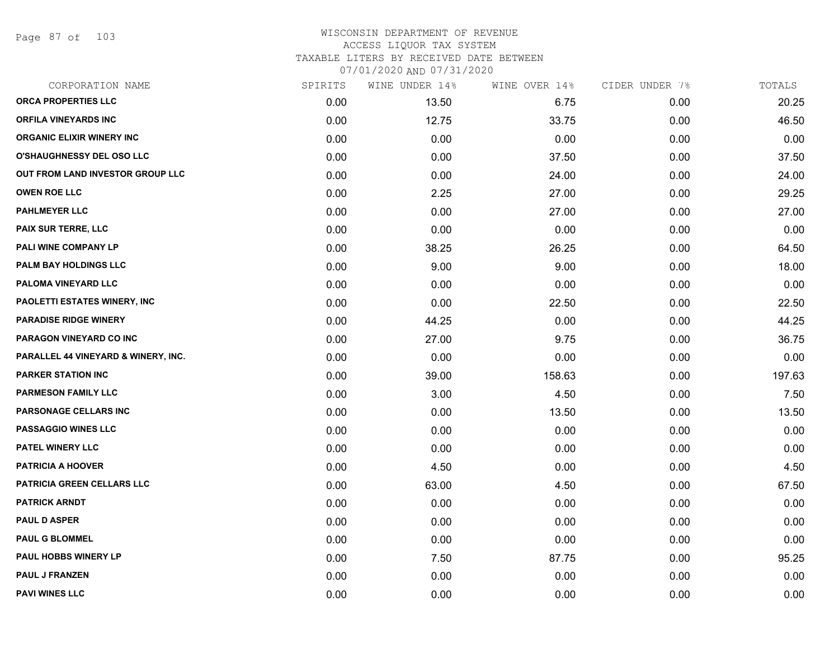Page 87 of 103

## WISCONSIN DEPARTMENT OF REVENUE ACCESS LIQUOR TAX SYSTEM TAXABLE LITERS BY RECEIVED DATE BETWEEN

07/01/2020 AND 07/31/2020

| CORPORATION NAME                    | SPIRITS | WINE UNDER 14% | WINE OVER 14% | CIDER UNDER 7% | TOTALS |
|-------------------------------------|---------|----------------|---------------|----------------|--------|
| ORCA PROPERTIES LLC                 | 0.00    | 13.50          | 6.75          | 0.00           | 20.25  |
| <b>ORFILA VINEYARDS INC</b>         | 0.00    | 12.75          | 33.75         | 0.00           | 46.50  |
| <b>ORGANIC ELIXIR WINERY INC</b>    | 0.00    | 0.00           | 0.00          | 0.00           | 0.00   |
| <b>O'SHAUGHNESSY DEL OSO LLC</b>    | 0.00    | 0.00           | 37.50         | 0.00           | 37.50  |
| OUT FROM LAND INVESTOR GROUP LLC    | 0.00    | 0.00           | 24.00         | 0.00           | 24.00  |
| <b>OWEN ROE LLC</b>                 | 0.00    | 2.25           | 27.00         | 0.00           | 29.25  |
| <b>PAHLMEYER LLC</b>                | 0.00    | 0.00           | 27.00         | 0.00           | 27.00  |
| <b>PAIX SUR TERRE, LLC</b>          | 0.00    | 0.00           | 0.00          | 0.00           | 0.00   |
| PALI WINE COMPANY LP                | 0.00    | 38.25          | 26.25         | 0.00           | 64.50  |
| PALM BAY HOLDINGS LLC               | 0.00    | 9.00           | 9.00          | 0.00           | 18.00  |
| PALOMA VINEYARD LLC                 | 0.00    | 0.00           | 0.00          | 0.00           | 0.00   |
| PAOLETTI ESTATES WINERY, INC        | 0.00    | 0.00           | 22.50         | 0.00           | 22.50  |
| <b>PARADISE RIDGE WINERY</b>        | 0.00    | 44.25          | 0.00          | 0.00           | 44.25  |
| <b>PARAGON VINEYARD CO INC</b>      | 0.00    | 27.00          | 9.75          | 0.00           | 36.75  |
| PARALLEL 44 VINEYARD & WINERY, INC. | 0.00    | 0.00           | 0.00          | 0.00           | 0.00   |
| <b>PARKER STATION INC</b>           | 0.00    | 39.00          | 158.63        | 0.00           | 197.63 |
| <b>PARMESON FAMILY LLC</b>          | 0.00    | 3.00           | 4.50          | 0.00           | 7.50   |
| PARSONAGE CELLARS INC               | 0.00    | 0.00           | 13.50         | 0.00           | 13.50  |
| <b>PASSAGGIO WINES LLC</b>          | 0.00    | 0.00           | 0.00          | 0.00           | 0.00   |
| <b>PATEL WINERY LLC</b>             | 0.00    | 0.00           | 0.00          | 0.00           | 0.00   |
| <b>PATRICIA A HOOVER</b>            | 0.00    | 4.50           | 0.00          | 0.00           | 4.50   |
| PATRICIA GREEN CELLARS LLC          | 0.00    | 63.00          | 4.50          | 0.00           | 67.50  |
| <b>PATRICK ARNDT</b>                | 0.00    | 0.00           | 0.00          | 0.00           | 0.00   |
| <b>PAUL D ASPER</b>                 | 0.00    | 0.00           | 0.00          | 0.00           | 0.00   |
| <b>PAUL G BLOMMEL</b>               | 0.00    | 0.00           | 0.00          | 0.00           | 0.00   |
| <b>PAUL HOBBS WINERY LP</b>         | 0.00    | 7.50           | 87.75         | 0.00           | 95.25  |
| <b>PAUL J FRANZEN</b>               | 0.00    | 0.00           | 0.00          | 0.00           | 0.00   |
| <b>PAVI WINES LLC</b>               | 0.00    | 0.00           | 0.00          | 0.00           | 0.00   |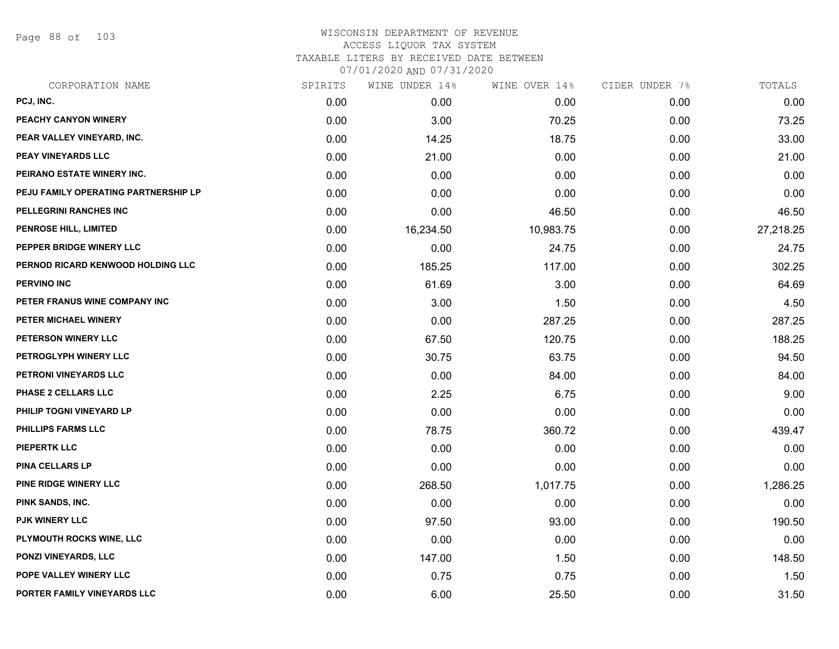Page 88 of 103

| CORPORATION NAME                     | SPIRITS | WINE UNDER 14% | WINE OVER 14% | CIDER UNDER 7% | TOTALS    |
|--------------------------------------|---------|----------------|---------------|----------------|-----------|
| PCJ, INC.                            | 0.00    | 0.00           | 0.00          | 0.00           | 0.00      |
| PEACHY CANYON WINERY                 | 0.00    | 3.00           | 70.25         | 0.00           | 73.25     |
| PEAR VALLEY VINEYARD, INC.           | 0.00    | 14.25          | 18.75         | 0.00           | 33.00     |
| PEAY VINEYARDS LLC                   | 0.00    | 21.00          | 0.00          | 0.00           | 21.00     |
| PEIRANO ESTATE WINERY INC.           | 0.00    | 0.00           | 0.00          | 0.00           | 0.00      |
| PEJU FAMILY OPERATING PARTNERSHIP LP | 0.00    | 0.00           | 0.00          | 0.00           | 0.00      |
| PELLEGRINI RANCHES INC               | 0.00    | 0.00           | 46.50         | 0.00           | 46.50     |
| PENROSE HILL, LIMITED                | 0.00    | 16,234.50      | 10,983.75     | 0.00           | 27,218.25 |
| PEPPER BRIDGE WINERY LLC             | 0.00    | 0.00           | 24.75         | 0.00           | 24.75     |
| PERNOD RICARD KENWOOD HOLDING LLC    | 0.00    | 185.25         | 117.00        | 0.00           | 302.25    |
| <b>PERVINO INC</b>                   | 0.00    | 61.69          | 3.00          | 0.00           | 64.69     |
| PETER FRANUS WINE COMPANY INC        | 0.00    | 3.00           | 1.50          | 0.00           | 4.50      |
| PETER MICHAEL WINERY                 | 0.00    | 0.00           | 287.25        | 0.00           | 287.25    |
| PETERSON WINERY LLC                  | 0.00    | 67.50          | 120.75        | 0.00           | 188.25    |
| PETROGLYPH WINERY LLC                | 0.00    | 30.75          | 63.75         | 0.00           | 94.50     |
| PETRONI VINEYARDS LLC                | 0.00    | 0.00           | 84.00         | 0.00           | 84.00     |
| PHASE 2 CELLARS LLC                  | 0.00    | 2.25           | 6.75          | 0.00           | 9.00      |
| PHILIP TOGNI VINEYARD LP             | 0.00    | 0.00           | 0.00          | 0.00           | 0.00      |
| <b>PHILLIPS FARMS LLC</b>            | 0.00    | 78.75          | 360.72        | 0.00           | 439.47    |
| <b>PIEPERTK LLC</b>                  | 0.00    | 0.00           | 0.00          | 0.00           | 0.00      |
| <b>PINA CELLARS LP</b>               | 0.00    | 0.00           | 0.00          | 0.00           | 0.00      |
| PINE RIDGE WINERY LLC                | 0.00    | 268.50         | 1,017.75      | 0.00           | 1,286.25  |
| PINK SANDS, INC.                     | 0.00    | 0.00           | 0.00          | 0.00           | 0.00      |
| <b>PJK WINERY LLC</b>                | 0.00    | 97.50          | 93.00         | 0.00           | 190.50    |
| PLYMOUTH ROCKS WINE, LLC             | 0.00    | 0.00           | 0.00          | 0.00           | 0.00      |
| PONZI VINEYARDS, LLC                 | 0.00    | 147.00         | 1.50          | 0.00           | 148.50    |
| POPE VALLEY WINERY LLC               | 0.00    | 0.75           | 0.75          | 0.00           | 1.50      |
| PORTER FAMILY VINEYARDS LLC          | 0.00    | 6.00           | 25.50         | 0.00           | 31.50     |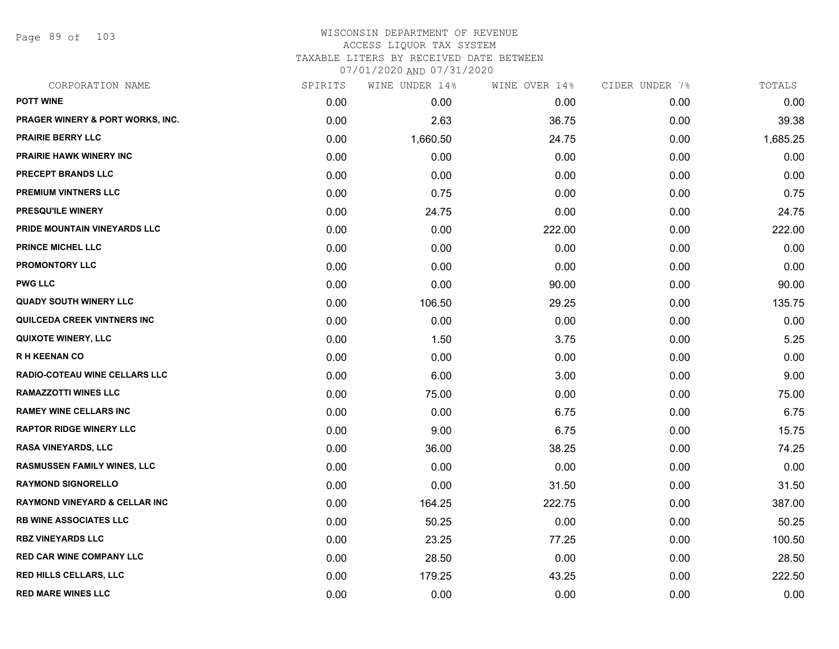Page 89 of 103

# WISCONSIN DEPARTMENT OF REVENUE ACCESS LIQUOR TAX SYSTEM TAXABLE LITERS BY RECEIVED DATE BETWEEN

07/01/2020 AND 07/31/2020

| CORPORATION NAME                         | SPIRITS | WINE UNDER 14% | WINE OVER 14% | CIDER UNDER 7% | TOTALS   |
|------------------------------------------|---------|----------------|---------------|----------------|----------|
| <b>POTT WINE</b>                         | 0.00    | 0.00           | 0.00          | 0.00           | 0.00     |
| PRAGER WINERY & PORT WORKS, INC.         | 0.00    | 2.63           | 36.75         | 0.00           | 39.38    |
| PRAIRIE BERRY LLC                        | 0.00    | 1,660.50       | 24.75         | 0.00           | 1,685.25 |
| <b>PRAIRIE HAWK WINERY INC</b>           | 0.00    | 0.00           | 0.00          | 0.00           | 0.00     |
| PRECEPT BRANDS LLC                       | 0.00    | 0.00           | 0.00          | 0.00           | 0.00     |
| PREMIUM VINTNERS LLC                     | 0.00    | 0.75           | 0.00          | 0.00           | 0.75     |
| PRESQU'ILE WINERY                        | 0.00    | 24.75          | 0.00          | 0.00           | 24.75    |
| PRIDE MOUNTAIN VINEYARDS LLC             | 0.00    | 0.00           | 222.00        | 0.00           | 222.00   |
| <b>PRINCE MICHEL LLC</b>                 | 0.00    | 0.00           | 0.00          | 0.00           | 0.00     |
| <b>PROMONTORY LLC</b>                    | 0.00    | 0.00           | 0.00          | 0.00           | 0.00     |
| <b>PWG LLC</b>                           | 0.00    | 0.00           | 90.00         | 0.00           | 90.00    |
| <b>QUADY SOUTH WINERY LLC</b>            | 0.00    | 106.50         | 29.25         | 0.00           | 135.75   |
| <b>QUILCEDA CREEK VINTNERS INC</b>       | 0.00    | 0.00           | 0.00          | 0.00           | 0.00     |
| <b>QUIXOTE WINERY, LLC</b>               | 0.00    | 1.50           | 3.75          | 0.00           | 5.25     |
| <b>RH KEENAN CO</b>                      | 0.00    | 0.00           | 0.00          | 0.00           | 0.00     |
| RADIO-COTEAU WINE CELLARS LLC            | 0.00    | 6.00           | 3.00          | 0.00           | 9.00     |
| <b>RAMAZZOTTI WINES LLC</b>              | 0.00    | 75.00          | 0.00          | 0.00           | 75.00    |
| <b>RAMEY WINE CELLARS INC</b>            | 0.00    | 0.00           | 6.75          | 0.00           | 6.75     |
| <b>RAPTOR RIDGE WINERY LLC</b>           | 0.00    | 9.00           | 6.75          | 0.00           | 15.75    |
| <b>RASA VINEYARDS, LLC</b>               | 0.00    | 36.00          | 38.25         | 0.00           | 74.25    |
| <b>RASMUSSEN FAMILY WINES, LLC</b>       | 0.00    | 0.00           | 0.00          | 0.00           | 0.00     |
| <b>RAYMOND SIGNORELLO</b>                | 0.00    | 0.00           | 31.50         | 0.00           | 31.50    |
| <b>RAYMOND VINEYARD &amp; CELLAR INC</b> | 0.00    | 164.25         | 222.75        | 0.00           | 387.00   |
| <b>RB WINE ASSOCIATES LLC</b>            | 0.00    | 50.25          | 0.00          | 0.00           | 50.25    |
| <b>RBZ VINEYARDS LLC</b>                 | 0.00    | 23.25          | 77.25         | 0.00           | 100.50   |
| <b>RED CAR WINE COMPANY LLC</b>          | 0.00    | 28.50          | 0.00          | 0.00           | 28.50    |
| <b>RED HILLS CELLARS, LLC</b>            | 0.00    | 179.25         | 43.25         | 0.00           | 222.50   |
| <b>RED MARE WINES LLC</b>                | 0.00    | 0.00           | 0.00          | 0.00           | 0.00     |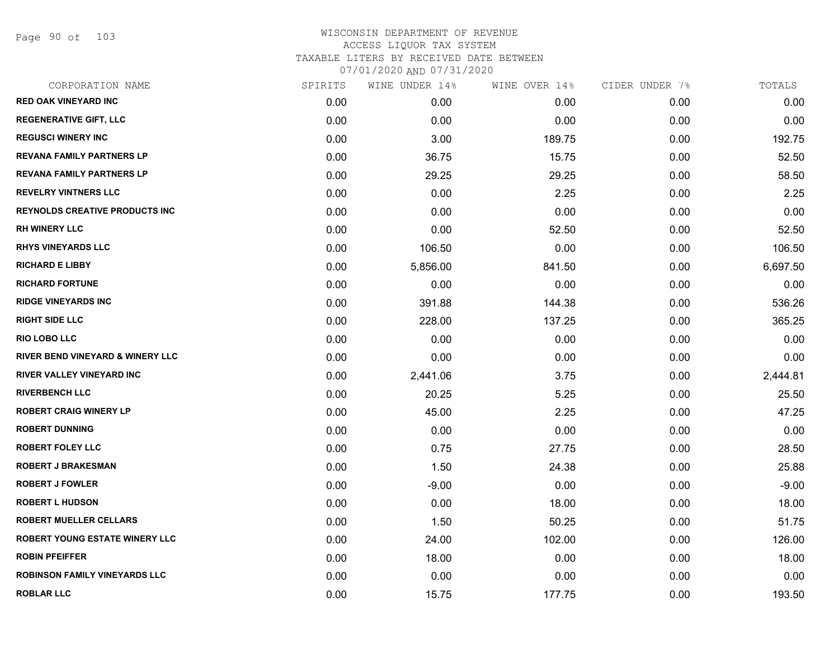Page 90 of 103

| CORPORATION NAME                            | SPIRITS | WINE UNDER 14% | WINE OVER 14% | CIDER UNDER 7% | TOTALS   |
|---------------------------------------------|---------|----------------|---------------|----------------|----------|
| <b>RED OAK VINEYARD INC</b>                 | 0.00    | 0.00           | 0.00          | 0.00           | 0.00     |
| <b>REGENERATIVE GIFT, LLC</b>               | 0.00    | 0.00           | 0.00          | 0.00           | 0.00     |
| <b>REGUSCI WINERY INC</b>                   | 0.00    | 3.00           | 189.75        | 0.00           | 192.75   |
| <b>REVANA FAMILY PARTNERS LP</b>            | 0.00    | 36.75          | 15.75         | 0.00           | 52.50    |
| <b>REVANA FAMILY PARTNERS LP</b>            | 0.00    | 29.25          | 29.25         | 0.00           | 58.50    |
| <b>REVELRY VINTNERS LLC</b>                 | 0.00    | 0.00           | 2.25          | 0.00           | 2.25     |
| <b>REYNOLDS CREATIVE PRODUCTS INC</b>       | 0.00    | 0.00           | 0.00          | 0.00           | 0.00     |
| <b>RH WINERY LLC</b>                        | 0.00    | 0.00           | 52.50         | 0.00           | 52.50    |
| <b>RHYS VINEYARDS LLC</b>                   | 0.00    | 106.50         | 0.00          | 0.00           | 106.50   |
| <b>RICHARD E LIBBY</b>                      | 0.00    | 5,856.00       | 841.50        | 0.00           | 6,697.50 |
| <b>RICHARD FORTUNE</b>                      | 0.00    | 0.00           | 0.00          | 0.00           | 0.00     |
| <b>RIDGE VINEYARDS INC</b>                  | 0.00    | 391.88         | 144.38        | 0.00           | 536.26   |
| <b>RIGHT SIDE LLC</b>                       | 0.00    | 228.00         | 137.25        | 0.00           | 365.25   |
| <b>RIO LOBO LLC</b>                         | 0.00    | 0.00           | 0.00          | 0.00           | 0.00     |
| <b>RIVER BEND VINEYARD &amp; WINERY LLC</b> | 0.00    | 0.00           | 0.00          | 0.00           | 0.00     |
| RIVER VALLEY VINEYARD INC                   | 0.00    | 2,441.06       | 3.75          | 0.00           | 2,444.81 |
| <b>RIVERBENCH LLC</b>                       | 0.00    | 20.25          | 5.25          | 0.00           | 25.50    |
| <b>ROBERT CRAIG WINERY LP</b>               | 0.00    | 45.00          | 2.25          | 0.00           | 47.25    |
| <b>ROBERT DUNNING</b>                       | 0.00    | 0.00           | 0.00          | 0.00           | 0.00     |
| <b>ROBERT FOLEY LLC</b>                     | 0.00    | 0.75           | 27.75         | 0.00           | 28.50    |
| <b>ROBERT J BRAKESMAN</b>                   | 0.00    | 1.50           | 24.38         | 0.00           | 25.88    |
| <b>ROBERT J FOWLER</b>                      | 0.00    | $-9.00$        | 0.00          | 0.00           | $-9.00$  |
| <b>ROBERT L HUDSON</b>                      | 0.00    | 0.00           | 18.00         | 0.00           | 18.00    |
| <b>ROBERT MUELLER CELLARS</b>               | 0.00    | 1.50           | 50.25         | 0.00           | 51.75    |
| <b>ROBERT YOUNG ESTATE WINERY LLC</b>       | 0.00    | 24.00          | 102.00        | 0.00           | 126.00   |
| <b>ROBIN PFEIFFER</b>                       | 0.00    | 18.00          | 0.00          | 0.00           | 18.00    |
| <b>ROBINSON FAMILY VINEYARDS LLC</b>        | 0.00    | 0.00           | 0.00          | 0.00           | 0.00     |
| <b>ROBLAR LLC</b>                           | 0.00    | 15.75          | 177.75        | 0.00           | 193.50   |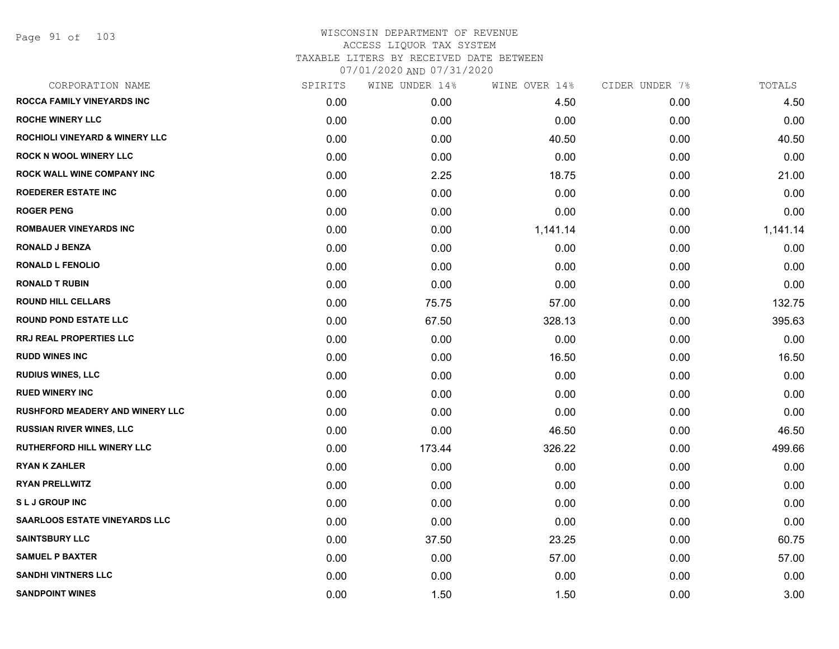| <b>ROCCA FAMILY VINEYARDS INC</b><br>0.00<br>0.00<br><b>ROCHE WINERY LLC</b><br>0.00<br>0.00 | 4.50<br>0.00 | 0.00 | 4.50     |
|----------------------------------------------------------------------------------------------|--------------|------|----------|
|                                                                                              |              |      |          |
|                                                                                              |              | 0.00 | 0.00     |
| <b>ROCHIOLI VINEYARD &amp; WINERY LLC</b><br>0.00<br>0.00                                    | 40.50        | 0.00 | 40.50    |
| <b>ROCK N WOOL WINERY LLC</b><br>0.00<br>0.00                                                | 0.00         | 0.00 | 0.00     |
| ROCK WALL WINE COMPANY INC<br>0.00<br>2.25                                                   | 18.75        | 0.00 | 21.00    |
| <b>ROEDERER ESTATE INC</b><br>0.00<br>0.00                                                   | 0.00         | 0.00 | 0.00     |
| <b>ROGER PENG</b><br>0.00<br>0.00                                                            | 0.00         | 0.00 | 0.00     |
| <b>ROMBAUER VINEYARDS INC</b><br>0.00<br>0.00                                                | 1,141.14     | 0.00 | 1,141.14 |
| <b>RONALD J BENZA</b><br>0.00<br>0.00                                                        | 0.00         | 0.00 | 0.00     |
| <b>RONALD L FENOLIO</b><br>0.00<br>0.00                                                      | 0.00         | 0.00 | 0.00     |
| <b>RONALD T RUBIN</b><br>0.00<br>0.00                                                        | 0.00         | 0.00 | 0.00     |
| <b>ROUND HILL CELLARS</b><br>0.00<br>75.75                                                   | 57.00        | 0.00 | 132.75   |
| <b>ROUND POND ESTATE LLC</b><br>0.00<br>67.50                                                | 328.13       | 0.00 | 395.63   |
| <b>RRJ REAL PROPERTIES LLC</b><br>0.00<br>0.00                                               | 0.00         | 0.00 | 0.00     |
| <b>RUDD WINES INC</b><br>0.00<br>0.00                                                        | 16.50        | 0.00 | 16.50    |
| <b>RUDIUS WINES, LLC</b><br>0.00<br>0.00                                                     | 0.00         | 0.00 | 0.00     |
| <b>RUED WINERY INC</b><br>0.00<br>0.00                                                       | 0.00         | 0.00 | 0.00     |
| <b>RUSHFORD MEADERY AND WINERY LLC</b><br>0.00<br>0.00                                       | 0.00         | 0.00 | 0.00     |
| <b>RUSSIAN RIVER WINES, LLC</b><br>0.00<br>0.00                                              | 46.50        | 0.00 | 46.50    |
| RUTHERFORD HILL WINERY LLC<br>0.00<br>173.44                                                 | 326.22       | 0.00 | 499.66   |
| <b>RYAN K ZAHLER</b><br>0.00<br>0.00                                                         | 0.00         | 0.00 | 0.00     |
| <b>RYAN PRELLWITZ</b><br>0.00<br>0.00                                                        | 0.00         | 0.00 | 0.00     |
| <b>SLJ GROUP INC</b><br>0.00<br>0.00                                                         | 0.00         | 0.00 | 0.00     |
| <b>SAARLOOS ESTATE VINEYARDS LLC</b><br>0.00<br>0.00                                         | 0.00         | 0.00 | 0.00     |
| <b>SAINTSBURY LLC</b><br>0.00<br>37.50                                                       | 23.25        | 0.00 | 60.75    |
| <b>SAMUEL P BAXTER</b><br>0.00<br>0.00                                                       | 57.00        | 0.00 | 57.00    |
| <b>SANDHI VINTNERS LLC</b><br>0.00<br>0.00                                                   | 0.00         | 0.00 | 0.00     |
| <b>SANDPOINT WINES</b><br>0.00<br>1.50                                                       | 1.50         | 0.00 | 3.00     |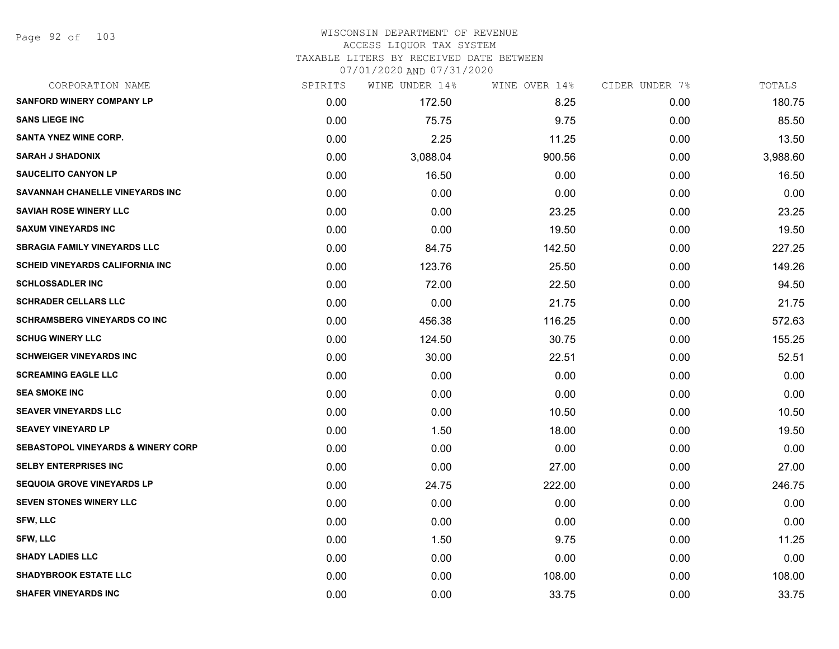Page 92 of 103

| CORPORATION NAME                              | SPIRITS | WINE UNDER 14% | WINE OVER 14% | CIDER UNDER 7% | TOTALS   |
|-----------------------------------------------|---------|----------------|---------------|----------------|----------|
| SANFORD WINERY COMPANY LP                     | 0.00    | 172.50         | 8.25          | 0.00           | 180.75   |
| <b>SANS LIEGE INC</b>                         | 0.00    | 75.75          | 9.75          | 0.00           | 85.50    |
| SANTA YNEZ WINE CORP.                         | 0.00    | 2.25           | 11.25         | 0.00           | 13.50    |
| <b>SARAH J SHADONIX</b>                       | 0.00    | 3,088.04       | 900.56        | 0.00           | 3,988.60 |
| <b>SAUCELITO CANYON LP</b>                    | 0.00    | 16.50          | 0.00          | 0.00           | 16.50    |
| SAVANNAH CHANELLE VINEYARDS INC               | 0.00    | 0.00           | 0.00          | 0.00           | 0.00     |
| <b>SAVIAH ROSE WINERY LLC</b>                 | 0.00    | 0.00           | 23.25         | 0.00           | 23.25    |
| <b>SAXUM VINEYARDS INC</b>                    | 0.00    | 0.00           | 19.50         | 0.00           | 19.50    |
| <b>SBRAGIA FAMILY VINEYARDS LLC</b>           | 0.00    | 84.75          | 142.50        | 0.00           | 227.25   |
| <b>SCHEID VINEYARDS CALIFORNIA INC</b>        | 0.00    | 123.76         | 25.50         | 0.00           | 149.26   |
| <b>SCHLOSSADLER INC</b>                       | 0.00    | 72.00          | 22.50         | 0.00           | 94.50    |
| <b>SCHRADER CELLARS LLC</b>                   | 0.00    | 0.00           | 21.75         | 0.00           | 21.75    |
| <b>SCHRAMSBERG VINEYARDS CO INC</b>           | 0.00    | 456.38         | 116.25        | 0.00           | 572.63   |
| <b>SCHUG WINERY LLC</b>                       | 0.00    | 124.50         | 30.75         | 0.00           | 155.25   |
| <b>SCHWEIGER VINEYARDS INC</b>                | 0.00    | 30.00          | 22.51         | 0.00           | 52.51    |
| <b>SCREAMING EAGLE LLC</b>                    | 0.00    | 0.00           | 0.00          | 0.00           | 0.00     |
| <b>SEA SMOKE INC</b>                          | 0.00    | 0.00           | 0.00          | 0.00           | 0.00     |
| <b>SEAVER VINEYARDS LLC</b>                   | 0.00    | 0.00           | 10.50         | 0.00           | 10.50    |
| <b>SEAVEY VINEYARD LP</b>                     | 0.00    | 1.50           | 18.00         | 0.00           | 19.50    |
| <b>SEBASTOPOL VINEYARDS &amp; WINERY CORP</b> | 0.00    | 0.00           | 0.00          | 0.00           | 0.00     |
| <b>SELBY ENTERPRISES INC</b>                  | 0.00    | 0.00           | 27.00         | 0.00           | 27.00    |
| <b>SEQUOIA GROVE VINEYARDS LP</b>             | 0.00    | 24.75          | 222.00        | 0.00           | 246.75   |
| <b>SEVEN STONES WINERY LLC</b>                | 0.00    | 0.00           | 0.00          | 0.00           | 0.00     |
| <b>SFW, LLC</b>                               | 0.00    | 0.00           | 0.00          | 0.00           | 0.00     |
| SFW, LLC                                      | 0.00    | 1.50           | 9.75          | 0.00           | 11.25    |
| <b>SHADY LADIES LLC</b>                       | 0.00    | 0.00           | 0.00          | 0.00           | 0.00     |
| <b>SHADYBROOK ESTATE LLC</b>                  | 0.00    | 0.00           | 108.00        | 0.00           | 108.00   |
| <b>SHAFER VINEYARDS INC</b>                   | 0.00    | 0.00           | 33.75         | 0.00           | 33.75    |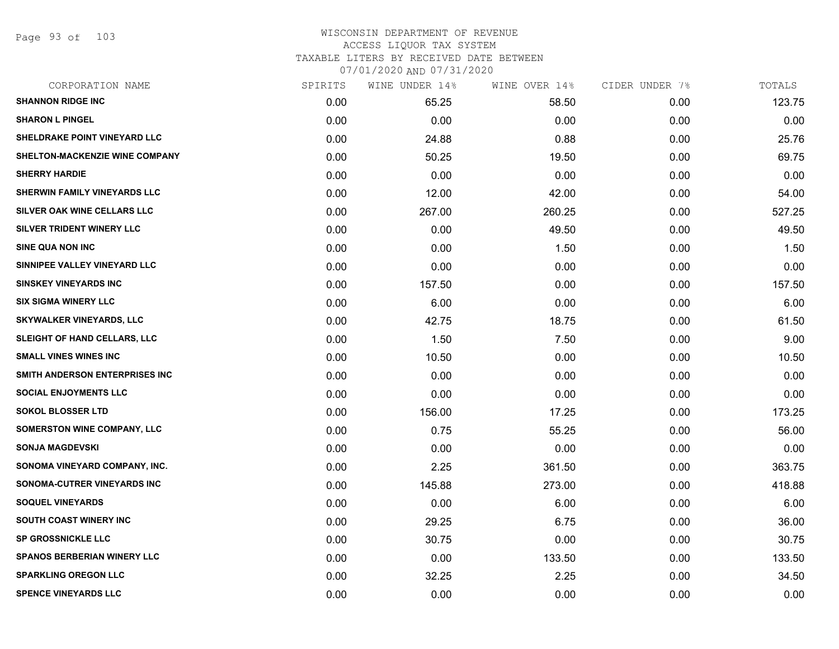Page 93 of 103

| CORPORATION NAME                   | SPIRITS | WINE UNDER 14% | WINE OVER 14% | CIDER UNDER 7% | TOTALS |
|------------------------------------|---------|----------------|---------------|----------------|--------|
| <b>SHANNON RIDGE INC</b>           | 0.00    | 65.25          | 58.50         | 0.00           | 123.75 |
| <b>SHARON L PINGEL</b>             | 0.00    | 0.00           | 0.00          | 0.00           | 0.00   |
| SHELDRAKE POINT VINEYARD LLC       | 0.00    | 24.88          | 0.88          | 0.00           | 25.76  |
| SHELTON-MACKENZIE WINE COMPANY     | 0.00    | 50.25          | 19.50         | 0.00           | 69.75  |
| <b>SHERRY HARDIE</b>               | 0.00    | 0.00           | 0.00          | 0.00           | 0.00   |
| SHERWIN FAMILY VINEYARDS LLC       | 0.00    | 12.00          | 42.00         | 0.00           | 54.00  |
| SILVER OAK WINE CELLARS LLC        | 0.00    | 267.00         | 260.25        | 0.00           | 527.25 |
| SILVER TRIDENT WINERY LLC          | 0.00    | 0.00           | 49.50         | 0.00           | 49.50  |
| <b>SINE QUA NON INC</b>            | 0.00    | 0.00           | 1.50          | 0.00           | 1.50   |
| SINNIPEE VALLEY VINEYARD LLC       | 0.00    | 0.00           | 0.00          | 0.00           | 0.00   |
| <b>SINSKEY VINEYARDS INC</b>       | 0.00    | 157.50         | 0.00          | 0.00           | 157.50 |
| <b>SIX SIGMA WINERY LLC</b>        | 0.00    | 6.00           | 0.00          | 0.00           | 6.00   |
| <b>SKYWALKER VINEYARDS, LLC</b>    | 0.00    | 42.75          | 18.75         | 0.00           | 61.50  |
| SLEIGHT OF HAND CELLARS, LLC       | 0.00    | 1.50           | 7.50          | 0.00           | 9.00   |
| <b>SMALL VINES WINES INC</b>       | 0.00    | 10.50          | 0.00          | 0.00           | 10.50  |
| SMITH ANDERSON ENTERPRISES INC     | 0.00    | 0.00           | 0.00          | 0.00           | 0.00   |
| <b>SOCIAL ENJOYMENTS LLC</b>       | 0.00    | 0.00           | 0.00          | 0.00           | 0.00   |
| <b>SOKOL BLOSSER LTD</b>           | 0.00    | 156.00         | 17.25         | 0.00           | 173.25 |
| <b>SOMERSTON WINE COMPANY, LLC</b> | 0.00    | 0.75           | 55.25         | 0.00           | 56.00  |
| <b>SONJA MAGDEVSKI</b>             | 0.00    | 0.00           | 0.00          | 0.00           | 0.00   |
| SONOMA VINEYARD COMPANY, INC.      | 0.00    | 2.25           | 361.50        | 0.00           | 363.75 |
| SONOMA-CUTRER VINEYARDS INC        | 0.00    | 145.88         | 273.00        | 0.00           | 418.88 |
| <b>SOQUEL VINEYARDS</b>            | 0.00    | 0.00           | 6.00          | 0.00           | 6.00   |
| SOUTH COAST WINERY INC             | 0.00    | 29.25          | 6.75          | 0.00           | 36.00  |
| <b>SP GROSSNICKLE LLC</b>          | 0.00    | 30.75          | 0.00          | 0.00           | 30.75  |
| <b>SPANOS BERBERIAN WINERY LLC</b> | 0.00    | 0.00           | 133.50        | 0.00           | 133.50 |
| <b>SPARKLING OREGON LLC</b>        | 0.00    | 32.25          | 2.25          | 0.00           | 34.50  |
| <b>SPENCE VINEYARDS LLC</b>        | 0.00    | 0.00           | 0.00          | 0.00           | 0.00   |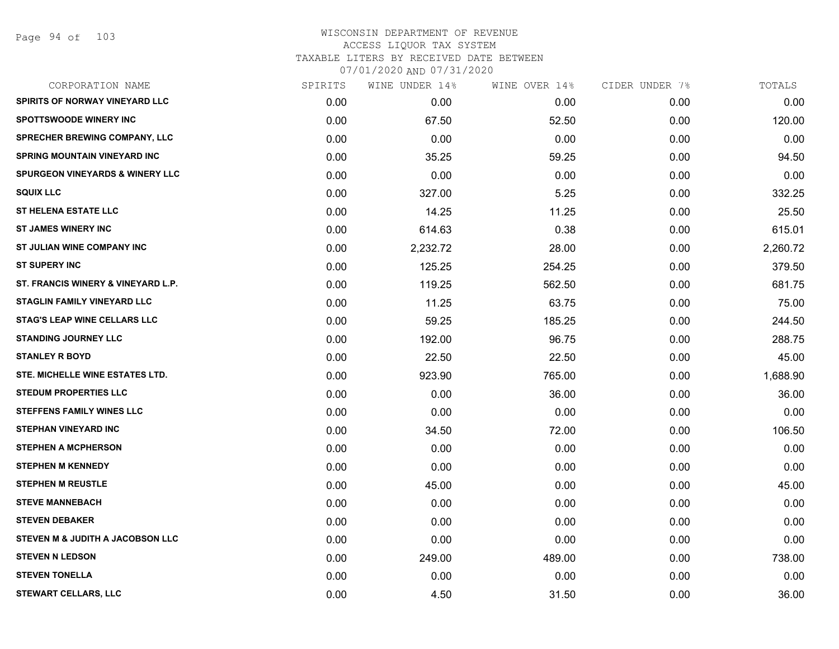Page 94 of 103

| CORPORATION NAME                           | SPIRITS | WINE UNDER 14% | WINE OVER 14% | CIDER UNDER 7% | TOTALS   |
|--------------------------------------------|---------|----------------|---------------|----------------|----------|
| SPIRITS OF NORWAY VINEYARD LLC             | 0.00    | 0.00           | 0.00          | 0.00           | 0.00     |
| <b>SPOTTSWOODE WINERY INC</b>              | 0.00    | 67.50          | 52.50         | 0.00           | 120.00   |
| SPRECHER BREWING COMPANY, LLC              | 0.00    | 0.00           | 0.00          | 0.00           | 0.00     |
| <b>SPRING MOUNTAIN VINEYARD INC</b>        | 0.00    | 35.25          | 59.25         | 0.00           | 94.50    |
| <b>SPURGEON VINEYARDS &amp; WINERY LLC</b> | 0.00    | 0.00           | 0.00          | 0.00           | 0.00     |
| <b>SQUIX LLC</b>                           | 0.00    | 327.00         | 5.25          | 0.00           | 332.25   |
| <b>ST HELENA ESTATE LLC</b>                | 0.00    | 14.25          | 11.25         | 0.00           | 25.50    |
| <b>ST JAMES WINERY INC</b>                 | 0.00    | 614.63         | 0.38          | 0.00           | 615.01   |
| ST JULIAN WINE COMPANY INC                 | 0.00    | 2,232.72       | 28.00         | 0.00           | 2,260.72 |
| <b>ST SUPERY INC</b>                       | 0.00    | 125.25         | 254.25        | 0.00           | 379.50   |
| ST. FRANCIS WINERY & VINEYARD L.P.         | 0.00    | 119.25         | 562.50        | 0.00           | 681.75   |
| STAGLIN FAMILY VINEYARD LLC                | 0.00    | 11.25          | 63.75         | 0.00           | 75.00    |
| STAG'S LEAP WINE CELLARS LLC               | 0.00    | 59.25          | 185.25        | 0.00           | 244.50   |
| <b>STANDING JOURNEY LLC</b>                | 0.00    | 192.00         | 96.75         | 0.00           | 288.75   |
| <b>STANLEY R BOYD</b>                      | 0.00    | 22.50          | 22.50         | 0.00           | 45.00    |
| STE. MICHELLE WINE ESTATES LTD.            | 0.00    | 923.90         | 765.00        | 0.00           | 1,688.90 |
| <b>STEDUM PROPERTIES LLC</b>               | 0.00    | 0.00           | 36.00         | 0.00           | 36.00    |
| <b>STEFFENS FAMILY WINES LLC</b>           | 0.00    | 0.00           | 0.00          | 0.00           | 0.00     |
| <b>STEPHAN VINEYARD INC</b>                | 0.00    | 34.50          | 72.00         | 0.00           | 106.50   |
| <b>STEPHEN A MCPHERSON</b>                 | 0.00    | 0.00           | 0.00          | 0.00           | 0.00     |
| <b>STEPHEN M KENNEDY</b>                   | 0.00    | 0.00           | 0.00          | 0.00           | 0.00     |
| <b>STEPHEN M REUSTLE</b>                   | 0.00    | 45.00          | 0.00          | 0.00           | 45.00    |
| <b>STEVE MANNEBACH</b>                     | 0.00    | 0.00           | 0.00          | 0.00           | 0.00     |
| <b>STEVEN DEBAKER</b>                      | 0.00    | 0.00           | 0.00          | 0.00           | 0.00     |
| STEVEN M & JUDITH A JACOBSON LLC           | 0.00    | 0.00           | 0.00          | 0.00           | 0.00     |
| <b>STEVEN N LEDSON</b>                     | 0.00    | 249.00         | 489.00        | 0.00           | 738.00   |
| <b>STEVEN TONELLA</b>                      | 0.00    | 0.00           | 0.00          | 0.00           | 0.00     |
| STEWART CELLARS, LLC                       | 0.00    | 4.50           | 31.50         | 0.00           | 36.00    |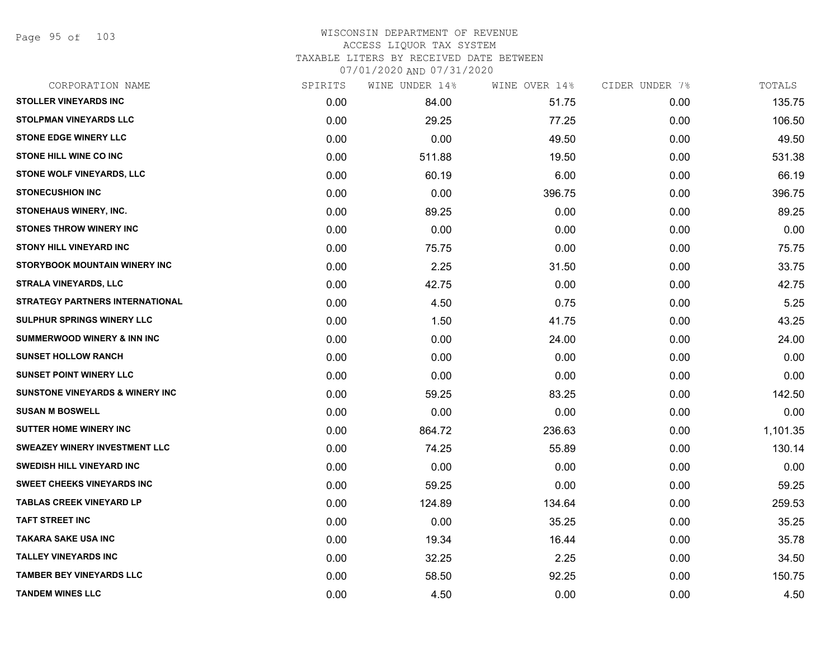Page 95 of 103

| CORPORATION NAME                           | SPIRITS | WINE UNDER 14% | WINE OVER 14% | CIDER UNDER 7% | TOTALS   |
|--------------------------------------------|---------|----------------|---------------|----------------|----------|
| <b>STOLLER VINEYARDS INC</b>               | 0.00    | 84.00          | 51.75         | 0.00           | 135.75   |
| STOLPMAN VINEYARDS LLC                     | 0.00    | 29.25          | 77.25         | 0.00           | 106.50   |
| <b>STONE EDGE WINERY LLC</b>               | 0.00    | 0.00           | 49.50         | 0.00           | 49.50    |
| <b>STONE HILL WINE CO INC</b>              | 0.00    | 511.88         | 19.50         | 0.00           | 531.38   |
| <b>STONE WOLF VINEYARDS, LLC</b>           | 0.00    | 60.19          | 6.00          | 0.00           | 66.19    |
| <b>STONECUSHION INC</b>                    | 0.00    | 0.00           | 396.75        | 0.00           | 396.75   |
| STONEHAUS WINERY, INC.                     | 0.00    | 89.25          | 0.00          | 0.00           | 89.25    |
| <b>STONES THROW WINERY INC</b>             | 0.00    | 0.00           | 0.00          | 0.00           | 0.00     |
| <b>STONY HILL VINEYARD INC</b>             | 0.00    | 75.75          | 0.00          | 0.00           | 75.75    |
| <b>STORYBOOK MOUNTAIN WINERY INC</b>       | 0.00    | 2.25           | 31.50         | 0.00           | 33.75    |
| <b>STRALA VINEYARDS, LLC</b>               | 0.00    | 42.75          | 0.00          | 0.00           | 42.75    |
| STRATEGY PARTNERS INTERNATIONAL            | 0.00    | 4.50           | 0.75          | 0.00           | 5.25     |
| SULPHUR SPRINGS WINERY LLC                 | 0.00    | 1.50           | 41.75         | 0.00           | 43.25    |
| SUMMERWOOD WINERY & INN INC                | 0.00    | 0.00           | 24.00         | 0.00           | 24.00    |
| <b>SUNSET HOLLOW RANCH</b>                 | 0.00    | 0.00           | 0.00          | 0.00           | 0.00     |
| <b>SUNSET POINT WINERY LLC</b>             | 0.00    | 0.00           | 0.00          | 0.00           | 0.00     |
| <b>SUNSTONE VINEYARDS &amp; WINERY INC</b> | 0.00    | 59.25          | 83.25         | 0.00           | 142.50   |
| <b>SUSAN M BOSWELL</b>                     | 0.00    | 0.00           | 0.00          | 0.00           | 0.00     |
| SUTTER HOME WINERY INC                     | 0.00    | 864.72         | 236.63        | 0.00           | 1,101.35 |
| <b>SWEAZEY WINERY INVESTMENT LLC</b>       | 0.00    | 74.25          | 55.89         | 0.00           | 130.14   |
| <b>SWEDISH HILL VINEYARD INC</b>           | 0.00    | 0.00           | 0.00          | 0.00           | 0.00     |
| <b>SWEET CHEEKS VINEYARDS INC</b>          | 0.00    | 59.25          | 0.00          | 0.00           | 59.25    |
| <b>TABLAS CREEK VINEYARD LP</b>            | 0.00    | 124.89         | 134.64        | 0.00           | 259.53   |
| <b>TAFT STREET INC</b>                     | 0.00    | 0.00           | 35.25         | 0.00           | 35.25    |
| TAKARA SAKE USA INC                        | 0.00    | 19.34          | 16.44         | 0.00           | 35.78    |
| <b>TALLEY VINEYARDS INC</b>                | 0.00    | 32.25          | 2.25          | 0.00           | 34.50    |
| <b>TAMBER BEY VINEYARDS LLC</b>            | 0.00    | 58.50          | 92.25         | 0.00           | 150.75   |
| <b>TANDEM WINES LLC</b>                    | 0.00    | 4.50           | 0.00          | 0.00           | 4.50     |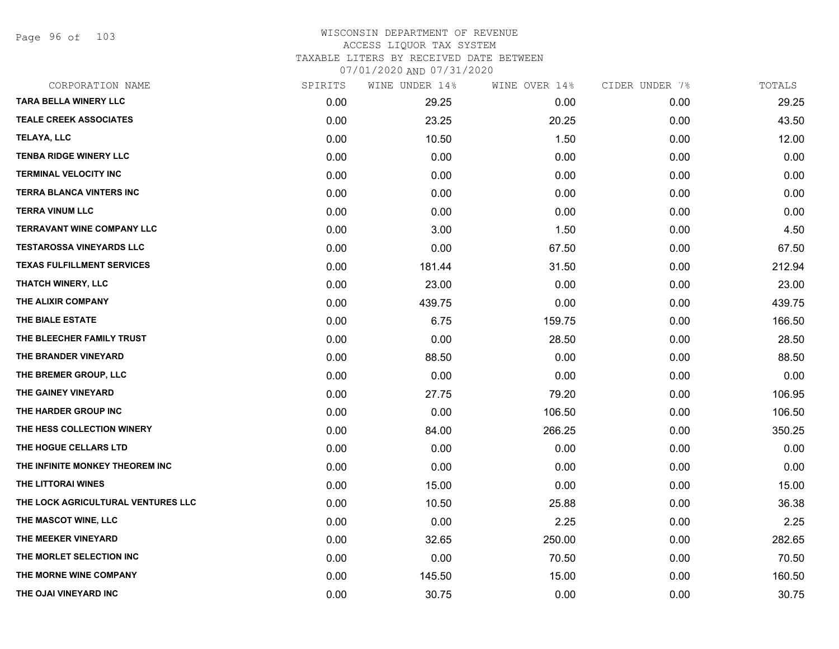Page 96 of 103

| CORPORATION NAME                   | SPIRITS | WINE UNDER 14% | WINE OVER 14% | CIDER UNDER 7% | TOTALS |
|------------------------------------|---------|----------------|---------------|----------------|--------|
| <b>TARA BELLA WINERY LLC</b>       | 0.00    | 29.25          | 0.00          | 0.00           | 29.25  |
| <b>TEALE CREEK ASSOCIATES</b>      | 0.00    | 23.25          | 20.25         | 0.00           | 43.50  |
| TELAYA, LLC                        | 0.00    | 10.50          | 1.50          | 0.00           | 12.00  |
| <b>TENBA RIDGE WINERY LLC</b>      | 0.00    | 0.00           | 0.00          | 0.00           | 0.00   |
| <b>TERMINAL VELOCITY INC</b>       | 0.00    | 0.00           | 0.00          | 0.00           | 0.00   |
| <b>TERRA BLANCA VINTERS INC</b>    | 0.00    | 0.00           | 0.00          | 0.00           | 0.00   |
| <b>TERRA VINUM LLC</b>             | 0.00    | 0.00           | 0.00          | 0.00           | 0.00   |
| <b>TERRAVANT WINE COMPANY LLC</b>  | 0.00    | 3.00           | 1.50          | 0.00           | 4.50   |
| <b>TESTAROSSA VINEYARDS LLC</b>    | 0.00    | 0.00           | 67.50         | 0.00           | 67.50  |
| <b>TEXAS FULFILLMENT SERVICES</b>  | 0.00    | 181.44         | 31.50         | 0.00           | 212.94 |
| <b>THATCH WINERY, LLC</b>          | 0.00    | 23.00          | 0.00          | 0.00           | 23.00  |
| THE ALIXIR COMPANY                 | 0.00    | 439.75         | 0.00          | 0.00           | 439.75 |
| THE BIALE ESTATE                   | 0.00    | 6.75           | 159.75        | 0.00           | 166.50 |
| THE BLEECHER FAMILY TRUST          | 0.00    | 0.00           | 28.50         | 0.00           | 28.50  |
| THE BRANDER VINEYARD               | 0.00    | 88.50          | 0.00          | 0.00           | 88.50  |
| THE BREMER GROUP, LLC              | 0.00    | 0.00           | 0.00          | 0.00           | 0.00   |
| THE GAINEY VINEYARD                | 0.00    | 27.75          | 79.20         | 0.00           | 106.95 |
| THE HARDER GROUP INC               | 0.00    | 0.00           | 106.50        | 0.00           | 106.50 |
| THE HESS COLLECTION WINERY         | 0.00    | 84.00          | 266.25        | 0.00           | 350.25 |
| THE HOGUE CELLARS LTD              | 0.00    | 0.00           | 0.00          | 0.00           | 0.00   |
| THE INFINITE MONKEY THEOREM INC    | 0.00    | 0.00           | 0.00          | 0.00           | 0.00   |
| THE LITTORAI WINES                 | 0.00    | 15.00          | 0.00          | 0.00           | 15.00  |
| THE LOCK AGRICULTURAL VENTURES LLC | 0.00    | 10.50          | 25.88         | 0.00           | 36.38  |
| THE MASCOT WINE, LLC               | 0.00    | 0.00           | 2.25          | 0.00           | 2.25   |
| THE MEEKER VINEYARD                | 0.00    | 32.65          | 250.00        | 0.00           | 282.65 |
| THE MORLET SELECTION INC           | 0.00    | 0.00           | 70.50         | 0.00           | 70.50  |
| THE MORNE WINE COMPANY             | 0.00    | 145.50         | 15.00         | 0.00           | 160.50 |
| THE OJAI VINEYARD INC              | 0.00    | 30.75          | 0.00          | 0.00           | 30.75  |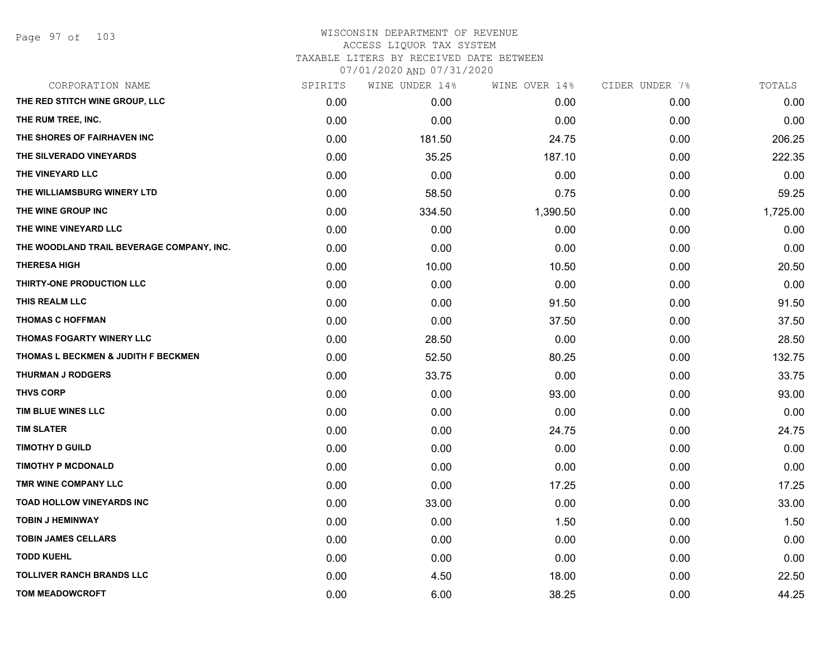| CORPORATION NAME                          | SPIRITS | WINE UNDER 14% | WINE OVER 14% | CIDER UNDER 7% | TOTALS   |
|-------------------------------------------|---------|----------------|---------------|----------------|----------|
| THE RED STITCH WINE GROUP, LLC            | 0.00    | 0.00           | 0.00          | 0.00           | 0.00     |
| THE RUM TREE, INC.                        | 0.00    | 0.00           | 0.00          | 0.00           | 0.00     |
| THE SHORES OF FAIRHAVEN INC               | 0.00    | 181.50         | 24.75         | 0.00           | 206.25   |
| THE SILVERADO VINEYARDS                   | 0.00    | 35.25          | 187.10        | 0.00           | 222.35   |
| THE VINEYARD LLC                          | 0.00    | 0.00           | 0.00          | 0.00           | 0.00     |
| THE WILLIAMSBURG WINERY LTD               | 0.00    | 58.50          | 0.75          | 0.00           | 59.25    |
| THE WINE GROUP INC                        | 0.00    | 334.50         | 1,390.50      | 0.00           | 1,725.00 |
| THE WINE VINEYARD LLC                     | 0.00    | 0.00           | 0.00          | 0.00           | 0.00     |
| THE WOODLAND TRAIL BEVERAGE COMPANY, INC. | 0.00    | 0.00           | 0.00          | 0.00           | 0.00     |
| <b>THERESA HIGH</b>                       | 0.00    | 10.00          | 10.50         | 0.00           | 20.50    |
| THIRTY-ONE PRODUCTION LLC                 | 0.00    | 0.00           | 0.00          | 0.00           | 0.00     |
| THIS REALM LLC                            | 0.00    | 0.00           | 91.50         | 0.00           | 91.50    |
| <b>THOMAS C HOFFMAN</b>                   | 0.00    | 0.00           | 37.50         | 0.00           | 37.50    |
| <b>THOMAS FOGARTY WINERY LLC</b>          | 0.00    | 28.50          | 0.00          | 0.00           | 28.50    |
| THOMAS L BECKMEN & JUDITH F BECKMEN       | 0.00    | 52.50          | 80.25         | 0.00           | 132.75   |
| <b>THURMAN J RODGERS</b>                  | 0.00    | 33.75          | 0.00          | 0.00           | 33.75    |
| <b>THVS CORP</b>                          | 0.00    | 0.00           | 93.00         | 0.00           | 93.00    |
| TIM BLUE WINES LLC                        | 0.00    | 0.00           | 0.00          | 0.00           | 0.00     |
| <b>TIM SLATER</b>                         | 0.00    | 0.00           | 24.75         | 0.00           | 24.75    |
| <b>TIMOTHY D GUILD</b>                    | 0.00    | 0.00           | 0.00          | 0.00           | 0.00     |
| <b>TIMOTHY P MCDONALD</b>                 | 0.00    | 0.00           | 0.00          | 0.00           | 0.00     |
| TMR WINE COMPANY LLC                      | 0.00    | 0.00           | 17.25         | 0.00           | 17.25    |
| <b>TOAD HOLLOW VINEYARDS INC</b>          | 0.00    | 33.00          | 0.00          | 0.00           | 33.00    |
| <b>TOBIN J HEMINWAY</b>                   | 0.00    | 0.00           | 1.50          | 0.00           | 1.50     |
| <b>TOBIN JAMES CELLARS</b>                | 0.00    | 0.00           | 0.00          | 0.00           | 0.00     |
| <b>TODD KUEHL</b>                         | 0.00    | 0.00           | 0.00          | 0.00           | 0.00     |
| <b>TOLLIVER RANCH BRANDS LLC</b>          | 0.00    | 4.50           | 18.00         | 0.00           | 22.50    |
| <b>TOM MEADOWCROFT</b>                    | 0.00    | 6.00           | 38.25         | 0.00           | 44.25    |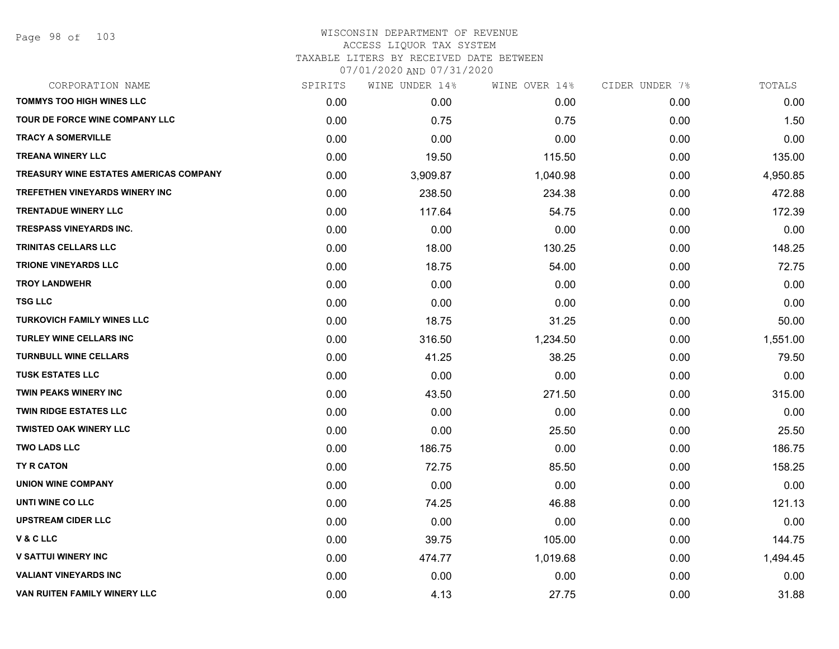#### WISCONSIN DEPARTMENT OF REVENUE ACCESS LIQUOR TAX SYSTEM TAXABLE LITERS BY RECEIVED DATE BETWEEN

07/01/2020 AND 07/31/2020

| CORPORATION NAME                              | SPIRITS | WINE UNDER 14% | WINE OVER 14% | CIDER UNDER 7% | TOTALS   |
|-----------------------------------------------|---------|----------------|---------------|----------------|----------|
| <b>TOMMYS TOO HIGH WINES LLC</b>              | 0.00    | 0.00           | 0.00          | 0.00           | 0.00     |
| <b>TOUR DE FORCE WINE COMPANY LLC</b>         | 0.00    | 0.75           | 0.75          | 0.00           | 1.50     |
| <b>TRACY A SOMERVILLE</b>                     | 0.00    | 0.00           | 0.00          | 0.00           | 0.00     |
| <b>TREANA WINERY LLC</b>                      | 0.00    | 19.50          | 115.50        | 0.00           | 135.00   |
| <b>TREASURY WINE ESTATES AMERICAS COMPANY</b> | 0.00    | 3,909.87       | 1,040.98      | 0.00           | 4,950.85 |
| <b>TREFETHEN VINEYARDS WINERY INC</b>         | 0.00    | 238.50         | 234.38        | 0.00           | 472.88   |
| <b>TRENTADUE WINERY LLC</b>                   | 0.00    | 117.64         | 54.75         | 0.00           | 172.39   |
| <b>TRESPASS VINEYARDS INC.</b>                | 0.00    | 0.00           | 0.00          | 0.00           | 0.00     |
| <b>TRINITAS CELLARS LLC</b>                   | 0.00    | 18.00          | 130.25        | 0.00           | 148.25   |
| <b>TRIONE VINEYARDS LLC</b>                   | 0.00    | 18.75          | 54.00         | 0.00           | 72.75    |
| <b>TROY LANDWEHR</b>                          | 0.00    | 0.00           | 0.00          | 0.00           | 0.00     |
| <b>TSG LLC</b>                                | 0.00    | 0.00           | 0.00          | 0.00           | 0.00     |
| <b>TURKOVICH FAMILY WINES LLC</b>             | 0.00    | 18.75          | 31.25         | 0.00           | 50.00    |
| <b>TURLEY WINE CELLARS INC</b>                | 0.00    | 316.50         | 1,234.50      | 0.00           | 1,551.00 |
| <b>TURNBULL WINE CELLARS</b>                  | 0.00    | 41.25          | 38.25         | 0.00           | 79.50    |
| <b>TUSK ESTATES LLC</b>                       | 0.00    | 0.00           | 0.00          | 0.00           | 0.00     |
| <b>TWIN PEAKS WINERY INC</b>                  | 0.00    | 43.50          | 271.50        | 0.00           | 315.00   |
| <b>TWIN RIDGE ESTATES LLC</b>                 | 0.00    | 0.00           | 0.00          | 0.00           | 0.00     |
| <b>TWISTED OAK WINERY LLC</b>                 | 0.00    | 0.00           | 25.50         | 0.00           | 25.50    |
| <b>TWO LADS LLC</b>                           | 0.00    | 186.75         | 0.00          | 0.00           | 186.75   |
| TY R CATON                                    | 0.00    | 72.75          | 85.50         | 0.00           | 158.25   |
| <b>UNION WINE COMPANY</b>                     | 0.00    | 0.00           | 0.00          | 0.00           | 0.00     |
| UNTI WINE CO LLC                              | 0.00    | 74.25          | 46.88         | 0.00           | 121.13   |
| <b>UPSTREAM CIDER LLC</b>                     | 0.00    | 0.00           | 0.00          | 0.00           | 0.00     |
| V & C LLC                                     | 0.00    | 39.75          | 105.00        | 0.00           | 144.75   |
| <b>V SATTUI WINERY INC</b>                    | 0.00    | 474.77         | 1,019.68      | 0.00           | 1,494.45 |
| <b>VALIANT VINEYARDS INC</b>                  | 0.00    | 0.00           | 0.00          | 0.00           | 0.00     |
| VAN RUITEN FAMILY WINERY LLC                  | 0.00    | 4.13           | 27.75         | 0.00           | 31.88    |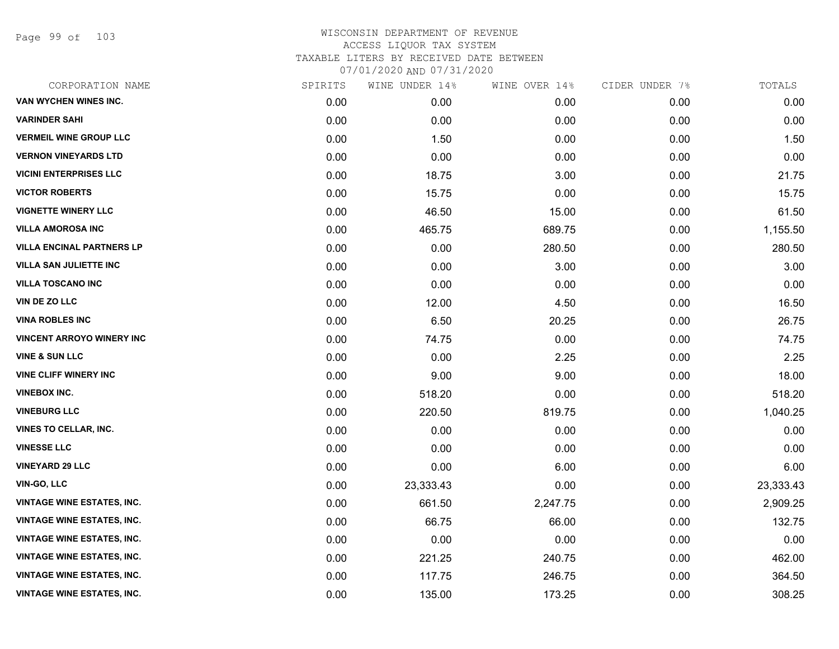Page 99 of 103

| CORPORATION NAME                  | SPIRITS | WINE UNDER 14% | WINE OVER 14% | CIDER UNDER 7% | TOTALS    |
|-----------------------------------|---------|----------------|---------------|----------------|-----------|
| VAN WYCHEN WINES INC.             | 0.00    | 0.00           | 0.00          | 0.00           | 0.00      |
| <b>VARINDER SAHI</b>              | 0.00    | 0.00           | 0.00          | 0.00           | 0.00      |
| <b>VERMEIL WINE GROUP LLC</b>     | 0.00    | 1.50           | 0.00          | 0.00           | 1.50      |
| <b>VERNON VINEYARDS LTD</b>       | 0.00    | 0.00           | 0.00          | 0.00           | 0.00      |
| <b>VICINI ENTERPRISES LLC</b>     | 0.00    | 18.75          | 3.00          | 0.00           | 21.75     |
| <b>VICTOR ROBERTS</b>             | 0.00    | 15.75          | 0.00          | 0.00           | 15.75     |
| <b>VIGNETTE WINERY LLC</b>        | 0.00    | 46.50          | 15.00         | 0.00           | 61.50     |
| <b>VILLA AMOROSA INC</b>          | 0.00    | 465.75         | 689.75        | 0.00           | 1,155.50  |
| <b>VILLA ENCINAL PARTNERS LP</b>  | 0.00    | 0.00           | 280.50        | 0.00           | 280.50    |
| <b>VILLA SAN JULIETTE INC</b>     | 0.00    | 0.00           | 3.00          | 0.00           | 3.00      |
| <b>VILLA TOSCANO INC</b>          | 0.00    | 0.00           | 0.00          | 0.00           | 0.00      |
| VIN DE ZO LLC                     | 0.00    | 12.00          | 4.50          | 0.00           | 16.50     |
| <b>VINA ROBLES INC</b>            | 0.00    | 6.50           | 20.25         | 0.00           | 26.75     |
| <b>VINCENT ARROYO WINERY INC</b>  | 0.00    | 74.75          | 0.00          | 0.00           | 74.75     |
| <b>VINE &amp; SUN LLC</b>         | 0.00    | 0.00           | 2.25          | 0.00           | 2.25      |
| <b>VINE CLIFF WINERY INC</b>      | 0.00    | 9.00           | 9.00          | 0.00           | 18.00     |
| <b>VINEBOX INC.</b>               | 0.00    | 518.20         | 0.00          | 0.00           | 518.20    |
| <b>VINEBURG LLC</b>               | 0.00    | 220.50         | 819.75        | 0.00           | 1,040.25  |
| <b>VINES TO CELLAR, INC.</b>      | 0.00    | 0.00           | 0.00          | 0.00           | 0.00      |
| <b>VINESSE LLC</b>                | 0.00    | 0.00           | 0.00          | 0.00           | 0.00      |
| <b>VINEYARD 29 LLC</b>            | 0.00    | 0.00           | 6.00          | 0.00           | 6.00      |
| VIN-GO, LLC                       | 0.00    | 23,333.43      | 0.00          | 0.00           | 23,333.43 |
| <b>VINTAGE WINE ESTATES, INC.</b> | 0.00    | 661.50         | 2,247.75      | 0.00           | 2,909.25  |
| <b>VINTAGE WINE ESTATES, INC.</b> | 0.00    | 66.75          | 66.00         | 0.00           | 132.75    |
| <b>VINTAGE WINE ESTATES, INC.</b> | 0.00    | 0.00           | 0.00          | 0.00           | 0.00      |
| <b>VINTAGE WINE ESTATES, INC.</b> | 0.00    | 221.25         | 240.75        | 0.00           | 462.00    |
| <b>VINTAGE WINE ESTATES, INC.</b> | 0.00    | 117.75         | 246.75        | 0.00           | 364.50    |
| <b>VINTAGE WINE ESTATES, INC.</b> | 0.00    | 135.00         | 173.25        | 0.00           | 308.25    |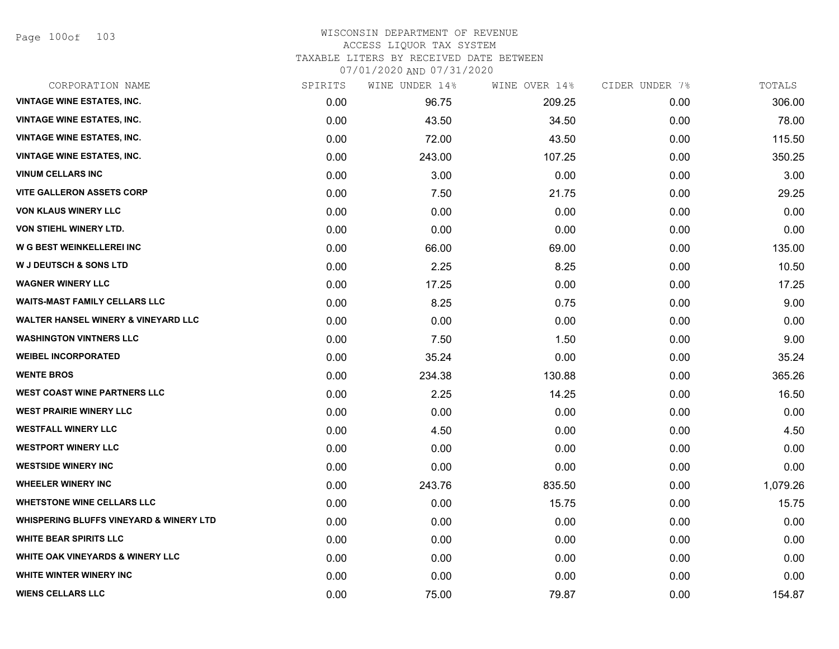Page 100of 103

## WISCONSIN DEPARTMENT OF REVENUE ACCESS LIQUOR TAX SYSTEM TAXABLE LITERS BY RECEIVED DATE BETWEEN

07/01/2020 AND 07/31/2020

| CORPORATION NAME                                   | SPIRITS | WINE UNDER 14% | WINE OVER 14% | CIDER UNDER 7% | TOTALS   |
|----------------------------------------------------|---------|----------------|---------------|----------------|----------|
| <b>VINTAGE WINE ESTATES, INC.</b>                  | 0.00    | 96.75          | 209.25        | 0.00           | 306.00   |
| <b>VINTAGE WINE ESTATES, INC.</b>                  | 0.00    | 43.50          | 34.50         | 0.00           | 78.00    |
| <b>VINTAGE WINE ESTATES, INC.</b>                  | 0.00    | 72.00          | 43.50         | 0.00           | 115.50   |
| <b>VINTAGE WINE ESTATES, INC.</b>                  | 0.00    | 243.00         | 107.25        | 0.00           | 350.25   |
| <b>VINUM CELLARS INC</b>                           | 0.00    | 3.00           | 0.00          | 0.00           | 3.00     |
| <b>VITE GALLERON ASSETS CORP</b>                   | 0.00    | 7.50           | 21.75         | 0.00           | 29.25    |
| <b>VON KLAUS WINERY LLC</b>                        | 0.00    | 0.00           | 0.00          | 0.00           | 0.00     |
| <b>VON STIEHL WINERY LTD.</b>                      | 0.00    | 0.00           | 0.00          | 0.00           | 0.00     |
| <b>W G BEST WEINKELLEREI INC</b>                   | 0.00    | 66.00          | 69.00         | 0.00           | 135.00   |
| <b>W J DEUTSCH &amp; SONS LTD</b>                  | 0.00    | 2.25           | 8.25          | 0.00           | 10.50    |
| <b>WAGNER WINERY LLC</b>                           | 0.00    | 17.25          | 0.00          | 0.00           | 17.25    |
| <b>WAITS-MAST FAMILY CELLARS LLC</b>               | 0.00    | 8.25           | 0.75          | 0.00           | 9.00     |
| <b>WALTER HANSEL WINERY &amp; VINEYARD LLC</b>     | 0.00    | 0.00           | 0.00          | 0.00           | 0.00     |
| <b>WASHINGTON VINTNERS LLC</b>                     | 0.00    | 7.50           | 1.50          | 0.00           | 9.00     |
| <b>WEIBEL INCORPORATED</b>                         | 0.00    | 35.24          | 0.00          | 0.00           | 35.24    |
| <b>WENTE BROS</b>                                  | 0.00    | 234.38         | 130.88        | 0.00           | 365.26   |
| <b>WEST COAST WINE PARTNERS LLC</b>                | 0.00    | 2.25           | 14.25         | 0.00           | 16.50    |
| <b>WEST PRAIRIE WINERY LLC</b>                     | 0.00    | 0.00           | 0.00          | 0.00           | 0.00     |
| <b>WESTFALL WINERY LLC</b>                         | 0.00    | 4.50           | 0.00          | 0.00           | 4.50     |
| <b>WESTPORT WINERY LLC</b>                         | 0.00    | 0.00           | 0.00          | 0.00           | 0.00     |
| <b>WESTSIDE WINERY INC</b>                         | 0.00    | 0.00           | 0.00          | 0.00           | 0.00     |
| <b>WHEELER WINERY INC</b>                          | 0.00    | 243.76         | 835.50        | 0.00           | 1,079.26 |
| <b>WHETSTONE WINE CELLARS LLC</b>                  | 0.00    | 0.00           | 15.75         | 0.00           | 15.75    |
| <b>WHISPERING BLUFFS VINEYARD &amp; WINERY LTD</b> | 0.00    | 0.00           | 0.00          | 0.00           | 0.00     |
| <b>WHITE BEAR SPIRITS LLC</b>                      | 0.00    | 0.00           | 0.00          | 0.00           | 0.00     |
| <b>WHITE OAK VINEYARDS &amp; WINERY LLC</b>        | 0.00    | 0.00           | 0.00          | 0.00           | 0.00     |
| WHITE WINTER WINERY INC                            | 0.00    | 0.00           | 0.00          | 0.00           | 0.00     |
| <b>WIENS CELLARS LLC</b>                           | 0.00    | 75.00          | 79.87         | 0.00           | 154.87   |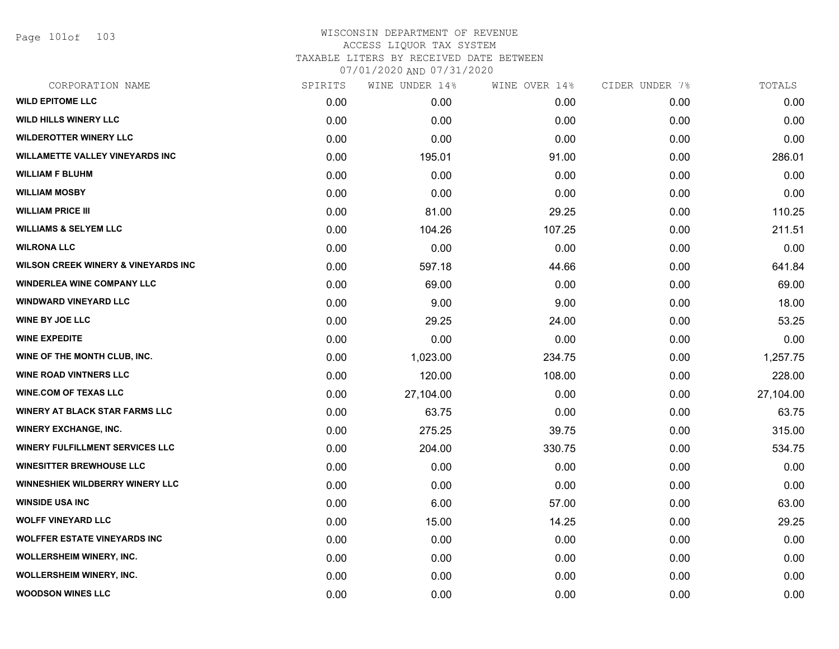Page 101of 103

| SPIRITS | WINE UNDER 14% |        | CIDER UNDER 7% | TOTALS    |
|---------|----------------|--------|----------------|-----------|
| 0.00    | 0.00           | 0.00   | 0.00           | 0.00      |
| 0.00    | 0.00           | 0.00   | 0.00           | 0.00      |
| 0.00    | 0.00           | 0.00   | 0.00           | 0.00      |
| 0.00    | 195.01         | 91.00  | 0.00           | 286.01    |
| 0.00    | 0.00           | 0.00   | 0.00           | 0.00      |
| 0.00    | 0.00           | 0.00   | 0.00           | 0.00      |
| 0.00    | 81.00          | 29.25  | 0.00           | 110.25    |
| 0.00    | 104.26         | 107.25 | 0.00           | 211.51    |
| 0.00    | 0.00           | 0.00   | 0.00           | 0.00      |
| 0.00    | 597.18         | 44.66  | 0.00           | 641.84    |
| 0.00    | 69.00          | 0.00   | 0.00           | 69.00     |
| 0.00    | 9.00           | 9.00   | 0.00           | 18.00     |
| 0.00    | 29.25          | 24.00  | 0.00           | 53.25     |
| 0.00    | 0.00           | 0.00   | 0.00           | 0.00      |
| 0.00    | 1,023.00       | 234.75 | 0.00           | 1,257.75  |
| 0.00    | 120.00         | 108.00 | 0.00           | 228.00    |
| 0.00    | 27,104.00      | 0.00   | 0.00           | 27,104.00 |
| 0.00    | 63.75          | 0.00   | 0.00           | 63.75     |
| 0.00    | 275.25         | 39.75  | 0.00           | 315.00    |
| 0.00    | 204.00         | 330.75 | 0.00           | 534.75    |
| 0.00    | 0.00           | 0.00   | 0.00           | 0.00      |
| 0.00    | 0.00           | 0.00   | 0.00           | 0.00      |
| 0.00    | 6.00           | 57.00  | 0.00           | 63.00     |
| 0.00    | 15.00          | 14.25  | 0.00           | 29.25     |
| 0.00    | 0.00           | 0.00   | 0.00           | 0.00      |
| 0.00    | 0.00           | 0.00   | 0.00           | 0.00      |
| 0.00    | 0.00           | 0.00   | 0.00           | 0.00      |
| 0.00    | 0.00           | 0.00   | 0.00           | 0.00      |
|         |                |        | WINE OVER 14%  |           |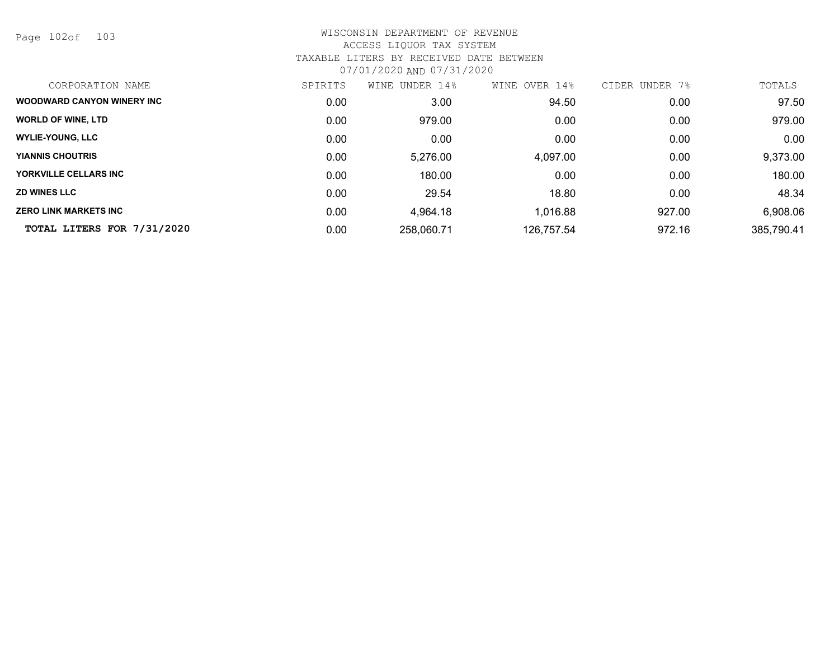Page 102of 103

| CORPORATION NAME                   | SPIRITS | UNDER 14%<br>WINE | WINE OVER 14% | CIDER UNDER<br>7% | TOTALS     |
|------------------------------------|---------|-------------------|---------------|-------------------|------------|
| <b>WOODWARD CANYON WINERY INC.</b> | 0.00    | 3.00              | 94.50         | 0.00              | 97.50      |
| <b>WORLD OF WINE, LTD</b>          | 0.00    | 979.00            | 0.00          | 0.00              | 979.00     |
| <b>WYLIE-YOUNG, LLC</b>            | 0.00    | 0.00              | 0.00          | 0.00              | 0.00       |
| <b>YIANNIS CHOUTRIS</b>            | 0.00    | 5,276.00          | 4,097.00      | 0.00              | 9,373.00   |
| YORKVILLE CELLARS INC              | 0.00    | 180.00            | 0.00          | 0.00              | 180.00     |
| <b>ZD WINES LLC</b>                | 0.00    | 29.54             | 18.80         | 0.00              | 48.34      |
| <b>ZERO LINK MARKETS INC</b>       | 0.00    | 4,964.18          | 1,016.88      | 927.00            | 6,908.06   |
| TOTAL LITERS FOR 7/31/2020         | 0.00    | 258,060.71        | 126,757.54    | 972.16            | 385,790.41 |